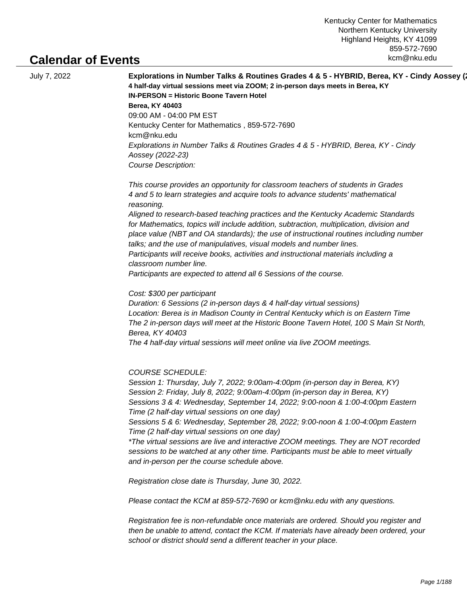# **Calendar of Events**

|  | July 7, 2022 |
|--|--------------|
|  |              |

July 7, 2022 **Explorations in Number Talks & Routines Grades 4 & 5 - HYBRID, Berea, KY - Cindy Aossey (2022-23) 4 half-day virtual sessions meet via ZOOM; 2 in-person days meets in Berea, KY IN-PERSON = Historic Boone Tavern Hotel Berea, KY 40403** 09:00 AM - 04:00 PM EST Kentucky Center for Mathematics , 859-572-7690 kcm@nku.edu Explorations in Number Talks & Routines Grades 4 & 5 - HYBRID, Berea, KY - Cindy Aossey (2022-23) Course Description:

> This course provides an opportunity for classroom teachers of students in Grades 4 and 5 to learn strategies and acquire tools to advance students' mathematical reasoning.

 Aligned to research-based teaching practices and the Kentucky Academic Standards for Mathematics, topics will include addition, subtraction, multiplication, division and place value (NBT and OA standards); the use of instructional routines including number talks; and the use of manipulatives, visual models and number lines. Participants will receive books, activities and instructional materials including a classroom number line.

 Participants are expected to attend all 6 Sessions of the course.

Cost: \$300 per participant

Duration: 6 Sessions (2 in-person days & 4 half-day virtual sessions) Location: Berea is in Madison County in Central Kentucky which is on Eastern Time The 2 in-person days will meet at the Historic Boone Tavern Hotel, 100 S Main St North, Berea, KY 40403 The 4 half-day virtual sessions will meet online via live ZOOM meetings.

COURSE SCHEDULE:

Session 1: Thursday, July 7, 2022; 9:00am-4:00pm (in-person day in Berea, KY) Session 2: Friday, July 8, 2022; 9:00am-4:00pm (in-person day in Berea, KY) Sessions 3 & 4: Wednesday, September 14, 2022; 9:00-noon & 1:00-4:00pm Eastern Time (2 half-day virtual sessions on one day)

Sessions 5 & 6: Wednesday, September 28, 2022; 9:00-noon & 1:00-4:00pm Eastern Time (2 half-day virtual sessions on one day)

\*The virtual sessions are live and interactive ZOOM meetings. They are NOT recorded sessions to be watched at any other time. Participants must be able to meet virtually and in-person per the course schedule above.

Registration close date is Thursday, June 30, 2022.

Please contact the KCM at 859-572-7690 or kcm@nku.edu with any questions.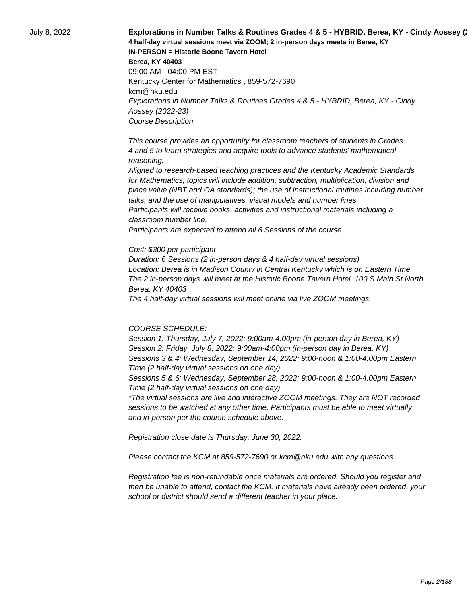July 8, 2022 **Explorations in Number Talks & Routines Grades 4 & 5 - HYBRID, Berea, KY - Cindy Aossey (2022-23) 4 half-day virtual sessions meet via ZOOM; 2 in-person days meets in Berea, KY IN-PERSON = Historic Boone Tavern Hotel Berea, KY 40403** 09:00 AM - 04:00 PM EST Kentucky Center for Mathematics , 859-572-7690 kcm@nku.edu Explorations in Number Talks & Routines Grades 4 & 5 - HYBRID, Berea, KY - Cindy Aossey (2022-23) Course Description:

> This course provides an opportunity for classroom teachers of students in Grades 4 and 5 to learn strategies and acquire tools to advance students' mathematical reasoning.

 Aligned to research-based teaching practices and the Kentucky Academic Standards for Mathematics, topics will include addition, subtraction, multiplication, division and place value (NBT and OA standards); the use of instructional routines including number talks; and the use of manipulatives, visual models and number lines. Participants will receive books, activities and instructional materials including a classroom number line.

 Participants are expected to attend all 6 Sessions of the course.

#### Cost: \$300 per participant

Duration: 6 Sessions (2 in-person days & 4 half-day virtual sessions) Location: Berea is in Madison County in Central Kentucky which is on Eastern Time The 2 in-person days will meet at the Historic Boone Tavern Hotel, 100 S Main St North, Berea, KY 40403

The 4 half-day virtual sessions will meet online via live ZOOM meetings.

#### COURSE SCHEDULE:

Session 1: Thursday, July 7, 2022; 9:00am-4:00pm (in-person day in Berea, KY) Session 2: Friday, July 8, 2022; 9:00am-4:00pm (in-person day in Berea, KY) Sessions 3 & 4: Wednesday, September 14, 2022; 9:00-noon & 1:00-4:00pm Eastern Time (2 half-day virtual sessions on one day)

Sessions 5 & 6: Wednesday, September 28, 2022; 9:00-noon & 1:00-4:00pm Eastern Time (2 half-day virtual sessions on one day)

\*The virtual sessions are live and interactive ZOOM meetings. They are NOT recorded sessions to be watched at any other time. Participants must be able to meet virtually and in-person per the course schedule above.

Registration close date is Thursday, June 30, 2022.

Please contact the KCM at 859-572-7690 or kcm@nku.edu with any questions.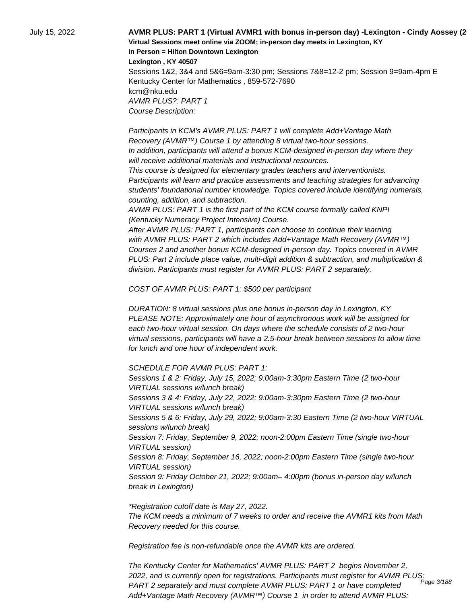July 15, 2022 **AVMR PLUS: PART 1 (Virtual AVMR1 with bonus in-person day) -Lexington - Cindy Aossey (2022-23) Virtual Sessions meet online via ZOOM; in-person day meets in Lexington, KY In Person = Hilton Downtown Lexington Lexington , KY 40507**

Sessions 1&2, 3&4 and 5&6=9am-3:30 pm; Sessions 7&8=12-2 pm; Session 9=9am-4pm E Kentucky Center for Mathematics , 859-572-7690 kcm@nku.edu AVMR PLUS?: PART 1 Course Description:

 Participants in KCM's AVMR PLUS: PART 1 will complete Add+Vantage Math Recovery (AVMR™) Course 1 by attending 8 virtual two-hour sessions. In addition, participants will attend a bonus KCM-designed in-person day where they will receive additional materials and instructional resources.

 This course is designed for elementary grades teachers and interventionists. Participants will learn and practice assessments and teaching strategies for advancing students' foundational number knowledge. Topics covered include identifying numerals, counting, addition, and subtraction.

 AVMR PLUS: PART 1 is the first part of the KCM course formally called KNPI (Kentucky Numeracy Project Intensive) Course.

 After AVMR PLUS: PART 1, participants can choose to continue their learning with AVMR PLUS: PART 2 which includes Add+Vantage Math Recovery (AVMR™) Courses 2 and another bonus KCM-designed in-person day. Topics covered in AVMR PLUS: Part 2 include place value, multi-digit addition & subtraction, and multiplication & division. Participants must register for AVMR PLUS: PART 2 separately.

COST OF AVMR PLUS: PART 1: \$500 per participant

DURATION: 8 virtual sessions plus one bonus in-person day in Lexington, KY PLEASE NOTE: Approximately one hour of asynchronous work will be assigned for each two-hour virtual session. On days where the schedule consists of 2 two-hour virtual sessions, participants will have a 2.5-hour break between sessions to allow time for lunch and one hour of independent work.

SCHEDULE FOR AVMR PLUS: PART 1:

Sessions 1 & 2: Friday, July 15, 2022; 9:00am-3:30pm Eastern Time (2 two-hour VIRTUAL sessions w/lunch break) Sessions 3 & 4: Friday, July 22, 2022; 9:00am-3:30pm Eastern Time (2 two-hour VIRTUAL sessions w/lunch break) Sessions 5 & 6: Friday, July 29, 2022; 9:00am-3:30 Eastern Time (2 two-hour VIRTUAL sessions w/lunch break) Session 7: Friday, September 9, 2022; noon-2:00pm Eastern Time (single two-hour VIRTUAL session) Session 8: Friday, September 16, 2022; noon-2:00pm Eastern Time (single two-hour VIRTUAL session) Session 9: Friday October 21, 2022; 9:00am– 4:00pm (bonus in-person day w/lunch break in Lexington)

\*Registration cutoff date is May 27, 2022. The KCM needs a minimum of 7 weeks to order and receive the AVMR1 kits from Math Recovery needed for this course.

Registration fee is non-refundable once the AVMR kits are ordered.

The Kentucky Center for Mathematics' AVMR PLUS: PART 2 begins November 2, 2022, and is currently open for registrations. Participants must register for AVMR PLUS: PART 2 separately and must complete AVMR PLUS: PART 1 or have completed Add+Vantage Math Recovery (AVMR™) Course 1 in order to attend AVMR PLUS: Page 3/188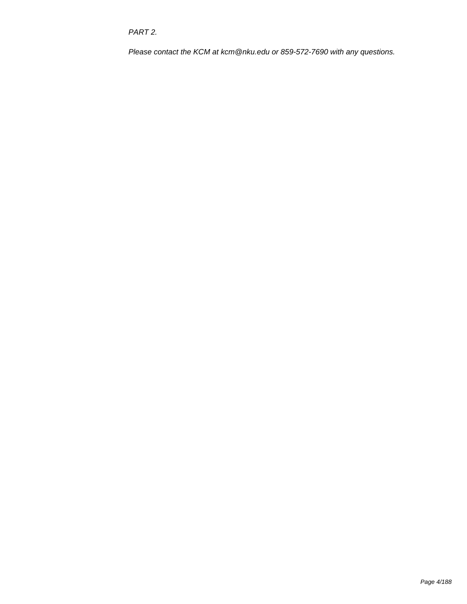PART 2.

Please contact the KCM at kcm@nku.edu or 859-572-7690 with any questions.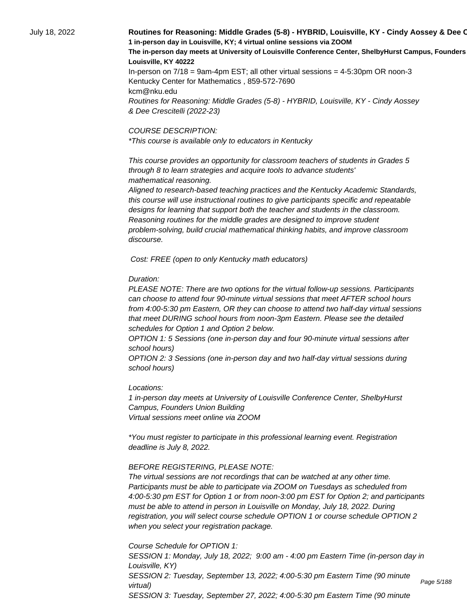## July 18, 2022 **Routines for Reasoning: Middle Grades (5-8) - HYBRID, Louisville, KY - Cindy Aossey & Dee C 1 in-person day in Louisville, KY; 4 virtual online sessions via ZOOM** The in-person day meets at University of Louisville Conference Center, ShelbyHurst Campus, Founders **Louisville, KY 40222**

In-person on 7/18 = 9am-4pm EST; all other virtual sessions = 4-5:30pm OR noon-3 Kentucky Center for Mathematics , 859-572-7690 kcm@nku.edu Routines for Reasoning: Middle Grades (5-8) - HYBRID, Louisville, KY - Cindy Aossey & Dee Crescitelli (2022-23)

#### COURSE DESCRIPTION:

\*This course is available only to educators in Kentucky

 This course provides an opportunity for classroom teachers of students in Grades 5 through 8 to learn strategies and acquire tools to advance students' mathematical reasoning.

 Aligned to research-based teaching practices and the Kentucky Academic Standards, this course will use instructional routines to give participants specific and repeatable designs for learning that support both the teacher and students in the classroom. Reasoning routines for the middle grades are designed to improve student problem-solving, build crucial mathematical thinking habits, and improve classroom discourse.

Cost: FREE (open to only Kentucky math educators)

#### Duration:

PLEASE NOTE: There are two options for the virtual follow-up sessions. Participants can choose to attend four 90-minute virtual sessions that meet AFTER school hours from 4:00-5:30 pm Eastern, OR they can choose to attend two half-day virtual sessions that meet DURING school hours from noon-3pm Eastern. Please see the detailed schedules for Option 1 and Option 2 below.

OPTION 1: 5 Sessions (one in-person day and four 90-minute virtual sessions after school hours)

OPTION 2: 3 Sessions (one in-person day and two half-day virtual sessions during school hours)

#### Locations:

1 in-person day meets at University of Louisville Conference Center, ShelbyHurst Campus, Founders Union Building Virtual sessions meet online via ZOOM

\*You must register to participate in this professional learning event. Registration deadline is July 8, 2022.

#### BEFORE REGISTERING, PLEASE NOTE:

The virtual sessions are not recordings that can be watched at any other time. Participants must be able to participate via ZOOM on Tuesdays as scheduled from 4:00-5:30 pm EST for Option 1 or from noon-3:00 pm EST for Option 2; and participants must be able to attend in person in Louisville on Monday, July 18, 2022. During registration, you will select course schedule OPTION 1 or course schedule OPTION 2 when you select your registration package.

Course Schedule for OPTION 1:

SESSION 1: Monday, July 18, 2022; 9:00 am - 4:00 pm Eastern Time (in-person day in Louisville, KY) SESSION 2: Tuesday, September 13, 2022; 4:00-5:30 pm Eastern Time (90 minute virtual) SESSION 3: Tuesday, September 27, 2022; 4:00-5:30 pm Eastern Time (90 minute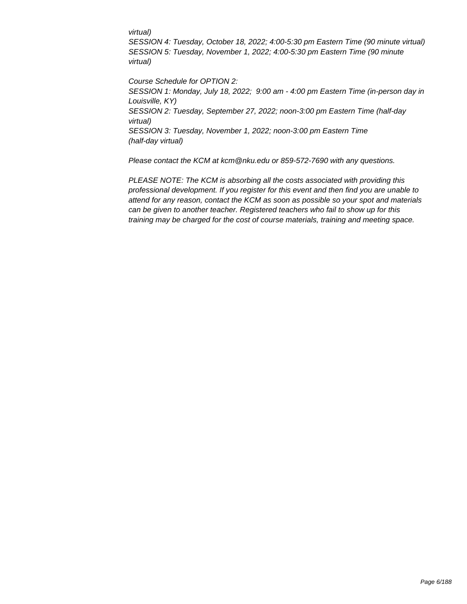#### virtual)

SESSION 4: Tuesday, October 18, 2022; 4:00-5:30 pm Eastern Time (90 minute virtual) SESSION 5: Tuesday, November 1, 2022; 4:00-5:30 pm Eastern Time (90 minute virtual)

Course Schedule for OPTION 2: SESSION 1: Monday, July 18, 2022; 9:00 am - 4:00 pm Eastern Time (in-person day in Louisville, KY) SESSION 2: Tuesday, September 27, 2022; noon-3:00 pm Eastern Time (half-day virtual) SESSION 3: Tuesday, November 1, 2022; noon-3:00 pm Eastern Time (half-day virtual)

Please contact the KCM at kcm@nku.edu or 859-572-7690 with any questions.

PLEASE NOTE: The KCM is absorbing all the costs associated with providing this professional development. If you register for this event and then find you are unable to attend for any reason, contact the KCM as soon as possible so your spot and materials can be given to another teacher. Registered teachers who fail to show up for this training may be charged for the cost of course materials, training and meeting space.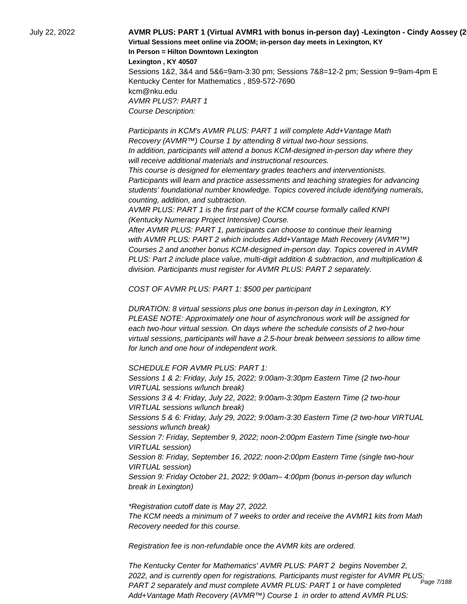July 22, 2022 **AVMR PLUS: PART 1 (Virtual AVMR1 with bonus in-person day) -Lexington - Cindy Aossey (2022-23) Virtual Sessions meet online via ZOOM; in-person day meets in Lexington, KY In Person = Hilton Downtown Lexington Lexington , KY 40507**

> Sessions 1&2, 3&4 and 5&6=9am-3:30 pm; Sessions 7&8=12-2 pm; Session 9=9am-4pm E Kentucky Center for Mathematics , 859-572-7690 kcm@nku.edu AVMR PLUS?: PART 1 Course Description:

 Participants in KCM's AVMR PLUS: PART 1 will complete Add+Vantage Math Recovery (AVMR™) Course 1 by attending 8 virtual two-hour sessions. In addition, participants will attend a bonus KCM-designed in-person day where they will receive additional materials and instructional resources.

 This course is designed for elementary grades teachers and interventionists. Participants will learn and practice assessments and teaching strategies for advancing students' foundational number knowledge. Topics covered include identifying numerals, counting, addition, and subtraction.

 AVMR PLUS: PART 1 is the first part of the KCM course formally called KNPI (Kentucky Numeracy Project Intensive) Course.

 After AVMR PLUS: PART 1, participants can choose to continue their learning with AVMR PLUS: PART 2 which includes Add+Vantage Math Recovery (AVMR™) Courses 2 and another bonus KCM-designed in-person day. Topics covered in AVMR PLUS: Part 2 include place value, multi-digit addition & subtraction, and multiplication & division. Participants must register for AVMR PLUS: PART 2 separately.

COST OF AVMR PLUS: PART 1: \$500 per participant

DURATION: 8 virtual sessions plus one bonus in-person day in Lexington, KY PLEASE NOTE: Approximately one hour of asynchronous work will be assigned for each two-hour virtual session. On days where the schedule consists of 2 two-hour virtual sessions, participants will have a 2.5-hour break between sessions to allow time for lunch and one hour of independent work.

SCHEDULE FOR AVMR PLUS: PART 1:

Sessions 1 & 2: Friday, July 15, 2022; 9:00am-3:30pm Eastern Time (2 two-hour VIRTUAL sessions w/lunch break) Sessions 3 & 4: Friday, July 22, 2022; 9:00am-3:30pm Eastern Time (2 two-hour VIRTUAL sessions w/lunch break) Sessions 5 & 6: Friday, July 29, 2022; 9:00am-3:30 Eastern Time (2 two-hour VIRTUAL sessions w/lunch break) Session 7: Friday, September 9, 2022; noon-2:00pm Eastern Time (single two-hour VIRTUAL session) Session 8: Friday, September 16, 2022; noon-2:00pm Eastern Time (single two-hour VIRTUAL session) Session 9: Friday October 21, 2022; 9:00am– 4:00pm (bonus in-person day w/lunch break in Lexington)

\*Registration cutoff date is May 27, 2022. The KCM needs a minimum of 7 weeks to order and receive the AVMR1 kits from Math Recovery needed for this course.

Registration fee is non-refundable once the AVMR kits are ordered.

The Kentucky Center for Mathematics' AVMR PLUS: PART 2 begins November 2, 2022, and is currently open for registrations. Participants must register for AVMR PLUS: PART 2 separately and must complete AVMR PLUS: PART 1 or have completed Add+Vantage Math Recovery (AVMR™) Course 1 in order to attend AVMR PLUS: Page 7/188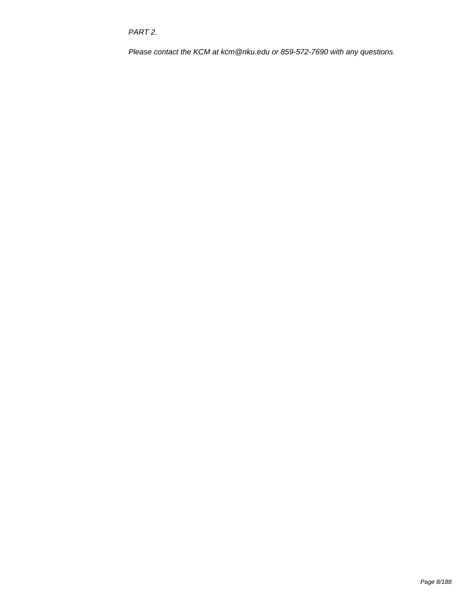PART 2.

Please contact the KCM at kcm@nku.edu or 859-572-7690 with any questions.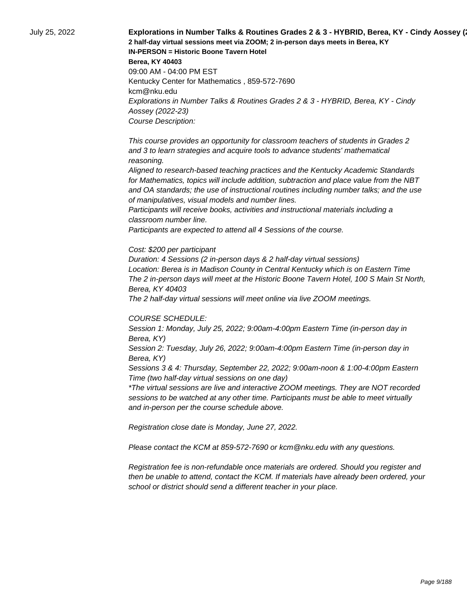July 25, 2022 **Explorations in Number Talks & Routines Grades 2 & 3 - HYBRID, Berea, KY - Cindy Aossey (2022-23) 2 half-day virtual sessions meet via ZOOM; 2 in-person days meets in Berea, KY IN-PERSON = Historic Boone Tavern Hotel Berea, KY 40403** 09:00 AM - 04:00 PM EST Kentucky Center for Mathematics , 859-572-7690 kcm@nku.edu Explorations in Number Talks & Routines Grades 2 & 3 - HYBRID, Berea, KY - Cindy Aossey (2022-23) Course Description:

> This course provides an opportunity for classroom teachers of students in Grades 2 and 3 to learn strategies and acquire tools to advance students' mathematical reasoning.

 Aligned to research-based teaching practices and the Kentucky Academic Standards for Mathematics, topics will include addition, subtraction and place value from the NBT and OA standards; the use of instructional routines including number talks; and the use of manipulatives, visual models and number lines.

 Participants will receive books, activities and instructional materials including a classroom number line.

 Participants are expected to attend all 4 Sessions of the course.

#### Cost: \$200 per participant

Duration: 4 Sessions (2 in-person days & 2 half-day virtual sessions) Location: Berea is in Madison County in Central Kentucky which is on Eastern Time The 2 in-person days will meet at the Historic Boone Tavern Hotel, 100 S Main St North, Berea, KY 40403

The 2 half-day virtual sessions will meet online via live ZOOM meetings.

#### COURSE SCHEDULE:

Session 1: Monday, July 25, 2022; 9:00am-4:00pm Eastern Time (in-person day in Berea, KY)

Session 2: Tuesday, July 26, 2022; 9:00am-4:00pm Eastern Time (in-person day in Berea, KY)

Sessions 3 & 4: Thursday, September 22, 2022; 9:00am-noon & 1:00-4:00pm Eastern Time (two half-day virtual sessions on one day)

\*The virtual sessions are live and interactive ZOOM meetings. They are NOT recorded sessions to be watched at any other time. Participants must be able to meet virtually and in-person per the course schedule above.

Registration close date is Monday, June 27, 2022.

Please contact the KCM at 859-572-7690 or kcm@nku.edu with any questions.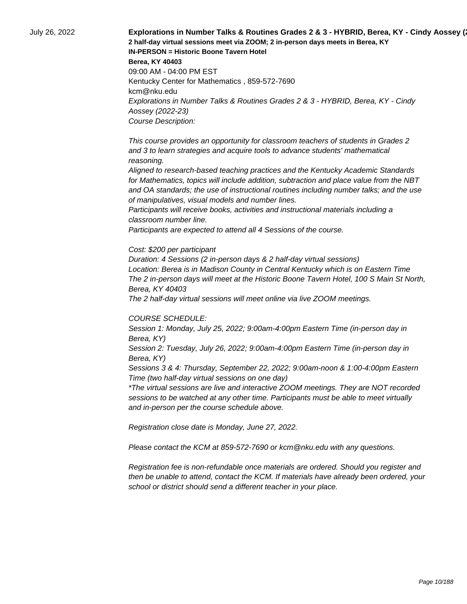July 26, 2022 **Explorations in Number Talks & Routines Grades 2 & 3 - HYBRID, Berea, KY - Cindy Aossey (2022-23) 2 half-day virtual sessions meet via ZOOM; 2 in-person days meets in Berea, KY IN-PERSON = Historic Boone Tavern Hotel Berea, KY 40403** 09:00 AM - 04:00 PM EST Kentucky Center for Mathematics , 859-572-7690 kcm@nku.edu Explorations in Number Talks & Routines Grades 2 & 3 - HYBRID, Berea, KY - Cindy Aossey (2022-23) Course Description:

> This course provides an opportunity for classroom teachers of students in Grades 2 and 3 to learn strategies and acquire tools to advance students' mathematical reasoning.

 Aligned to research-based teaching practices and the Kentucky Academic Standards for Mathematics, topics will include addition, subtraction and place value from the NBT and OA standards; the use of instructional routines including number talks; and the use of manipulatives, visual models and number lines.

 Participants will receive books, activities and instructional materials including a classroom number line.

 Participants are expected to attend all 4 Sessions of the course.

#### Cost: \$200 per participant

Duration: 4 Sessions (2 in-person days & 2 half-day virtual sessions) Location: Berea is in Madison County in Central Kentucky which is on Eastern Time The 2 in-person days will meet at the Historic Boone Tavern Hotel, 100 S Main St North, Berea, KY 40403

The 2 half-day virtual sessions will meet online via live ZOOM meetings.

#### COURSE SCHEDULE:

Session 1: Monday, July 25, 2022; 9:00am-4:00pm Eastern Time (in-person day in Berea, KY)

Session 2: Tuesday, July 26, 2022; 9:00am-4:00pm Eastern Time (in-person day in Berea, KY)

Sessions 3 & 4: Thursday, September 22, 2022; 9:00am-noon & 1:00-4:00pm Eastern Time (two half-day virtual sessions on one day)

\*The virtual sessions are live and interactive ZOOM meetings. They are NOT recorded sessions to be watched at any other time. Participants must be able to meet virtually and in-person per the course schedule above.

Registration close date is Monday, June 27, 2022.

Please contact the KCM at 859-572-7690 or kcm@nku.edu with any questions.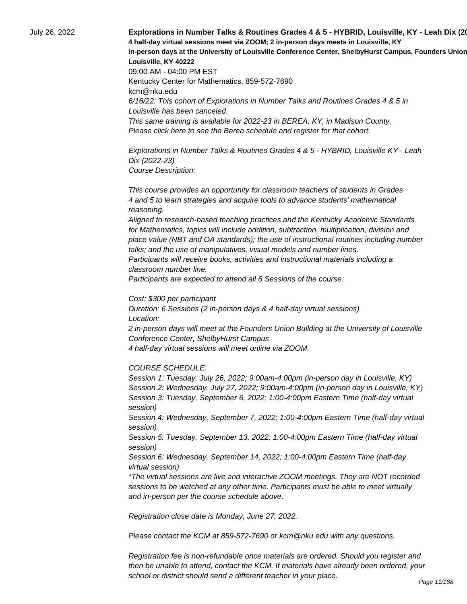July 26, 2022 **Explorations in Number Talks & Routines Grades 4 & 5 - HYBRID, Louisville, KY - Leah Dix (2022-23) 4 half-day virtual sessions meet via ZOOM; 2 in-person days meets in Louisville, KY** In-person days at the University of Louisville Conference Center, ShelbyHurst Campus, Founders Union **Louisville, KY 40222** 09:00 AM - 04:00 PM EST Kentucky Center for Mathematics, 859-572-7690 kcm@nku.edu 6/16/22: This cohort of Explorations in Number Talks and Routines Grades 4 & 5 in Louisville has been canceled. This same training is available for 2022-23 in BEREA, KY, in Madison County. Please click here to see the Berea schedule and register for that cohort.

> Explorations in Number Talks & Routines Grades 4 & 5 - HYBRID, Louisville KY - Leah Dix (2022-23) Course Description:

 This course provides an opportunity for classroom teachers of students in Grades 4 and 5 to learn strategies and acquire tools to advance students' mathematical reasoning.

 Aligned to research-based teaching practices and the Kentucky Academic Standards for Mathematics, topics will include addition, subtraction, multiplication, division and place value (NBT and OA standards); the use of instructional routines including number talks; and the use of manipulatives, visual models and number lines.

 Participants will receive books, activities and instructional materials including a classroom number line.

 Participants are expected to attend all 6 Sessions of the course.

Cost: \$300 per participant

Duration: 6 Sessions (2 in-person days & 4 half-day virtual sessions) Location: 2 in-person days will meet at the Founders Union Building at the University of Louisville Conference Center, ShelbyHurst Campus

4 half-day virtual sessions will meet online via ZOOM.

COURSE SCHEDULE:

Session 1: Tuesday, July 26, 2022; 9:00am-4:00pm (in-person day in Louisville, KY) Session 2: Wednesday, July 27, 2022; 9:00am-4:00pm (in-person day in Louisville, KY) Session 3: Tuesday, September 6, 2022; 1:00-4:00pm Eastern Time (half-day virtual session)

Session 4: Wednesday, September 7, 2022; 1:00-4:00pm Eastern Time (half-day virtual session)

Session 5: Tuesday, September 13, 2022; 1:00-4:00pm Eastern Time (half-day virtual session)

Session 6: Wednesday, September 14, 2022; 1:00-4:00pm Eastern Time (half-day virtual session)

\*The virtual sessions are live and interactive ZOOM meetings. They are NOT recorded sessions to be watched at any other time. Participants must be able to meet virtually and in-person per the course schedule above.

Registration close date is Monday, June 27, 2022.

Please contact the KCM at 859-572-7690 or kcm@nku.edu with any questions.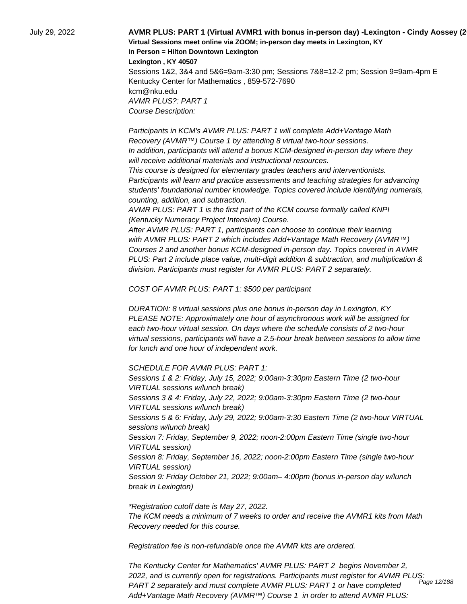July 29, 2022 **AVMR PLUS: PART 1 (Virtual AVMR1 with bonus in-person day) -Lexington - Cindy Aossey (2022-23) Virtual Sessions meet online via ZOOM; in-person day meets in Lexington, KY In Person = Hilton Downtown Lexington Lexington , KY 40507**

Sessions 1&2, 3&4 and 5&6=9am-3:30 pm; Sessions 7&8=12-2 pm; Session 9=9am-4pm E Kentucky Center for Mathematics , 859-572-7690 kcm@nku.edu AVMR PLUS?: PART 1 Course Description:

 Participants in KCM's AVMR PLUS: PART 1 will complete Add+Vantage Math Recovery (AVMR™) Course 1 by attending 8 virtual two-hour sessions. In addition, participants will attend a bonus KCM-designed in-person day where they will receive additional materials and instructional resources.

 This course is designed for elementary grades teachers and interventionists. Participants will learn and practice assessments and teaching strategies for advancing students' foundational number knowledge. Topics covered include identifying numerals, counting, addition, and subtraction.

 AVMR PLUS: PART 1 is the first part of the KCM course formally called KNPI (Kentucky Numeracy Project Intensive) Course.

 After AVMR PLUS: PART 1, participants can choose to continue their learning with AVMR PLUS: PART 2 which includes Add+Vantage Math Recovery (AVMR™) Courses 2 and another bonus KCM-designed in-person day. Topics covered in AVMR PLUS: Part 2 include place value, multi-digit addition & subtraction, and multiplication & division. Participants must register for AVMR PLUS: PART 2 separately.

COST OF AVMR PLUS: PART 1: \$500 per participant

DURATION: 8 virtual sessions plus one bonus in-person day in Lexington, KY PLEASE NOTE: Approximately one hour of asynchronous work will be assigned for each two-hour virtual session. On days where the schedule consists of 2 two-hour virtual sessions, participants will have a 2.5-hour break between sessions to allow time for lunch and one hour of independent work.

SCHEDULE FOR AVMR PLUS: PART 1:

Sessions 1 & 2: Friday, July 15, 2022; 9:00am-3:30pm Eastern Time (2 two-hour VIRTUAL sessions w/lunch break) Sessions 3 & 4: Friday, July 22, 2022; 9:00am-3:30pm Eastern Time (2 two-hour VIRTUAL sessions w/lunch break) Sessions 5 & 6: Friday, July 29, 2022; 9:00am-3:30 Eastern Time (2 two-hour VIRTUAL sessions w/lunch break) Session 7: Friday, September 9, 2022; noon-2:00pm Eastern Time (single two-hour VIRTUAL session) Session 8: Friday, September 16, 2022; noon-2:00pm Eastern Time (single two-hour VIRTUAL session) Session 9: Friday October 21, 2022; 9:00am– 4:00pm (bonus in-person day w/lunch break in Lexington)

\*Registration cutoff date is May 27, 2022. The KCM needs a minimum of 7 weeks to order and receive the AVMR1 kits from Math Recovery needed for this course.

Registration fee is non-refundable once the AVMR kits are ordered.

The Kentucky Center for Mathematics' AVMR PLUS: PART 2 begins November 2, 2022, and is currently open for registrations. Participants must register for AVMR PLUS: PART 2 separately and must complete AVMR PLUS: PART 1 or have completed Add+Vantage Math Recovery (AVMR™) Course 1 in order to attend AVMR PLUS: *..*<br>Page 12/188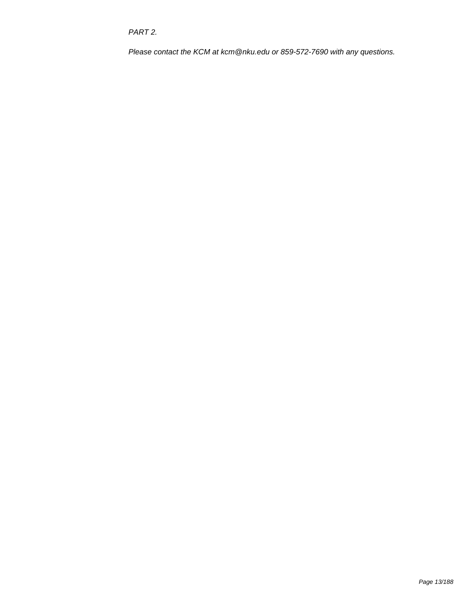PART 2.

Please contact the KCM at kcm@nku.edu or 859-572-7690 with any questions.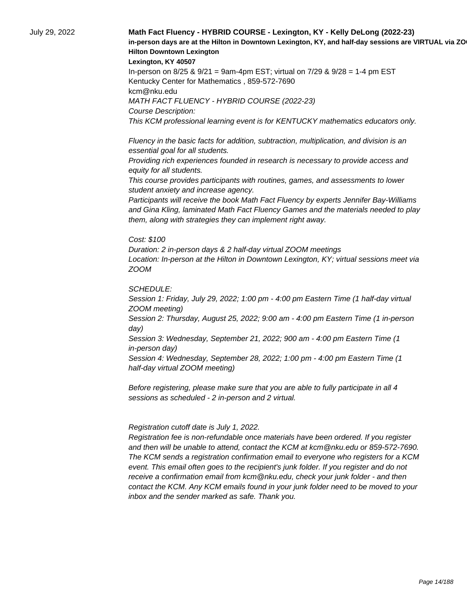### July 29, 2022 **Math Fact Fluency - HYBRID COURSE - Lexington, KY - Kelly DeLong (2022-23)**  in-person days are at the Hilton in Downtown Lexington, KY, and half-day sessions are VIRTUAL via ZO **Hilton Downtown Lexington**

**Lexington, KY 40507**

In-person on 8/25 & 9/21 = 9am-4pm EST; virtual on 7/29 & 9/28 = 1-4 pm EST Kentucky Center for Mathematics , 859-572-7690 kcm@nku.edu MATH FACT FLUENCY - HYBRID COURSE (2022-23) Course Description: This KCM professional learning event is for KENTUCKY mathematics educators only.

 Fluency in the basic facts for addition, subtraction, multiplication, and division is an essential goal for all students.

 Providing rich experiences founded in research is necessary to provide access and equity for all students.

 This course provides participants with routines, games, and assessments to lower student anxiety and increase agency.

 Participants will receive the book Math Fact Fluency by experts Jennifer Bay-Williams and Gina Kling, laminated Math Fact Fluency Games and the materials needed to play them, along with strategies they can implement right away.

Cost: \$100

Duration: 2 in-person days & 2 half-day virtual ZOOM meetings Location: In-person at the Hilton in Downtown Lexington, KY; virtual sessions meet via ZOOM

SCHEDULE:

Session 1: Friday, July 29, 2022; 1:00 pm - 4:00 pm Eastern Time (1 half-day virtual ZOOM meeting)

Session 2: Thursday, August 25, 2022; 9:00 am - 4:00 pm Eastern Time (1 in-person day)

Session 3: Wednesday, September 21, 2022; 900 am - 4:00 pm Eastern Time (1 in-person day)

Session 4: Wednesday, September 28, 2022; 1:00 pm - 4:00 pm Eastern Time (1 half-day virtual ZOOM meeting)

Before registering, please make sure that you are able to fully participate in all 4 sessions as scheduled - 2 in-person and 2 virtual.

 Registration cutoff date is July 1, 2022.

 Registration fee is non-refundable once materials have been ordered. If you register and then will be unable to attend, contact the KCM at kcm@nku.edu or 859-572-7690. The KCM sends a registration confirmation email to everyone who registers for a KCM event. This email often goes to the recipient's junk folder. If you register and do not receive a confirmation email from kcm@nku.edu, check your junk folder - and then contact the KCM. Any KCM emails found in your junk folder need to be moved to your inbox and the sender marked as safe. Thank you.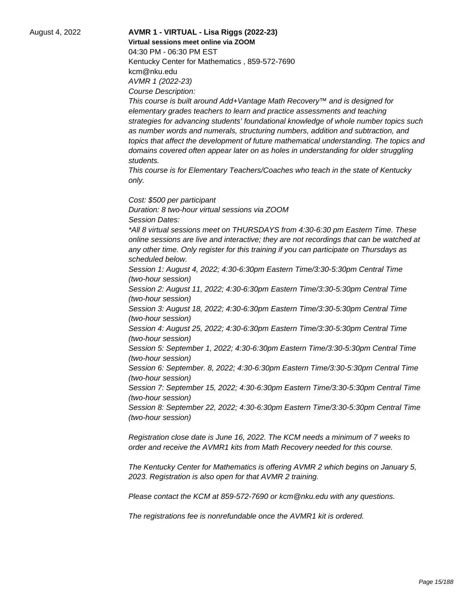## August 4, 2022 **AVMR 1 - VIRTUAL - Lisa Riggs (2022-23) Virtual sessions meet online via ZOOM**  04:30 PM - 06:30 PM EST Kentucky Center for Mathematics , 859-572-7690 kcm@nku.edu AVMR 1 (2022-23) Course Description:

This course is built around Add+Vantage Math Recovery™ and is designed for elementary grades teachers to learn and practice assessments and teaching strategies for advancing students' foundational knowledge of whole number topics such as number words and numerals, structuring numbers, addition and subtraction, and topics that affect the development of future mathematical understanding. The topics and domains covered often appear later on as holes in understanding for older struggling students.

This course is for Elementary Teachers/Coaches who teach in the state of Kentucky only.

Cost: \$500 per participant Duration: 8 two-hour virtual sessions via ZOOM Session Dates: \*All 8 virtual sessions meet on THURSDAYS from 4:30-6:30 pm Eastern Time. These online sessions are live and interactive; they are not recordings that can be watched at any other time. Only register for this training if you can participate on Thursdays as scheduled below. Session 1: August 4, 2022; 4:30-6:30pm Eastern Time/3:30-5:30pm Central Time (two-hour session) Session 2: August 11, 2022; 4:30-6:30pm Eastern Time/3:30-5:30pm Central Time (two-hour session)

Session 3: August 18, 2022; 4:30-6:30pm Eastern Time/3:30-5:30pm Central Time (two-hour session)

Session 4: August 25, 2022; 4:30-6:30pm Eastern Time/3:30-5:30pm Central Time (two-hour session)

Session 5: September 1, 2022; 4:30-6:30pm Eastern Time/3:30-5:30pm Central Time (two-hour session)

Session 6: September. 8, 2022; 4:30-6:30pm Eastern Time/3:30-5:30pm Central Time (two-hour session)

Session 7: September 15, 2022; 4:30-6:30pm Eastern Time/3:30-5:30pm Central Time (two-hour session)

Session 8: September 22, 2022; 4:30-6:30pm Eastern Time/3:30-5:30pm Central Time (two-hour session)

Registration close date is June 16, 2022. The KCM needs a minimum of 7 weeks to order and receive the AVMR1 kits from Math Recovery needed for this course.

The Kentucky Center for Mathematics is offering AVMR 2 which begins on January 5, 2023. Registration is also open for that AVMR 2 training.

Please contact the KCM at 859-572-7690 or kcm@nku.edu with any questions.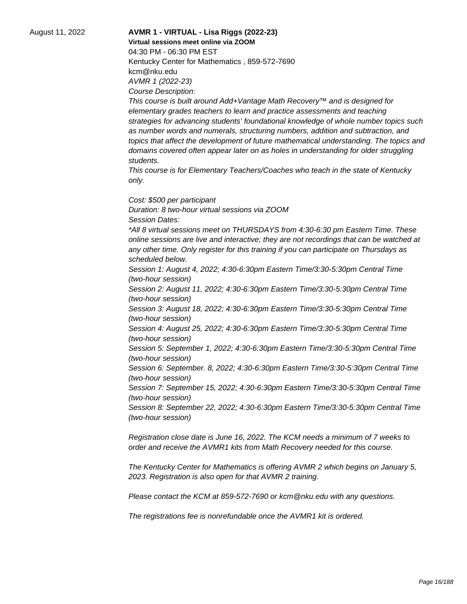## August 11, 2022 **AVMR 1 - VIRTUAL - Lisa Riggs (2022-23) Virtual sessions meet online via ZOOM**  04:30 PM - 06:30 PM EST Kentucky Center for Mathematics , 859-572-7690 kcm@nku.edu AVMR 1 (2022-23)

Course Description:

This course is built around Add+Vantage Math Recovery™ and is designed for elementary grades teachers to learn and practice assessments and teaching strategies for advancing students' foundational knowledge of whole number topics such as number words and numerals, structuring numbers, addition and subtraction, and topics that affect the development of future mathematical understanding. The topics and domains covered often appear later on as holes in understanding for older struggling students.

This course is for Elementary Teachers/Coaches who teach in the state of Kentucky only.

Cost: \$500 per participant Duration: 8 two-hour virtual sessions via ZOOM Session Dates: \*All 8 virtual sessions meet on THURSDAYS from 4:30-6:30 pm Eastern Time. These online sessions are live and interactive; they are not recordings that can be watched at any other time. Only register for this training if you can participate on Thursdays as scheduled below. Session 1: August 4, 2022; 4:30-6:30pm Eastern Time/3:30-5:30pm Central Time (two-hour session) Session 2: August 11, 2022; 4:30-6:30pm Eastern Time/3:30-5:30pm Central Time (two-hour session) Session 3: August 18, 2022; 4:30-6:30pm Eastern Time/3:30-5:30pm Central Time (two-hour session) Session 4: August 25, 2022; 4:30-6:30pm Eastern Time/3:30-5:30pm Central Time (two-hour session) Session 5: September 1, 2022; 4:30-6:30pm Eastern Time/3:30-5:30pm Central Time

(two-hour session) Session 6: September. 8, 2022; 4:30-6:30pm Eastern Time/3:30-5:30pm Central Time (two-hour session)

Session 7: September 15, 2022; 4:30-6:30pm Eastern Time/3:30-5:30pm Central Time (two-hour session)

Session 8: September 22, 2022; 4:30-6:30pm Eastern Time/3:30-5:30pm Central Time (two-hour session)

Registration close date is June 16, 2022. The KCM needs a minimum of 7 weeks to order and receive the AVMR1 kits from Math Recovery needed for this course.

The Kentucky Center for Mathematics is offering AVMR 2 which begins on January 5, 2023. Registration is also open for that AVMR 2 training.

Please contact the KCM at 859-572-7690 or kcm@nku.edu with any questions.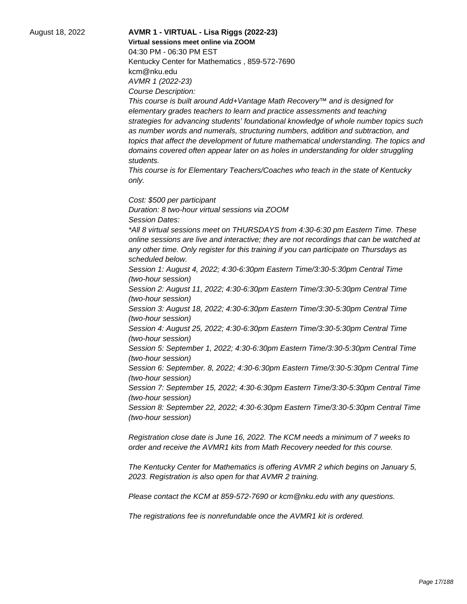## August 18, 2022 **AVMR 1 - VIRTUAL - Lisa Riggs (2022-23) Virtual sessions meet online via ZOOM**  04:30 PM - 06:30 PM EST Kentucky Center for Mathematics , 859-572-7690 kcm@nku.edu

AVMR 1 (2022-23) Course Description:

This course is built around Add+Vantage Math Recovery™ and is designed for elementary grades teachers to learn and practice assessments and teaching strategies for advancing students' foundational knowledge of whole number topics such as number words and numerals, structuring numbers, addition and subtraction, and topics that affect the development of future mathematical understanding. The topics and domains covered often appear later on as holes in understanding for older struggling students.

This course is for Elementary Teachers/Coaches who teach in the state of Kentucky only.

Cost: \$500 per participant Duration: 8 two-hour virtual sessions via ZOOM Session Dates: \*All 8 virtual sessions meet on THURSDAYS from 4:30-6:30 pm Eastern Time. These online sessions are live and interactive; they are not recordings that can be watched at any other time. Only register for this training if you can participate on Thursdays as scheduled below. Session 1: August 4, 2022; 4:30-6:30pm Eastern Time/3:30-5:30pm Central Time (two-hour session) Session 2: August 11, 2022; 4:30-6:30pm Eastern Time/3:30-5:30pm Central Time (two-hour session) Session 3: August 18, 2022; 4:30-6:30pm Eastern Time/3:30-5:30pm Central Time (two-hour session) Session 4: August 25, 2022; 4:30-6:30pm Eastern Time/3:30-5:30pm Central Time

(two-hour session) Session 5: September 1, 2022; 4:30-6:30pm Eastern Time/3:30-5:30pm Central Time (two-hour session)

Session 6: September. 8, 2022; 4:30-6:30pm Eastern Time/3:30-5:30pm Central Time (two-hour session)

Session 7: September 15, 2022; 4:30-6:30pm Eastern Time/3:30-5:30pm Central Time (two-hour session)

Session 8: September 22, 2022; 4:30-6:30pm Eastern Time/3:30-5:30pm Central Time (two-hour session)

Registration close date is June 16, 2022. The KCM needs a minimum of 7 weeks to order and receive the AVMR1 kits from Math Recovery needed for this course.

The Kentucky Center for Mathematics is offering AVMR 2 which begins on January 5, 2023. Registration is also open for that AVMR 2 training.

Please contact the KCM at 859-572-7690 or kcm@nku.edu with any questions.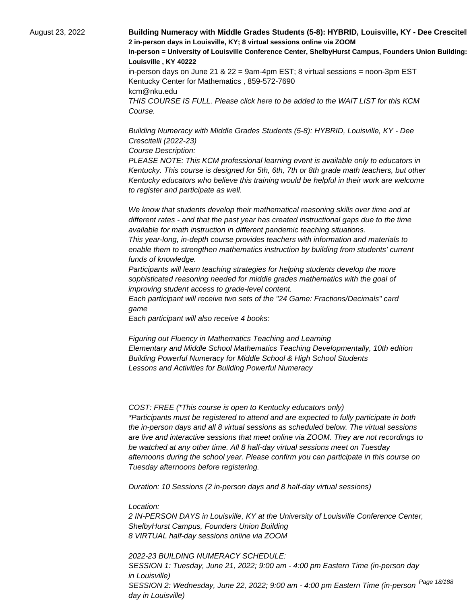August 23, 2022 **Building Numeracy with Middle Grades Students (5-8): HYBRID, Louisville, KY - Dee Crescitel > 2 in-person days in Louisville, KY; 8 virtual sessions online via ZOOM In-person = University of Louisville Conference Center, ShelbyHurst Campus, Founders Union Building: Room 15 Louisville , KY 40222** in-person days on June 21 & 22 = 9am-4pm EST; 8 virtual sessions = noon-3pm EST Kentucky Center for Mathematics , 859-572-7690 kcm@nku.edu THIS COURSE IS FULL. Please click here to be added to the WAIT LIST for this KCM Course.

> Building Numeracy with Middle Grades Students (5-8): HYBRID, Louisville, KY - Dee Crescitelli (2022-23)

Course Description:

PLEASE NOTE: This KCM professional learning event is available only to educators in Kentucky. This course is designed for 5th, 6th, 7th or 8th grade math teachers, but other Kentucky educators who believe this training would be helpful in their work are welcome to register and participate as well.

 We know that students develop their mathematical reasoning skills over time and at different rates - and that the past year has created instructional gaps due to the time available for math instruction in different pandemic teaching situations.

 This year-long, in-depth course provides teachers with information and materials to enable them to strengthen mathematics instruction by building from students' current funds of knowledge.

 Participants will learn teaching strategies for helping students develop the more sophisticated reasoning needed for middle grades mathematics with the goal of improving student access to grade-level content.

 Each participant will receive two sets of the "24 Game: Fractions/Decimals" card game

 Each participant will also receive 4 books:

 Figuring out Fluency in Mathematics Teaching and Learning Elementary and Middle School Mathematics Teaching Developmentally, 10th edition Building Powerful Numeracy for Middle School & High School Students Lessons and Activities for Building Powerful Numeracy

COST: FREE (\*This course is open to Kentucky educators only) \*Participants must be registered to attend and are expected to fully participate in both the in-person days and all 8 virtual sessions as scheduled below. The virtual sessions are live and interactive sessions that meet online via ZOOM. They are not recordings to be watched at any other time. All 8 half-day virtual sessions meet on Tuesday afternoons during the school year. Please confirm you can participate in this course on Tuesday afternoons before registering.

Duration: 10 Sessions (2 in-person days and 8 half-day virtual sessions)

Location:

2 IN-PERSON DAYS in Louisville, KY at the University of Louisville Conference Center, ShelbyHurst Campus, Founders Union Building 8 VIRTUAL half-day sessions online via ZOOM

2022-23 BUILDING NUMERACY SCHEDULE: SESSION 1: Tuesday, June 21, 2022; 9:00 am - 4:00 pm Eastern Time (in-person day in Louisville) SESSION 2: Wednesday, June 22, 2022; 9:00 am - 4:00 pm Eastern Time (in-person <sup>Page 18/188</sup> day in Louisville)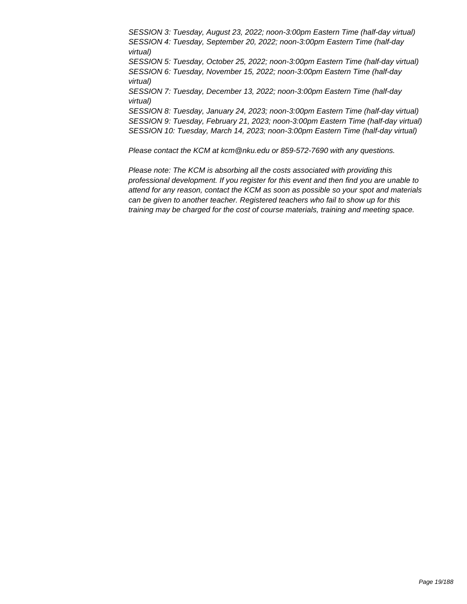SESSION 3: Tuesday, August 23, 2022; noon-3:00pm Eastern Time (half-day virtual) SESSION 4: Tuesday, September 20, 2022; noon-3:00pm Eastern Time (half-day virtual) SESSION 5: Tuesday, October 25, 2022; noon-3:00pm Eastern Time (half-day virtual) SESSION 6: Tuesday, November 15, 2022; noon-3:00pm Eastern Time (half-day virtual) SESSION 7: Tuesday, December 13, 2022; noon-3:00pm Eastern Time (half-day virtual) SESSION 8: Tuesday, January 24, 2023; noon-3:00pm Eastern Time (half-day virtual) SESSION 9: Tuesday, February 21, 2023; noon-3:00pm Eastern Time (half-day virtual) SESSION 10: Tuesday, March 14, 2023; noon-3:00pm Eastern Time (half-day virtual)

Please contact the KCM at kcm@nku.edu or 859-572-7690 with any questions.

Please note: The KCM is absorbing all the costs associated with providing this professional development. If you register for this event and then find you are unable to attend for any reason, contact the KCM as soon as possible so your spot and materials can be given to another teacher. Registered teachers who fail to show up for this training may be charged for the cost of course materials, training and meeting space.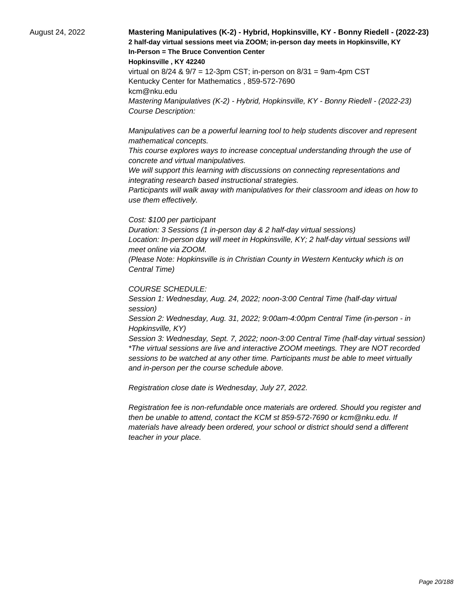## August 24, 2022 **Mastering Manipulatives (K-2) - Hybrid, Hopkinsville, KY - Bonny Riedell - (2022-23) 2 half-day virtual sessions meet via ZOOM; in-person day meets in Hopkinsville, KY In-Person = The Bruce Convention Center**

**Hopkinsville , KY 42240**

virtual on  $8/24$  &  $9/7 = 12$ -3pm CST; in-person on  $8/31 = 9$ am-4pm CST Kentucky Center for Mathematics , 859-572-7690 kcm@nku.edu Mastering Manipulatives (K-2) - Hybrid, Hopkinsville, KY - Bonny Riedell - (2022-23) Course Description:

 Manipulatives can be a powerful learning tool to help students discover and represent mathematical concepts.

 This course explores ways to increase conceptual understanding through the use of concrete and virtual manipulatives.

We will support this learning with discussions on connecting representations and integrating research based instructional strategies.

 Participants will walk away with manipulatives for their classroom and ideas on how to use them effectively.

#### Cost: \$100 per participant

Duration: 3 Sessions (1 in-person day & 2 half-day virtual sessions) Location: In-person day will meet in Hopkinsville, KY; 2 half-day virtual sessions will meet online via ZOOM.

(Please Note: Hopkinsville is in Christian County in Western Kentucky which is on Central Time)

#### COURSE SCHEDULE:

Session 1: Wednesday, Aug. 24, 2022; noon-3:00 Central Time (half-day virtual session)

Session 2: Wednesday, Aug. 31, 2022; 9:00am-4:00pm Central Time (in-person - in Hopkinsville, KY)

Session 3: Wednesday, Sept. 7, 2022; noon-3:00 Central Time (half-day virtual session) \*The virtual sessions are live and interactive ZOOM meetings. They are NOT recorded sessions to be watched at any other time. Participants must be able to meet virtually and in-person per the course schedule above.

Registration close date is Wednesday, July 27, 2022.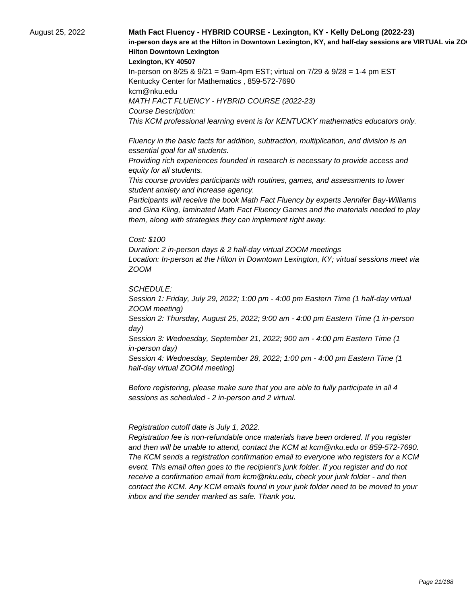## August 25, 2022 **Math Fact Fluency - HYBRID COURSE - Lexington, KY - Kelly DeLong (2022-23)**  in-person days are at the Hilton in Downtown Lexington, KY, and half-day sessions are VIRTUAL via ZO **Hilton Downtown Lexington**

**Lexington, KY 40507**

In-person on 8/25 & 9/21 = 9am-4pm EST; virtual on 7/29 & 9/28 = 1-4 pm EST Kentucky Center for Mathematics , 859-572-7690 kcm@nku.edu MATH FACT FLUENCY - HYBRID COURSE (2022-23) Course Description: This KCM professional learning event is for KENTUCKY mathematics educators only.

 Fluency in the basic facts for addition, subtraction, multiplication, and division is an essential goal for all students.

 Providing rich experiences founded in research is necessary to provide access and equity for all students.

 This course provides participants with routines, games, and assessments to lower student anxiety and increase agency.

 Participants will receive the book Math Fact Fluency by experts Jennifer Bay-Williams and Gina Kling, laminated Math Fact Fluency Games and the materials needed to play them, along with strategies they can implement right away.

Cost: \$100

Duration: 2 in-person days & 2 half-day virtual ZOOM meetings Location: In-person at the Hilton in Downtown Lexington, KY; virtual sessions meet via ZOOM

SCHEDULE:

Session 1: Friday, July 29, 2022; 1:00 pm - 4:00 pm Eastern Time (1 half-day virtual ZOOM meeting)

Session 2: Thursday, August 25, 2022; 9:00 am - 4:00 pm Eastern Time (1 in-person day)

Session 3: Wednesday, September 21, 2022; 900 am - 4:00 pm Eastern Time (1 in-person day)

Session 4: Wednesday, September 28, 2022; 1:00 pm - 4:00 pm Eastern Time (1 half-day virtual ZOOM meeting)

Before registering, please make sure that you are able to fully participate in all 4 sessions as scheduled - 2 in-person and 2 virtual.

 Registration cutoff date is July 1, 2022.

 Registration fee is non-refundable once materials have been ordered. If you register and then will be unable to attend, contact the KCM at kcm@nku.edu or 859-572-7690. The KCM sends a registration confirmation email to everyone who registers for a KCM event. This email often goes to the recipient's junk folder. If you register and do not receive a confirmation email from kcm@nku.edu, check your junk folder - and then contact the KCM. Any KCM emails found in your junk folder need to be moved to your inbox and the sender marked as safe. Thank you.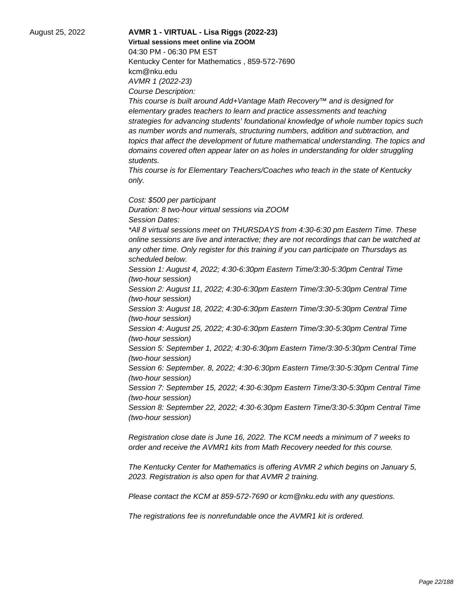# August 25, 2022 **AVMR 1 - VIRTUAL - Lisa Riggs (2022-23) Virtual sessions meet online via ZOOM**  04:30 PM - 06:30 PM EST

Kentucky Center for Mathematics , 859-572-7690 kcm@nku.edu AVMR 1 (2022-23) Course Description:

This course is built around Add+Vantage Math Recovery™ and is designed for elementary grades teachers to learn and practice assessments and teaching strategies for advancing students' foundational knowledge of whole number topics such as number words and numerals, structuring numbers, addition and subtraction, and topics that affect the development of future mathematical understanding. The topics and domains covered often appear later on as holes in understanding for older struggling students.

This course is for Elementary Teachers/Coaches who teach in the state of Kentucky only.

Cost: \$500 per participant Duration: 8 two-hour virtual sessions via ZOOM Session Dates: \*All 8 virtual sessions meet on THURSDAYS from 4:30-6:30 pm Eastern Time. These online sessions are live and interactive; they are not recordings that can be watched at any other time. Only register for this training if you can participate on Thursdays as scheduled below. Session 1: August 4, 2022; 4:30-6:30pm Eastern Time/3:30-5:30pm Central Time (two-hour session)

Session 2: August 11, 2022; 4:30-6:30pm Eastern Time/3:30-5:30pm Central Time (two-hour session)

Session 3: August 18, 2022; 4:30-6:30pm Eastern Time/3:30-5:30pm Central Time (two-hour session)

Session 4: August 25, 2022; 4:30-6:30pm Eastern Time/3:30-5:30pm Central Time (two-hour session)

Session 5: September 1, 2022; 4:30-6:30pm Eastern Time/3:30-5:30pm Central Time (two-hour session)

Session 6: September. 8, 2022; 4:30-6:30pm Eastern Time/3:30-5:30pm Central Time (two-hour session)

Session 7: September 15, 2022; 4:30-6:30pm Eastern Time/3:30-5:30pm Central Time (two-hour session)

Session 8: September 22, 2022; 4:30-6:30pm Eastern Time/3:30-5:30pm Central Time (two-hour session)

Registration close date is June 16, 2022. The KCM needs a minimum of 7 weeks to order and receive the AVMR1 kits from Math Recovery needed for this course.

The Kentucky Center for Mathematics is offering AVMR 2 which begins on January 5, 2023. Registration is also open for that AVMR 2 training.

Please contact the KCM at 859-572-7690 or kcm@nku.edu with any questions.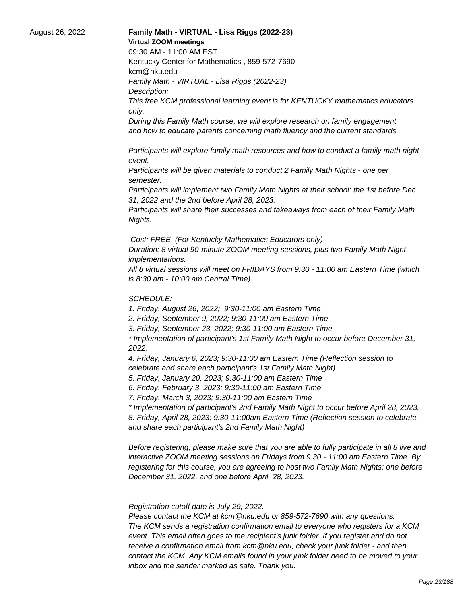### August 26, 2022 **Family Math - VIRTUAL - Lisa Riggs (2022-23) Virtual ZOOM meetings**

09:30 AM - 11:00 AM EST

Kentucky Center for Mathematics , 859-572-7690 kcm@nku.edu

Family Math - VIRTUAL - Lisa Riggs (2022-23)

Description:

This free KCM professional learning event is for KENTUCKY mathematics educators only.

During this Family Math course, we will explore research on family engagement and how to educate parents concerning math fluency and the current standards.

 Participants will explore family math resources and how to conduct a family math night event.

 Participants will be given materials to conduct 2 Family Math Nights - one per semester.

 Participants will implement two Family Math Nights at their school: the 1st before Dec 31, 2022 and the 2nd before April 28, 2023.

 Participants will share their successes and takeaways from each of their Family Math Nights.

Cost: FREE (For Kentucky Mathematics Educators only)

Duration: 8 virtual 90-minute ZOOM meeting sessions, plus two Family Math Night implementations.

All 8 virtual sessions will meet on FRIDAYS from 9:30 - 11:00 am Eastern Time (which is 8:30 am - 10:00 am Central Time).

## SCHEDULE:

1. Friday, August 26, 2022; 9:30-11:00 am Eastern Time

2. Friday, September 9, 2022; 9:30-11:00 am Eastern Time

3. Friday, September 23, 2022; 9:30-11:00 am Eastern Time

\* Implementation of participant's 1st Family Math Night to occur before December 31, 2022.

4. Friday, January 6, 2023; 9:30-11:00 am Eastern Time (Reflection session to celebrate and share each participant's 1st Family Math Night)

5. Friday, January 20, 2023; 9:30-11:00 am Eastern Time

6. Friday, February 3, 2023; 9:30-11:00 am Eastern Time

7. Friday, March 3, 2023; 9:30-11:00 am Eastern Time

\* Implementation of participant's 2nd Family Math Night to occur before April 28, 2023. 8. Friday, April 28, 2023; 9:30-11:00am Eastern Time (Reflection session to celebrate and share each participant's 2nd Family Math Night)

Before registering, please make sure that you are able to fully participate in all 8 live and interactive ZOOM meeting sessions on Fridays from 9:30 - 11:00 am Eastern Time. By registering for this course, you are agreeing to host two Family Math Nights: one before December 31, 2022, and one before April 28, 2023.

 Registration cutoff date is July 29, 2022.

 Please contact the KCM at kcm@nku.edu or 859-572-7690 with any questions. The KCM sends a registration confirmation email to everyone who registers for a KCM event. This email often goes to the recipient's junk folder. If you register and do not receive a confirmation email from kcm@nku.edu, check your junk folder - and then contact the KCM. Any KCM emails found in your junk folder need to be moved to your inbox and the sender marked as safe. Thank you.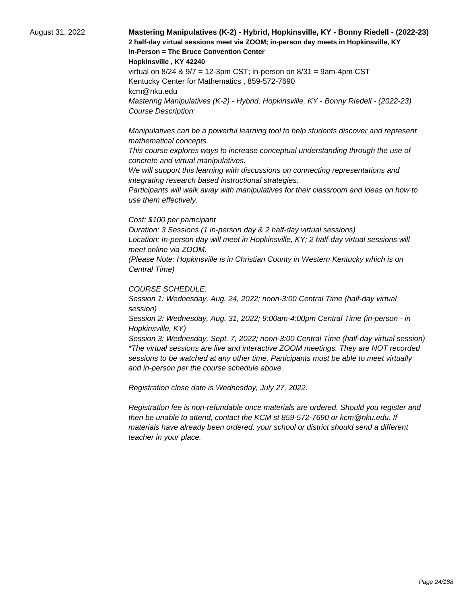## August 31, 2022 **Mastering Manipulatives (K-2) - Hybrid, Hopkinsville, KY - Bonny Riedell - (2022-23) 2 half-day virtual sessions meet via ZOOM; in-person day meets in Hopkinsville, KY In-Person = The Bruce Convention Center**

**Hopkinsville , KY 42240**

virtual on 8/24 & 9/7 = 12-3pm CST; in-person on 8/31 = 9am-4pm CST Kentucky Center for Mathematics , 859-572-7690 kcm@nku.edu Mastering Manipulatives (K-2) - Hybrid, Hopkinsville, KY - Bonny Riedell - (2022-23) Course Description:

 Manipulatives can be a powerful learning tool to help students discover and represent mathematical concepts.

 This course explores ways to increase conceptual understanding through the use of concrete and virtual manipulatives.

We will support this learning with discussions on connecting representations and integrating research based instructional strategies.

 Participants will walk away with manipulatives for their classroom and ideas on how to use them effectively.

#### Cost: \$100 per participant

Duration: 3 Sessions (1 in-person day & 2 half-day virtual sessions) Location: In-person day will meet in Hopkinsville, KY; 2 half-day virtual sessions will meet online via ZOOM.

(Please Note: Hopkinsville is in Christian County in Western Kentucky which is on Central Time)

#### COURSE SCHEDULE:

Session 1: Wednesday, Aug. 24, 2022; noon-3:00 Central Time (half-day virtual session)

Session 2: Wednesday, Aug. 31, 2022; 9:00am-4:00pm Central Time (in-person - in Hopkinsville, KY)

Session 3: Wednesday, Sept. 7, 2022; noon-3:00 Central Time (half-day virtual session) \*The virtual sessions are live and interactive ZOOM meetings. They are NOT recorded sessions to be watched at any other time. Participants must be able to meet virtually and in-person per the course schedule above.

Registration close date is Wednesday, July 27, 2022.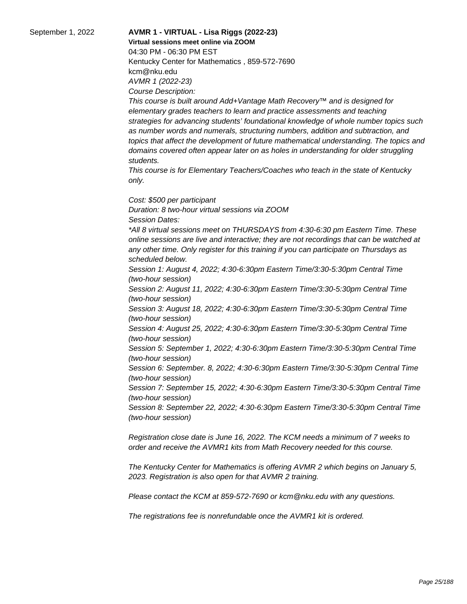# September 1, 2022 **AVMR 1 - VIRTUAL - Lisa Riggs (2022-23)**

**Virtual sessions meet online via ZOOM**  04:30 PM - 06:30 PM EST Kentucky Center for Mathematics , 859-572-7690 kcm@nku.edu AVMR 1 (2022-23) Course Description:

This course is built around Add+Vantage Math Recovery™ and is designed for elementary grades teachers to learn and practice assessments and teaching strategies for advancing students' foundational knowledge of whole number topics such as number words and numerals, structuring numbers, addition and subtraction, and topics that affect the development of future mathematical understanding. The topics and domains covered often appear later on as holes in understanding for older struggling students.

This course is for Elementary Teachers/Coaches who teach in the state of Kentucky only.

Cost: \$500 per participant Duration: 8 two-hour virtual sessions via ZOOM Session Dates: \*All 8 virtual sessions meet on THURSDAYS from 4:30-6:30 pm Eastern Time. These online sessions are live and interactive; they are not recordings that can be watched at any other time. Only register for this training if you can participate on Thursdays as scheduled below. Session 1: August 4, 2022; 4:30-6:30pm Eastern Time/3:30-5:30pm Central Time (two-hour session) Session 2: August 11, 2022; 4:30-6:30pm Eastern Time/3:30-5:30pm Central Time (two-hour session) Session 3: August 18, 2022; 4:30-6:30pm Eastern Time/3:30-5:30pm Central Time (two-hour session) Session 4: August 25, 2022; 4:30-6:30pm Eastern Time/3:30-5:30pm Central Time (two-hour session) Session 5: September 1, 2022; 4:30-6:30pm Eastern Time/3:30-5:30pm Central Time (two-hour session)

Session 6: September. 8, 2022; 4:30-6:30pm Eastern Time/3:30-5:30pm Central Time (two-hour session)

Session 7: September 15, 2022; 4:30-6:30pm Eastern Time/3:30-5:30pm Central Time (two-hour session)

Session 8: September 22, 2022; 4:30-6:30pm Eastern Time/3:30-5:30pm Central Time (two-hour session)

Registration close date is June 16, 2022. The KCM needs a minimum of 7 weeks to order and receive the AVMR1 kits from Math Recovery needed for this course.

The Kentucky Center for Mathematics is offering AVMR 2 which begins on January 5, 2023. Registration is also open for that AVMR 2 training.

Please contact the KCM at 859-572-7690 or kcm@nku.edu with any questions.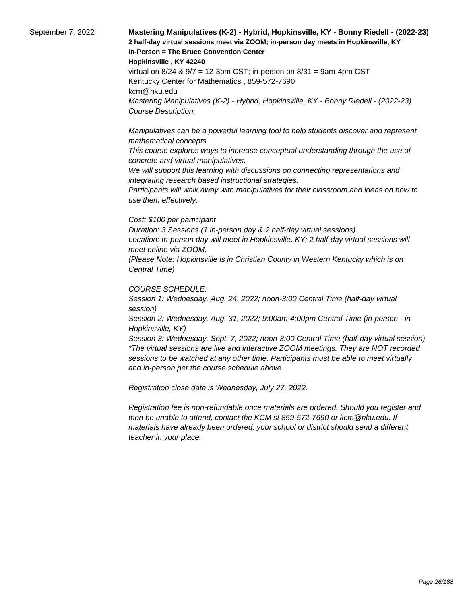## September 7, 2022 **Mastering Manipulatives (K-2) - Hybrid, Hopkinsville, KY - Bonny Riedell - (2022-23) 2 half-day virtual sessions meet via ZOOM; in-person day meets in Hopkinsville, KY In-Person = The Bruce Convention Center**

**Hopkinsville , KY 42240**

virtual on 8/24 & 9/7 = 12-3pm CST; in-person on 8/31 = 9am-4pm CST Kentucky Center for Mathematics , 859-572-7690 kcm@nku.edu Mastering Manipulatives (K-2) - Hybrid, Hopkinsville, KY - Bonny Riedell - (2022-23) Course Description:

 Manipulatives can be a powerful learning tool to help students discover and represent mathematical concepts.

 This course explores ways to increase conceptual understanding through the use of concrete and virtual manipulatives.

We will support this learning with discussions on connecting representations and integrating research based instructional strategies.

 Participants will walk away with manipulatives for their classroom and ideas on how to use them effectively.

#### Cost: \$100 per participant

Duration: 3 Sessions (1 in-person day & 2 half-day virtual sessions) Location: In-person day will meet in Hopkinsville, KY; 2 half-day virtual sessions will meet online via ZOOM.

(Please Note: Hopkinsville is in Christian County in Western Kentucky which is on Central Time)

#### COURSE SCHEDULE:

Session 1: Wednesday, Aug. 24, 2022; noon-3:00 Central Time (half-day virtual session)

Session 2: Wednesday, Aug. 31, 2022; 9:00am-4:00pm Central Time (in-person - in Hopkinsville, KY)

Session 3: Wednesday, Sept. 7, 2022; noon-3:00 Central Time (half-day virtual session) \*The virtual sessions are live and interactive ZOOM meetings. They are NOT recorded sessions to be watched at any other time. Participants must be able to meet virtually and in-person per the course schedule above.

Registration close date is Wednesday, July 27, 2022.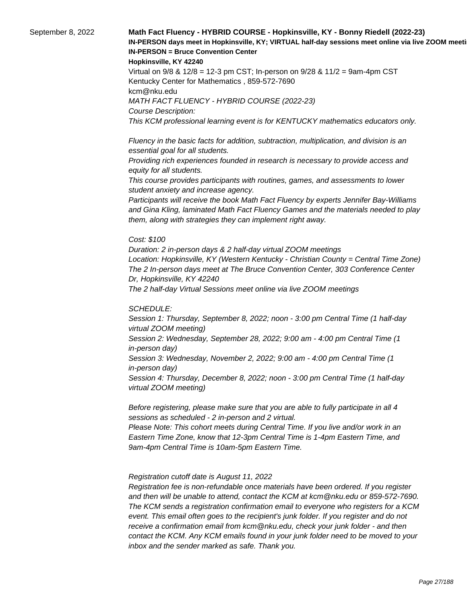## September 8, 2022 **Math Fact Fluency - HYBRID COURSE - Hopkinsville, KY - Bonny Riedell (2022-23)**  IN-PERSON days meet in Hopkinsville, KY; VIRTUAL half-day sessions meet online via live ZOOM meeti **IN-PERSON = Bruce Convention Center**

#### **Hopkinsville, KY 42240**

Virtual on 9/8 & 12/8 = 12-3 pm CST; In-person on 9/28 & 11/2 = 9am-4pm CST Kentucky Center for Mathematics , 859-572-7690 kcm@nku.edu MATH FACT FLUENCY - HYBRID COURSE (2022-23) Course Description: This KCM professional learning event is for KENTUCKY mathematics educators only.

 Fluency in the basic facts for addition, subtraction, multiplication, and division is an essential goal for all students.

 Providing rich experiences founded in research is necessary to provide access and equity for all students.

 This course provides participants with routines, games, and assessments to lower student anxiety and increase agency.

 Participants will receive the book Math Fact Fluency by experts Jennifer Bay-Williams and Gina Kling, laminated Math Fact Fluency Games and the materials needed to play them, along with strategies they can implement right away.

#### Cost: \$100

Duration: 2 in-person days & 2 half-day virtual ZOOM meetings Location: Hopkinsville, KY (Western Kentucky - Christian County = Central Time Zone) The 2 In-person days meet at The Bruce Convention Center, 303 Conference Center Dr, Hopkinsville, KY 42240 The 2 half-day Virtual Sessions meet online via live ZOOM meetings

#### SCHEDULE:

Session 1: Thursday, September 8, 2022; noon - 3:00 pm Central Time (1 half-day virtual ZOOM meeting) Session 2: Wednesday, September 28, 2022; 9:00 am - 4:00 pm Central Time (1 in-person day) Session 3: Wednesday, November 2, 2022; 9:00 am - 4:00 pm Central Time (1 in-person day) Session 4: Thursday, December 8, 2022; noon - 3:00 pm Central Time (1 half-day virtual ZOOM meeting)

Before registering, please make sure that you are able to fully participate in all 4 sessions as scheduled - 2 in-person and 2 virtual.

Please Note: This cohort meets during Central Time. If you live and/or work in an Eastern Time Zone, know that 12-3pm Central Time is 1-4pm Eastern Time, and 9am-4pm Central Time is 10am-5pm Eastern Time.

#### Registration cutoff date is August 11, 2022

 Registration fee is non-refundable once materials have been ordered. If you register and then will be unable to attend, contact the KCM at kcm@nku.edu or 859-572-7690. The KCM sends a registration confirmation email to everyone who registers for a KCM event. This email often goes to the recipient's junk folder. If you register and do not receive a confirmation email from kcm@nku.edu, check your junk folder - and then contact the KCM. Any KCM emails found in your junk folder need to be moved to your inbox and the sender marked as safe. Thank you.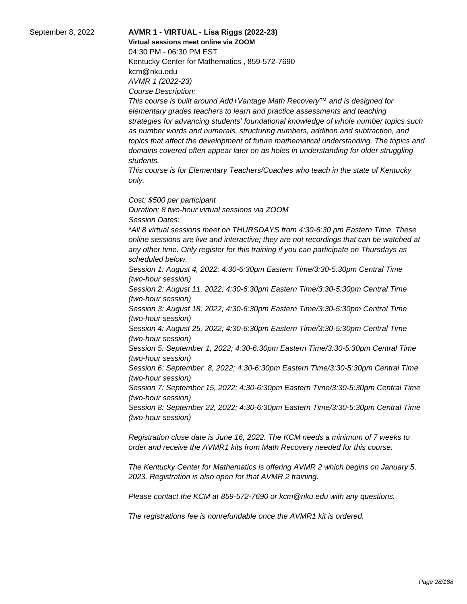## September 8, 2022 **AVMR 1 - VIRTUAL - Lisa Riggs (2022-23)**

**Virtual sessions meet online via ZOOM** 

04:30 PM - 06:30 PM EST Kentucky Center for Mathematics , 859-572-7690 kcm@nku.edu AVMR 1 (2022-23) Course Description:

This course is built around Add+Vantage Math Recovery™ and is designed for elementary grades teachers to learn and practice assessments and teaching strategies for advancing students' foundational knowledge of whole number topics such as number words and numerals, structuring numbers, addition and subtraction, and topics that affect the development of future mathematical understanding. The topics and domains covered often appear later on as holes in understanding for older struggling students.

This course is for Elementary Teachers/Coaches who teach in the state of Kentucky only.

Cost: \$500 per participant Duration: 8 two-hour virtual sessions via ZOOM Session Dates: \*All 8 virtual sessions meet on THURSDAYS from 4:30-6:30 pm Eastern Time. These online sessions are live and interactive; they are not recordings that can be watched at any other time. Only register for this training if you can participate on Thursdays as scheduled below. Session 1: August 4, 2022; 4:30-6:30pm Eastern Time/3:30-5:30pm Central Time (two-hour session)

Session 2: August 11, 2022; 4:30-6:30pm Eastern Time/3:30-5:30pm Central Time (two-hour session)

Session 3: August 18, 2022; 4:30-6:30pm Eastern Time/3:30-5:30pm Central Time (two-hour session)

Session 4: August 25, 2022; 4:30-6:30pm Eastern Time/3:30-5:30pm Central Time (two-hour session)

Session 5: September 1, 2022; 4:30-6:30pm Eastern Time/3:30-5:30pm Central Time (two-hour session)

Session 6: September. 8, 2022; 4:30-6:30pm Eastern Time/3:30-5:30pm Central Time (two-hour session)

Session 7: September 15, 2022; 4:30-6:30pm Eastern Time/3:30-5:30pm Central Time (two-hour session)

Session 8: September 22, 2022; 4:30-6:30pm Eastern Time/3:30-5:30pm Central Time (two-hour session)

Registration close date is June 16, 2022. The KCM needs a minimum of 7 weeks to order and receive the AVMR1 kits from Math Recovery needed for this course.

The Kentucky Center for Mathematics is offering AVMR 2 which begins on January 5, 2023. Registration is also open for that AVMR 2 training.

Please contact the KCM at 859-572-7690 or kcm@nku.edu with any questions.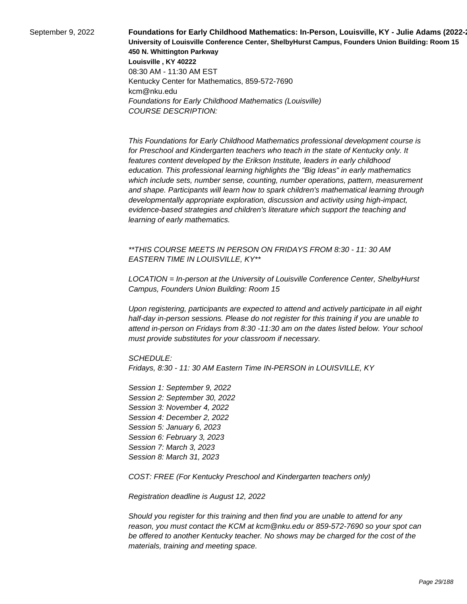**September 9, 2022 Foundations for Early Childhood Mathematics: In-Person, Louisville, KY - Julie Adams (2022-University of Louisville Conference Center, ShelbyHurst Campus, Founders Union Building: Room 15 450 N. Whittington Parkway Louisville , KY 40222** 08:30 AM - 11:30 AM EST Kentucky Center for Mathematics, 859-572-7690 kcm@nku.edu Foundations for Early Childhood Mathematics (Louisville) COURSE DESCRIPTION:

> This Foundations for Early Childhood Mathematics professional development course is for Preschool and Kindergarten teachers who teach in the state of Kentucky only. It features content developed by the Erikson Institute, leaders in early childhood education. This professional learning highlights the "Big Ideas" in early mathematics which include sets, number sense, counting, number operations, pattern, measurement and shape. Participants will learn how to spark children's mathematical learning through developmentally appropriate exploration, discussion and activity using high-impact, evidence-based strategies and children's literature which support the teaching and learning of early mathematics.

\*\*THIS COURSE MEETS IN PERSON ON FRIDAYS FROM 8:30 - 11: 30 AM EASTERN TIME IN LOUISVILLE, KY\*\*

LOCATION = In-person at the University of Louisville Conference Center, ShelbyHurst Campus, Founders Union Building: Room 15

Upon registering, participants are expected to attend and actively participate in all eight half-day in-person sessions. Please do not register for this training if you are unable to attend in-person on Fridays from 8:30 -11:30 am on the dates listed below. Your school must provide substitutes for your classroom if necessary.

SCHEDULE:

Fridays, 8:30 - 11: 30 AM Eastern Time IN-PERSON in LOUISVILLE, KY

Session 1: September 9, 2022 Session 2: September 30, 2022 Session 3: November 4, 2022 Session 4: December 2, 2022 Session 5: January 6, 2023 Session 6: February 3, 2023 Session 7: March 3, 2023 Session 8: March 31, 2023

COST: FREE (For Kentucky Preschool and Kindergarten teachers only)

Registration deadline is August 12, 2022

Should you register for this training and then find you are unable to attend for any reason, you must contact the KCM at kcm@nku.edu or 859-572-7690 so your spot can be offered to another Kentucky teacher. No shows may be charged for the cost of the materials, training and meeting space.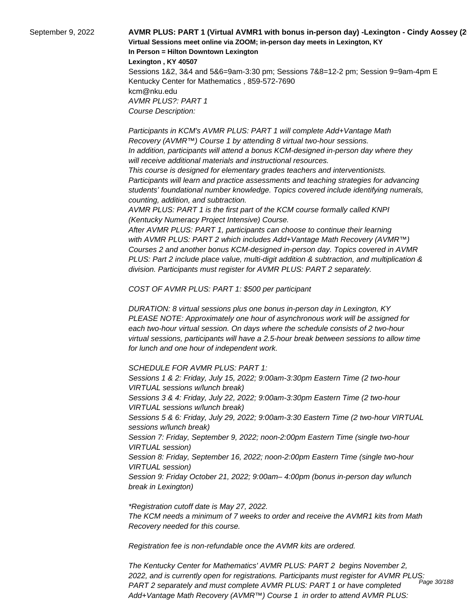September 9, 2022 **AVMR PLUS: PART 1 (Virtual AVMR1 with bonus in-person day) -Lexington - Cindy Aossey (2022-23) Virtual Sessions meet online via ZOOM; in-person day meets in Lexington, KY In Person = Hilton Downtown Lexington Lexington , KY 40507**

> Sessions 1&2, 3&4 and 5&6=9am-3:30 pm; Sessions 7&8=12-2 pm; Session 9=9am-4pm E Kentucky Center for Mathematics , 859-572-7690 kcm@nku.edu AVMR PLUS?: PART 1 Course Description:

 Participants in KCM's AVMR PLUS: PART 1 will complete Add+Vantage Math Recovery (AVMR™) Course 1 by attending 8 virtual two-hour sessions. In addition, participants will attend a bonus KCM-designed in-person day where they will receive additional materials and instructional resources.

 This course is designed for elementary grades teachers and interventionists. Participants will learn and practice assessments and teaching strategies for advancing students' foundational number knowledge. Topics covered include identifying numerals, counting, addition, and subtraction.

 AVMR PLUS: PART 1 is the first part of the KCM course formally called KNPI (Kentucky Numeracy Project Intensive) Course.

 After AVMR PLUS: PART 1, participants can choose to continue their learning with AVMR PLUS: PART 2 which includes Add+Vantage Math Recovery (AVMR™) Courses 2 and another bonus KCM-designed in-person day. Topics covered in AVMR PLUS: Part 2 include place value, multi-digit addition & subtraction, and multiplication & division. Participants must register for AVMR PLUS: PART 2 separately.

COST OF AVMR PLUS: PART 1: \$500 per participant

DURATION: 8 virtual sessions plus one bonus in-person day in Lexington, KY PLEASE NOTE: Approximately one hour of asynchronous work will be assigned for each two-hour virtual session. On days where the schedule consists of 2 two-hour virtual sessions, participants will have a 2.5-hour break between sessions to allow time for lunch and one hour of independent work.

SCHEDULE FOR AVMR PLUS: PART 1:

Sessions 1 & 2: Friday, July 15, 2022; 9:00am-3:30pm Eastern Time (2 two-hour VIRTUAL sessions w/lunch break) Sessions 3 & 4: Friday, July 22, 2022; 9:00am-3:30pm Eastern Time (2 two-hour VIRTUAL sessions w/lunch break) Sessions 5 & 6: Friday, July 29, 2022; 9:00am-3:30 Eastern Time (2 two-hour VIRTUAL sessions w/lunch break) Session 7: Friday, September 9, 2022; noon-2:00pm Eastern Time (single two-hour VIRTUAL session) Session 8: Friday, September 16, 2022; noon-2:00pm Eastern Time (single two-hour VIRTUAL session) Session 9: Friday October 21, 2022; 9:00am– 4:00pm (bonus in-person day w/lunch break in Lexington)

\*Registration cutoff date is May 27, 2022. The KCM needs a minimum of 7 weeks to order and receive the AVMR1 kits from Math Recovery needed for this course.

Registration fee is non-refundable once the AVMR kits are ordered.

The Kentucky Center for Mathematics' AVMR PLUS: PART 2 begins November 2, 2022, and is currently open for registrations. Participants must register for AVMR PLUS: PART 2 separately and must complete AVMR PLUS: PART 1 or have completed Add+Vantage Math Recovery (AVMR™) Course 1 in order to attend AVMR PLUS: Page 30/188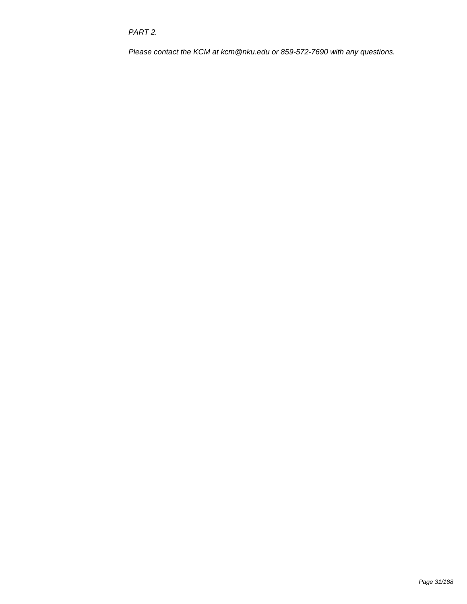PART 2.

Please contact the KCM at kcm@nku.edu or 859-572-7690 with any questions.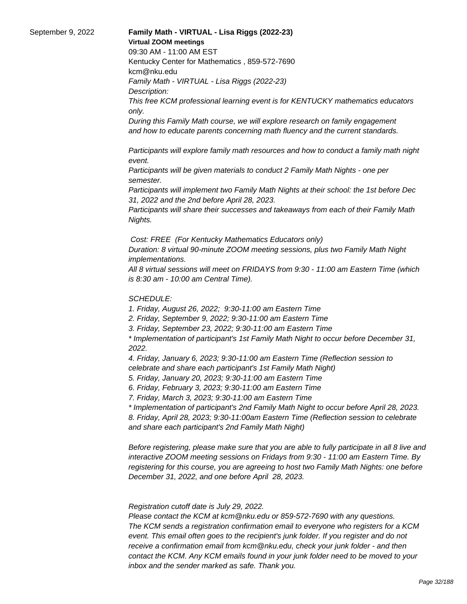#### September 9, 2022 **Family Math - VIRTUAL - Lisa Riggs (2022-23) Virtual ZOOM meetings**

09:30 AM - 11:00 AM EST

Kentucky Center for Mathematics , 859-572-7690 kcm@nku.edu Family Math - VIRTUAL - Lisa Riggs (2022-23)

Description:

This free KCM professional learning event is for KENTUCKY mathematics educators only.

During this Family Math course, we will explore research on family engagement and how to educate parents concerning math fluency and the current standards.

 Participants will explore family math resources and how to conduct a family math night event.

 Participants will be given materials to conduct 2 Family Math Nights - one per semester.

 Participants will implement two Family Math Nights at their school: the 1st before Dec 31, 2022 and the 2nd before April 28, 2023.

 Participants will share their successes and takeaways from each of their Family Math Nights.

Cost: FREE (For Kentucky Mathematics Educators only)

Duration: 8 virtual 90-minute ZOOM meeting sessions, plus two Family Math Night implementations.

All 8 virtual sessions will meet on FRIDAYS from 9:30 - 11:00 am Eastern Time (which is 8:30 am - 10:00 am Central Time).

## SCHEDULE:

1. Friday, August 26, 2022; 9:30-11:00 am Eastern Time

2. Friday, September 9, 2022; 9:30-11:00 am Eastern Time

3. Friday, September 23, 2022; 9:30-11:00 am Eastern Time

\* Implementation of participant's 1st Family Math Night to occur before December 31, 2022.

4. Friday, January 6, 2023; 9:30-11:00 am Eastern Time (Reflection session to celebrate and share each participant's 1st Family Math Night)

5. Friday, January 20, 2023; 9:30-11:00 am Eastern Time

6. Friday, February 3, 2023; 9:30-11:00 am Eastern Time

7. Friday, March 3, 2023; 9:30-11:00 am Eastern Time

\* Implementation of participant's 2nd Family Math Night to occur before April 28, 2023. 8. Friday, April 28, 2023; 9:30-11:00am Eastern Time (Reflection session to celebrate and share each participant's 2nd Family Math Night)

Before registering, please make sure that you are able to fully participate in all 8 live and interactive ZOOM meeting sessions on Fridays from 9:30 - 11:00 am Eastern Time. By registering for this course, you are agreeing to host two Family Math Nights: one before December 31, 2022, and one before April 28, 2023.

 Registration cutoff date is July 29, 2022.

 Please contact the KCM at kcm@nku.edu or 859-572-7690 with any questions. The KCM sends a registration confirmation email to everyone who registers for a KCM event. This email often goes to the recipient's junk folder. If you register and do not receive a confirmation email from kcm@nku.edu, check your junk folder - and then contact the KCM. Any KCM emails found in your junk folder need to be moved to your inbox and the sender marked as safe. Thank you.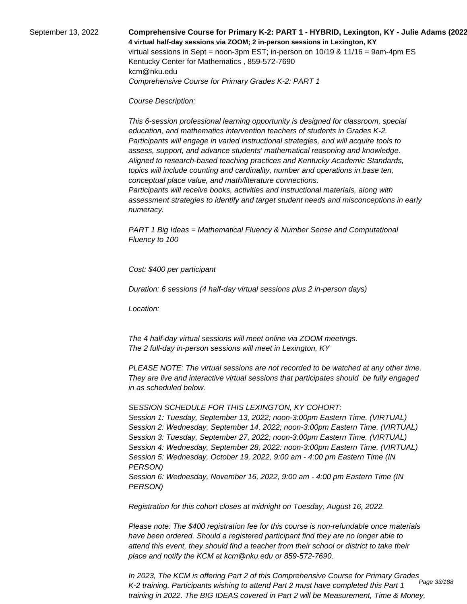September 13, 2022 **Comprehensive Course for Primary K-2: PART 1 - HYBRID, Lexington, KY - Julie Adams (2022-23) 4 virtual half-day sessions via ZOOM; 2 in-person sessions in Lexington, KY**  virtual sessions in Sept = noon-3pm EST; in-person on 10/19 & 11/16 = 9am-4pm ES Kentucky Center for Mathematics , 859-572-7690 kcm@nku.edu Comprehensive Course for Primary Grades K-2: PART 1

Course Description:

 This 6-session professional learning opportunity is designed for classroom, special education, and mathematics intervention teachers of students in Grades K-2. Participants will engage in varied instructional strategies, and will acquire tools to assess, support, and advance students' mathematical reasoning and knowledge. Aligned to research-based teaching practices and Kentucky Academic Standards, topics will include counting and cardinality, number and operations in base ten, conceptual place value, and math/literature connections.

 Participants will receive books, activities and instructional materials, along with assessment strategies to identify and target student needs and misconceptions in early numeracy.

PART 1 Big Ideas = Mathematical Fluency & Number Sense and Computational Fluency to 100

Cost: \$400 per participant

Duration: 6 sessions (4 half-day virtual sessions plus 2 in-person days)

Location:

 The 4 half-day virtual sessions will meet online via ZOOM meetings. The 2 full-day in-person sessions will meet in Lexington, KY

PLEASE NOTE: The virtual sessions are not recorded to be watched at any other time. They are live and interactive virtual sessions that participates should be fully engaged in as scheduled below.

SESSION SCHEDULE FOR THIS LEXINGTON, KY COHORT:

Session 1: Tuesday, September 13, 2022; noon-3:00pm Eastern Time. (VIRTUAL) Session 2: Wednesday, September 14, 2022; noon-3:00pm Eastern Time. (VIRTUAL) Session 3: Tuesday, September 27, 2022; noon-3:00pm Eastern Time. (VIRTUAL) Session 4: Wednesday, September 28, 2022: noon-3:00pm Eastern Time. (VIRTUAL) Session 5: Wednesday, October 19, 2022, 9:00 am - 4:00 pm Eastern Time (IN PERSON) Session 6: Wednesday, November 16, 2022, 9:00 am - 4:00 pm Eastern Time (IN PERSON)

Registration for this cohort closes at midnight on Tuesday, August 16, 2022.

Please note: The \$400 registration fee for this course is non-refundable once materials have been ordered. Should a registered participant find they are no longer able to attend this event, they should find a teacher from their school or district to take their place and notify the KCM at kcm@nku.edu or 859-572-7690.

In 2023, The KCM is offering Part 2 of this Comprehensive Course for Primary Grades K-2 training. Participants wishing to attend Part 2 must have completed this Part 1 training in 2022. The BIG IDEAS covered in Part 2 will be Measurement, Time & Money, Page 33/188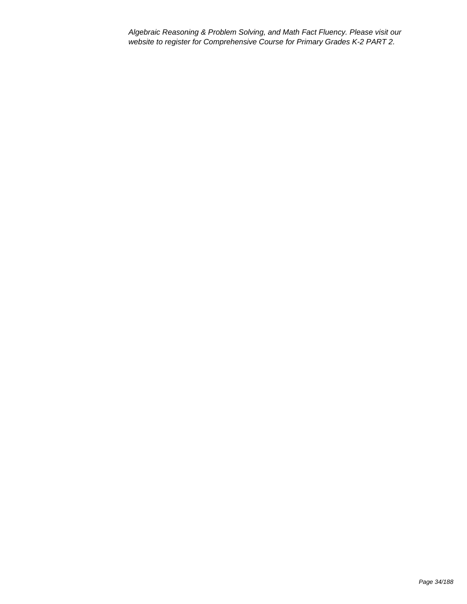Algebraic Reasoning & Problem Solving, and Math Fact Fluency. Please visit our website to register for Comprehensive Course for Primary Grades K-2 PART 2.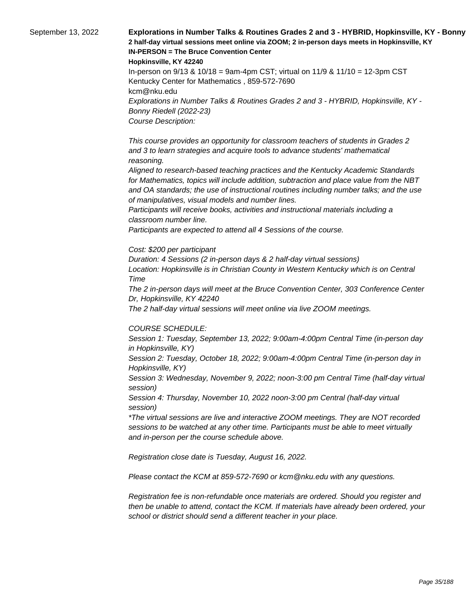September 13, 2022 **Explorations in Number Talks & Routines Grades 2 and 3 - HYBRID, Hopkinsville, KY - Bonny 2 half-day virtual sessions meet online via ZOOM; 2 in-person days meets in Hopkinsville, KY IN-PERSON = The Bruce Convention Center** 

**Hopkinsville, KY 42240**

In-person on 9/13 & 10/18 = 9am-4pm CST; virtual on 11/9 & 11/10 = 12-3pm CST Kentucky Center for Mathematics , 859-572-7690 kcm@nku.edu Explorations in Number Talks & Routines Grades 2 and 3 - HYBRID, Hopkinsville, KY - Bonny Riedell (2022-23) Course Description:

 This course provides an opportunity for classroom teachers of students in Grades 2 and 3 to learn strategies and acquire tools to advance students' mathematical reasoning.

 Aligned to research-based teaching practices and the Kentucky Academic Standards for Mathematics, topics will include addition, subtraction and place value from the NBT and OA standards; the use of instructional routines including number talks; and the use of manipulatives, visual models and number lines.

 Participants will receive books, activities and instructional materials including a classroom number line.

 Participants are expected to attend all 4 Sessions of the course.

#### Cost: \$200 per participant

Duration: 4 Sessions (2 in-person days & 2 half-day virtual sessions) Location: Hopkinsville is in Christian County in Western Kentucky which is on Central Time

The 2 in-person days will meet at the Bruce Convention Center, 303 Conference Center Dr, Hopkinsville, KY 42240

The 2 half-day virtual sessions will meet online via live ZOOM meetings.

#### COURSE SCHEDULE:

Session 1: Tuesday, September 13, 2022; 9:00am-4:00pm Central Time (in-person day in Hopkinsville, KY)

Session 2: Tuesday, October 18, 2022; 9:00am-4:00pm Central Time (in-person day in Hopkinsville, KY)

Session 3: Wednesday, November 9, 2022; noon-3:00 pm Central Time (half-day virtual session)

Session 4: Thursday, November 10, 2022 noon-3:00 pm Central (half-day virtual session)

\*The virtual sessions are live and interactive ZOOM meetings. They are NOT recorded sessions to be watched at any other time. Participants must be able to meet virtually and in-person per the course schedule above.

Registration close date is Tuesday, August 16, 2022.

Please contact the KCM at 859-572-7690 or kcm@nku.edu with any questions.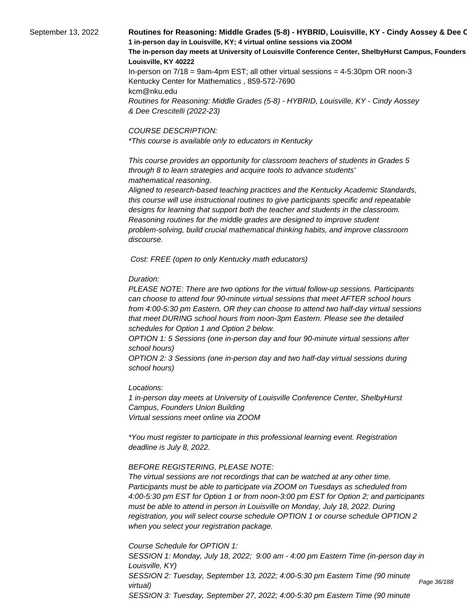## September 13, 2022 **Routines for Reasoning: Middle Grades (5-8) - HYBRID, Louisville, KY - Cindy Aossey & Dee C 1 in-person day in Louisville, KY; 4 virtual online sessions via ZOOM** The in-person day meets at University of Louisville Conference Center, ShelbyHurst Campus, Founders **Louisville, KY 40222** In-person on 7/18 = 9am-4pm EST; all other virtual sessions = 4-5:30pm OR noon-3

Kentucky Center for Mathematics , 859-572-7690 kcm@nku.edu Routines for Reasoning: Middle Grades (5-8) - HYBRID, Louisville, KY - Cindy Aossey & Dee Crescitelli (2022-23)

#### COURSE DESCRIPTION:

\*This course is available only to educators in Kentucky

 This course provides an opportunity for classroom teachers of students in Grades 5 through 8 to learn strategies and acquire tools to advance students' mathematical reasoning.

 Aligned to research-based teaching practices and the Kentucky Academic Standards, this course will use instructional routines to give participants specific and repeatable designs for learning that support both the teacher and students in the classroom. Reasoning routines for the middle grades are designed to improve student problem-solving, build crucial mathematical thinking habits, and improve classroom discourse.

Cost: FREE (open to only Kentucky math educators)

## Duration:

PLEASE NOTE: There are two options for the virtual follow-up sessions. Participants can choose to attend four 90-minute virtual sessions that meet AFTER school hours from 4:00-5:30 pm Eastern, OR they can choose to attend two half-day virtual sessions that meet DURING school hours from noon-3pm Eastern. Please see the detailed schedules for Option 1 and Option 2 below.

OPTION 1: 5 Sessions (one in-person day and four 90-minute virtual sessions after school hours)

OPTION 2: 3 Sessions (one in-person day and two half-day virtual sessions during school hours)

## Locations:

1 in-person day meets at University of Louisville Conference Center, ShelbyHurst Campus, Founders Union Building Virtual sessions meet online via ZOOM

\*You must register to participate in this professional learning event. Registration deadline is July 8, 2022.

## BEFORE REGISTERING, PLEASE NOTE:

The virtual sessions are not recordings that can be watched at any other time. Participants must be able to participate via ZOOM on Tuesdays as scheduled from 4:00-5:30 pm EST for Option 1 or from noon-3:00 pm EST for Option 2; and participants must be able to attend in person in Louisville on Monday, July 18, 2022. During registration, you will select course schedule OPTION 1 or course schedule OPTION 2 when you select your registration package.

Course Schedule for OPTION 1:

SESSION 1: Monday, July 18, 2022; 9:00 am - 4:00 pm Eastern Time (in-person day in Louisville, KY) SESSION 2: Tuesday, September 13, 2022; 4:00-5:30 pm Eastern Time (90 minute virtual) SESSION 3: Tuesday, September 27, 2022; 4:00-5:30 pm Eastern Time (90 minute

Page 36/188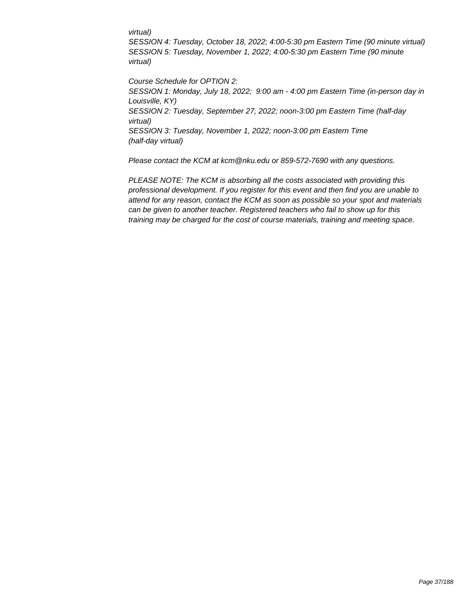#### virtual)

SESSION 4: Tuesday, October 18, 2022; 4:00-5:30 pm Eastern Time (90 minute virtual) SESSION 5: Tuesday, November 1, 2022; 4:00-5:30 pm Eastern Time (90 minute virtual)

Course Schedule for OPTION 2: SESSION 1: Monday, July 18, 2022; 9:00 am - 4:00 pm Eastern Time (in-person day in Louisville, KY) SESSION 2: Tuesday, September 27, 2022; noon-3:00 pm Eastern Time (half-day virtual) SESSION 3: Tuesday, November 1, 2022; noon-3:00 pm Eastern Time (half-day virtual)

Please contact the KCM at kcm@nku.edu or 859-572-7690 with any questions.

PLEASE NOTE: The KCM is absorbing all the costs associated with providing this professional development. If you register for this event and then find you are unable to attend for any reason, contact the KCM as soon as possible so your spot and materials can be given to another teacher. Registered teachers who fail to show up for this training may be charged for the cost of course materials, training and meeting space.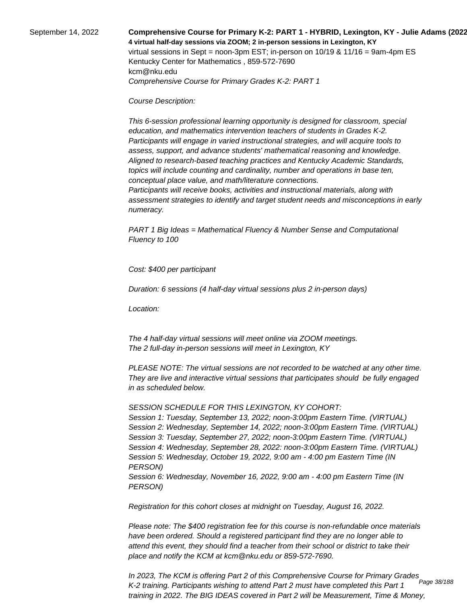September 14, 2022 **Comprehensive Course for Primary K-2: PART 1 - HYBRID, Lexington, KY - Julie Adams (2022-23) 4 virtual half-day sessions via ZOOM; 2 in-person sessions in Lexington, KY**  virtual sessions in Sept = noon-3pm EST; in-person on 10/19 & 11/16 = 9am-4pm ES Kentucky Center for Mathematics , 859-572-7690 kcm@nku.edu Comprehensive Course for Primary Grades K-2: PART 1

Course Description:

 This 6-session professional learning opportunity is designed for classroom, special education, and mathematics intervention teachers of students in Grades K-2. Participants will engage in varied instructional strategies, and will acquire tools to assess, support, and advance students' mathematical reasoning and knowledge. Aligned to research-based teaching practices and Kentucky Academic Standards, topics will include counting and cardinality, number and operations in base ten, conceptual place value, and math/literature connections.

 Participants will receive books, activities and instructional materials, along with assessment strategies to identify and target student needs and misconceptions in early numeracy.

PART 1 Big Ideas = Mathematical Fluency & Number Sense and Computational Fluency to 100

Cost: \$400 per participant

Duration: 6 sessions (4 half-day virtual sessions plus 2 in-person days)

Location:

 The 4 half-day virtual sessions will meet online via ZOOM meetings. The 2 full-day in-person sessions will meet in Lexington, KY

PLEASE NOTE: The virtual sessions are not recorded to be watched at any other time. They are live and interactive virtual sessions that participates should be fully engaged in as scheduled below.

SESSION SCHEDULE FOR THIS LEXINGTON, KY COHORT:

Session 1: Tuesday, September 13, 2022; noon-3:00pm Eastern Time. (VIRTUAL) Session 2: Wednesday, September 14, 2022; noon-3:00pm Eastern Time. (VIRTUAL) Session 3: Tuesday, September 27, 2022; noon-3:00pm Eastern Time. (VIRTUAL) Session 4: Wednesday, September 28, 2022: noon-3:00pm Eastern Time. (VIRTUAL) Session 5: Wednesday, October 19, 2022, 9:00 am - 4:00 pm Eastern Time (IN PERSON) Session 6: Wednesday, November 16, 2022, 9:00 am - 4:00 pm Eastern Time (IN PERSON)

Registration for this cohort closes at midnight on Tuesday, August 16, 2022.

Please note: The \$400 registration fee for this course is non-refundable once materials have been ordered. Should a registered participant find they are no longer able to attend this event, they should find a teacher from their school or district to take their place and notify the KCM at kcm@nku.edu or 859-572-7690.

In 2023, The KCM is offering Part 2 of this Comprehensive Course for Primary Grades K-2 training. Participants wishing to attend Part 2 must have completed this Part 1 training in 2022. The BIG IDEAS covered in Part 2 will be Measurement, Time & Money, Page 38/188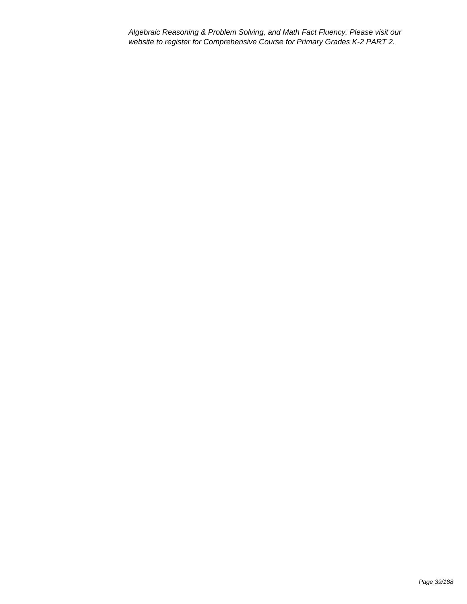Algebraic Reasoning & Problem Solving, and Math Fact Fluency. Please visit our website to register for Comprehensive Course for Primary Grades K-2 PART 2.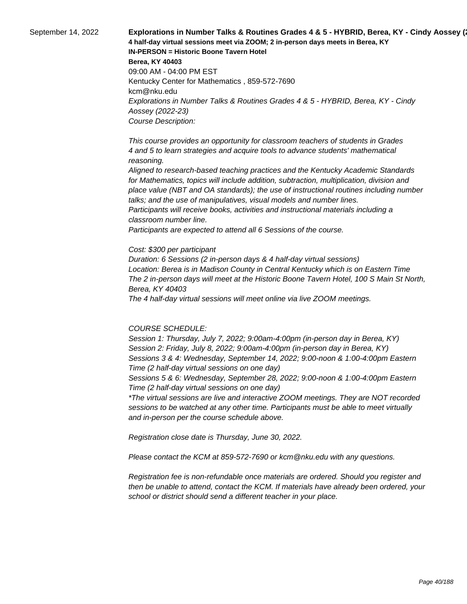September 14, 2022 **Explorations in Number Talks & Routines Grades 4 & 5 - HYBRID, Berea, KY - Cindy Aossey (**23) **4 half-day virtual sessions meet via ZOOM; 2 in-person days meets in Berea, KY IN-PERSON = Historic Boone Tavern Hotel Berea, KY 40403** 09:00 AM - 04:00 PM EST Kentucky Center for Mathematics , 859-572-7690 kcm@nku.edu Explorations in Number Talks & Routines Grades 4 & 5 - HYBRID, Berea, KY - Cindy Aossey (2022-23) Course Description:

> This course provides an opportunity for classroom teachers of students in Grades 4 and 5 to learn strategies and acquire tools to advance students' mathematical reasoning.

 Aligned to research-based teaching practices and the Kentucky Academic Standards for Mathematics, topics will include addition, subtraction, multiplication, division and place value (NBT and OA standards); the use of instructional routines including number talks; and the use of manipulatives, visual models and number lines. Participants will receive books, activities and instructional materials including a classroom number line.

 Participants are expected to attend all 6 Sessions of the course.

#### Cost: \$300 per participant

Duration: 6 Sessions (2 in-person days & 4 half-day virtual sessions) Location: Berea is in Madison County in Central Kentucky which is on Eastern Time The 2 in-person days will meet at the Historic Boone Tavern Hotel, 100 S Main St North, Berea, KY 40403

The 4 half-day virtual sessions will meet online via live ZOOM meetings.

#### COURSE SCHEDULE:

Session 1: Thursday, July 7, 2022; 9:00am-4:00pm (in-person day in Berea, KY) Session 2: Friday, July 8, 2022; 9:00am-4:00pm (in-person day in Berea, KY) Sessions 3 & 4: Wednesday, September 14, 2022; 9:00-noon & 1:00-4:00pm Eastern Time (2 half-day virtual sessions on one day)

Sessions 5 & 6: Wednesday, September 28, 2022; 9:00-noon & 1:00-4:00pm Eastern Time (2 half-day virtual sessions on one day)

\*The virtual sessions are live and interactive ZOOM meetings. They are NOT recorded sessions to be watched at any other time. Participants must be able to meet virtually and in-person per the course schedule above.

Registration close date is Thursday, June 30, 2022.

Please contact the KCM at 859-572-7690 or kcm@nku.edu with any questions.

Registration fee is non-refundable once materials are ordered. Should you register and then be unable to attend, contact the KCM. If materials have already been ordered, your school or district should send a different teacher in your place.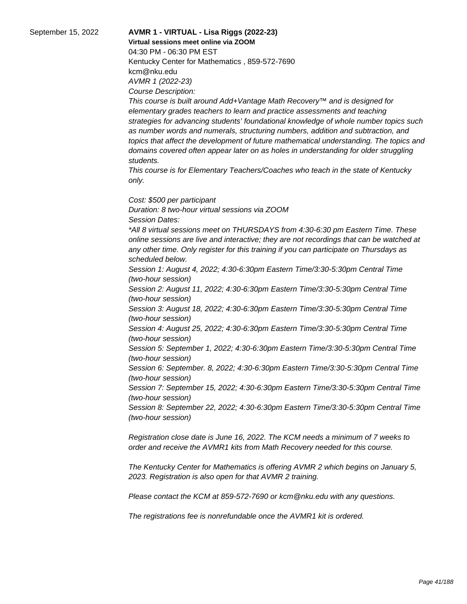# September 15, 2022 **AVMR 1 - VIRTUAL - Lisa Riggs (2022-23)**

**Virtual sessions meet online via ZOOM** 

04:30 PM - 06:30 PM EST Kentucky Center for Mathematics , 859-572-7690 kcm@nku.edu AVMR 1 (2022-23) Course Description:

This course is built around Add+Vantage Math Recovery™ and is designed for elementary grades teachers to learn and practice assessments and teaching strategies for advancing students' foundational knowledge of whole number topics such as number words and numerals, structuring numbers, addition and subtraction, and topics that affect the development of future mathematical understanding. The topics and domains covered often appear later on as holes in understanding for older struggling students.

This course is for Elementary Teachers/Coaches who teach in the state of Kentucky only.

Cost: \$500 per participant Duration: 8 two-hour virtual sessions via ZOOM Session Dates: \*All 8 virtual sessions meet on THURSDAYS from 4:30-6:30 pm Eastern Time. These online sessions are live and interactive; they are not recordings that can be watched at any other time. Only register for this training if you can participate on Thursdays as scheduled below. Session 1: August 4, 2022; 4:30-6:30pm Eastern Time/3:30-5:30pm Central Time (two-hour session) Session 2: August 11, 2022; 4:30-6:30pm Eastern Time/3:30-5:30pm Central Time (two-hour session) Session 3: August 18, 2022; 4:30-6:30pm Eastern Time/3:30-5:30pm Central Time (two-hour session) Session 4: August 25, 2022; 4:30-6:30pm Eastern Time/3:30-5:30pm Central Time (two-hour session)

Session 5: September 1, 2022; 4:30-6:30pm Eastern Time/3:30-5:30pm Central Time (two-hour session)

Session 6: September. 8, 2022; 4:30-6:30pm Eastern Time/3:30-5:30pm Central Time (two-hour session)

Session 7: September 15, 2022; 4:30-6:30pm Eastern Time/3:30-5:30pm Central Time (two-hour session)

Session 8: September 22, 2022; 4:30-6:30pm Eastern Time/3:30-5:30pm Central Time (two-hour session)

Registration close date is June 16, 2022. The KCM needs a minimum of 7 weeks to order and receive the AVMR1 kits from Math Recovery needed for this course.

The Kentucky Center for Mathematics is offering AVMR 2 which begins on January 5, 2023. Registration is also open for that AVMR 2 training.

Please contact the KCM at 859-572-7690 or kcm@nku.edu with any questions.

The registrations fee is nonrefundable once the AVMR1 kit is ordered.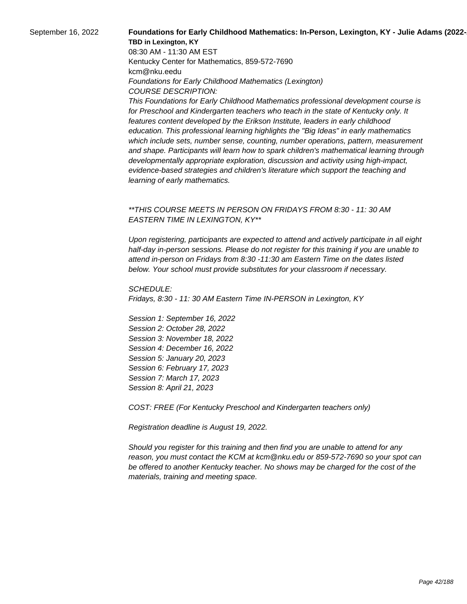## September 16, 2022 **Foundations for Early Childhood Mathematics: In-Person, Lexington, KY - Julie Adams (2022-TBD in Lexington, KY**

08:30 AM - 11:30 AM EST Kentucky Center for Mathematics, 859-572-7690 kcm@nku.eedu Foundations for Early Childhood Mathematics (Lexington) COURSE DESCRIPTION:

This Foundations for Early Childhood Mathematics professional development course is for Preschool and Kindergarten teachers who teach in the state of Kentucky only. It features content developed by the Erikson Institute, leaders in early childhood education. This professional learning highlights the "Big Ideas" in early mathematics which include sets, number sense, counting, number operations, pattern, measurement and shape. Participants will learn how to spark children's mathematical learning through developmentally appropriate exploration, discussion and activity using high-impact, evidence-based strategies and children's literature which support the teaching and learning of early mathematics.

# \*\*THIS COURSE MEETS IN PERSON ON FRIDAYS FROM 8:30 - 11: 30 AM EASTERN TIME IN LEXINGTON, KY\*\*

Upon registering, participants are expected to attend and actively participate in all eight half-day in-person sessions. Please do not register for this training if you are unable to attend in-person on Fridays from 8:30 -11:30 am Eastern Time on the dates listed below. Your school must provide substitutes for your classroom if necessary.

SCHEDULE: Fridays, 8:30 - 11: 30 AM Eastern Time IN-PERSON in Lexington, KY

Session 1: September 16, 2022 Session 2: October 28, 2022 Session 3: November 18, 2022 Session 4: December 16, 2022 Session 5: January 20, 2023 Session 6: February 17, 2023 Session 7: March 17, 2023 Session 8: April 21, 2023

COST: FREE (For Kentucky Preschool and Kindergarten teachers only)

Registration deadline is August 19, 2022.

Should you register for this training and then find you are unable to attend for any reason, you must contact the KCM at kcm@nku.edu or 859-572-7690 so your spot can be offered to another Kentucky teacher. No shows may be charged for the cost of the materials, training and meeting space.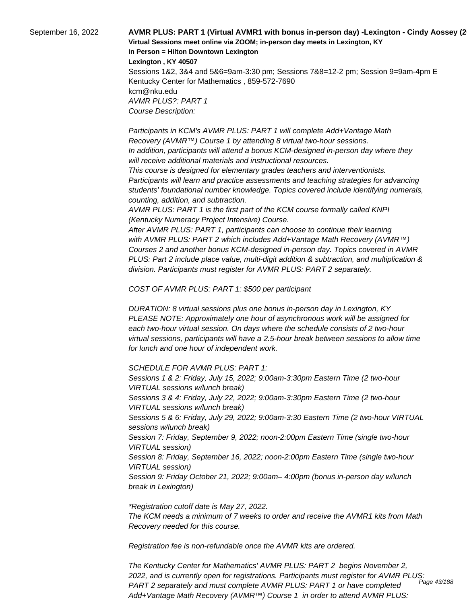September 16, 2022 **AVMR PLUS: PART 1 (Virtual AVMR1 with bonus in-person day) -Lexington - Cindy Aossey (2022-23) Virtual Sessions meet online via ZOOM; in-person day meets in Lexington, KY In Person = Hilton Downtown Lexington Lexington , KY 40507**

> Sessions 1&2, 3&4 and 5&6=9am-3:30 pm; Sessions 7&8=12-2 pm; Session 9=9am-4pm E Kentucky Center for Mathematics , 859-572-7690 kcm@nku.edu AVMR PLUS?: PART 1 Course Description:

 Participants in KCM's AVMR PLUS: PART 1 will complete Add+Vantage Math Recovery (AVMR™) Course 1 by attending 8 virtual two-hour sessions. In addition, participants will attend a bonus KCM-designed in-person day where they will receive additional materials and instructional resources.

 This course is designed for elementary grades teachers and interventionists. Participants will learn and practice assessments and teaching strategies for advancing students' foundational number knowledge. Topics covered include identifying numerals, counting, addition, and subtraction.

 AVMR PLUS: PART 1 is the first part of the KCM course formally called KNPI (Kentucky Numeracy Project Intensive) Course.

 After AVMR PLUS: PART 1, participants can choose to continue their learning with AVMR PLUS: PART 2 which includes Add+Vantage Math Recovery (AVMR™) Courses 2 and another bonus KCM-designed in-person day. Topics covered in AVMR PLUS: Part 2 include place value, multi-digit addition & subtraction, and multiplication & division. Participants must register for AVMR PLUS: PART 2 separately.

COST OF AVMR PLUS: PART 1: \$500 per participant

DURATION: 8 virtual sessions plus one bonus in-person day in Lexington, KY PLEASE NOTE: Approximately one hour of asynchronous work will be assigned for each two-hour virtual session. On days where the schedule consists of 2 two-hour virtual sessions, participants will have a 2.5-hour break between sessions to allow time for lunch and one hour of independent work.

SCHEDULE FOR AVMR PLUS: PART 1:

Sessions 1 & 2: Friday, July 15, 2022; 9:00am-3:30pm Eastern Time (2 two-hour VIRTUAL sessions w/lunch break) Sessions 3 & 4: Friday, July 22, 2022; 9:00am-3:30pm Eastern Time (2 two-hour VIRTUAL sessions w/lunch break) Sessions 5 & 6: Friday, July 29, 2022; 9:00am-3:30 Eastern Time (2 two-hour VIRTUAL sessions w/lunch break) Session 7: Friday, September 9, 2022; noon-2:00pm Eastern Time (single two-hour VIRTUAL session) Session 8: Friday, September 16, 2022; noon-2:00pm Eastern Time (single two-hour VIRTUAL session) Session 9: Friday October 21, 2022; 9:00am– 4:00pm (bonus in-person day w/lunch break in Lexington)

\*Registration cutoff date is May 27, 2022. The KCM needs a minimum of 7 weeks to order and receive the AVMR1 kits from Math Recovery needed for this course.

Registration fee is non-refundable once the AVMR kits are ordered.

The Kentucky Center for Mathematics' AVMR PLUS: PART 2 begins November 2, 2022, and is currently open for registrations. Participants must register for AVMR PLUS: PART 2 separately and must complete AVMR PLUS: PART 1 or have completed Add+Vantage Math Recovery (AVMR™) Course 1 in order to attend AVMR PLUS: Page 43/188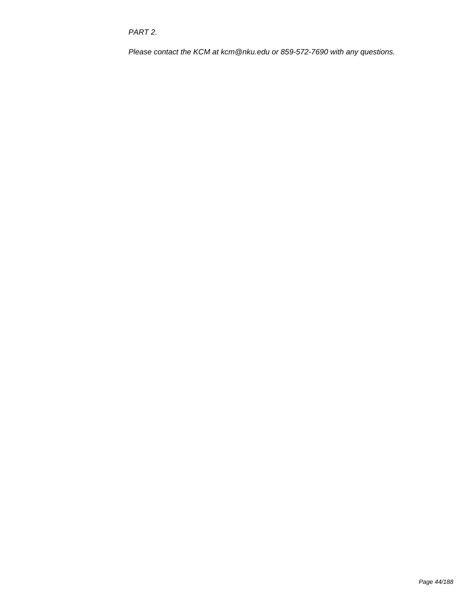PART 2.

Please contact the KCM at kcm@nku.edu or 859-572-7690 with any questions.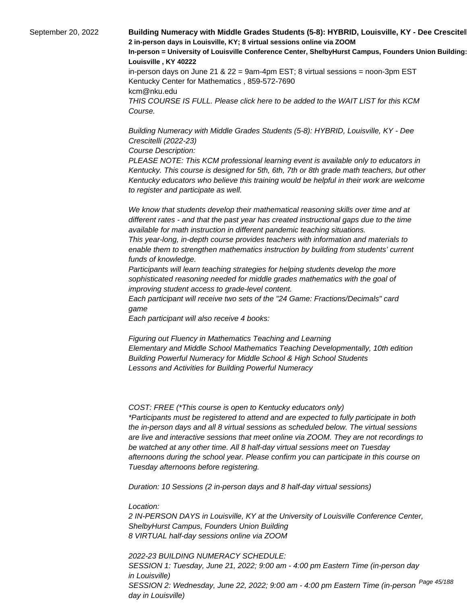September 20, 2022 **Building Numeracy with Middle Grades Students (5-8): HYBRID, Louisville, KY - Dee Crescitel 2 in-person days in Louisville, KY; 8 virtual sessions online via ZOOM In-person = University of Louisville Conference Center, ShelbyHurst Campus, Founders Union Building: Room 15 Louisville , KY 40222** in-person days on June 21 &  $22 = 9$ am-4pm EST; 8 virtual sessions = noon-3pm EST Kentucky Center for Mathematics , 859-572-7690 kcm@nku.edu

THIS COURSE IS FULL. Please click here to be added to the WAIT LIST for this KCM Course.

Building Numeracy with Middle Grades Students (5-8): HYBRID, Louisville, KY - Dee Crescitelli (2022-23)

Course Description:

PLEASE NOTE: This KCM professional learning event is available only to educators in Kentucky. This course is designed for 5th, 6th, 7th or 8th grade math teachers, but other Kentucky educators who believe this training would be helpful in their work are welcome to register and participate as well.

 We know that students develop their mathematical reasoning skills over time and at different rates - and that the past year has created instructional gaps due to the time available for math instruction in different pandemic teaching situations.

 This year-long, in-depth course provides teachers with information and materials to enable them to strengthen mathematics instruction by building from students' current funds of knowledge.

 Participants will learn teaching strategies for helping students develop the more sophisticated reasoning needed for middle grades mathematics with the goal of improving student access to grade-level content.

 Each participant will receive two sets of the "24 Game: Fractions/Decimals" card game

 Each participant will also receive 4 books:

 Figuring out Fluency in Mathematics Teaching and Learning Elementary and Middle School Mathematics Teaching Developmentally, 10th edition Building Powerful Numeracy for Middle School & High School Students Lessons and Activities for Building Powerful Numeracy

COST: FREE (\*This course is open to Kentucky educators only) \*Participants must be registered to attend and are expected to fully participate in both the in-person days and all 8 virtual sessions as scheduled below. The virtual sessions are live and interactive sessions that meet online via ZOOM. They are not recordings to be watched at any other time. All 8 half-day virtual sessions meet on Tuesday afternoons during the school year. Please confirm you can participate in this course on Tuesday afternoons before registering.

Duration: 10 Sessions (2 in-person days and 8 half-day virtual sessions)

Location:

2 IN-PERSON DAYS in Louisville, KY at the University of Louisville Conference Center, ShelbyHurst Campus, Founders Union Building 8 VIRTUAL half-day sessions online via ZOOM

2022-23 BUILDING NUMERACY SCHEDULE: SESSION 1: Tuesday, June 21, 2022; 9:00 am - 4:00 pm Eastern Time (in-person day in Louisville) SESSION 2: Wednesday, June 22, 2022; 9:00 am - 4:00 pm Eastern Time (in-person <sup>Page 45/188</sup> day in Louisville)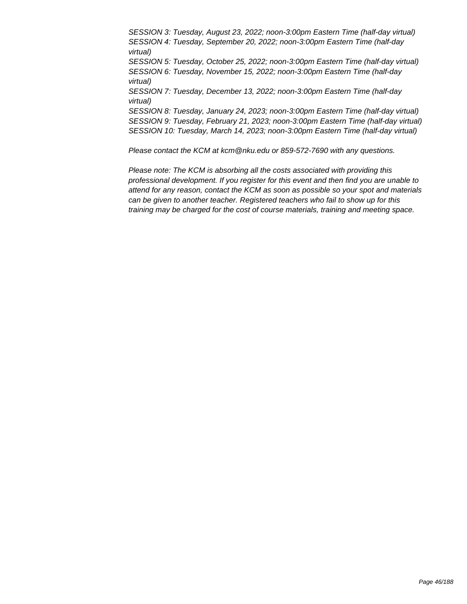SESSION 3: Tuesday, August 23, 2022; noon-3:00pm Eastern Time (half-day virtual) SESSION 4: Tuesday, September 20, 2022; noon-3:00pm Eastern Time (half-day virtual) SESSION 5: Tuesday, October 25, 2022; noon-3:00pm Eastern Time (half-day virtual) SESSION 6: Tuesday, November 15, 2022; noon-3:00pm Eastern Time (half-day virtual) SESSION 7: Tuesday, December 13, 2022; noon-3:00pm Eastern Time (half-day virtual) SESSION 8: Tuesday, January 24, 2023; noon-3:00pm Eastern Time (half-day virtual) SESSION 9: Tuesday, February 21, 2023; noon-3:00pm Eastern Time (half-day virtual) SESSION 10: Tuesday, March 14, 2023; noon-3:00pm Eastern Time (half-day virtual)

Please contact the KCM at kcm@nku.edu or 859-572-7690 with any questions.

Please note: The KCM is absorbing all the costs associated with providing this professional development. If you register for this event and then find you are unable to attend for any reason, contact the KCM as soon as possible so your spot and materials can be given to another teacher. Registered teachers who fail to show up for this training may be charged for the cost of course materials, training and meeting space.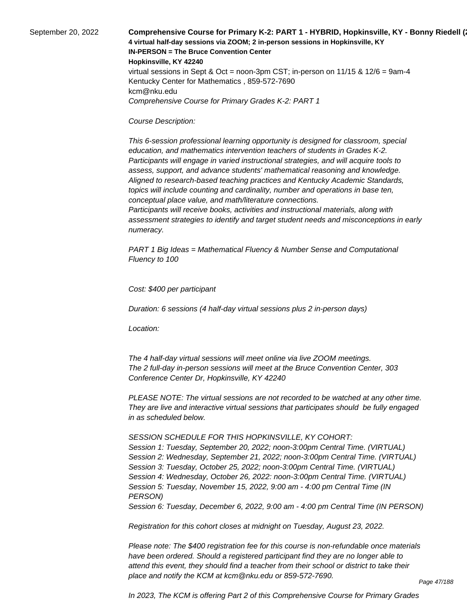September 20, 2022 **Comprehensive Course for Primary K-2: PART 1 - HYBRID, Hopkinsville, KY - Bonny Riedell (**20 **4 virtual half-day sessions via ZOOM; 2 in-person sessions in Hopkinsville, KY IN-PERSON = The Bruce Convention Center Hopkinsville, KY 42240** virtual sessions in Sept & Oct = noon-3pm CST; in-person on  $11/15$  &  $12/6$  = 9am-4 Kentucky Center for Mathematics , 859-572-7690 kcm@nku.edu Comprehensive Course for Primary Grades K-2: PART 1

#### Course Description:

 This 6-session professional learning opportunity is designed for classroom, special education, and mathematics intervention teachers of students in Grades K-2. Participants will engage in varied instructional strategies, and will acquire tools to assess, support, and advance students' mathematical reasoning and knowledge. Aligned to research-based teaching practices and Kentucky Academic Standards, topics will include counting and cardinality, number and operations in base ten, conceptual place value, and math/literature connections.

 Participants will receive books, activities and instructional materials, along with assessment strategies to identify and target student needs and misconceptions in early numeracy.

PART 1 Big Ideas = Mathematical Fluency & Number Sense and Computational Fluency to 100

Cost: \$400 per participant

Duration: 6 sessions (4 half-day virtual sessions plus 2 in-person days)

Location:

 The 4 half-day virtual sessions will meet online via live ZOOM meetings. The 2 full-day in-person sessions will meet at the Bruce Convention Center, 303 Conference Center Dr, Hopkinsville, KY 42240

PLEASE NOTE: The virtual sessions are not recorded to be watched at any other time. They are live and interactive virtual sessions that participates should be fully engaged in as scheduled below.

SESSION SCHEDULE FOR THIS HOPKINSVILLE, KY COHORT:

Session 1: Tuesday, September 20, 2022; noon-3:00pm Central Time. (VIRTUAL) Session 2: Wednesday, September 21, 2022; noon-3:00pm Central Time. (VIRTUAL) Session 3: Tuesday, October 25, 2022; noon-3:00pm Central Time. (VIRTUAL) Session 4: Wednesday, October 26, 2022: noon-3:00pm Central Time. (VIRTUAL) Session 5: Tuesday, November 15, 2022, 9:00 am - 4:00 pm Central Time (IN PERSON)

Session 6: Tuesday, December 6, 2022, 9:00 am - 4:00 pm Central Time (IN PERSON)

Registration for this cohort closes at midnight on Tuesday, August 23, 2022.

Please note: The \$400 registration fee for this course is non-refundable once materials have been ordered. Should a registered participant find they are no longer able to attend this event, they should find a teacher from their school or district to take their place and notify the KCM at kcm@nku.edu or 859-572-7690.

Page 47/188

In 2023, The KCM is offering Part 2 of this Comprehensive Course for Primary Grades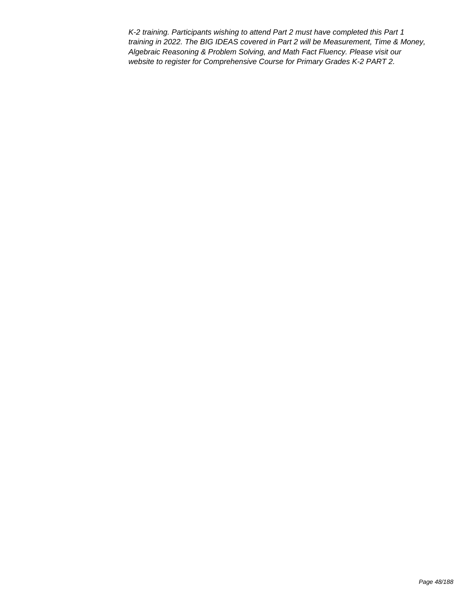K-2 training. Participants wishing to attend Part 2 must have completed this Part 1 training in 2022. The BIG IDEAS covered in Part 2 will be Measurement, Time & Money, Algebraic Reasoning & Problem Solving, and Math Fact Fluency. Please visit our website to register for Comprehensive Course for Primary Grades K-2 PART 2.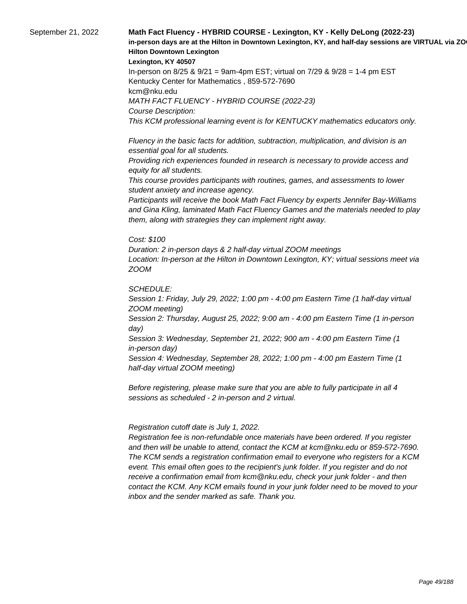# September 21, 2022 **Math Fact Fluency - HYBRID COURSE - Lexington, KY - Kelly DeLong (2022-23)**  in-person days are at the Hilton in Downtown Lexington, KY, and half-day sessions are VIRTUAL via ZO **Hilton Downtown Lexington**

**Lexington, KY 40507**

In-person on 8/25 & 9/21 = 9am-4pm EST; virtual on 7/29 & 9/28 = 1-4 pm EST Kentucky Center for Mathematics , 859-572-7690 kcm@nku.edu MATH FACT FLUENCY - HYBRID COURSE (2022-23) Course Description: This KCM professional learning event is for KENTUCKY mathematics educators only.

 Fluency in the basic facts for addition, subtraction, multiplication, and division is an essential goal for all students.

 Providing rich experiences founded in research is necessary to provide access and equity for all students.

 This course provides participants with routines, games, and assessments to lower student anxiety and increase agency.

 Participants will receive the book Math Fact Fluency by experts Jennifer Bay-Williams and Gina Kling, laminated Math Fact Fluency Games and the materials needed to play them, along with strategies they can implement right away.

Cost: \$100

Duration: 2 in-person days & 2 half-day virtual ZOOM meetings Location: In-person at the Hilton in Downtown Lexington, KY; virtual sessions meet via ZOOM

SCHEDULE:

Session 1: Friday, July 29, 2022; 1:00 pm - 4:00 pm Eastern Time (1 half-day virtual ZOOM meeting)

Session 2: Thursday, August 25, 2022; 9:00 am - 4:00 pm Eastern Time (1 in-person day)

Session 3: Wednesday, September 21, 2022; 900 am - 4:00 pm Eastern Time (1 in-person day)

Session 4: Wednesday, September 28, 2022; 1:00 pm - 4:00 pm Eastern Time (1 half-day virtual ZOOM meeting)

Before registering, please make sure that you are able to fully participate in all 4 sessions as scheduled - 2 in-person and 2 virtual.

 Registration cutoff date is July 1, 2022.

 Registration fee is non-refundable once materials have been ordered. If you register and then will be unable to attend, contact the KCM at kcm@nku.edu or 859-572-7690. The KCM sends a registration confirmation email to everyone who registers for a KCM event. This email often goes to the recipient's junk folder. If you register and do not receive a confirmation email from kcm@nku.edu, check your junk folder - and then contact the KCM. Any KCM emails found in your junk folder need to be moved to your inbox and the sender marked as safe. Thank you.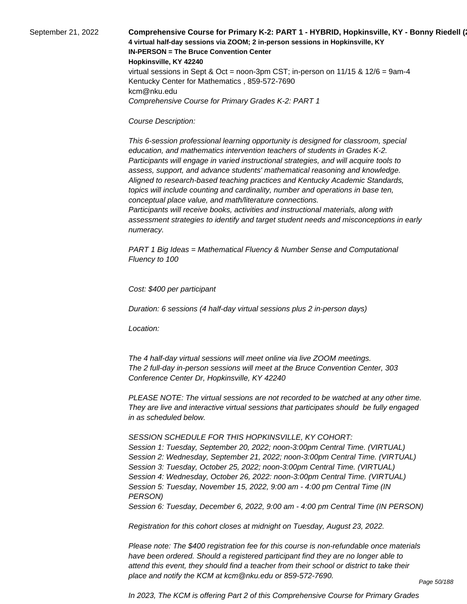September 21, 2022 **Comprehensive Course for Primary K-2: PART 1 - HYBRID, Hopkinsville, KY - Bonny Riedell (**20 **4 virtual half-day sessions via ZOOM; 2 in-person sessions in Hopkinsville, KY IN-PERSON = The Bruce Convention Center Hopkinsville, KY 42240** virtual sessions in Sept & Oct = noon-3pm CST; in-person on  $11/15$  &  $12/6$  = 9am-4 Kentucky Center for Mathematics , 859-572-7690 kcm@nku.edu Comprehensive Course for Primary Grades K-2: PART 1

#### Course Description:

 This 6-session professional learning opportunity is designed for classroom, special education, and mathematics intervention teachers of students in Grades K-2. Participants will engage in varied instructional strategies, and will acquire tools to assess, support, and advance students' mathematical reasoning and knowledge. Aligned to research-based teaching practices and Kentucky Academic Standards, topics will include counting and cardinality, number and operations in base ten, conceptual place value, and math/literature connections.

 Participants will receive books, activities and instructional materials, along with assessment strategies to identify and target student needs and misconceptions in early numeracy.

PART 1 Big Ideas = Mathematical Fluency & Number Sense and Computational Fluency to 100

Cost: \$400 per participant

Duration: 6 sessions (4 half-day virtual sessions plus 2 in-person days)

Location:

 The 4 half-day virtual sessions will meet online via live ZOOM meetings. The 2 full-day in-person sessions will meet at the Bruce Convention Center, 303 Conference Center Dr, Hopkinsville, KY 42240

PLEASE NOTE: The virtual sessions are not recorded to be watched at any other time. They are live and interactive virtual sessions that participates should be fully engaged in as scheduled below.

SESSION SCHEDULE FOR THIS HOPKINSVILLE, KY COHORT:

Session 1: Tuesday, September 20, 2022; noon-3:00pm Central Time. (VIRTUAL) Session 2: Wednesday, September 21, 2022; noon-3:00pm Central Time. (VIRTUAL) Session 3: Tuesday, October 25, 2022; noon-3:00pm Central Time. (VIRTUAL) Session 4: Wednesday, October 26, 2022: noon-3:00pm Central Time. (VIRTUAL) Session 5: Tuesday, November 15, 2022, 9:00 am - 4:00 pm Central Time (IN PERSON)

Session 6: Tuesday, December 6, 2022, 9:00 am - 4:00 pm Central Time (IN PERSON)

Registration for this cohort closes at midnight on Tuesday, August 23, 2022.

Please note: The \$400 registration fee for this course is non-refundable once materials have been ordered. Should a registered participant find they are no longer able to attend this event, they should find a teacher from their school or district to take their place and notify the KCM at kcm@nku.edu or 859-572-7690.

In 2023, The KCM is offering Part 2 of this Comprehensive Course for Primary Grades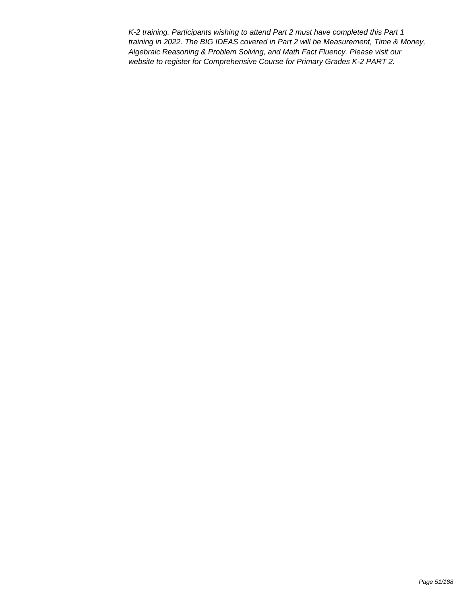K-2 training. Participants wishing to attend Part 2 must have completed this Part 1 training in 2022. The BIG IDEAS covered in Part 2 will be Measurement, Time & Money, Algebraic Reasoning & Problem Solving, and Math Fact Fluency. Please visit our website to register for Comprehensive Course for Primary Grades K-2 PART 2.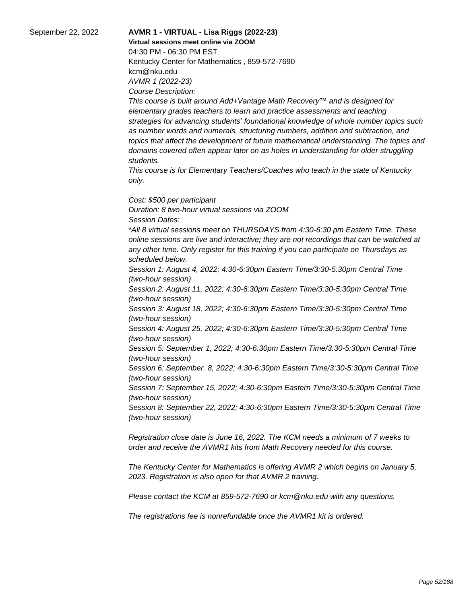# September 22, 2022 **AVMR 1 - VIRTUAL - Lisa Riggs (2022-23)**

**Virtual sessions meet online via ZOOM** 

04:30 PM - 06:30 PM EST Kentucky Center for Mathematics , 859-572-7690 kcm@nku.edu AVMR 1 (2022-23) Course Description:

This course is built around Add+Vantage Math Recovery™ and is designed for elementary grades teachers to learn and practice assessments and teaching strategies for advancing students' foundational knowledge of whole number topics such as number words and numerals, structuring numbers, addition and subtraction, and topics that affect the development of future mathematical understanding. The topics and domains covered often appear later on as holes in understanding for older struggling students.

This course is for Elementary Teachers/Coaches who teach in the state of Kentucky only.

Cost: \$500 per participant Duration: 8 two-hour virtual sessions via ZOOM Session Dates: \*All 8 virtual sessions meet on THURSDAYS from 4:30-6:30 pm Eastern Time. These online sessions are live and interactive; they are not recordings that can be watched at any other time. Only register for this training if you can participate on Thursdays as scheduled below. Session 1: August 4, 2022; 4:30-6:30pm Eastern Time/3:30-5:30pm Central Time (two-hour session) Session 2: August 11, 2022; 4:30-6:30pm Eastern Time/3:30-5:30pm Central Time (two-hour session) Session 3: August 18, 2022; 4:30-6:30pm Eastern Time/3:30-5:30pm Central Time

(two-hour session) Session 4: August 25, 2022; 4:30-6:30pm Eastern Time/3:30-5:30pm Central Time (two-hour session)

Session 5: September 1, 2022; 4:30-6:30pm Eastern Time/3:30-5:30pm Central Time (two-hour session)

Session 6: September. 8, 2022; 4:30-6:30pm Eastern Time/3:30-5:30pm Central Time (two-hour session)

Session 7: September 15, 2022; 4:30-6:30pm Eastern Time/3:30-5:30pm Central Time (two-hour session)

Session 8: September 22, 2022; 4:30-6:30pm Eastern Time/3:30-5:30pm Central Time (two-hour session)

Registration close date is June 16, 2022. The KCM needs a minimum of 7 weeks to order and receive the AVMR1 kits from Math Recovery needed for this course.

The Kentucky Center for Mathematics is offering AVMR 2 which begins on January 5, 2023. Registration is also open for that AVMR 2 training.

Please contact the KCM at 859-572-7690 or kcm@nku.edu with any questions.

The registrations fee is nonrefundable once the AVMR1 kit is ordered.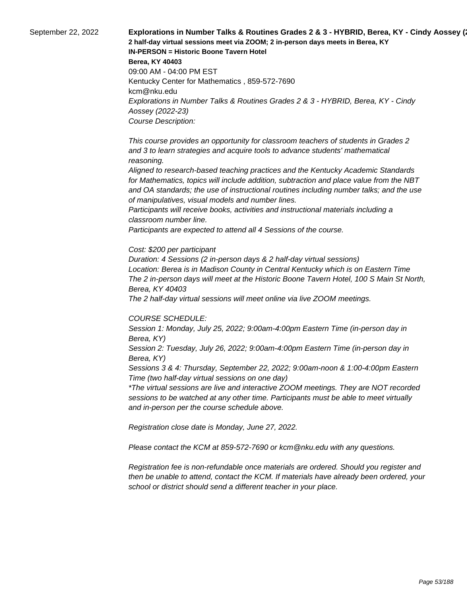September 22, 2022 **Explorations in Number Talks & Routines Grades 2 & 3 - HYBRID, Berea, KY - Cindy Aossey (**23) **2 half-day virtual sessions meet via ZOOM; 2 in-person days meets in Berea, KY IN-PERSON = Historic Boone Tavern Hotel Berea, KY 40403** 09:00 AM - 04:00 PM EST Kentucky Center for Mathematics , 859-572-7690 kcm@nku.edu Explorations in Number Talks & Routines Grades 2 & 3 - HYBRID, Berea, KY - Cindy Aossey (2022-23) Course Description:

> This course provides an opportunity for classroom teachers of students in Grades 2 and 3 to learn strategies and acquire tools to advance students' mathematical reasoning.

 Aligned to research-based teaching practices and the Kentucky Academic Standards for Mathematics, topics will include addition, subtraction and place value from the NBT and OA standards; the use of instructional routines including number talks; and the use of manipulatives, visual models and number lines.

 Participants will receive books, activities and instructional materials including a classroom number line.

 Participants are expected to attend all 4 Sessions of the course.

#### Cost: \$200 per participant

Duration: 4 Sessions (2 in-person days & 2 half-day virtual sessions) Location: Berea is in Madison County in Central Kentucky which is on Eastern Time The 2 in-person days will meet at the Historic Boone Tavern Hotel, 100 S Main St North, Berea, KY 40403

The 2 half-day virtual sessions will meet online via live ZOOM meetings.

#### COURSE SCHEDULE:

Session 1: Monday, July 25, 2022; 9:00am-4:00pm Eastern Time (in-person day in Berea, KY)

Session 2: Tuesday, July 26, 2022; 9:00am-4:00pm Eastern Time (in-person day in Berea, KY)

Sessions 3 & 4: Thursday, September 22, 2022; 9:00am-noon & 1:00-4:00pm Eastern Time (two half-day virtual sessions on one day)

\*The virtual sessions are live and interactive ZOOM meetings. They are NOT recorded sessions to be watched at any other time. Participants must be able to meet virtually and in-person per the course schedule above.

Registration close date is Monday, June 27, 2022.

Please contact the KCM at 859-572-7690 or kcm@nku.edu with any questions.

Registration fee is non-refundable once materials are ordered. Should you register and then be unable to attend, contact the KCM. If materials have already been ordered, your school or district should send a different teacher in your place.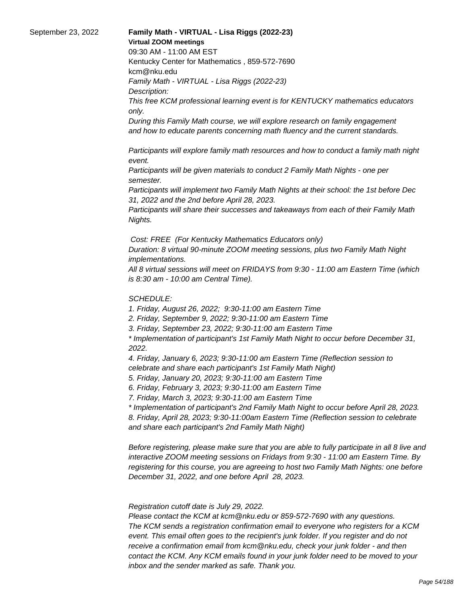#### September 23, 2022 **Family Math - VIRTUAL - Lisa Riggs (2022-23) Virtual ZOOM meetings**

09:30 AM - 11:00 AM EST

Kentucky Center for Mathematics , 859-572-7690 kcm@nku.edu Family Math - VIRTUAL - Lisa Riggs (2022-23)

Description:

This free KCM professional learning event is for KENTUCKY mathematics educators only.

During this Family Math course, we will explore research on family engagement and how to educate parents concerning math fluency and the current standards.

 Participants will explore family math resources and how to conduct a family math night event.

 Participants will be given materials to conduct 2 Family Math Nights - one per semester.

 Participants will implement two Family Math Nights at their school: the 1st before Dec 31, 2022 and the 2nd before April 28, 2023.

 Participants will share their successes and takeaways from each of their Family Math Nights.

Cost: FREE (For Kentucky Mathematics Educators only)

Duration: 8 virtual 90-minute ZOOM meeting sessions, plus two Family Math Night implementations.

All 8 virtual sessions will meet on FRIDAYS from 9:30 - 11:00 am Eastern Time (which is 8:30 am - 10:00 am Central Time).

# SCHEDULE:

1. Friday, August 26, 2022; 9:30-11:00 am Eastern Time

2. Friday, September 9, 2022; 9:30-11:00 am Eastern Time

3. Friday, September 23, 2022; 9:30-11:00 am Eastern Time

\* Implementation of participant's 1st Family Math Night to occur before December 31, 2022.

4. Friday, January 6, 2023; 9:30-11:00 am Eastern Time (Reflection session to celebrate and share each participant's 1st Family Math Night)

5. Friday, January 20, 2023; 9:30-11:00 am Eastern Time

6. Friday, February 3, 2023; 9:30-11:00 am Eastern Time

7. Friday, March 3, 2023; 9:30-11:00 am Eastern Time

\* Implementation of participant's 2nd Family Math Night to occur before April 28, 2023. 8. Friday, April 28, 2023; 9:30-11:00am Eastern Time (Reflection session to celebrate and share each participant's 2nd Family Math Night)

Before registering, please make sure that you are able to fully participate in all 8 live and interactive ZOOM meeting sessions on Fridays from 9:30 - 11:00 am Eastern Time. By registering for this course, you are agreeing to host two Family Math Nights: one before December 31, 2022, and one before April 28, 2023.

 Registration cutoff date is July 29, 2022.

 Please contact the KCM at kcm@nku.edu or 859-572-7690 with any questions. The KCM sends a registration confirmation email to everyone who registers for a KCM event. This email often goes to the recipient's junk folder. If you register and do not receive a confirmation email from kcm@nku.edu, check your junk folder - and then contact the KCM. Any KCM emails found in your junk folder need to be moved to your inbox and the sender marked as safe. Thank you.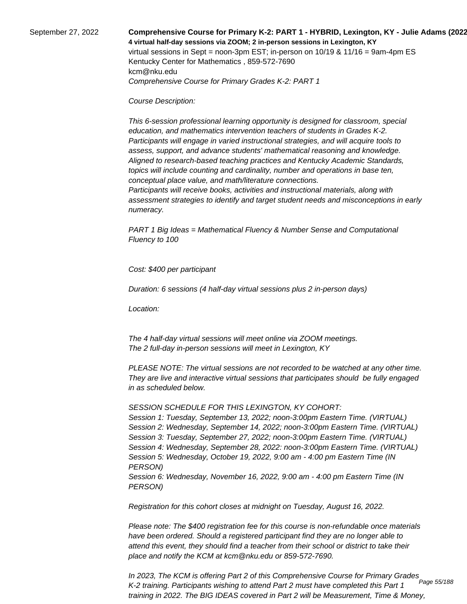September 27, 2022 **Comprehensive Course for Primary K-2: PART 1 - HYBRID, Lexington, KY - Julie Adams (2022-23) 4 virtual half-day sessions via ZOOM; 2 in-person sessions in Lexington, KY**  virtual sessions in Sept = noon-3pm EST; in-person on 10/19 & 11/16 = 9am-4pm ES Kentucky Center for Mathematics , 859-572-7690 kcm@nku.edu Comprehensive Course for Primary Grades K-2: PART 1

Course Description:

 This 6-session professional learning opportunity is designed for classroom, special education, and mathematics intervention teachers of students in Grades K-2. Participants will engage in varied instructional strategies, and will acquire tools to assess, support, and advance students' mathematical reasoning and knowledge. Aligned to research-based teaching practices and Kentucky Academic Standards, topics will include counting and cardinality, number and operations in base ten, conceptual place value, and math/literature connections.

 Participants will receive books, activities and instructional materials, along with assessment strategies to identify and target student needs and misconceptions in early numeracy.

PART 1 Big Ideas = Mathematical Fluency & Number Sense and Computational Fluency to 100

Cost: \$400 per participant

Duration: 6 sessions (4 half-day virtual sessions plus 2 in-person days)

Location:

 The 4 half-day virtual sessions will meet online via ZOOM meetings. The 2 full-day in-person sessions will meet in Lexington, KY

PLEASE NOTE: The virtual sessions are not recorded to be watched at any other time. They are live and interactive virtual sessions that participates should be fully engaged in as scheduled below.

SESSION SCHEDULE FOR THIS LEXINGTON, KY COHORT:

Session 1: Tuesday, September 13, 2022; noon-3:00pm Eastern Time. (VIRTUAL) Session 2: Wednesday, September 14, 2022; noon-3:00pm Eastern Time. (VIRTUAL) Session 3: Tuesday, September 27, 2022; noon-3:00pm Eastern Time. (VIRTUAL) Session 4: Wednesday, September 28, 2022: noon-3:00pm Eastern Time. (VIRTUAL) Session 5: Wednesday, October 19, 2022, 9:00 am - 4:00 pm Eastern Time (IN PERSON) Session 6: Wednesday, November 16, 2022, 9:00 am - 4:00 pm Eastern Time (IN PERSON)

Registration for this cohort closes at midnight on Tuesday, August 16, 2022.

Please note: The \$400 registration fee for this course is non-refundable once materials have been ordered. Should a registered participant find they are no longer able to attend this event, they should find a teacher from their school or district to take their place and notify the KCM at kcm@nku.edu or 859-572-7690.

In 2023, The KCM is offering Part 2 of this Comprehensive Course for Primary Grades K-2 training. Participants wishing to attend Part 2 must have completed this Part 1 training in 2022. The BIG IDEAS covered in Part 2 will be Measurement, Time & Money, Page 55/188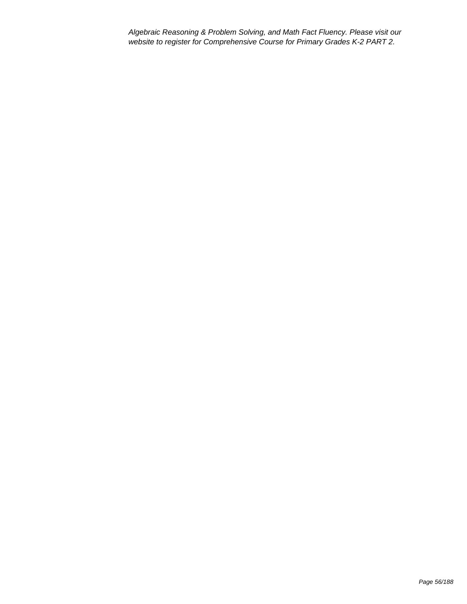Algebraic Reasoning & Problem Solving, and Math Fact Fluency. Please visit our website to register for Comprehensive Course for Primary Grades K-2 PART 2.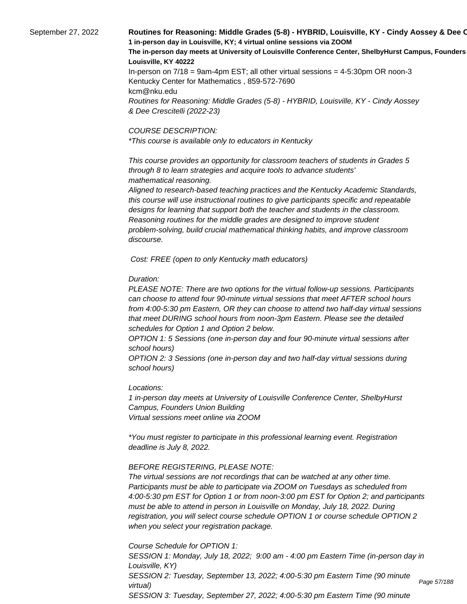# September 27, 2022 **Routines for Reasoning: Middle Grades (5-8) - HYBRID, Louisville, KY - Cindy Aossey & Dee C 1 in-person day in Louisville, KY; 4 virtual online sessions via ZOOM** The in-person day meets at University of Louisville Conference Center, ShelbyHurst Campus, Founders **Louisville, KY 40222** In-person on 7/18 = 9am-4pm EST; all other virtual sessions = 4-5:30pm OR noon-3

Kentucky Center for Mathematics , 859-572-7690 kcm@nku.edu Routines for Reasoning: Middle Grades (5-8) - HYBRID, Louisville, KY - Cindy Aossey & Dee Crescitelli (2022-23)

#### COURSE DESCRIPTION:

\*This course is available only to educators in Kentucky

 This course provides an opportunity for classroom teachers of students in Grades 5 through 8 to learn strategies and acquire tools to advance students' mathematical reasoning.

 Aligned to research-based teaching practices and the Kentucky Academic Standards, this course will use instructional routines to give participants specific and repeatable designs for learning that support both the teacher and students in the classroom. Reasoning routines for the middle grades are designed to improve student problem-solving, build crucial mathematical thinking habits, and improve classroom discourse.

Cost: FREE (open to only Kentucky math educators)

# Duration:

PLEASE NOTE: There are two options for the virtual follow-up sessions. Participants can choose to attend four 90-minute virtual sessions that meet AFTER school hours from 4:00-5:30 pm Eastern, OR they can choose to attend two half-day virtual sessions that meet DURING school hours from noon-3pm Eastern. Please see the detailed schedules for Option 1 and Option 2 below.

OPTION 1: 5 Sessions (one in-person day and four 90-minute virtual sessions after school hours)

OPTION 2: 3 Sessions (one in-person day and two half-day virtual sessions during school hours)

# Locations:

1 in-person day meets at University of Louisville Conference Center, ShelbyHurst Campus, Founders Union Building Virtual sessions meet online via ZOOM

\*You must register to participate in this professional learning event. Registration deadline is July 8, 2022.

# BEFORE REGISTERING, PLEASE NOTE:

The virtual sessions are not recordings that can be watched at any other time. Participants must be able to participate via ZOOM on Tuesdays as scheduled from 4:00-5:30 pm EST for Option 1 or from noon-3:00 pm EST for Option 2; and participants must be able to attend in person in Louisville on Monday, July 18, 2022. During registration, you will select course schedule OPTION 1 or course schedule OPTION 2 when you select your registration package.

Course Schedule for OPTION 1:

SESSION 1: Monday, July 18, 2022; 9:00 am - 4:00 pm Eastern Time (in-person day in Louisville, KY) SESSION 2: Tuesday, September 13, 2022; 4:00-5:30 pm Eastern Time (90 minute virtual) SESSION 3: Tuesday, September 27, 2022; 4:00-5:30 pm Eastern Time (90 minute

Page 57/188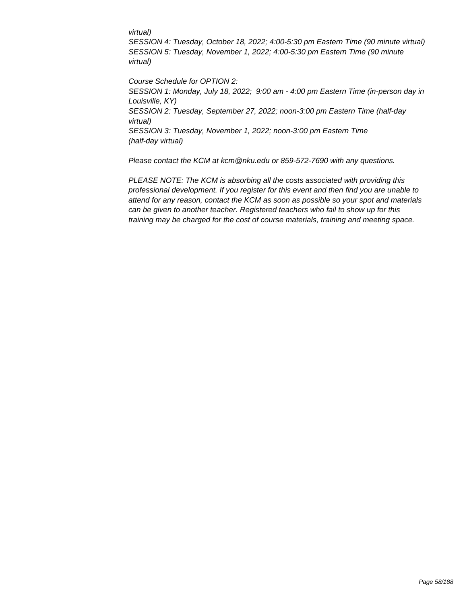#### virtual)

SESSION 4: Tuesday, October 18, 2022; 4:00-5:30 pm Eastern Time (90 minute virtual) SESSION 5: Tuesday, November 1, 2022; 4:00-5:30 pm Eastern Time (90 minute virtual)

Course Schedule for OPTION 2: SESSION 1: Monday, July 18, 2022; 9:00 am - 4:00 pm Eastern Time (in-person day in Louisville, KY) SESSION 2: Tuesday, September 27, 2022; noon-3:00 pm Eastern Time (half-day virtual) SESSION 3: Tuesday, November 1, 2022; noon-3:00 pm Eastern Time (half-day virtual)

Please contact the KCM at kcm@nku.edu or 859-572-7690 with any questions.

PLEASE NOTE: The KCM is absorbing all the costs associated with providing this professional development. If you register for this event and then find you are unable to attend for any reason, contact the KCM as soon as possible so your spot and materials can be given to another teacher. Registered teachers who fail to show up for this training may be charged for the cost of course materials, training and meeting space.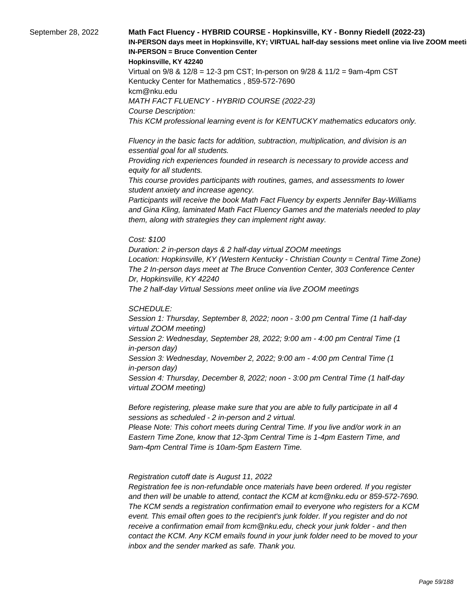# September 28, 2022 **Math Fact Fluency - HYBRID COURSE - Hopkinsville, KY - Bonny Riedell (2022-23)**  IN-PERSON days meet in Hopkinsville, KY; VIRTUAL half-day sessions meet online via live ZOOM meeti **IN-PERSON = Bruce Convention Center**

#### **Hopkinsville, KY 42240**

Virtual on 9/8 & 12/8 = 12-3 pm CST; In-person on 9/28 & 11/2 = 9am-4pm CST Kentucky Center for Mathematics , 859-572-7690 kcm@nku.edu MATH FACT FLUENCY - HYBRID COURSE (2022-23) Course Description: This KCM professional learning event is for KENTUCKY mathematics educators only.

 Fluency in the basic facts for addition, subtraction, multiplication, and division is an essential goal for all students.

 Providing rich experiences founded in research is necessary to provide access and equity for all students.

 This course provides participants with routines, games, and assessments to lower student anxiety and increase agency.

 Participants will receive the book Math Fact Fluency by experts Jennifer Bay-Williams and Gina Kling, laminated Math Fact Fluency Games and the materials needed to play them, along with strategies they can implement right away.

#### Cost: \$100

Duration: 2 in-person days & 2 half-day virtual ZOOM meetings Location: Hopkinsville, KY (Western Kentucky - Christian County = Central Time Zone) The 2 In-person days meet at The Bruce Convention Center, 303 Conference Center Dr, Hopkinsville, KY 42240 The 2 half-day Virtual Sessions meet online via live ZOOM meetings

#### SCHEDULE:

Session 1: Thursday, September 8, 2022; noon - 3:00 pm Central Time (1 half-day virtual ZOOM meeting) Session 2: Wednesday, September 28, 2022; 9:00 am - 4:00 pm Central Time (1 in-person day) Session 3: Wednesday, November 2, 2022; 9:00 am - 4:00 pm Central Time (1 in-person day) Session 4: Thursday, December 8, 2022; noon - 3:00 pm Central Time (1 half-day virtual ZOOM meeting)

Before registering, please make sure that you are able to fully participate in all 4 sessions as scheduled - 2 in-person and 2 virtual.

Please Note: This cohort meets during Central Time. If you live and/or work in an Eastern Time Zone, know that 12-3pm Central Time is 1-4pm Eastern Time, and 9am-4pm Central Time is 10am-5pm Eastern Time.

#### Registration cutoff date is August 11, 2022

 Registration fee is non-refundable once materials have been ordered. If you register and then will be unable to attend, contact the KCM at kcm@nku.edu or 859-572-7690. The KCM sends a registration confirmation email to everyone who registers for a KCM event. This email often goes to the recipient's junk folder. If you register and do not receive a confirmation email from kcm@nku.edu, check your junk folder - and then contact the KCM. Any KCM emails found in your junk folder need to be moved to your inbox and the sender marked as safe. Thank you.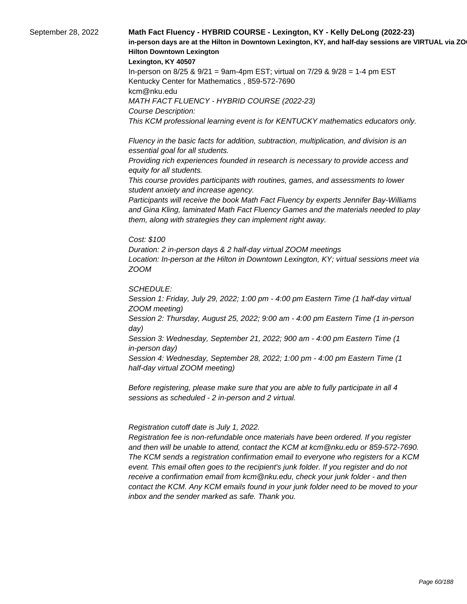# September 28, 2022 **Math Fact Fluency - HYBRID COURSE - Lexington, KY - Kelly DeLong (2022-23)**  in-person days are at the Hilton in Downtown Lexington, KY, and half-day sessions are VIRTUAL via ZO **Hilton Downtown Lexington**

#### **Lexington, KY 40507**

In-person on 8/25 & 9/21 = 9am-4pm EST; virtual on 7/29 & 9/28 = 1-4 pm EST Kentucky Center for Mathematics , 859-572-7690 kcm@nku.edu MATH FACT FLUENCY - HYBRID COURSE (2022-23) Course Description: This KCM professional learning event is for KENTUCKY mathematics educators only.

 Fluency in the basic facts for addition, subtraction, multiplication, and division is an essential goal for all students.

 Providing rich experiences founded in research is necessary to provide access and equity for all students.

 This course provides participants with routines, games, and assessments to lower student anxiety and increase agency.

 Participants will receive the book Math Fact Fluency by experts Jennifer Bay-Williams and Gina Kling, laminated Math Fact Fluency Games and the materials needed to play them, along with strategies they can implement right away.

#### Cost: \$100

Duration: 2 in-person days & 2 half-day virtual ZOOM meetings Location: In-person at the Hilton in Downtown Lexington, KY; virtual sessions meet via ZOOM

SCHEDULE:

Session 1: Friday, July 29, 2022; 1:00 pm - 4:00 pm Eastern Time (1 half-day virtual ZOOM meeting)

Session 2: Thursday, August 25, 2022; 9:00 am - 4:00 pm Eastern Time (1 in-person day)

Session 3: Wednesday, September 21, 2022; 900 am - 4:00 pm Eastern Time (1 in-person day)

Session 4: Wednesday, September 28, 2022; 1:00 pm - 4:00 pm Eastern Time (1 half-day virtual ZOOM meeting)

Before registering, please make sure that you are able to fully participate in all 4 sessions as scheduled - 2 in-person and 2 virtual.

#### Registration cutoff date is July 1, 2022.

 Registration fee is non-refundable once materials have been ordered. If you register and then will be unable to attend, contact the KCM at kcm@nku.edu or 859-572-7690. The KCM sends a registration confirmation email to everyone who registers for a KCM event. This email often goes to the recipient's junk folder. If you register and do not receive a confirmation email from kcm@nku.edu, check your junk folder - and then contact the KCM. Any KCM emails found in your junk folder need to be moved to your inbox and the sender marked as safe. Thank you.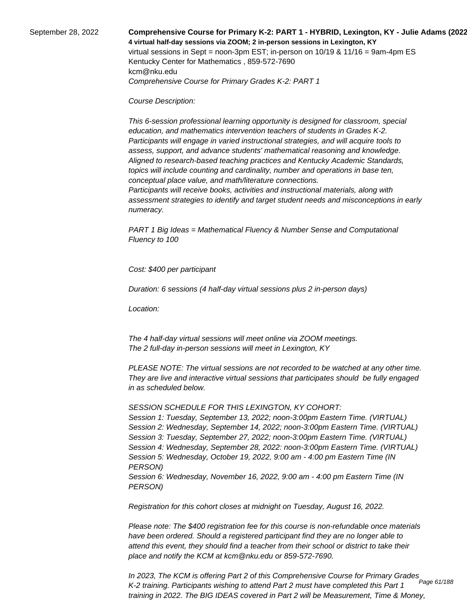September 28, 2022 **Comprehensive Course for Primary K-2: PART 1 - HYBRID, Lexington, KY - Julie Adams (2022-23) 4 virtual half-day sessions via ZOOM; 2 in-person sessions in Lexington, KY**  virtual sessions in Sept = noon-3pm EST; in-person on 10/19 & 11/16 = 9am-4pm ES Kentucky Center for Mathematics , 859-572-7690 kcm@nku.edu Comprehensive Course for Primary Grades K-2: PART 1

Course Description:

 This 6-session professional learning opportunity is designed for classroom, special education, and mathematics intervention teachers of students in Grades K-2. Participants will engage in varied instructional strategies, and will acquire tools to assess, support, and advance students' mathematical reasoning and knowledge. Aligned to research-based teaching practices and Kentucky Academic Standards, topics will include counting and cardinality, number and operations in base ten, conceptual place value, and math/literature connections.

 Participants will receive books, activities and instructional materials, along with assessment strategies to identify and target student needs and misconceptions in early numeracy.

PART 1 Big Ideas = Mathematical Fluency & Number Sense and Computational Fluency to 100

Cost: \$400 per participant

Duration: 6 sessions (4 half-day virtual sessions plus 2 in-person days)

Location:

 The 4 half-day virtual sessions will meet online via ZOOM meetings. The 2 full-day in-person sessions will meet in Lexington, KY

PLEASE NOTE: The virtual sessions are not recorded to be watched at any other time. They are live and interactive virtual sessions that participates should be fully engaged in as scheduled below.

SESSION SCHEDULE FOR THIS LEXINGTON, KY COHORT:

Session 1: Tuesday, September 13, 2022; noon-3:00pm Eastern Time. (VIRTUAL) Session 2: Wednesday, September 14, 2022; noon-3:00pm Eastern Time. (VIRTUAL) Session 3: Tuesday, September 27, 2022; noon-3:00pm Eastern Time. (VIRTUAL) Session 4: Wednesday, September 28, 2022: noon-3:00pm Eastern Time. (VIRTUAL) Session 5: Wednesday, October 19, 2022, 9:00 am - 4:00 pm Eastern Time (IN PERSON) Session 6: Wednesday, November 16, 2022, 9:00 am - 4:00 pm Eastern Time (IN PERSON)

Registration for this cohort closes at midnight on Tuesday, August 16, 2022.

Please note: The \$400 registration fee for this course is non-refundable once materials have been ordered. Should a registered participant find they are no longer able to attend this event, they should find a teacher from their school or district to take their place and notify the KCM at kcm@nku.edu or 859-572-7690.

In 2023, The KCM is offering Part 2 of this Comprehensive Course for Primary Grades K-2 training. Participants wishing to attend Part 2 must have completed this Part 1 training in 2022. The BIG IDEAS covered in Part 2 will be Measurement, Time & Money, Page 61/188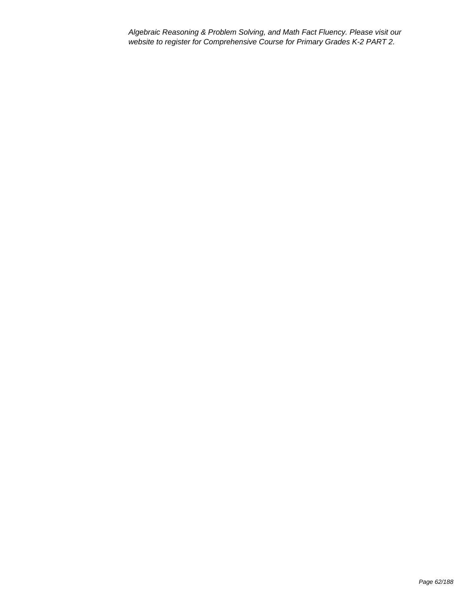Algebraic Reasoning & Problem Solving, and Math Fact Fluency. Please visit our website to register for Comprehensive Course for Primary Grades K-2 PART 2.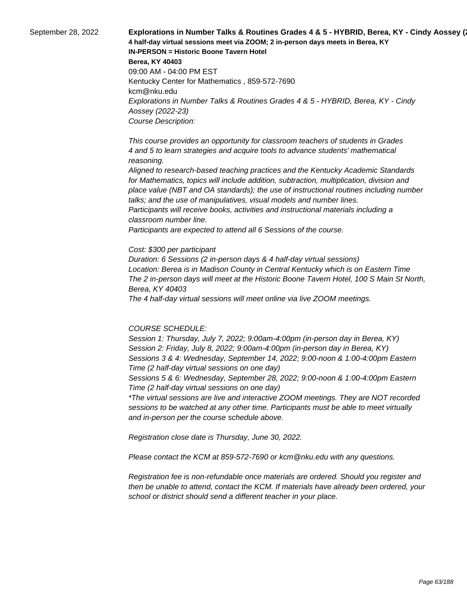September 28, 2022 **Explorations in Number Talks & Routines Grades 4 & 5 - HYBRID, Berea, KY - Cindy Aossey (**23) **4 half-day virtual sessions meet via ZOOM; 2 in-person days meets in Berea, KY IN-PERSON = Historic Boone Tavern Hotel Berea, KY 40403** 09:00 AM - 04:00 PM EST Kentucky Center for Mathematics , 859-572-7690 kcm@nku.edu Explorations in Number Talks & Routines Grades 4 & 5 - HYBRID, Berea, KY - Cindy Aossey (2022-23) Course Description:

> This course provides an opportunity for classroom teachers of students in Grades 4 and 5 to learn strategies and acquire tools to advance students' mathematical reasoning.

 Aligned to research-based teaching practices and the Kentucky Academic Standards for Mathematics, topics will include addition, subtraction, multiplication, division and place value (NBT and OA standards); the use of instructional routines including number talks; and the use of manipulatives, visual models and number lines. Participants will receive books, activities and instructional materials including a classroom number line.

 Participants are expected to attend all 6 Sessions of the course.

#### Cost: \$300 per participant

Duration: 6 Sessions (2 in-person days & 4 half-day virtual sessions) Location: Berea is in Madison County in Central Kentucky which is on Eastern Time The 2 in-person days will meet at the Historic Boone Tavern Hotel, 100 S Main St North, Berea, KY 40403

The 4 half-day virtual sessions will meet online via live ZOOM meetings.

#### COURSE SCHEDULE:

Session 1: Thursday, July 7, 2022; 9:00am-4:00pm (in-person day in Berea, KY) Session 2: Friday, July 8, 2022; 9:00am-4:00pm (in-person day in Berea, KY) Sessions 3 & 4: Wednesday, September 14, 2022; 9:00-noon & 1:00-4:00pm Eastern Time (2 half-day virtual sessions on one day)

Sessions 5 & 6: Wednesday, September 28, 2022; 9:00-noon & 1:00-4:00pm Eastern Time (2 half-day virtual sessions on one day)

\*The virtual sessions are live and interactive ZOOM meetings. They are NOT recorded sessions to be watched at any other time. Participants must be able to meet virtually and in-person per the course schedule above.

Registration close date is Thursday, June 30, 2022.

Please contact the KCM at 859-572-7690 or kcm@nku.edu with any questions.

Registration fee is non-refundable once materials are ordered. Should you register and then be unable to attend, contact the KCM. If materials have already been ordered, your school or district should send a different teacher in your place.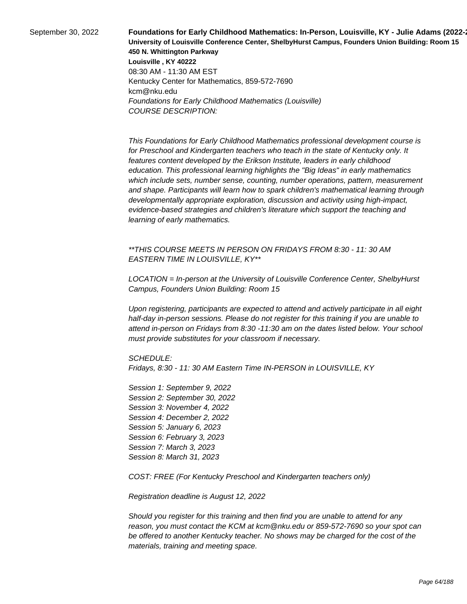September 30, 2022 **Foundations for Early Childhood Mathematics: In-Person, Louisville, KY - Julie Adams (2022-23) University of Louisville Conference Center, ShelbyHurst Campus, Founders Union Building: Room 15 450 N. Whittington Parkway Louisville , KY 40222** 08:30 AM - 11:30 AM EST Kentucky Center for Mathematics, 859-572-7690 kcm@nku.edu Foundations for Early Childhood Mathematics (Louisville) COURSE DESCRIPTION:

> This Foundations for Early Childhood Mathematics professional development course is for Preschool and Kindergarten teachers who teach in the state of Kentucky only. It features content developed by the Erikson Institute, leaders in early childhood education. This professional learning highlights the "Big Ideas" in early mathematics which include sets, number sense, counting, number operations, pattern, measurement and shape. Participants will learn how to spark children's mathematical learning through developmentally appropriate exploration, discussion and activity using high-impact, evidence-based strategies and children's literature which support the teaching and learning of early mathematics.

\*\*THIS COURSE MEETS IN PERSON ON FRIDAYS FROM 8:30 - 11: 30 AM EASTERN TIME IN LOUISVILLE, KY\*\*

LOCATION = In-person at the University of Louisville Conference Center, ShelbyHurst Campus, Founders Union Building: Room 15

Upon registering, participants are expected to attend and actively participate in all eight half-day in-person sessions. Please do not register for this training if you are unable to attend in-person on Fridays from 8:30 -11:30 am on the dates listed below. Your school must provide substitutes for your classroom if necessary.

SCHEDULE:

Fridays, 8:30 - 11: 30 AM Eastern Time IN-PERSON in LOUISVILLE, KY

Session 1: September 9, 2022 Session 2: September 30, 2022 Session 3: November 4, 2022 Session 4: December 2, 2022 Session 5: January 6, 2023 Session 6: February 3, 2023 Session 7: March 3, 2023 Session 8: March 31, 2023

COST: FREE (For Kentucky Preschool and Kindergarten teachers only)

Registration deadline is August 12, 2022

Should you register for this training and then find you are unable to attend for any reason, you must contact the KCM at kcm@nku.edu or 859-572-7690 so your spot can be offered to another Kentucky teacher. No shows may be charged for the cost of the materials, training and meeting space.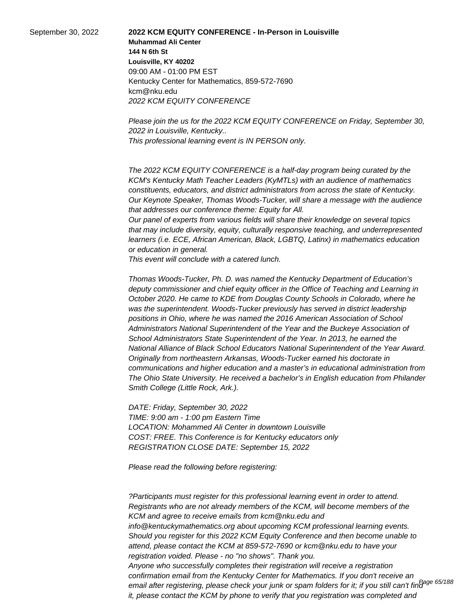September 30, 2022 **2022 KCM EQUITY CONFERENCE - In-Person in Louisville Muhammad Ali Center 144 N 6th St Louisville, KY 40202** 09:00 AM - 01:00 PM EST Kentucky Center for Mathematics, 859-572-7690 kcm@nku.edu 2022 KCM EQUITY CONFERENCE

> Please join the us for the 2022 KCM EQUITY CONFERENCE on Friday, September 30, 2022 in Louisville, Kentucky.. This professional learning event is IN PERSON only.

> The 2022 KCM EQUITY CONFERENCE is a half-day program being curated by the KCM's Kentucky Math Teacher Leaders (KyMTLs) with an audience of mathematics constituents, educators, and district administrators from across the state of Kentucky. Our Keynote Speaker, Thomas Woods-Tucker, will share a message with the audience that addresses our conference theme: Equity for All.

> Our panel of experts from various fields will share their knowledge on several topics that may include diversity, equity, culturally responsive teaching, and underrepresented learners (i.e. ECE, African American, Black, LGBTQ, Latinx) in mathematics education or education in general.

 This event will conclude with a catered lunch.

Thomas Woods-Tucker, Ph. D. was named the Kentucky Department of Education's deputy commissioner and chief equity officer in the Office of Teaching and Learning in October 2020. He came to KDE from Douglas County Schools in Colorado, where he was the superintendent. Woods-Tucker previously has served in district leadership positions in Ohio, where he was named the 2016 American Association of School Administrators National Superintendent of the Year and the Buckeye Association of School Administrators State Superintendent of the Year. In 2013, he earned the National Alliance of Black School Educators National Superintendent of the Year Award. Originally from northeastern Arkansas, Woods-Tucker earned his doctorate in communications and higher education and a master's in educational administration from The Ohio State University. He received a bachelor's in English education from Philander Smith College (Little Rock, Ark.).

DATE: Friday, September 30, 2022 TIME: 9:00 am - 1:00 pm Eastern Time LOCATION: Mohammed Ali Center in downtown Louisville COST: FREE. This Conference is for Kentucky educators only REGISTRATION CLOSE DATE: September 15, 2022

Please read the following before registering:

 ?Participants must register for this professional learning event in order to attend. Registrants who are not already members of the KCM, will become members of the KCM and agree to receive emails from kcm@nku.edu and info@kentuckymathematics.org about upcoming KCM professional learning events. Should you register for this 2022 KCM Equity Conference and then become unable to attend, please contact the KCM at 859-572-7690 or kcm@nku.edu to have your registration voided. Please - no "no shows". Thank you. Anyone who successfully completes their registration will receive a registration confirmation email from the Kentucky Center for Mathematics. If you don't receive an email after registering, please check your junk or spam folders for it; if you still can't find<sup>Page 65/188</sup> it, please contact the KCM by phone to verify that you registration was completed and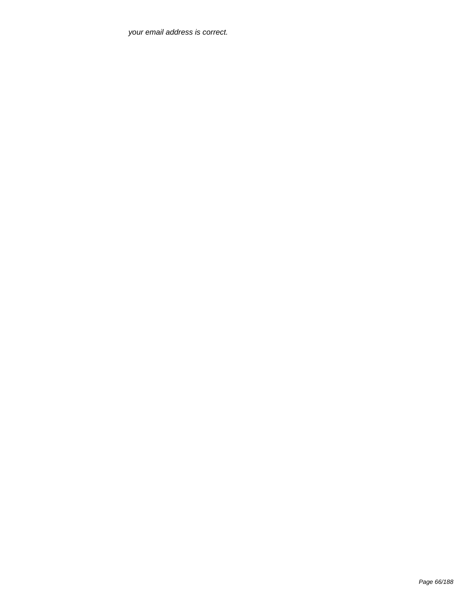your email address is correct.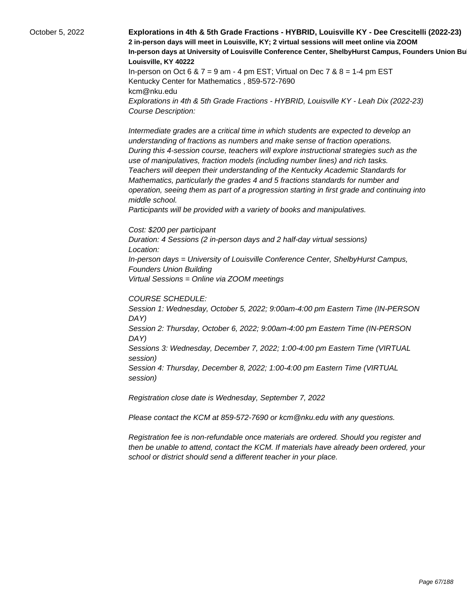October 5, 2022 **Explorations in 4th & 5th Grade Fractions - HYBRID, Louisville KY - Dee Crescitelli (2022-23) 2 in-person days will meet in Louisville, KY; 2 virtual sessions will meet online via ZOOM In-person days at University of Louisville Conference Center, ShelbyHurst Campus, Founders Union Bu Louisville, KY 40222** In-person on Oct 6 &  $7 = 9$  am - 4 pm EST; Virtual on Dec  $7$  &  $8 = 1-4$  pm EST Kentucky Center for Mathematics , 859-572-7690 kcm@nku.edu Explorations in 4th & 5th Grade Fractions - HYBRID, Louisville KY - Leah Dix (2022-23) Course Description: Intermediate grades are a critical time in which students are expected to develop an understanding of fractions as numbers and make sense of fraction operations. During this 4-session course, teachers will explore instructional strategies such as the use of manipulatives, fraction models (including number lines) and rich tasks. Teachers will deepen their understanding of the Kentucky Academic Standards for Mathematics, particularly the grades 4 and 5 fractions standards for number and operation, seeing them as part of a progression starting in first grade and continuing into middle school. Participants will be provided with a variety of books and manipulatives. Cost: \$200 per participant Duration: 4 Sessions (2 in-person days and 2 half-day virtual sessions) Location: In-person days = University of Louisville Conference Center, ShelbyHurst Campus, Founders Union Building Virtual Sessions = Online via ZOOM meetings COURSE SCHEDULE:

Session 1: Wednesday, October 5, 2022; 9:00am-4:00 pm Eastern Time (IN-PERSON DAY) Session 2: Thursday, October 6, 2022; 9:00am-4:00 pm Eastern Time (IN-PERSON DAY) Sessions 3: Wednesday, December 7, 2022; 1:00-4:00 pm Eastern Time (VIRTUAL session) Session 4: Thursday, December 8, 2022; 1:00-4:00 pm Eastern Time (VIRTUAL session)

Registration close date is Wednesday, September 7, 2022

Please contact the KCM at 859-572-7690 or kcm@nku.edu with any questions.

Registration fee is non-refundable once materials are ordered. Should you register and then be unable to attend, contact the KCM. If materials have already been ordered, your school or district should send a different teacher in your place.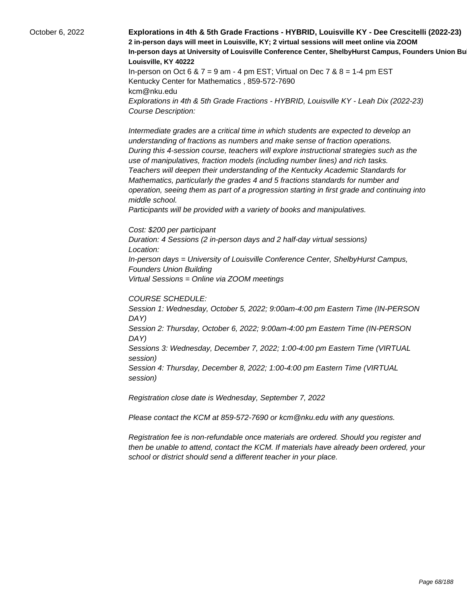October 6, 2022 **Explorations in 4th & 5th Grade Fractions - HYBRID, Louisville KY - Dee Crescitelli (2022-23) 2 in-person days will meet in Louisville, KY; 2 virtual sessions will meet online via ZOOM In-person days at University of Louisville Conference Center, ShelbyHurst Campus, Founders Union Bu Louisville, KY 40222** In-person on Oct 6 &  $7 = 9$  am - 4 pm EST; Virtual on Dec  $7$  &  $8 = 1-4$  pm EST Kentucky Center for Mathematics , 859-572-7690 kcm@nku.edu Explorations in 4th & 5th Grade Fractions - HYBRID, Louisville KY - Leah Dix (2022-23) Course Description: Intermediate grades are a critical time in which students are expected to develop an understanding of fractions as numbers and make sense of fraction operations. During this 4-session course, teachers will explore instructional strategies such as the use of manipulatives, fraction models (including number lines) and rich tasks. Teachers will deepen their understanding of the Kentucky Academic Standards for Mathematics, particularly the grades 4 and 5 fractions standards for number and operation, seeing them as part of a progression starting in first grade and continuing into middle school. Participants will be provided with a variety of books and manipulatives. Cost: \$200 per participant Duration: 4 Sessions (2 in-person days and 2 half-day virtual sessions) Location:

In-person days = University of Louisville Conference Center, ShelbyHurst Campus, Founders Union Building

Virtual Sessions = Online via ZOOM meetings

### COURSE SCHEDULE:

Session 1: Wednesday, October 5, 2022; 9:00am-4:00 pm Eastern Time (IN-PERSON DAY) Session 2: Thursday, October 6, 2022; 9:00am-4:00 pm Eastern Time (IN-PERSON DAY) Sessions 3: Wednesday, December 7, 2022; 1:00-4:00 pm Eastern Time (VIRTUAL session) Session 4: Thursday, December 8, 2022; 1:00-4:00 pm Eastern Time (VIRTUAL session)

Registration close date is Wednesday, September 7, 2022

Please contact the KCM at 859-572-7690 or kcm@nku.edu with any questions.

Registration fee is non-refundable once materials are ordered. Should you register and then be unable to attend, contact the KCM. If materials have already been ordered, your school or district should send a different teacher in your place.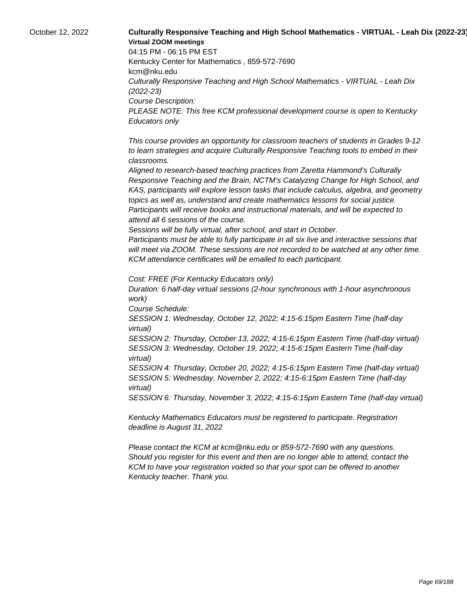# October 12, 2022 **Culturally Responsive Teaching and High School Mathematics - VIRTUAL - Leah Dix (2022-23) Virtual ZOOM meetings**

04:15 PM - 06:15 PM EST Kentucky Center for Mathematics , 859-572-7690 kcm@nku.edu Culturally Responsive Teaching and High School Mathematics - VIRTUAL - Leah Dix (2022-23) Course Description: PLEASE NOTE: This free KCM professional development course is open to Kentucky Educators only

 This course provides an opportunity for classroom teachers of students in Grades 9-12 to learn strategies and acquire Culturally Responsive Teaching tools to embed in their classrooms.

 Aligned to research-based teaching practices from Zaretta Hammond's Culturally Responsive Teaching and the Brain, NCTM's Catalyzing Change for High School, and KAS, participants will explore lesson tasks that include calculus, algebra, and geometry topics as well as, understand and create mathematics lessons for social justice. Participants will receive books and instructional materials, and will be expected to attend all 6 sessions of the course.

 Sessions will be fully virtual, after school, and start in October.

 Participants must be able to fully participate in all six live and interactive sessions that will meet via ZOOM. These sessions are not recorded to be watched at any other time. KCM attendance certificates will be emailed to each participant.

Cost: FREE (For Kentucky Educators only)

Duration: 6 half-day virtual sessions (2-hour synchronous with 1-hour asynchronous work)

Course Schedule:

SESSION 1: Wednesday, October 12, 2022; 4:15-6:15pm Eastern Time (half-day virtual)

SESSION 2: Thursday, October 13, 2022; 4:15-6:15pm Eastern Time (half-day virtual) SESSION 3: Wednesday, October 19, 2022; 4:15-6:15pm Eastern Time (half-day virtual)

SESSION 4: Thursday, October 20, 2022; 4:15-6:15pm Eastern Time (half-day virtual) SESSION 5: Wednesday, November 2, 2022; 4:15-6:15pm Eastern Time (half-day virtual)

SESSION 6: Thursday, November 3, 2022; 4:15-6:15pm Eastern Time (half-day virtual)

Kentucky Mathematics Educators must be registered to participate. Registration deadline is August 31, 2022

Please contact the KCM at kcm@nku.edu or 859-572-7690 with any questions. Should you register for this event and then are no longer able to attend, contact the KCM to have your registration voided so that your spot can be offered to another Kentucky teacher. Thank you.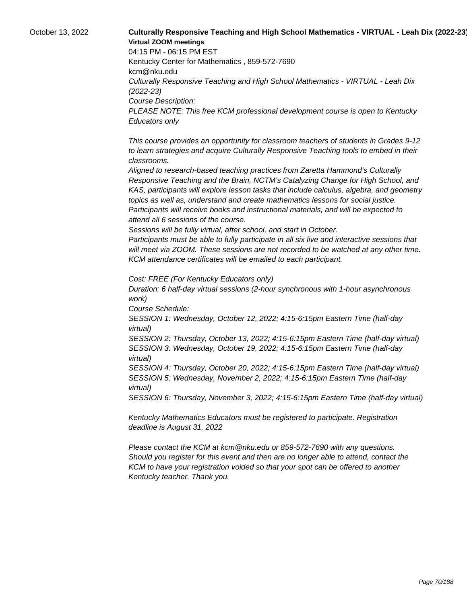# October 13, 2022 **Culturally Responsive Teaching and High School Mathematics - VIRTUAL - Leah Dix (2022-23) Virtual ZOOM meetings**

04:15 PM - 06:15 PM EST Kentucky Center for Mathematics , 859-572-7690 kcm@nku.edu Culturally Responsive Teaching and High School Mathematics - VIRTUAL - Leah Dix (2022-23) Course Description: PLEASE NOTE: This free KCM professional development course is open to Kentucky Educators only

 This course provides an opportunity for classroom teachers of students in Grades 9-12 to learn strategies and acquire Culturally Responsive Teaching tools to embed in their classrooms.

 Aligned to research-based teaching practices from Zaretta Hammond's Culturally Responsive Teaching and the Brain, NCTM's Catalyzing Change for High School, and KAS, participants will explore lesson tasks that include calculus, algebra, and geometry topics as well as, understand and create mathematics lessons for social justice. Participants will receive books and instructional materials, and will be expected to attend all 6 sessions of the course.

 Sessions will be fully virtual, after school, and start in October.

 Participants must be able to fully participate in all six live and interactive sessions that will meet via ZOOM. These sessions are not recorded to be watched at any other time. KCM attendance certificates will be emailed to each participant.

Cost: FREE (For Kentucky Educators only)

Duration: 6 half-day virtual sessions (2-hour synchronous with 1-hour asynchronous work)

Course Schedule:

SESSION 1: Wednesday, October 12, 2022; 4:15-6:15pm Eastern Time (half-day virtual)

SESSION 2: Thursday, October 13, 2022; 4:15-6:15pm Eastern Time (half-day virtual) SESSION 3: Wednesday, October 19, 2022; 4:15-6:15pm Eastern Time (half-day virtual)

SESSION 4: Thursday, October 20, 2022; 4:15-6:15pm Eastern Time (half-day virtual) SESSION 5: Wednesday, November 2, 2022; 4:15-6:15pm Eastern Time (half-day virtual)

SESSION 6: Thursday, November 3, 2022; 4:15-6:15pm Eastern Time (half-day virtual)

Kentucky Mathematics Educators must be registered to participate. Registration deadline is August 31, 2022

Please contact the KCM at kcm@nku.edu or 859-572-7690 with any questions. Should you register for this event and then are no longer able to attend, contact the KCM to have your registration voided so that your spot can be offered to another Kentucky teacher. Thank you.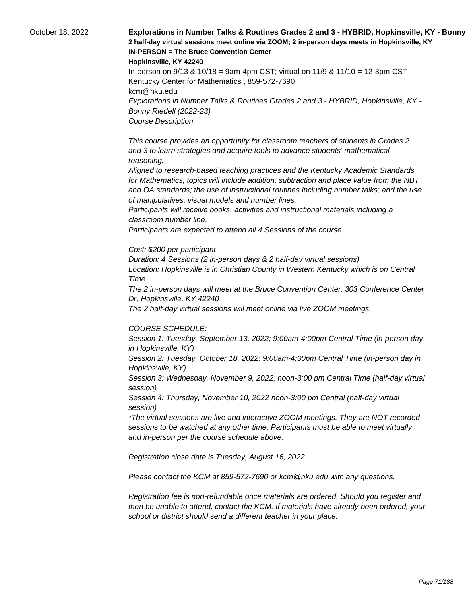October 18, 2022 **Explorations in Number Talks & Routines Grades 2 and 3 - HYBRID, Hopkinsville, KY - Bonny 2 half-day virtual sessions meet online via ZOOM; 2 in-person days meets in Hopkinsville, KY IN-PERSON = The Bruce Convention Center** 

**Hopkinsville, KY 42240**

In-person on 9/13 & 10/18 = 9am-4pm CST; virtual on 11/9 & 11/10 = 12-3pm CST Kentucky Center for Mathematics , 859-572-7690 kcm@nku.edu Explorations in Number Talks & Routines Grades 2 and 3 - HYBRID, Hopkinsville, KY - Bonny Riedell (2022-23) Course Description:

 This course provides an opportunity for classroom teachers of students in Grades 2 and 3 to learn strategies and acquire tools to advance students' mathematical reasoning.

 Aligned to research-based teaching practices and the Kentucky Academic Standards for Mathematics, topics will include addition, subtraction and place value from the NBT and OA standards; the use of instructional routines including number talks; and the use of manipulatives, visual models and number lines.

 Participants will receive books, activities and instructional materials including a classroom number line.

 Participants are expected to attend all 4 Sessions of the course.

#### Cost: \$200 per participant

Duration: 4 Sessions (2 in-person days & 2 half-day virtual sessions) Location: Hopkinsville is in Christian County in Western Kentucky which is on Central Time

The 2 in-person days will meet at the Bruce Convention Center, 303 Conference Center Dr, Hopkinsville, KY 42240

The 2 half-day virtual sessions will meet online via live ZOOM meetings.

#### COURSE SCHEDULE:

Session 1: Tuesday, September 13, 2022; 9:00am-4:00pm Central Time (in-person day in Hopkinsville, KY)

Session 2: Tuesday, October 18, 2022; 9:00am-4:00pm Central Time (in-person day in Hopkinsville, KY)

Session 3: Wednesday, November 9, 2022; noon-3:00 pm Central Time (half-day virtual session)

Session 4: Thursday, November 10, 2022 noon-3:00 pm Central (half-day virtual session)

\*The virtual sessions are live and interactive ZOOM meetings. They are NOT recorded sessions to be watched at any other time. Participants must be able to meet virtually and in-person per the course schedule above.

Registration close date is Tuesday, August 16, 2022.

Please contact the KCM at 859-572-7690 or kcm@nku.edu with any questions.

Registration fee is non-refundable once materials are ordered. Should you register and then be unable to attend, contact the KCM. If materials have already been ordered, your school or district should send a different teacher in your place.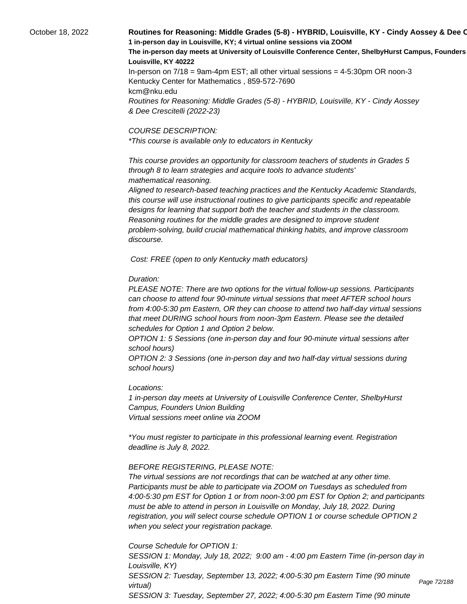# October 18, 2022 **Routines for Reasoning: Middle Grades (5-8) - HYBRID, Louisville, KY - Cindy Aossey & Dee Crescitelli (2022-23) 1 in-person day in Louisville, KY; 4 virtual online sessions via ZOOM** The in-person day meets at University of Louisville Conference Center, ShelbyHurst Campus, Founders **Louisville, KY 40222** In-person on 7/18 = 9am-4pm EST; all other virtual sessions = 4-5:30pm OR noon-3

Kentucky Center for Mathematics , 859-572-7690 kcm@nku.edu Routines for Reasoning: Middle Grades (5-8) - HYBRID, Louisville, KY - Cindy Aossey & Dee Crescitelli (2022-23)

#### COURSE DESCRIPTION:

\*This course is available only to educators in Kentucky

 This course provides an opportunity for classroom teachers of students in Grades 5 through 8 to learn strategies and acquire tools to advance students' mathematical reasoning.

 Aligned to research-based teaching practices and the Kentucky Academic Standards, this course will use instructional routines to give participants specific and repeatable designs for learning that support both the teacher and students in the classroom. Reasoning routines for the middle grades are designed to improve student problem-solving, build crucial mathematical thinking habits, and improve classroom discourse.

Cost: FREE (open to only Kentucky math educators)

#### Duration:

PLEASE NOTE: There are two options for the virtual follow-up sessions. Participants can choose to attend four 90-minute virtual sessions that meet AFTER school hours from 4:00-5:30 pm Eastern, OR they can choose to attend two half-day virtual sessions that meet DURING school hours from noon-3pm Eastern. Please see the detailed schedules for Option 1 and Option 2 below.

OPTION 1: 5 Sessions (one in-person day and four 90-minute virtual sessions after school hours)

OPTION 2: 3 Sessions (one in-person day and two half-day virtual sessions during school hours)

#### Locations:

1 in-person day meets at University of Louisville Conference Center, ShelbyHurst Campus, Founders Union Building Virtual sessions meet online via ZOOM

\*You must register to participate in this professional learning event. Registration deadline is July 8, 2022.

#### BEFORE REGISTERING, PLEASE NOTE:

The virtual sessions are not recordings that can be watched at any other time. Participants must be able to participate via ZOOM on Tuesdays as scheduled from 4:00-5:30 pm EST for Option 1 or from noon-3:00 pm EST for Option 2; and participants must be able to attend in person in Louisville on Monday, July 18, 2022. During registration, you will select course schedule OPTION 1 or course schedule OPTION 2 when you select your registration package.

Course Schedule for OPTION 1:

SESSION 1: Monday, July 18, 2022; 9:00 am - 4:00 pm Eastern Time (in-person day in Louisville, KY) SESSION 2: Tuesday, September 13, 2022; 4:00-5:30 pm Eastern Time (90 minute virtual) SESSION 3: Tuesday, September 27, 2022; 4:00-5:30 pm Eastern Time (90 minute

Page 72/188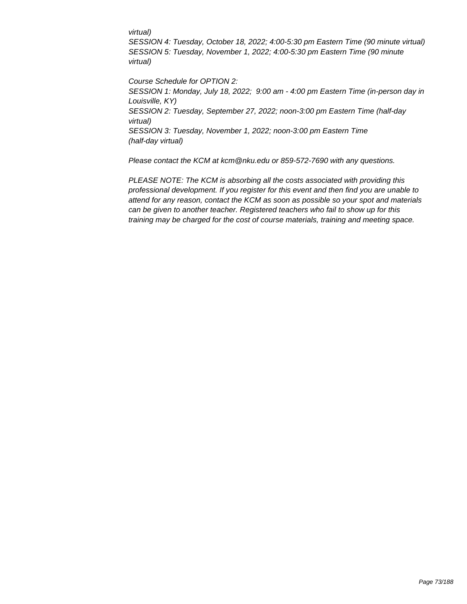### virtual)

SESSION 4: Tuesday, October 18, 2022; 4:00-5:30 pm Eastern Time (90 minute virtual) SESSION 5: Tuesday, November 1, 2022; 4:00-5:30 pm Eastern Time (90 minute virtual)

Course Schedule for OPTION 2: SESSION 1: Monday, July 18, 2022; 9:00 am - 4:00 pm Eastern Time (in-person day in Louisville, KY) SESSION 2: Tuesday, September 27, 2022; noon-3:00 pm Eastern Time (half-day virtual) SESSION 3: Tuesday, November 1, 2022; noon-3:00 pm Eastern Time (half-day virtual)

Please contact the KCM at kcm@nku.edu or 859-572-7690 with any questions.

PLEASE NOTE: The KCM is absorbing all the costs associated with providing this professional development. If you register for this event and then find you are unable to attend for any reason, contact the KCM as soon as possible so your spot and materials can be given to another teacher. Registered teachers who fail to show up for this training may be charged for the cost of course materials, training and meeting space.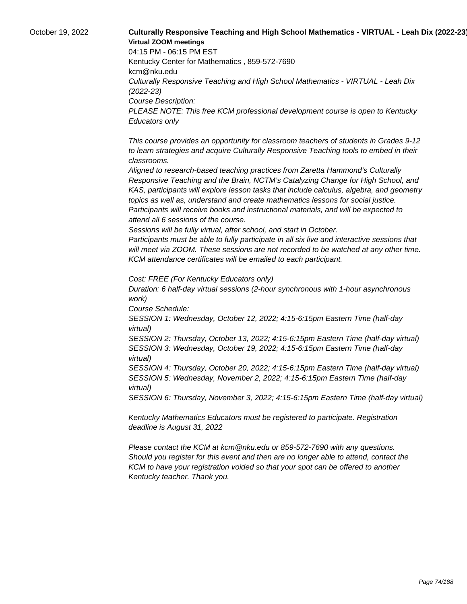# October 19, 2022 **Culturally Responsive Teaching and High School Mathematics - VIRTUAL - Leah Dix (2022-23) Virtual ZOOM meetings**

04:15 PM - 06:15 PM EST Kentucky Center for Mathematics , 859-572-7690 kcm@nku.edu Culturally Responsive Teaching and High School Mathematics - VIRTUAL - Leah Dix (2022-23) Course Description: PLEASE NOTE: This free KCM professional development course is open to Kentucky Educators only

 This course provides an opportunity for classroom teachers of students in Grades 9-12 to learn strategies and acquire Culturally Responsive Teaching tools to embed in their classrooms.

 Aligned to research-based teaching practices from Zaretta Hammond's Culturally Responsive Teaching and the Brain, NCTM's Catalyzing Change for High School, and KAS, participants will explore lesson tasks that include calculus, algebra, and geometry topics as well as, understand and create mathematics lessons for social justice. Participants will receive books and instructional materials, and will be expected to attend all 6 sessions of the course.

 Sessions will be fully virtual, after school, and start in October.

 Participants must be able to fully participate in all six live and interactive sessions that will meet via ZOOM. These sessions are not recorded to be watched at any other time. KCM attendance certificates will be emailed to each participant.

Cost: FREE (For Kentucky Educators only)

Duration: 6 half-day virtual sessions (2-hour synchronous with 1-hour asynchronous work)

Course Schedule:

SESSION 1: Wednesday, October 12, 2022; 4:15-6:15pm Eastern Time (half-day virtual)

SESSION 2: Thursday, October 13, 2022; 4:15-6:15pm Eastern Time (half-day virtual) SESSION 3: Wednesday, October 19, 2022; 4:15-6:15pm Eastern Time (half-day virtual)

SESSION 4: Thursday, October 20, 2022; 4:15-6:15pm Eastern Time (half-day virtual) SESSION 5: Wednesday, November 2, 2022; 4:15-6:15pm Eastern Time (half-day virtual)

SESSION 6: Thursday, November 3, 2022; 4:15-6:15pm Eastern Time (half-day virtual)

Kentucky Mathematics Educators must be registered to participate. Registration deadline is August 31, 2022

Please contact the KCM at kcm@nku.edu or 859-572-7690 with any questions. Should you register for this event and then are no longer able to attend, contact the KCM to have your registration voided so that your spot can be offered to another Kentucky teacher. Thank you.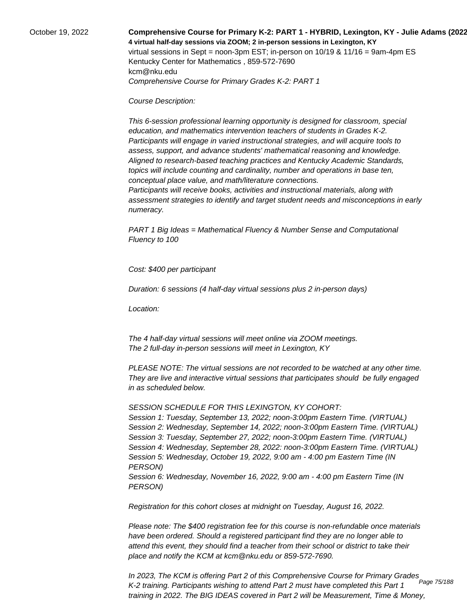October 19, 2022 **Comprehensive Course for Primary K-2: PART 1 - HYBRID, Lexington, KY - Julie Adams (2022-23) 4 virtual half-day sessions via ZOOM; 2 in-person sessions in Lexington, KY**  virtual sessions in Sept = noon-3pm EST; in-person on 10/19 & 11/16 = 9am-4pm ES Kentucky Center for Mathematics , 859-572-7690 kcm@nku.edu Comprehensive Course for Primary Grades K-2: PART 1

Course Description:

 This 6-session professional learning opportunity is designed for classroom, special education, and mathematics intervention teachers of students in Grades K-2. Participants will engage in varied instructional strategies, and will acquire tools to assess, support, and advance students' mathematical reasoning and knowledge. Aligned to research-based teaching practices and Kentucky Academic Standards, topics will include counting and cardinality, number and operations in base ten, conceptual place value, and math/literature connections.

 Participants will receive books, activities and instructional materials, along with assessment strategies to identify and target student needs and misconceptions in early numeracy.

PART 1 Big Ideas = Mathematical Fluency & Number Sense and Computational Fluency to 100

Cost: \$400 per participant

Duration: 6 sessions (4 half-day virtual sessions plus 2 in-person days)

Location:

 The 4 half-day virtual sessions will meet online via ZOOM meetings. The 2 full-day in-person sessions will meet in Lexington, KY

PLEASE NOTE: The virtual sessions are not recorded to be watched at any other time. They are live and interactive virtual sessions that participates should be fully engaged in as scheduled below.

SESSION SCHEDULE FOR THIS LEXINGTON, KY COHORT:

Session 1: Tuesday, September 13, 2022; noon-3:00pm Eastern Time. (VIRTUAL) Session 2: Wednesday, September 14, 2022; noon-3:00pm Eastern Time. (VIRTUAL) Session 3: Tuesday, September 27, 2022; noon-3:00pm Eastern Time. (VIRTUAL) Session 4: Wednesday, September 28, 2022: noon-3:00pm Eastern Time. (VIRTUAL) Session 5: Wednesday, October 19, 2022, 9:00 am - 4:00 pm Eastern Time (IN PERSON) Session 6: Wednesday, November 16, 2022, 9:00 am - 4:00 pm Eastern Time (IN PERSON)

Registration for this cohort closes at midnight on Tuesday, August 16, 2022.

Please note: The \$400 registration fee for this course is non-refundable once materials have been ordered. Should a registered participant find they are no longer able to attend this event, they should find a teacher from their school or district to take their place and notify the KCM at kcm@nku.edu or 859-572-7690.

In 2023, The KCM is offering Part 2 of this Comprehensive Course for Primary Grades K-2 training. Participants wishing to attend Part 2 must have completed this Part 1 training in 2022. The BIG IDEAS covered in Part 2 will be Measurement, Time & Money, Page 75/188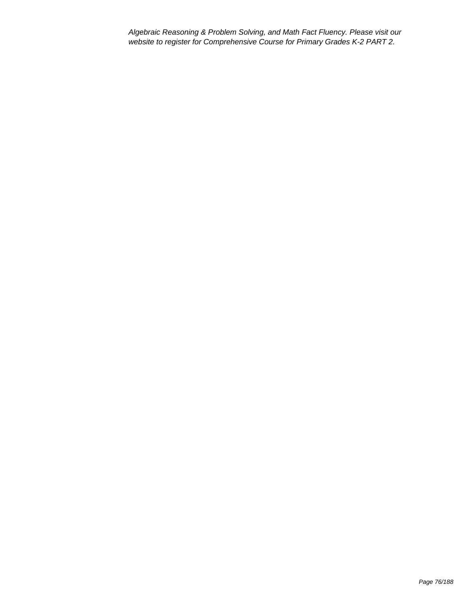Algebraic Reasoning & Problem Solving, and Math Fact Fluency. Please visit our website to register for Comprehensive Course for Primary Grades K-2 PART 2.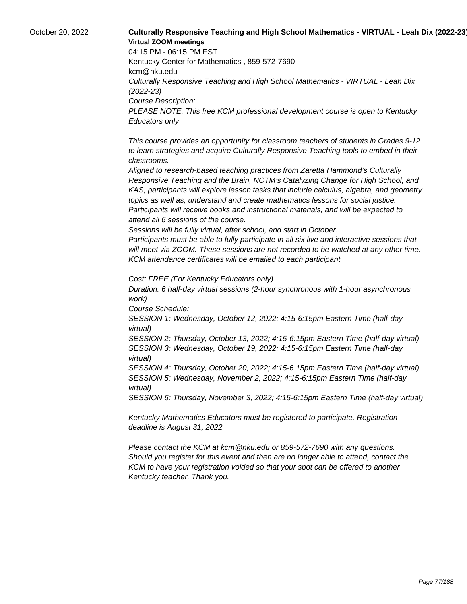# October 20, 2022 **Culturally Responsive Teaching and High School Mathematics - VIRTUAL - Leah Dix (2022-23) Virtual ZOOM meetings**

04:15 PM - 06:15 PM EST Kentucky Center for Mathematics , 859-572-7690 kcm@nku.edu Culturally Responsive Teaching and High School Mathematics - VIRTUAL - Leah Dix (2022-23) Course Description: PLEASE NOTE: This free KCM professional development course is open to Kentucky Educators only

 This course provides an opportunity for classroom teachers of students in Grades 9-12 to learn strategies and acquire Culturally Responsive Teaching tools to embed in their classrooms.

 Aligned to research-based teaching practices from Zaretta Hammond's Culturally Responsive Teaching and the Brain, NCTM's Catalyzing Change for High School, and KAS, participants will explore lesson tasks that include calculus, algebra, and geometry topics as well as, understand and create mathematics lessons for social justice. Participants will receive books and instructional materials, and will be expected to attend all 6 sessions of the course.

 Sessions will be fully virtual, after school, and start in October.

 Participants must be able to fully participate in all six live and interactive sessions that will meet via ZOOM. These sessions are not recorded to be watched at any other time. KCM attendance certificates will be emailed to each participant.

Cost: FREE (For Kentucky Educators only)

Duration: 6 half-day virtual sessions (2-hour synchronous with 1-hour asynchronous work)

Course Schedule:

SESSION 1: Wednesday, October 12, 2022; 4:15-6:15pm Eastern Time (half-day virtual)

SESSION 2: Thursday, October 13, 2022; 4:15-6:15pm Eastern Time (half-day virtual) SESSION 3: Wednesday, October 19, 2022; 4:15-6:15pm Eastern Time (half-day virtual)

SESSION 4: Thursday, October 20, 2022; 4:15-6:15pm Eastern Time (half-day virtual) SESSION 5: Wednesday, November 2, 2022; 4:15-6:15pm Eastern Time (half-day virtual)

SESSION 6: Thursday, November 3, 2022; 4:15-6:15pm Eastern Time (half-day virtual)

Kentucky Mathematics Educators must be registered to participate. Registration deadline is August 31, 2022

Please contact the KCM at kcm@nku.edu or 859-572-7690 with any questions. Should you register for this event and then are no longer able to attend, contact the KCM to have your registration voided so that your spot can be offered to another Kentucky teacher. Thank you.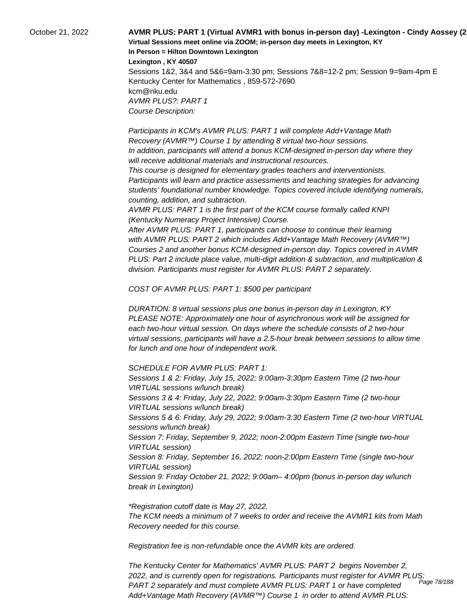October 21, 2022 **AVMR PLUS: PART 1 (Virtual AVMR1 with bonus in-person day) -Lexington - Cindy Aossey (2022-23) Virtual Sessions meet online via ZOOM; in-person day meets in Lexington, KY In Person = Hilton Downtown Lexington Lexington , KY 40507**

> Sessions 1&2, 3&4 and 5&6=9am-3:30 pm; Sessions 7&8=12-2 pm; Session 9=9am-4pm E Kentucky Center for Mathematics , 859-572-7690 kcm@nku.edu AVMR PLUS?: PART 1 Course Description:

 Participants in KCM's AVMR PLUS: PART 1 will complete Add+Vantage Math Recovery (AVMR™) Course 1 by attending 8 virtual two-hour sessions. In addition, participants will attend a bonus KCM-designed in-person day where they will receive additional materials and instructional resources.

 This course is designed for elementary grades teachers and interventionists. Participants will learn and practice assessments and teaching strategies for advancing students' foundational number knowledge. Topics covered include identifying numerals, counting, addition, and subtraction.

 AVMR PLUS: PART 1 is the first part of the KCM course formally called KNPI (Kentucky Numeracy Project Intensive) Course.

 After AVMR PLUS: PART 1, participants can choose to continue their learning with AVMR PLUS: PART 2 which includes Add+Vantage Math Recovery (AVMR™) Courses 2 and another bonus KCM-designed in-person day. Topics covered in AVMR PLUS: Part 2 include place value, multi-digit addition & subtraction, and multiplication & division. Participants must register for AVMR PLUS: PART 2 separately.

COST OF AVMR PLUS: PART 1: \$500 per participant

DURATION: 8 virtual sessions plus one bonus in-person day in Lexington, KY PLEASE NOTE: Approximately one hour of asynchronous work will be assigned for each two-hour virtual session. On days where the schedule consists of 2 two-hour virtual sessions, participants will have a 2.5-hour break between sessions to allow time for lunch and one hour of independent work.

SCHEDULE FOR AVMR PLUS: PART 1:

Sessions 1 & 2: Friday, July 15, 2022; 9:00am-3:30pm Eastern Time (2 two-hour VIRTUAL sessions w/lunch break) Sessions 3 & 4: Friday, July 22, 2022; 9:00am-3:30pm Eastern Time (2 two-hour VIRTUAL sessions w/lunch break) Sessions 5 & 6: Friday, July 29, 2022; 9:00am-3:30 Eastern Time (2 two-hour VIRTUAL sessions w/lunch break) Session 7: Friday, September 9, 2022; noon-2:00pm Eastern Time (single two-hour VIRTUAL session) Session 8: Friday, September 16, 2022; noon-2:00pm Eastern Time (single two-hour VIRTUAL session) Session 9: Friday October 21, 2022; 9:00am– 4:00pm (bonus in-person day w/lunch break in Lexington)

\*Registration cutoff date is May 27, 2022. The KCM needs a minimum of 7 weeks to order and receive the AVMR1 kits from Math Recovery needed for this course.

Registration fee is non-refundable once the AVMR kits are ordered.

The Kentucky Center for Mathematics' AVMR PLUS: PART 2 begins November 2, 2022, and is currently open for registrations. Participants must register for AVMR PLUS: PART 2 separately and must complete AVMR PLUS: PART 1 or have completed Add+Vantage Math Recovery (AVMR™) Course 1 in order to attend AVMR PLUS: Page 78/188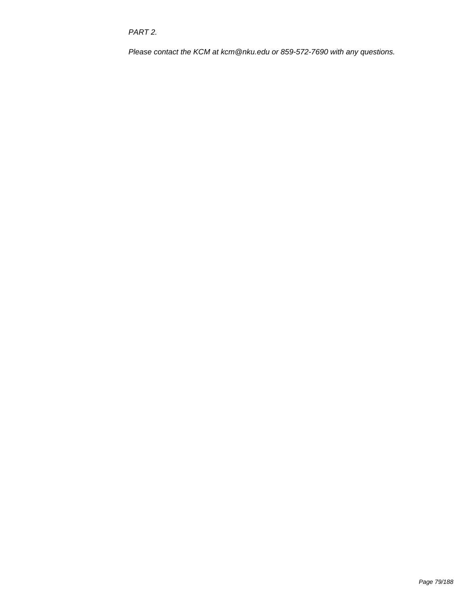PART 2.

Please contact the KCM at kcm@nku.edu or 859-572-7690 with any questions.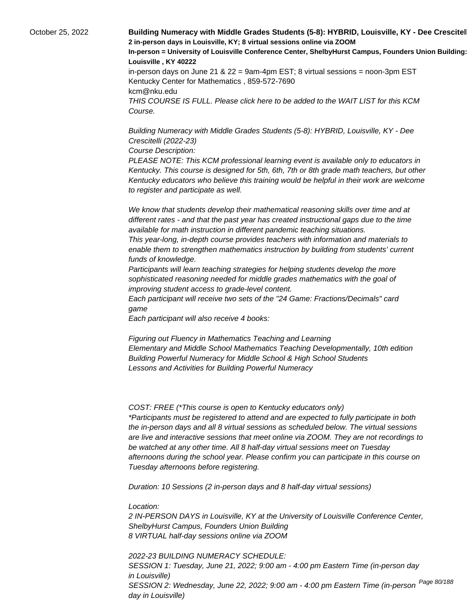October 25, 2022 **Building Numeracy with Middle Grades Students (5-8): HYBRID, Louisville, KY - Dee Crescitel 2 in-person days in Louisville, KY; 8 virtual sessions online via ZOOM In-person = University of Louisville Conference Center, ShelbyHurst Campus, Founders Union Building: Room 15 Louisville , KY 40222** in-person days on June 21 &  $22 = 9$ am-4pm EST; 8 virtual sessions = noon-3pm EST Kentucky Center for Mathematics , 859-572-7690 kcm@nku.edu THIS COURSE IS FULL. Please click here to be added to the WAIT LIST for this KCM Course.

> Building Numeracy with Middle Grades Students (5-8): HYBRID, Louisville, KY - Dee Crescitelli (2022-23)

Course Description:

PLEASE NOTE: This KCM professional learning event is available only to educators in Kentucky. This course is designed for 5th, 6th, 7th or 8th grade math teachers, but other Kentucky educators who believe this training would be helpful in their work are welcome to register and participate as well.

 We know that students develop their mathematical reasoning skills over time and at different rates - and that the past year has created instructional gaps due to the time available for math instruction in different pandemic teaching situations.

 This year-long, in-depth course provides teachers with information and materials to enable them to strengthen mathematics instruction by building from students' current funds of knowledge.

 Participants will learn teaching strategies for helping students develop the more sophisticated reasoning needed for middle grades mathematics with the goal of improving student access to grade-level content.

 Each participant will receive two sets of the "24 Game: Fractions/Decimals" card game

 Each participant will also receive 4 books:

 Figuring out Fluency in Mathematics Teaching and Learning Elementary and Middle School Mathematics Teaching Developmentally, 10th edition Building Powerful Numeracy for Middle School & High School Students Lessons and Activities for Building Powerful Numeracy

COST: FREE (\*This course is open to Kentucky educators only) \*Participants must be registered to attend and are expected to fully participate in both the in-person days and all 8 virtual sessions as scheduled below. The virtual sessions are live and interactive sessions that meet online via ZOOM. They are not recordings to be watched at any other time. All 8 half-day virtual sessions meet on Tuesday afternoons during the school year. Please confirm you can participate in this course on Tuesday afternoons before registering.

Duration: 10 Sessions (2 in-person days and 8 half-day virtual sessions)

Location:

2 IN-PERSON DAYS in Louisville, KY at the University of Louisville Conference Center, ShelbyHurst Campus, Founders Union Building 8 VIRTUAL half-day sessions online via ZOOM

2022-23 BUILDING NUMERACY SCHEDULE: SESSION 1: Tuesday, June 21, 2022; 9:00 am - 4:00 pm Eastern Time (in-person day in Louisville) SESSION 2: Wednesday, June 22, 2022; 9:00 am - 4:00 pm Eastern Time (in-person <sup>Page 80/188</sup> day in Louisville)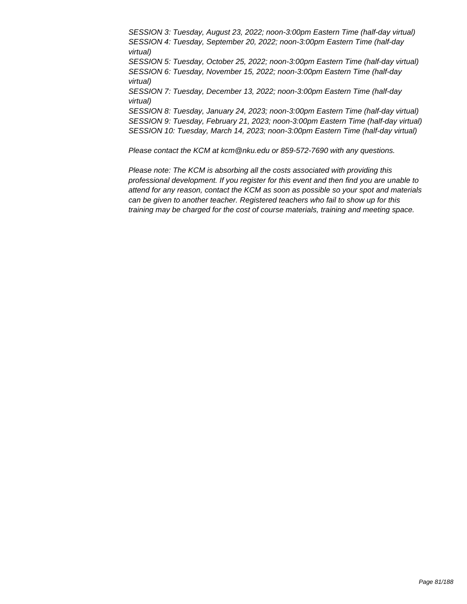SESSION 3: Tuesday, August 23, 2022; noon-3:00pm Eastern Time (half-day virtual) SESSION 4: Tuesday, September 20, 2022; noon-3:00pm Eastern Time (half-day virtual) SESSION 5: Tuesday, October 25, 2022; noon-3:00pm Eastern Time (half-day virtual) SESSION 6: Tuesday, November 15, 2022; noon-3:00pm Eastern Time (half-day virtual) SESSION 7: Tuesday, December 13, 2022; noon-3:00pm Eastern Time (half-day virtual) SESSION 8: Tuesday, January 24, 2023; noon-3:00pm Eastern Time (half-day virtual) SESSION 9: Tuesday, February 21, 2023; noon-3:00pm Eastern Time (half-day virtual) SESSION 10: Tuesday, March 14, 2023; noon-3:00pm Eastern Time (half-day virtual)

Please contact the KCM at kcm@nku.edu or 859-572-7690 with any questions.

Please note: The KCM is absorbing all the costs associated with providing this professional development. If you register for this event and then find you are unable to attend for any reason, contact the KCM as soon as possible so your spot and materials can be given to another teacher. Registered teachers who fail to show up for this training may be charged for the cost of course materials, training and meeting space.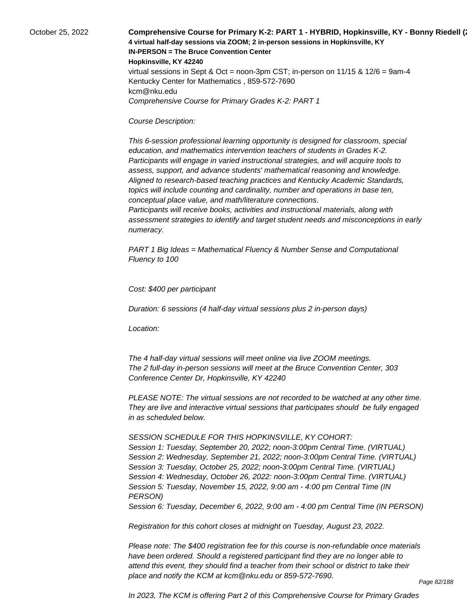October 25, 2022 **Comprehensive Course for Primary K-2: PART 1 - HYBRID, Hopkinsville, KY - Bonny Riedell (2022-23) 4 virtual half-day sessions via ZOOM; 2 in-person sessions in Hopkinsville, KY IN-PERSON = The Bruce Convention Center Hopkinsville, KY 42240** virtual sessions in Sept & Oct = noon-3pm CST; in-person on  $11/15$  &  $12/6$  = 9am-4 Kentucky Center for Mathematics , 859-572-7690 kcm@nku.edu Comprehensive Course for Primary Grades K-2: PART 1

### Course Description:

 This 6-session professional learning opportunity is designed for classroom, special education, and mathematics intervention teachers of students in Grades K-2. Participants will engage in varied instructional strategies, and will acquire tools to assess, support, and advance students' mathematical reasoning and knowledge. Aligned to research-based teaching practices and Kentucky Academic Standards, topics will include counting and cardinality, number and operations in base ten, conceptual place value, and math/literature connections.

 Participants will receive books, activities and instructional materials, along with assessment strategies to identify and target student needs and misconceptions in early numeracy.

PART 1 Big Ideas = Mathematical Fluency & Number Sense and Computational Fluency to 100

Cost: \$400 per participant

Duration: 6 sessions (4 half-day virtual sessions plus 2 in-person days)

Location:

 The 4 half-day virtual sessions will meet online via live ZOOM meetings. The 2 full-day in-person sessions will meet at the Bruce Convention Center, 303 Conference Center Dr, Hopkinsville, KY 42240

PLEASE NOTE: The virtual sessions are not recorded to be watched at any other time. They are live and interactive virtual sessions that participates should be fully engaged in as scheduled below.

SESSION SCHEDULE FOR THIS HOPKINSVILLE, KY COHORT:

Session 1: Tuesday, September 20, 2022; noon-3:00pm Central Time. (VIRTUAL) Session 2: Wednesday, September 21, 2022; noon-3:00pm Central Time. (VIRTUAL) Session 3: Tuesday, October 25, 2022; noon-3:00pm Central Time. (VIRTUAL) Session 4: Wednesday, October 26, 2022: noon-3:00pm Central Time. (VIRTUAL) Session 5: Tuesday, November 15, 2022, 9:00 am - 4:00 pm Central Time (IN PERSON)

Session 6: Tuesday, December 6, 2022, 9:00 am - 4:00 pm Central Time (IN PERSON)

Registration for this cohort closes at midnight on Tuesday, August 23, 2022.

Please note: The \$400 registration fee for this course is non-refundable once materials have been ordered. Should a registered participant find they are no longer able to attend this event, they should find a teacher from their school or district to take their place and notify the KCM at kcm@nku.edu or 859-572-7690.

In 2023, The KCM is offering Part 2 of this Comprehensive Course for Primary Grades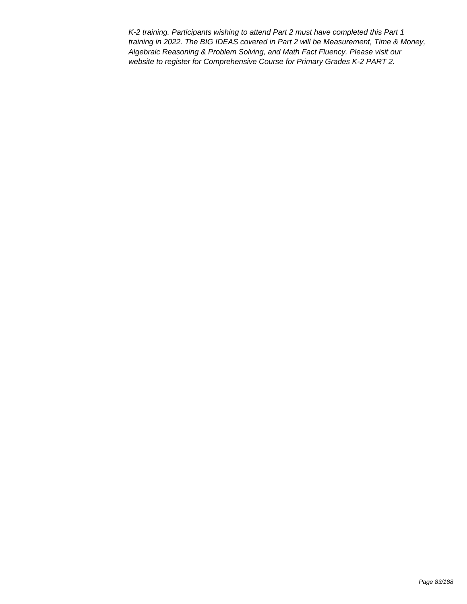K-2 training. Participants wishing to attend Part 2 must have completed this Part 1 training in 2022. The BIG IDEAS covered in Part 2 will be Measurement, Time & Money, Algebraic Reasoning & Problem Solving, and Math Fact Fluency. Please visit our website to register for Comprehensive Course for Primary Grades K-2 PART 2.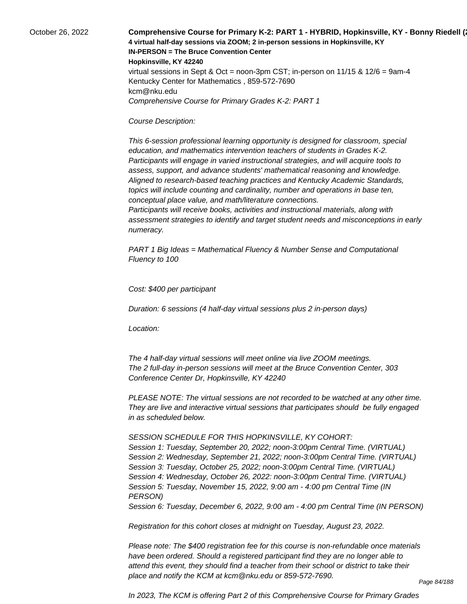October 26, 2022 **Comprehensive Course for Primary K-2: PART 1 - HYBRID, Hopkinsville, KY - Bonny Riedell (2021) 4 virtual half-day sessions via ZOOM; 2 in-person sessions in Hopkinsville, KY IN-PERSON = The Bruce Convention Center Hopkinsville, KY 42240** virtual sessions in Sept & Oct = noon-3pm CST; in-person on  $11/15$  &  $12/6$  = 9am-4 Kentucky Center for Mathematics , 859-572-7690 kcm@nku.edu Comprehensive Course for Primary Grades K-2: PART 1

### Course Description:

 This 6-session professional learning opportunity is designed for classroom, special education, and mathematics intervention teachers of students in Grades K-2. Participants will engage in varied instructional strategies, and will acquire tools to assess, support, and advance students' mathematical reasoning and knowledge. Aligned to research-based teaching practices and Kentucky Academic Standards, topics will include counting and cardinality, number and operations in base ten, conceptual place value, and math/literature connections.

 Participants will receive books, activities and instructional materials, along with assessment strategies to identify and target student needs and misconceptions in early numeracy.

PART 1 Big Ideas = Mathematical Fluency & Number Sense and Computational Fluency to 100

Cost: \$400 per participant

Duration: 6 sessions (4 half-day virtual sessions plus 2 in-person days)

Location:

 The 4 half-day virtual sessions will meet online via live ZOOM meetings. The 2 full-day in-person sessions will meet at the Bruce Convention Center, 303 Conference Center Dr, Hopkinsville, KY 42240

PLEASE NOTE: The virtual sessions are not recorded to be watched at any other time. They are live and interactive virtual sessions that participates should be fully engaged in as scheduled below.

SESSION SCHEDULE FOR THIS HOPKINSVILLE, KY COHORT:

Session 1: Tuesday, September 20, 2022; noon-3:00pm Central Time. (VIRTUAL) Session 2: Wednesday, September 21, 2022; noon-3:00pm Central Time. (VIRTUAL) Session 3: Tuesday, October 25, 2022; noon-3:00pm Central Time. (VIRTUAL) Session 4: Wednesday, October 26, 2022: noon-3:00pm Central Time. (VIRTUAL) Session 5: Tuesday, November 15, 2022, 9:00 am - 4:00 pm Central Time (IN PERSON)

Session 6: Tuesday, December 6, 2022, 9:00 am - 4:00 pm Central Time (IN PERSON)

Registration for this cohort closes at midnight on Tuesday, August 23, 2022.

Please note: The \$400 registration fee for this course is non-refundable once materials have been ordered. Should a registered participant find they are no longer able to attend this event, they should find a teacher from their school or district to take their place and notify the KCM at kcm@nku.edu or 859-572-7690.

In 2023, The KCM is offering Part 2 of this Comprehensive Course for Primary Grades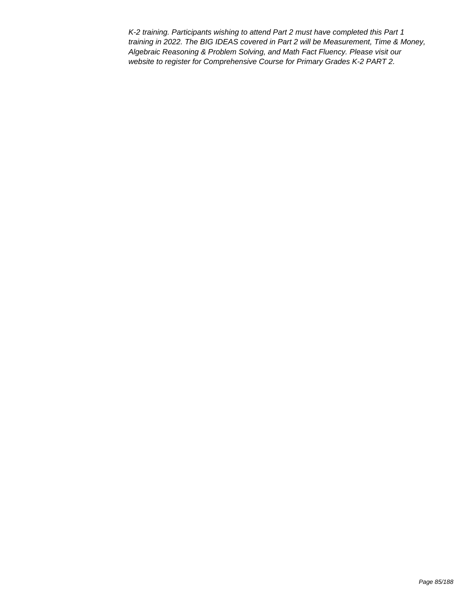K-2 training. Participants wishing to attend Part 2 must have completed this Part 1 training in 2022. The BIG IDEAS covered in Part 2 will be Measurement, Time & Money, Algebraic Reasoning & Problem Solving, and Math Fact Fluency. Please visit our website to register for Comprehensive Course for Primary Grades K-2 PART 2.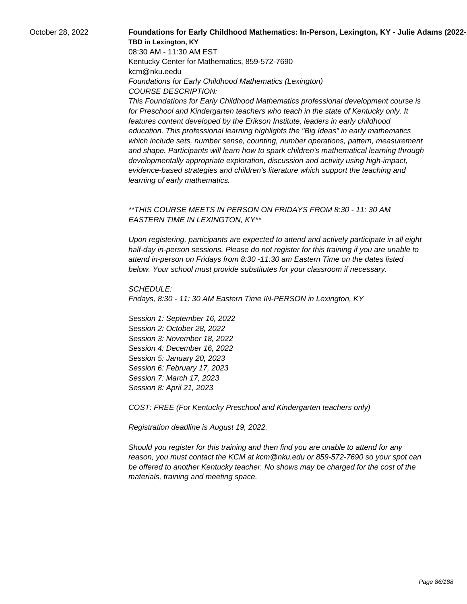## October 28, 2022 **Foundations for Early Childhood Mathematics: In-Person, Lexington, KY - Julie Adams (2022-23) TBD in Lexington, KY**

08:30 AM - 11:30 AM EST Kentucky Center for Mathematics, 859-572-7690 kcm@nku.eedu Foundations for Early Childhood Mathematics (Lexington) COURSE DESCRIPTION:

This Foundations for Early Childhood Mathematics professional development course is for Preschool and Kindergarten teachers who teach in the state of Kentucky only. It features content developed by the Erikson Institute, leaders in early childhood education. This professional learning highlights the "Big Ideas" in early mathematics which include sets, number sense, counting, number operations, pattern, measurement and shape. Participants will learn how to spark children's mathematical learning through developmentally appropriate exploration, discussion and activity using high-impact, evidence-based strategies and children's literature which support the teaching and learning of early mathematics.

## \*\*THIS COURSE MEETS IN PERSON ON FRIDAYS FROM 8:30 - 11: 30 AM EASTERN TIME IN LEXINGTON, KY\*\*

Upon registering, participants are expected to attend and actively participate in all eight half-day in-person sessions. Please do not register for this training if you are unable to attend in-person on Fridays from 8:30 -11:30 am Eastern Time on the dates listed below. Your school must provide substitutes for your classroom if necessary.

SCHEDULE: Fridays, 8:30 - 11: 30 AM Eastern Time IN-PERSON in Lexington, KY

Session 1: September 16, 2022 Session 2: October 28, 2022 Session 3: November 18, 2022 Session 4: December 16, 2022 Session 5: January 20, 2023 Session 6: February 17, 2023 Session 7: March 17, 2023 Session 8: April 21, 2023

COST: FREE (For Kentucky Preschool and Kindergarten teachers only)

Registration deadline is August 19, 2022.

Should you register for this training and then find you are unable to attend for any reason, you must contact the KCM at kcm@nku.edu or 859-572-7690 so your spot can be offered to another Kentucky teacher. No shows may be charged for the cost of the materials, training and meeting space.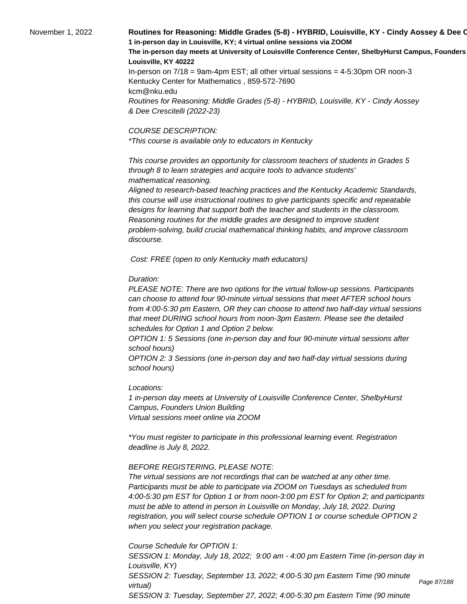# November 1, 2022 **Routines for Reasoning: Middle Grades (5-8) - HYBRID, Louisville, KY - Cindy Aossey & Dee C 1 in-person day in Louisville, KY; 4 virtual online sessions via ZOOM** The in-person day meets at University of Louisville Conference Center, ShelbyHurst Campus, Founders **Louisville, KY 40222** In-person on 7/18 = 9am-4pm EST; all other virtual sessions = 4-5:30pm OR noon-3

Kentucky Center for Mathematics , 859-572-7690 kcm@nku.edu Routines for Reasoning: Middle Grades (5-8) - HYBRID, Louisville, KY - Cindy Aossey & Dee Crescitelli (2022-23)

#### COURSE DESCRIPTION:

\*This course is available only to educators in Kentucky

 This course provides an opportunity for classroom teachers of students in Grades 5 through 8 to learn strategies and acquire tools to advance students' mathematical reasoning.

 Aligned to research-based teaching practices and the Kentucky Academic Standards, this course will use instructional routines to give participants specific and repeatable designs for learning that support both the teacher and students in the classroom. Reasoning routines for the middle grades are designed to improve student problem-solving, build crucial mathematical thinking habits, and improve classroom discourse.

Cost: FREE (open to only Kentucky math educators)

### Duration:

PLEASE NOTE: There are two options for the virtual follow-up sessions. Participants can choose to attend four 90-minute virtual sessions that meet AFTER school hours from 4:00-5:30 pm Eastern, OR they can choose to attend two half-day virtual sessions that meet DURING school hours from noon-3pm Eastern. Please see the detailed schedules for Option 1 and Option 2 below.

OPTION 1: 5 Sessions (one in-person day and four 90-minute virtual sessions after school hours)

OPTION 2: 3 Sessions (one in-person day and two half-day virtual sessions during school hours)

### Locations:

1 in-person day meets at University of Louisville Conference Center, ShelbyHurst Campus, Founders Union Building Virtual sessions meet online via ZOOM

\*You must register to participate in this professional learning event. Registration deadline is July 8, 2022.

### BEFORE REGISTERING, PLEASE NOTE:

The virtual sessions are not recordings that can be watched at any other time. Participants must be able to participate via ZOOM on Tuesdays as scheduled from 4:00-5:30 pm EST for Option 1 or from noon-3:00 pm EST for Option 2; and participants must be able to attend in person in Louisville on Monday, July 18, 2022. During registration, you will select course schedule OPTION 1 or course schedule OPTION 2 when you select your registration package.

Course Schedule for OPTION 1:

SESSION 1: Monday, July 18, 2022; 9:00 am - 4:00 pm Eastern Time (in-person day in Louisville, KY) SESSION 2: Tuesday, September 13, 2022; 4:00-5:30 pm Eastern Time (90 minute virtual) SESSION 3: Tuesday, September 27, 2022; 4:00-5:30 pm Eastern Time (90 minute

Page 87/188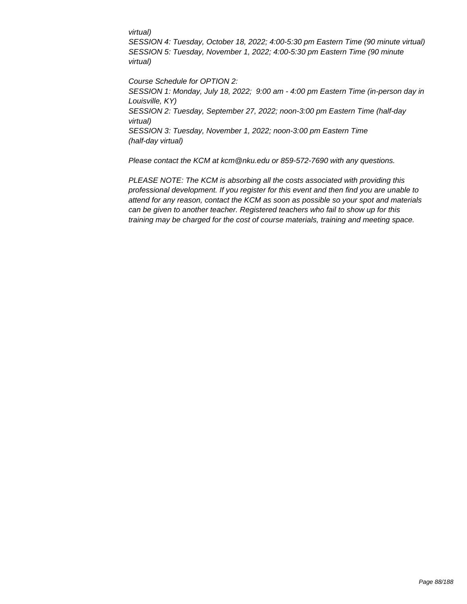### virtual)

SESSION 4: Tuesday, October 18, 2022; 4:00-5:30 pm Eastern Time (90 minute virtual) SESSION 5: Tuesday, November 1, 2022; 4:00-5:30 pm Eastern Time (90 minute virtual)

Course Schedule for OPTION 2: SESSION 1: Monday, July 18, 2022; 9:00 am - 4:00 pm Eastern Time (in-person day in Louisville, KY) SESSION 2: Tuesday, September 27, 2022; noon-3:00 pm Eastern Time (half-day virtual) SESSION 3: Tuesday, November 1, 2022; noon-3:00 pm Eastern Time (half-day virtual)

Please contact the KCM at kcm@nku.edu or 859-572-7690 with any questions.

PLEASE NOTE: The KCM is absorbing all the costs associated with providing this professional development. If you register for this event and then find you are unable to attend for any reason, contact the KCM as soon as possible so your spot and materials can be given to another teacher. Registered teachers who fail to show up for this training may be charged for the cost of course materials, training and meeting space.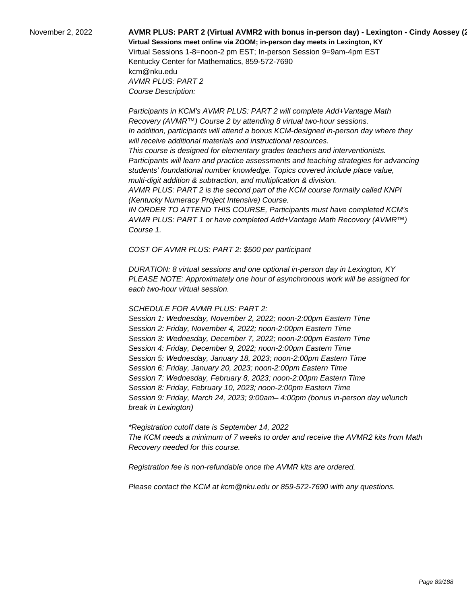# November 2, 2022 **AVMR PLUS: PART 2 (Virtual AVMR2 with bonus in-person day) - Lexington - Cindy Aossey (2022-23) Virtual Sessions meet online via ZOOM; in-person day meets in Lexington, KY**  Virtual Sessions 1-8=noon-2 pm EST; In-person Session 9=9am-4pm EST

Kentucky Center for Mathematics, 859-572-7690 kcm@nku.edu AVMR PLUS: PART 2 Course Description:

Course 1.

 Participants in KCM's AVMR PLUS: PART 2 will complete Add+Vantage Math Recovery (AVMR™) Course 2 by attending 8 virtual two-hour sessions. In addition, participants will attend a bonus KCM-designed in-person day where they will receive additional materials and instructional resources. This course is designed for elementary grades teachers and interventionists. Participants will learn and practice assessments and teaching strategies for advancing students' foundational number knowledge. Topics covered include place value, multi-digit addition & subtraction, and multiplication & division. AVMR PLUS: PART 2 is the second part of the KCM course formally called KNPI (Kentucky Numeracy Project Intensive) Course. IN ORDER TO ATTEND THIS COURSE, Participants must have completed KCM's AVMR PLUS: PART 1 or have completed Add+Vantage Math Recovery (AVMR™)

COST OF AVMR PLUS: PART 2: \$500 per participant

DURATION: 8 virtual sessions and one optional in-person day in Lexington, KY PLEASE NOTE: Approximately one hour of asynchronous work will be assigned for each two-hour virtual session.

## SCHEDULE FOR AVMR PLUS: PART 2:

Session 1: Wednesday, November 2, 2022; noon-2:00pm Eastern Time Session 2: Friday, November 4, 2022; noon-2:00pm Eastern Time Session 3: Wednesday, December 7, 2022; noon-2:00pm Eastern Time Session 4: Friday, December 9, 2022; noon-2:00pm Eastern Time Session 5: Wednesday, January 18, 2023; noon-2:00pm Eastern Time Session 6: Friday, January 20, 2023; noon-2:00pm Eastern Time Session 7: Wednesday, February 8, 2023; noon-2:00pm Eastern Time Session 8: Friday, February 10, 2023; noon-2:00pm Eastern Time Session 9: Friday, March 24, 2023; 9:00am– 4:00pm (bonus in-person day w/lunch break in Lexington)

\*Registration cutoff date is September 14, 2022 The KCM needs a minimum of 7 weeks to order and receive the AVMR2 kits from Math Recovery needed for this course.

Registration fee is non-refundable once the AVMR kits are ordered.

Please contact the KCM at kcm@nku.edu or 859-572-7690 with any questions.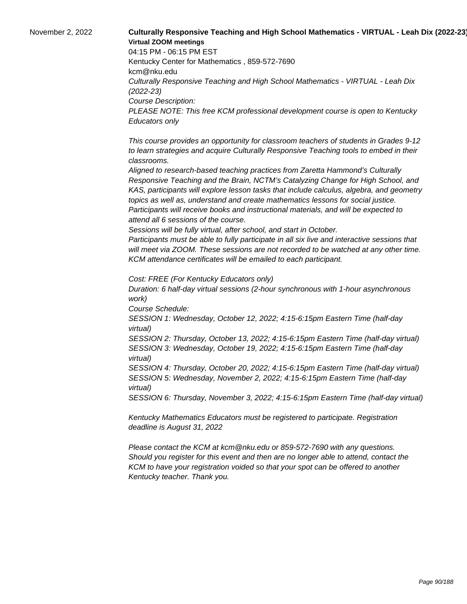# November 2, 2022 **Culturally Responsive Teaching and High School Mathematics - VIRTUAL - Leah Dix (2022-23) Virtual ZOOM meetings**

04:15 PM - 06:15 PM EST Kentucky Center for Mathematics , 859-572-7690 kcm@nku.edu Culturally Responsive Teaching and High School Mathematics - VIRTUAL - Leah Dix (2022-23) Course Description: PLEASE NOTE: This free KCM professional development course is open to Kentucky Educators only

 This course provides an opportunity for classroom teachers of students in Grades 9-12 to learn strategies and acquire Culturally Responsive Teaching tools to embed in their classrooms.

 Aligned to research-based teaching practices from Zaretta Hammond's Culturally Responsive Teaching and the Brain, NCTM's Catalyzing Change for High School, and KAS, participants will explore lesson tasks that include calculus, algebra, and geometry topics as well as, understand and create mathematics lessons for social justice. Participants will receive books and instructional materials, and will be expected to attend all 6 sessions of the course.

 Sessions will be fully virtual, after school, and start in October.

 Participants must be able to fully participate in all six live and interactive sessions that will meet via ZOOM. These sessions are not recorded to be watched at any other time. KCM attendance certificates will be emailed to each participant.

Cost: FREE (For Kentucky Educators only)

Duration: 6 half-day virtual sessions (2-hour synchronous with 1-hour asynchronous work)

Course Schedule:

SESSION 1: Wednesday, October 12, 2022; 4:15-6:15pm Eastern Time (half-day virtual)

SESSION 2: Thursday, October 13, 2022; 4:15-6:15pm Eastern Time (half-day virtual) SESSION 3: Wednesday, October 19, 2022; 4:15-6:15pm Eastern Time (half-day virtual)

SESSION 4: Thursday, October 20, 2022; 4:15-6:15pm Eastern Time (half-day virtual) SESSION 5: Wednesday, November 2, 2022; 4:15-6:15pm Eastern Time (half-day virtual)

SESSION 6: Thursday, November 3, 2022; 4:15-6:15pm Eastern Time (half-day virtual)

Kentucky Mathematics Educators must be registered to participate. Registration deadline is August 31, 2022

Please contact the KCM at kcm@nku.edu or 859-572-7690 with any questions. Should you register for this event and then are no longer able to attend, contact the KCM to have your registration voided so that your spot can be offered to another Kentucky teacher. Thank you.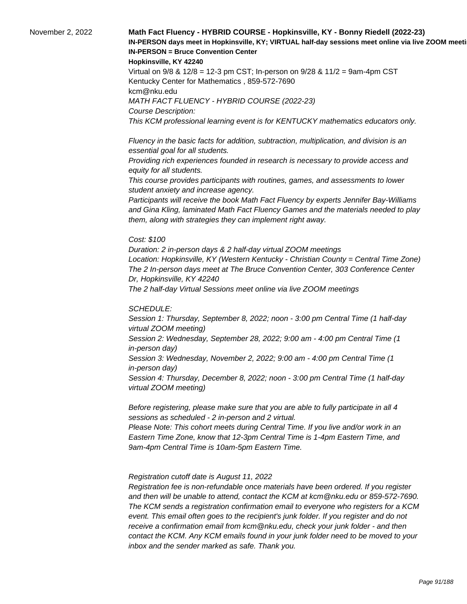# November 2, 2022 **Math Fact Fluency - HYBRID COURSE - Hopkinsville, KY - Bonny Riedell (2022-23)**  IN-PERSON days meet in Hopkinsville, KY; VIRTUAL half-day sessions meet online via live ZOOM meeti **IN-PERSON = Bruce Convention Center**

#### **Hopkinsville, KY 42240**

Virtual on 9/8 & 12/8 = 12-3 pm CST; In-person on 9/28 & 11/2 = 9am-4pm CST Kentucky Center for Mathematics , 859-572-7690 kcm@nku.edu MATH FACT FLUENCY - HYBRID COURSE (2022-23) Course Description: This KCM professional learning event is for KENTUCKY mathematics educators only.

 Fluency in the basic facts for addition, subtraction, multiplication, and division is an essential goal for all students.

 Providing rich experiences founded in research is necessary to provide access and equity for all students.

 This course provides participants with routines, games, and assessments to lower student anxiety and increase agency.

 Participants will receive the book Math Fact Fluency by experts Jennifer Bay-Williams and Gina Kling, laminated Math Fact Fluency Games and the materials needed to play them, along with strategies they can implement right away.

### Cost: \$100

Duration: 2 in-person days & 2 half-day virtual ZOOM meetings Location: Hopkinsville, KY (Western Kentucky - Christian County = Central Time Zone) The 2 In-person days meet at The Bruce Convention Center, 303 Conference Center Dr, Hopkinsville, KY 42240 The 2 half-day Virtual Sessions meet online via live ZOOM meetings

### SCHEDULE:

Session 1: Thursday, September 8, 2022; noon - 3:00 pm Central Time (1 half-day virtual ZOOM meeting) Session 2: Wednesday, September 28, 2022; 9:00 am - 4:00 pm Central Time (1 in-person day) Session 3: Wednesday, November 2, 2022; 9:00 am - 4:00 pm Central Time (1 in-person day) Session 4: Thursday, December 8, 2022; noon - 3:00 pm Central Time (1 half-day virtual ZOOM meeting)

Before registering, please make sure that you are able to fully participate in all 4 sessions as scheduled - 2 in-person and 2 virtual.

Please Note: This cohort meets during Central Time. If you live and/or work in an Eastern Time Zone, know that 12-3pm Central Time is 1-4pm Eastern Time, and 9am-4pm Central Time is 10am-5pm Eastern Time.

### Registration cutoff date is August 11, 2022

 Registration fee is non-refundable once materials have been ordered. If you register and then will be unable to attend, contact the KCM at kcm@nku.edu or 859-572-7690. The KCM sends a registration confirmation email to everyone who registers for a KCM event. This email often goes to the recipient's junk folder. If you register and do not receive a confirmation email from kcm@nku.edu, check your junk folder - and then contact the KCM. Any KCM emails found in your junk folder need to be moved to your inbox and the sender marked as safe. Thank you.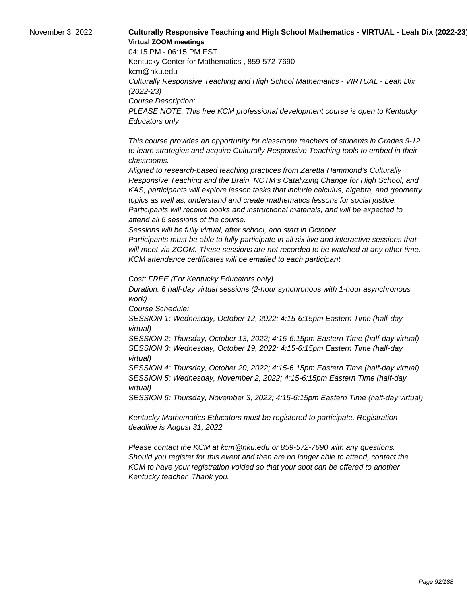# November 3, 2022 **Culturally Responsive Teaching and High School Mathematics - VIRTUAL - Leah Dix (2022-23) Virtual ZOOM meetings**

04:15 PM - 06:15 PM EST Kentucky Center for Mathematics , 859-572-7690 kcm@nku.edu Culturally Responsive Teaching and High School Mathematics - VIRTUAL - Leah Dix (2022-23) Course Description: PLEASE NOTE: This free KCM professional development course is open to Kentucky Educators only

 This course provides an opportunity for classroom teachers of students in Grades 9-12 to learn strategies and acquire Culturally Responsive Teaching tools to embed in their classrooms.

 Aligned to research-based teaching practices from Zaretta Hammond's Culturally Responsive Teaching and the Brain, NCTM's Catalyzing Change for High School, and KAS, participants will explore lesson tasks that include calculus, algebra, and geometry topics as well as, understand and create mathematics lessons for social justice. Participants will receive books and instructional materials, and will be expected to attend all 6 sessions of the course.

 Sessions will be fully virtual, after school, and start in October.

 Participants must be able to fully participate in all six live and interactive sessions that will meet via ZOOM. These sessions are not recorded to be watched at any other time. KCM attendance certificates will be emailed to each participant.

Cost: FREE (For Kentucky Educators only)

Duration: 6 half-day virtual sessions (2-hour synchronous with 1-hour asynchronous work)

Course Schedule:

SESSION 1: Wednesday, October 12, 2022; 4:15-6:15pm Eastern Time (half-day virtual)

SESSION 2: Thursday, October 13, 2022; 4:15-6:15pm Eastern Time (half-day virtual) SESSION 3: Wednesday, October 19, 2022; 4:15-6:15pm Eastern Time (half-day virtual)

SESSION 4: Thursday, October 20, 2022; 4:15-6:15pm Eastern Time (half-day virtual) SESSION 5: Wednesday, November 2, 2022; 4:15-6:15pm Eastern Time (half-day virtual)

SESSION 6: Thursday, November 3, 2022; 4:15-6:15pm Eastern Time (half-day virtual)

Kentucky Mathematics Educators must be registered to participate. Registration deadline is August 31, 2022

Please contact the KCM at kcm@nku.edu or 859-572-7690 with any questions. Should you register for this event and then are no longer able to attend, contact the KCM to have your registration voided so that your spot can be offered to another Kentucky teacher. Thank you.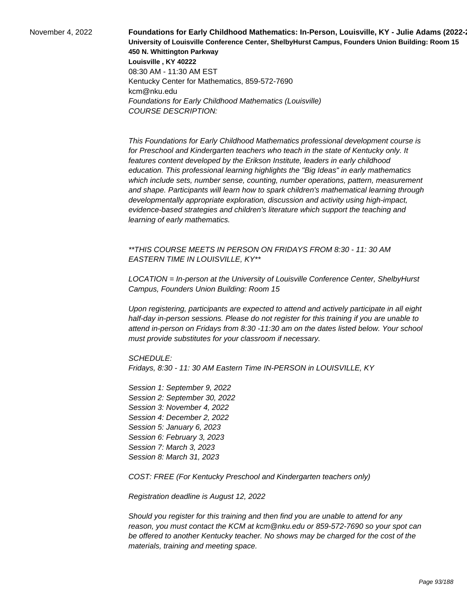**November 4, 2022 Foundations for Early Childhood Mathematics: In-Person, Louisville, KY - Julie Adams (2022-) University of Louisville Conference Center, ShelbyHurst Campus, Founders Union Building: Room 15 450 N. Whittington Parkway Louisville , KY 40222** 08:30 AM - 11:30 AM EST Kentucky Center for Mathematics, 859-572-7690 kcm@nku.edu Foundations for Early Childhood Mathematics (Louisville) COURSE DESCRIPTION:

> This Foundations for Early Childhood Mathematics professional development course is for Preschool and Kindergarten teachers who teach in the state of Kentucky only. It features content developed by the Erikson Institute, leaders in early childhood education. This professional learning highlights the "Big Ideas" in early mathematics which include sets, number sense, counting, number operations, pattern, measurement and shape. Participants will learn how to spark children's mathematical learning through developmentally appropriate exploration, discussion and activity using high-impact, evidence-based strategies and children's literature which support the teaching and learning of early mathematics.

\*\*THIS COURSE MEETS IN PERSON ON FRIDAYS FROM 8:30 - 11: 30 AM EASTERN TIME IN LOUISVILLE, KY\*\*

LOCATION = In-person at the University of Louisville Conference Center, ShelbyHurst Campus, Founders Union Building: Room 15

Upon registering, participants are expected to attend and actively participate in all eight half-day in-person sessions. Please do not register for this training if you are unable to attend in-person on Fridays from 8:30 -11:30 am on the dates listed below. Your school must provide substitutes for your classroom if necessary.

SCHEDULE:

Fridays, 8:30 - 11: 30 AM Eastern Time IN-PERSON in LOUISVILLE, KY

Session 1: September 9, 2022 Session 2: September 30, 2022 Session 3: November 4, 2022 Session 4: December 2, 2022 Session 5: January 6, 2023 Session 6: February 3, 2023 Session 7: March 3, 2023 Session 8: March 31, 2023

COST: FREE (For Kentucky Preschool and Kindergarten teachers only)

Registration deadline is August 12, 2022

Should you register for this training and then find you are unable to attend for any reason, you must contact the KCM at kcm@nku.edu or 859-572-7690 so your spot can be offered to another Kentucky teacher. No shows may be charged for the cost of the materials, training and meeting space.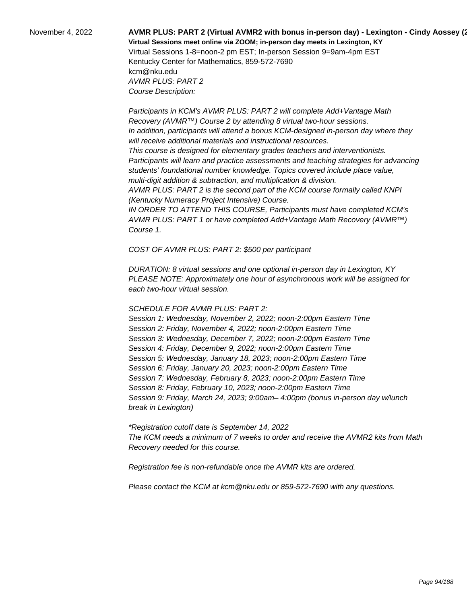# November 4, 2022 **AVMR PLUS: PART 2 (Virtual AVMR2 with bonus in-person day) - Lexington - Cindy Aossey (2022-23) Virtual Sessions meet online via ZOOM; in-person day meets in Lexington, KY**  Virtual Sessions 1-8=noon-2 pm EST; In-person Session 9=9am-4pm EST

Kentucky Center for Mathematics, 859-572-7690 kcm@nku.edu AVMR PLUS: PART 2 Course Description:

Course 1.

 Participants in KCM's AVMR PLUS: PART 2 will complete Add+Vantage Math Recovery (AVMR™) Course 2 by attending 8 virtual two-hour sessions. In addition, participants will attend a bonus KCM-designed in-person day where they will receive additional materials and instructional resources. This course is designed for elementary grades teachers and interventionists. Participants will learn and practice assessments and teaching strategies for advancing students' foundational number knowledge. Topics covered include place value, multi-digit addition & subtraction, and multiplication & division. AVMR PLUS: PART 2 is the second part of the KCM course formally called KNPI (Kentucky Numeracy Project Intensive) Course. IN ORDER TO ATTEND THIS COURSE, Participants must have completed KCM's AVMR PLUS: PART 1 or have completed Add+Vantage Math Recovery (AVMR™)

COST OF AVMR PLUS: PART 2: \$500 per participant

DURATION: 8 virtual sessions and one optional in-person day in Lexington, KY PLEASE NOTE: Approximately one hour of asynchronous work will be assigned for each two-hour virtual session.

## SCHEDULE FOR AVMR PLUS: PART 2:

Session 1: Wednesday, November 2, 2022; noon-2:00pm Eastern Time Session 2: Friday, November 4, 2022; noon-2:00pm Eastern Time Session 3: Wednesday, December 7, 2022; noon-2:00pm Eastern Time Session 4: Friday, December 9, 2022; noon-2:00pm Eastern Time Session 5: Wednesday, January 18, 2023; noon-2:00pm Eastern Time Session 6: Friday, January 20, 2023; noon-2:00pm Eastern Time Session 7: Wednesday, February 8, 2023; noon-2:00pm Eastern Time Session 8: Friday, February 10, 2023; noon-2:00pm Eastern Time Session 9: Friday, March 24, 2023; 9:00am– 4:00pm (bonus in-person day w/lunch break in Lexington)

\*Registration cutoff date is September 14, 2022 The KCM needs a minimum of 7 weeks to order and receive the AVMR2 kits from Math Recovery needed for this course.

Registration fee is non-refundable once the AVMR kits are ordered.

Please contact the KCM at kcm@nku.edu or 859-572-7690 with any questions.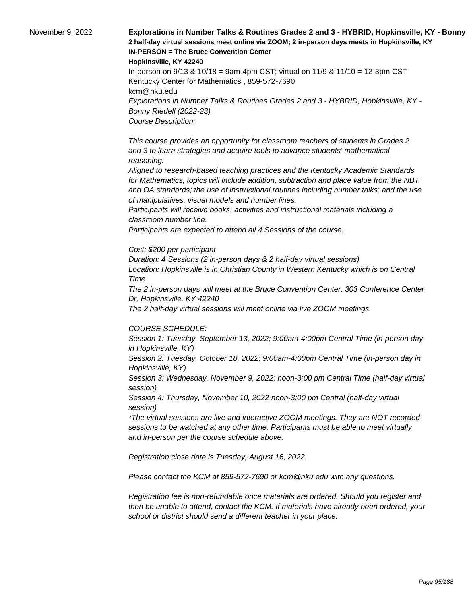November 9, 2022 **Explorations in Number Talks & Routines Grades 2 and 3 - HYBRID, Hopkinsville, KY - Bonny 2 half-day virtual sessions meet online via ZOOM; 2 in-person days meets in Hopkinsville, KY IN-PERSON = The Bruce Convention Center** 

**Hopkinsville, KY 42240**

In-person on 9/13 & 10/18 = 9am-4pm CST; virtual on 11/9 & 11/10 = 12-3pm CST Kentucky Center for Mathematics , 859-572-7690 kcm@nku.edu Explorations in Number Talks & Routines Grades 2 and 3 - HYBRID, Hopkinsville, KY - Bonny Riedell (2022-23) Course Description:

 This course provides an opportunity for classroom teachers of students in Grades 2 and 3 to learn strategies and acquire tools to advance students' mathematical reasoning.

 Aligned to research-based teaching practices and the Kentucky Academic Standards for Mathematics, topics will include addition, subtraction and place value from the NBT and OA standards; the use of instructional routines including number talks; and the use of manipulatives, visual models and number lines.

 Participants will receive books, activities and instructional materials including a classroom number line.

 Participants are expected to attend all 4 Sessions of the course.

#### Cost: \$200 per participant

Duration: 4 Sessions (2 in-person days & 2 half-day virtual sessions) Location: Hopkinsville is in Christian County in Western Kentucky which is on Central Time

The 2 in-person days will meet at the Bruce Convention Center, 303 Conference Center Dr, Hopkinsville, KY 42240

The 2 half-day virtual sessions will meet online via live ZOOM meetings.

### COURSE SCHEDULE:

Session 1: Tuesday, September 13, 2022; 9:00am-4:00pm Central Time (in-person day in Hopkinsville, KY)

Session 2: Tuesday, October 18, 2022; 9:00am-4:00pm Central Time (in-person day in Hopkinsville, KY)

Session 3: Wednesday, November 9, 2022; noon-3:00 pm Central Time (half-day virtual session)

Session 4: Thursday, November 10, 2022 noon-3:00 pm Central (half-day virtual session)

\*The virtual sessions are live and interactive ZOOM meetings. They are NOT recorded sessions to be watched at any other time. Participants must be able to meet virtually and in-person per the course schedule above.

Registration close date is Tuesday, August 16, 2022.

Please contact the KCM at 859-572-7690 or kcm@nku.edu with any questions.

Registration fee is non-refundable once materials are ordered. Should you register and then be unable to attend, contact the KCM. If materials have already been ordered, your school or district should send a different teacher in your place.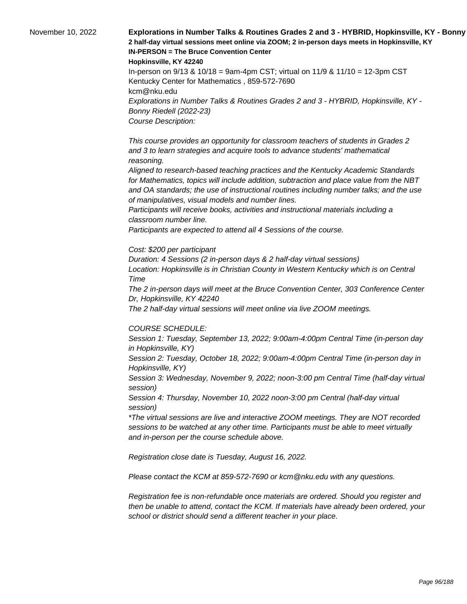November 10, 2022 **Explorations in Number Talks & Routines Grades 2 and 3 - HYBRID, Hopkinsville, KY - Bonny 2 half-day virtual sessions meet online via ZOOM; 2 in-person days meets in Hopkinsville, KY IN-PERSON = The Bruce Convention Center** 

**Hopkinsville, KY 42240**

In-person on 9/13 & 10/18 = 9am-4pm CST; virtual on 11/9 & 11/10 = 12-3pm CST Kentucky Center for Mathematics , 859-572-7690 kcm@nku.edu Explorations in Number Talks & Routines Grades 2 and 3 - HYBRID, Hopkinsville, KY - Bonny Riedell (2022-23) Course Description:

 This course provides an opportunity for classroom teachers of students in Grades 2 and 3 to learn strategies and acquire tools to advance students' mathematical reasoning.

 Aligned to research-based teaching practices and the Kentucky Academic Standards for Mathematics, topics will include addition, subtraction and place value from the NBT and OA standards; the use of instructional routines including number talks; and the use of manipulatives, visual models and number lines.

 Participants will receive books, activities and instructional materials including a classroom number line.

 Participants are expected to attend all 4 Sessions of the course.

#### Cost: \$200 per participant

Duration: 4 Sessions (2 in-person days & 2 half-day virtual sessions) Location: Hopkinsville is in Christian County in Western Kentucky which is on Central Time

The 2 in-person days will meet at the Bruce Convention Center, 303 Conference Center Dr, Hopkinsville, KY 42240

The 2 half-day virtual sessions will meet online via live ZOOM meetings.

### COURSE SCHEDULE:

Session 1: Tuesday, September 13, 2022; 9:00am-4:00pm Central Time (in-person day in Hopkinsville, KY)

Session 2: Tuesday, October 18, 2022; 9:00am-4:00pm Central Time (in-person day in Hopkinsville, KY)

Session 3: Wednesday, November 9, 2022; noon-3:00 pm Central Time (half-day virtual session)

Session 4: Thursday, November 10, 2022 noon-3:00 pm Central (half-day virtual session)

\*The virtual sessions are live and interactive ZOOM meetings. They are NOT recorded sessions to be watched at any other time. Participants must be able to meet virtually and in-person per the course schedule above.

Registration close date is Tuesday, August 16, 2022.

Please contact the KCM at 859-572-7690 or kcm@nku.edu with any questions.

Registration fee is non-refundable once materials are ordered. Should you register and then be unable to attend, contact the KCM. If materials have already been ordered, your school or district should send a different teacher in your place.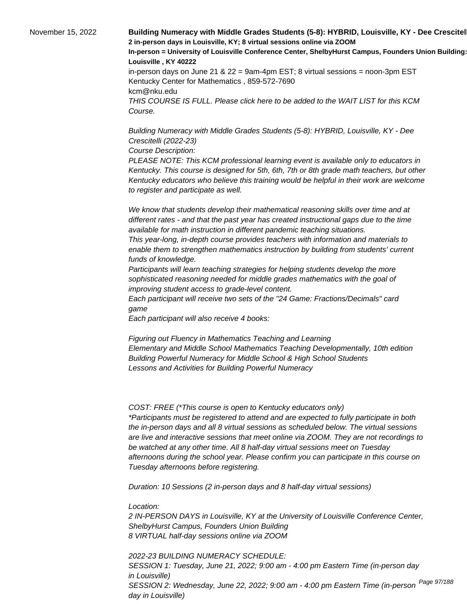November 15, 2022 **Building Numeracy with Middle Grades Students (5-8): HYBRID, Louisville, KY - Dee Crescitel 2 in-person days in Louisville, KY; 8 virtual sessions online via ZOOM In-person = University of Louisville Conference Center, ShelbyHurst Campus, Founders Union Building: Room 15 Louisville , KY 40222** in-person days on June 21 &  $22 = 9$ am-4pm EST; 8 virtual sessions = noon-3pm EST Kentucky Center for Mathematics , 859-572-7690 kcm@nku.edu THIS COURSE IS FULL. Please click here to be added to the WAIT LIST for this KCM Course.

> Building Numeracy with Middle Grades Students (5-8): HYBRID, Louisville, KY - Dee Crescitelli (2022-23)

Course Description:

PLEASE NOTE: This KCM professional learning event is available only to educators in Kentucky. This course is designed for 5th, 6th, 7th or 8th grade math teachers, but other Kentucky educators who believe this training would be helpful in their work are welcome to register and participate as well.

 We know that students develop their mathematical reasoning skills over time and at different rates - and that the past year has created instructional gaps due to the time available for math instruction in different pandemic teaching situations.

 This year-long, in-depth course provides teachers with information and materials to enable them to strengthen mathematics instruction by building from students' current funds of knowledge.

 Participants will learn teaching strategies for helping students develop the more sophisticated reasoning needed for middle grades mathematics with the goal of improving student access to grade-level content.

 Each participant will receive two sets of the "24 Game: Fractions/Decimals" card game

 Each participant will also receive 4 books:

 Figuring out Fluency in Mathematics Teaching and Learning Elementary and Middle School Mathematics Teaching Developmentally, 10th edition Building Powerful Numeracy for Middle School & High School Students Lessons and Activities for Building Powerful Numeracy

COST: FREE (\*This course is open to Kentucky educators only) \*Participants must be registered to attend and are expected to fully participate in both the in-person days and all 8 virtual sessions as scheduled below. The virtual sessions are live and interactive sessions that meet online via ZOOM. They are not recordings to be watched at any other time. All 8 half-day virtual sessions meet on Tuesday afternoons during the school year. Please confirm you can participate in this course on Tuesday afternoons before registering.

Duration: 10 Sessions (2 in-person days and 8 half-day virtual sessions)

Location:

2 IN-PERSON DAYS in Louisville, KY at the University of Louisville Conference Center, ShelbyHurst Campus, Founders Union Building 8 VIRTUAL half-day sessions online via ZOOM

2022-23 BUILDING NUMERACY SCHEDULE: SESSION 1: Tuesday, June 21, 2022; 9:00 am - 4:00 pm Eastern Time (in-person day in Louisville) SESSION 2: Wednesday, June 22, 2022; 9:00 am - 4:00 pm Eastern Time (in-person <sup>Page 97/188</sup> day in Louisville)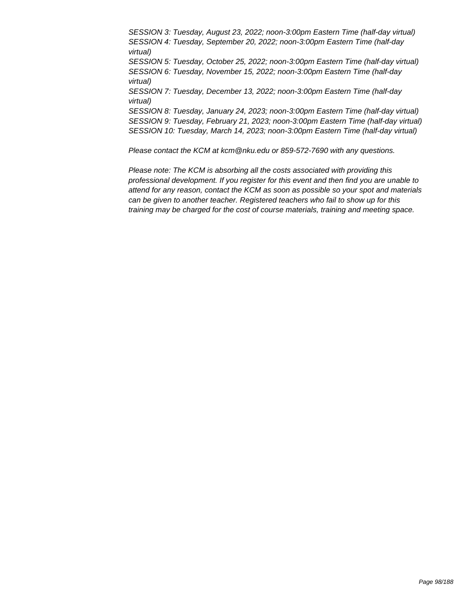SESSION 3: Tuesday, August 23, 2022; noon-3:00pm Eastern Time (half-day virtual) SESSION 4: Tuesday, September 20, 2022; noon-3:00pm Eastern Time (half-day virtual) SESSION 5: Tuesday, October 25, 2022; noon-3:00pm Eastern Time (half-day virtual) SESSION 6: Tuesday, November 15, 2022; noon-3:00pm Eastern Time (half-day virtual) SESSION 7: Tuesday, December 13, 2022; noon-3:00pm Eastern Time (half-day virtual) SESSION 8: Tuesday, January 24, 2023; noon-3:00pm Eastern Time (half-day virtual) SESSION 9: Tuesday, February 21, 2023; noon-3:00pm Eastern Time (half-day virtual) SESSION 10: Tuesday, March 14, 2023; noon-3:00pm Eastern Time (half-day virtual)

Please contact the KCM at kcm@nku.edu or 859-572-7690 with any questions.

Please note: The KCM is absorbing all the costs associated with providing this professional development. If you register for this event and then find you are unable to attend for any reason, contact the KCM as soon as possible so your spot and materials can be given to another teacher. Registered teachers who fail to show up for this training may be charged for the cost of course materials, training and meeting space.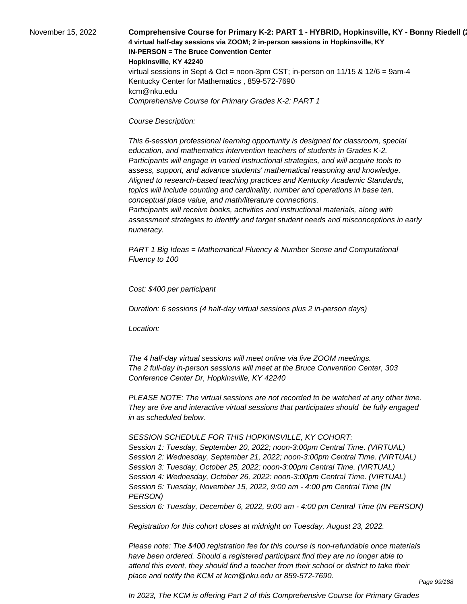November 15, 2022 **Comprehensive Course for Primary K-2: PART 1 - HYBRID, Hopkinsville, KY - Bonny Riedell (202 4 virtual half-day sessions via ZOOM; 2 in-person sessions in Hopkinsville, KY IN-PERSON = The Bruce Convention Center Hopkinsville, KY 42240** virtual sessions in Sept & Oct = noon-3pm CST; in-person on  $11/15$  &  $12/6$  = 9am-4 Kentucky Center for Mathematics , 859-572-7690 kcm@nku.edu Comprehensive Course for Primary Grades K-2: PART 1

### Course Description:

 This 6-session professional learning opportunity is designed for classroom, special education, and mathematics intervention teachers of students in Grades K-2. Participants will engage in varied instructional strategies, and will acquire tools to assess, support, and advance students' mathematical reasoning and knowledge. Aligned to research-based teaching practices and Kentucky Academic Standards, topics will include counting and cardinality, number and operations in base ten, conceptual place value, and math/literature connections.

 Participants will receive books, activities and instructional materials, along with assessment strategies to identify and target student needs and misconceptions in early numeracy.

PART 1 Big Ideas = Mathematical Fluency & Number Sense and Computational Fluency to 100

Cost: \$400 per participant

Duration: 6 sessions (4 half-day virtual sessions plus 2 in-person days)

Location:

 The 4 half-day virtual sessions will meet online via live ZOOM meetings. The 2 full-day in-person sessions will meet at the Bruce Convention Center, 303 Conference Center Dr, Hopkinsville, KY 42240

PLEASE NOTE: The virtual sessions are not recorded to be watched at any other time. They are live and interactive virtual sessions that participates should be fully engaged in as scheduled below.

SESSION SCHEDULE FOR THIS HOPKINSVILLE, KY COHORT:

Session 1: Tuesday, September 20, 2022; noon-3:00pm Central Time. (VIRTUAL) Session 2: Wednesday, September 21, 2022; noon-3:00pm Central Time. (VIRTUAL) Session 3: Tuesday, October 25, 2022; noon-3:00pm Central Time. (VIRTUAL) Session 4: Wednesday, October 26, 2022: noon-3:00pm Central Time. (VIRTUAL) Session 5: Tuesday, November 15, 2022, 9:00 am - 4:00 pm Central Time (IN PERSON)

Session 6: Tuesday, December 6, 2022, 9:00 am - 4:00 pm Central Time (IN PERSON)

Registration for this cohort closes at midnight on Tuesday, August 23, 2022.

Please note: The \$400 registration fee for this course is non-refundable once materials have been ordered. Should a registered participant find they are no longer able to attend this event, they should find a teacher from their school or district to take their place and notify the KCM at kcm@nku.edu or 859-572-7690.

In 2023, The KCM is offering Part 2 of this Comprehensive Course for Primary Grades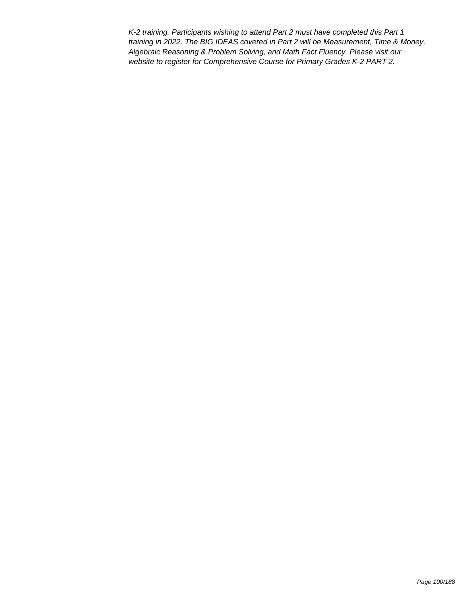K-2 training. Participants wishing to attend Part 2 must have completed this Part 1 training in 2022. The BIG IDEAS covered in Part 2 will be Measurement, Time & Money, Algebraic Reasoning & Problem Solving, and Math Fact Fluency. Please visit our website to register for Comprehensive Course for Primary Grades K-2 PART 2.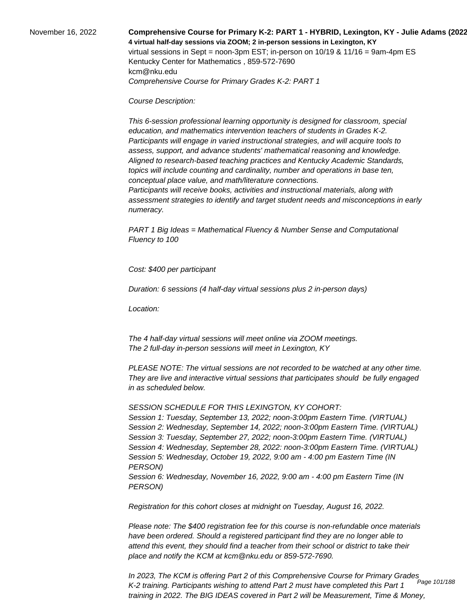## November 16, 2022 **Comprehensive Course for Primary K-2: PART 1 - HYBRID, Lexington, KY - Julie Adams (2022-23) 4 virtual half-day sessions via ZOOM; 2 in-person sessions in Lexington, KY**  virtual sessions in Sept = noon-3pm EST; in-person on 10/19 & 11/16 = 9am-4pm ES Kentucky Center for Mathematics , 859-572-7690 kcm@nku.edu Comprehensive Course for Primary Grades K-2: PART 1

#### Course Description:

 This 6-session professional learning opportunity is designed for classroom, special education, and mathematics intervention teachers of students in Grades K-2. Participants will engage in varied instructional strategies, and will acquire tools to assess, support, and advance students' mathematical reasoning and knowledge. Aligned to research-based teaching practices and Kentucky Academic Standards, topics will include counting and cardinality, number and operations in base ten, conceptual place value, and math/literature connections.

 Participants will receive books, activities and instructional materials, along with assessment strategies to identify and target student needs and misconceptions in early numeracy.

PART 1 Big Ideas = Mathematical Fluency & Number Sense and Computational Fluency to 100

Cost: \$400 per participant

Duration: 6 sessions (4 half-day virtual sessions plus 2 in-person days)

Location:

 The 4 half-day virtual sessions will meet online via ZOOM meetings. The 2 full-day in-person sessions will meet in Lexington, KY

PLEASE NOTE: The virtual sessions are not recorded to be watched at any other time. They are live and interactive virtual sessions that participates should be fully engaged in as scheduled below.

#### SESSION SCHEDULE FOR THIS LEXINGTON, KY COHORT:

Session 1: Tuesday, September 13, 2022; noon-3:00pm Eastern Time. (VIRTUAL) Session 2: Wednesday, September 14, 2022; noon-3:00pm Eastern Time. (VIRTUAL) Session 3: Tuesday, September 27, 2022; noon-3:00pm Eastern Time. (VIRTUAL) Session 4: Wednesday, September 28, 2022: noon-3:00pm Eastern Time. (VIRTUAL) Session 5: Wednesday, October 19, 2022, 9:00 am - 4:00 pm Eastern Time (IN PERSON) Session 6: Wednesday, November 16, 2022, 9:00 am - 4:00 pm Eastern Time (IN PERSON)

Registration for this cohort closes at midnight on Tuesday, August 16, 2022.

Please note: The \$400 registration fee for this course is non-refundable once materials have been ordered. Should a registered participant find they are no longer able to attend this event, they should find a teacher from their school or district to take their place and notify the KCM at kcm@nku.edu or 859-572-7690.

In 2023, The KCM is offering Part 2 of this Comprehensive Course for Primary Grades K-2 training. Participants wishing to attend Part 2 must have completed this Part 1 training in 2022. The BIG IDEAS covered in Part 2 will be Measurement, Time & Money, Page 101/188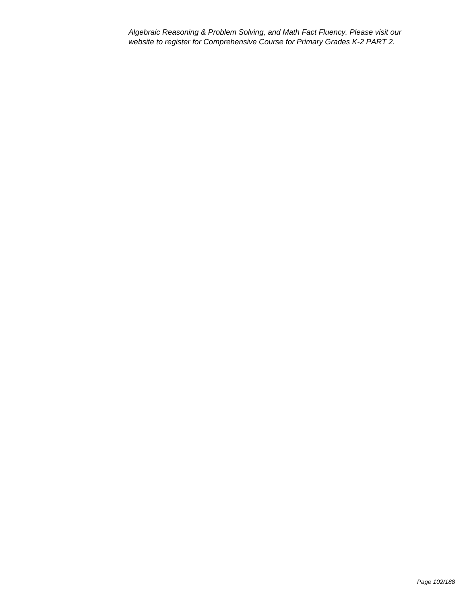Algebraic Reasoning & Problem Solving, and Math Fact Fluency. Please visit our website to register for Comprehensive Course for Primary Grades K-2 PART 2.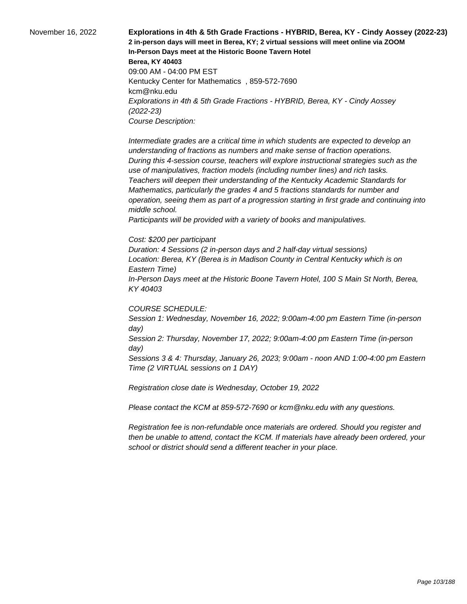November 16, 2022 **Explorations in 4th & 5th Grade Fractions - HYBRID, Berea, KY - Cindy Aossey (2022-23) 2 in-person days will meet in Berea, KY; 2 virtual sessions will meet online via ZOOM In-Person Days meet at the Historic Boone Tavern Hotel Berea, KY 40403** 09:00 AM - 04:00 PM EST Kentucky Center for Mathematics , 859-572-7690 kcm@nku.edu Explorations in 4th & 5th Grade Fractions - HYBRID, Berea, KY - Cindy Aossey (2022-23) Course Description:

> Intermediate grades are a critical time in which students are expected to develop an understanding of fractions as numbers and make sense of fraction operations. During this 4-session course, teachers will explore instructional strategies such as the use of manipulatives, fraction models (including number lines) and rich tasks. Teachers will deepen their understanding of the Kentucky Academic Standards for Mathematics, particularly the grades 4 and 5 fractions standards for number and operation, seeing them as part of a progression starting in first grade and continuing into middle school.

 Participants will be provided with a variety of books and manipulatives.

#### Cost: \$200 per participant

Duration: 4 Sessions (2 in-person days and 2 half-day virtual sessions) Location: Berea, KY (Berea is in Madison County in Central Kentucky which is on Eastern Time)

In-Person Days meet at the Historic Boone Tavern Hotel, 100 S Main St North, Berea, KY 40403

### COURSE SCHEDULE:

Session 1: Wednesday, November 16, 2022; 9:00am-4:00 pm Eastern Time (in-person day)

Session 2: Thursday, November 17, 2022; 9:00am-4:00 pm Eastern Time (in-person day)

Sessions 3 & 4: Thursday, January 26, 2023; 9:00am - noon AND 1:00-4:00 pm Eastern Time (2 VIRTUAL sessions on 1 DAY)

Registration close date is Wednesday, October 19, 2022

Please contact the KCM at 859-572-7690 or kcm@nku.edu with any questions.

Registration fee is non-refundable once materials are ordered. Should you register and then be unable to attend, contact the KCM. If materials have already been ordered, your school or district should send a different teacher in your place.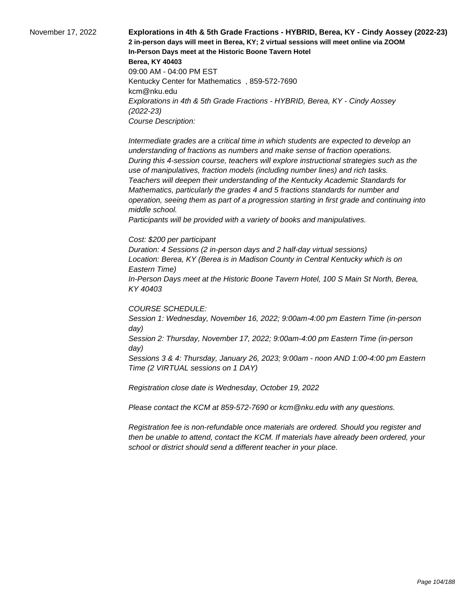November 17, 2022 **Explorations in 4th & 5th Grade Fractions - HYBRID, Berea, KY - Cindy Aossey (2022-23) 2 in-person days will meet in Berea, KY; 2 virtual sessions will meet online via ZOOM In-Person Days meet at the Historic Boone Tavern Hotel Berea, KY 40403** 09:00 AM - 04:00 PM EST Kentucky Center for Mathematics , 859-572-7690 kcm@nku.edu Explorations in 4th & 5th Grade Fractions - HYBRID, Berea, KY - Cindy Aossey (2022-23) Course Description:

> Intermediate grades are a critical time in which students are expected to develop an understanding of fractions as numbers and make sense of fraction operations. During this 4-session course, teachers will explore instructional strategies such as the use of manipulatives, fraction models (including number lines) and rich tasks. Teachers will deepen their understanding of the Kentucky Academic Standards for Mathematics, particularly the grades 4 and 5 fractions standards for number and operation, seeing them as part of a progression starting in first grade and continuing into middle school.

 Participants will be provided with a variety of books and manipulatives.

#### Cost: \$200 per participant

Duration: 4 Sessions (2 in-person days and 2 half-day virtual sessions) Location: Berea, KY (Berea is in Madison County in Central Kentucky which is on Eastern Time)

In-Person Days meet at the Historic Boone Tavern Hotel, 100 S Main St North, Berea, KY 40403

### COURSE SCHEDULE:

Session 1: Wednesday, November 16, 2022; 9:00am-4:00 pm Eastern Time (in-person day)

Session 2: Thursday, November 17, 2022; 9:00am-4:00 pm Eastern Time (in-person day)

Sessions 3 & 4: Thursday, January 26, 2023; 9:00am - noon AND 1:00-4:00 pm Eastern Time (2 VIRTUAL sessions on 1 DAY)

Registration close date is Wednesday, October 19, 2022

Please contact the KCM at 859-572-7690 or kcm@nku.edu with any questions.

Registration fee is non-refundable once materials are ordered. Should you register and then be unable to attend, contact the KCM. If materials have already been ordered, your school or district should send a different teacher in your place.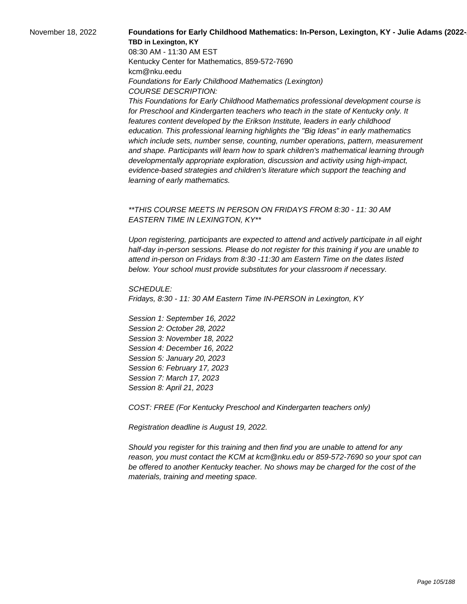## November 18, 2022 **Foundations for Early Childhood Mathematics: In-Person, Lexington, KY - Julie Adams (2022-TBD in Lexington, KY**

08:30 AM - 11:30 AM EST Kentucky Center for Mathematics, 859-572-7690 kcm@nku.eedu Foundations for Early Childhood Mathematics (Lexington) COURSE DESCRIPTION:

This Foundations for Early Childhood Mathematics professional development course is for Preschool and Kindergarten teachers who teach in the state of Kentucky only. It features content developed by the Erikson Institute, leaders in early childhood education. This professional learning highlights the "Big Ideas" in early mathematics which include sets, number sense, counting, number operations, pattern, measurement and shape. Participants will learn how to spark children's mathematical learning through developmentally appropriate exploration, discussion and activity using high-impact, evidence-based strategies and children's literature which support the teaching and learning of early mathematics.

## \*\*THIS COURSE MEETS IN PERSON ON FRIDAYS FROM 8:30 - 11: 30 AM EASTERN TIME IN LEXINGTON, KY\*\*

Upon registering, participants are expected to attend and actively participate in all eight half-day in-person sessions. Please do not register for this training if you are unable to attend in-person on Fridays from 8:30 -11:30 am Eastern Time on the dates listed below. Your school must provide substitutes for your classroom if necessary.

SCHEDULE: Fridays, 8:30 - 11: 30 AM Eastern Time IN-PERSON in Lexington, KY

Session 1: September 16, 2022 Session 2: October 28, 2022 Session 3: November 18, 2022 Session 4: December 16, 2022 Session 5: January 20, 2023 Session 6: February 17, 2023 Session 7: March 17, 2023 Session 8: April 21, 2023

COST: FREE (For Kentucky Preschool and Kindergarten teachers only)

Registration deadline is August 19, 2022.

Should you register for this training and then find you are unable to attend for any reason, you must contact the KCM at kcm@nku.edu or 859-572-7690 so your spot can be offered to another Kentucky teacher. No shows may be charged for the cost of the materials, training and meeting space.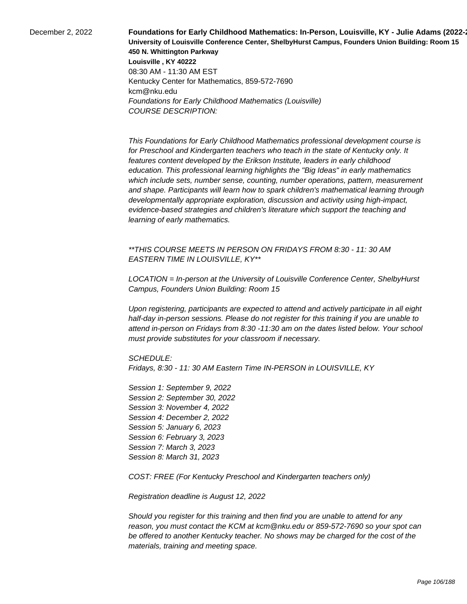**December 2, 2022 Foundations for Early Childhood Mathematics: In-Person, Louisville, KY - Julie Adams (2022-3) University of Louisville Conference Center, ShelbyHurst Campus, Founders Union Building: Room 15 450 N. Whittington Parkway Louisville , KY 40222** 08:30 AM - 11:30 AM EST Kentucky Center for Mathematics, 859-572-7690 kcm@nku.edu Foundations for Early Childhood Mathematics (Louisville) COURSE DESCRIPTION:

> This Foundations for Early Childhood Mathematics professional development course is for Preschool and Kindergarten teachers who teach in the state of Kentucky only. It features content developed by the Erikson Institute, leaders in early childhood education. This professional learning highlights the "Big Ideas" in early mathematics which include sets, number sense, counting, number operations, pattern, measurement and shape. Participants will learn how to spark children's mathematical learning through developmentally appropriate exploration, discussion and activity using high-impact, evidence-based strategies and children's literature which support the teaching and learning of early mathematics.

\*\*THIS COURSE MEETS IN PERSON ON FRIDAYS FROM 8:30 - 11: 30 AM EASTERN TIME IN LOUISVILLE, KY\*\*

LOCATION = In-person at the University of Louisville Conference Center, ShelbyHurst Campus, Founders Union Building: Room 15

Upon registering, participants are expected to attend and actively participate in all eight half-day in-person sessions. Please do not register for this training if you are unable to attend in-person on Fridays from 8:30 -11:30 am on the dates listed below. Your school must provide substitutes for your classroom if necessary.

SCHEDULE:

Fridays, 8:30 - 11: 30 AM Eastern Time IN-PERSON in LOUISVILLE, KY

Session 1: September 9, 2022 Session 2: September 30, 2022 Session 3: November 4, 2022 Session 4: December 2, 2022 Session 5: January 6, 2023 Session 6: February 3, 2023 Session 7: March 3, 2023 Session 8: March 31, 2023

COST: FREE (For Kentucky Preschool and Kindergarten teachers only)

Registration deadline is August 12, 2022

Should you register for this training and then find you are unable to attend for any reason, you must contact the KCM at kcm@nku.edu or 859-572-7690 so your spot can be offered to another Kentucky teacher. No shows may be charged for the cost of the materials, training and meeting space.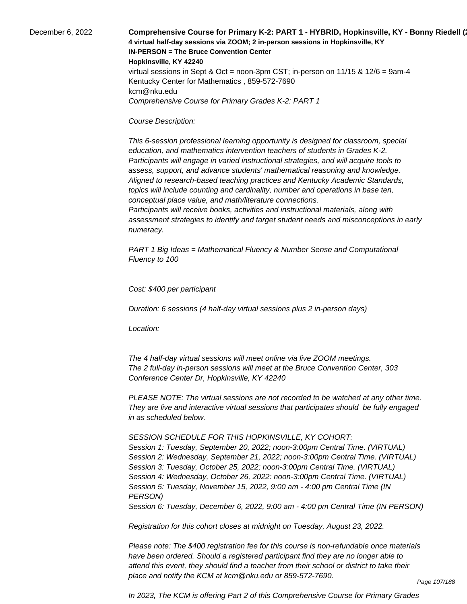December 6, 2022 **Comprehensive Course for Primary K-2: PART 1 - HYBRID, Hopkinsville, KY - Bonny Riedell (2021 4 virtual half-day sessions via ZOOM; 2 in-person sessions in Hopkinsville, KY IN-PERSON = The Bruce Convention Center Hopkinsville, KY 42240** virtual sessions in Sept & Oct = noon-3pm CST; in-person on  $11/15$  &  $12/6$  = 9am-4 Kentucky Center for Mathematics , 859-572-7690 kcm@nku.edu Comprehensive Course for Primary Grades K-2: PART 1

### Course Description:

 This 6-session professional learning opportunity is designed for classroom, special education, and mathematics intervention teachers of students in Grades K-2. Participants will engage in varied instructional strategies, and will acquire tools to assess, support, and advance students' mathematical reasoning and knowledge. Aligned to research-based teaching practices and Kentucky Academic Standards, topics will include counting and cardinality, number and operations in base ten, conceptual place value, and math/literature connections.

 Participants will receive books, activities and instructional materials, along with assessment strategies to identify and target student needs and misconceptions in early numeracy.

PART 1 Big Ideas = Mathematical Fluency & Number Sense and Computational Fluency to 100

Cost: \$400 per participant

Duration: 6 sessions (4 half-day virtual sessions plus 2 in-person days)

Location:

 The 4 half-day virtual sessions will meet online via live ZOOM meetings. The 2 full-day in-person sessions will meet at the Bruce Convention Center, 303 Conference Center Dr, Hopkinsville, KY 42240

PLEASE NOTE: The virtual sessions are not recorded to be watched at any other time. They are live and interactive virtual sessions that participates should be fully engaged in as scheduled below.

SESSION SCHEDULE FOR THIS HOPKINSVILLE, KY COHORT:

Session 1: Tuesday, September 20, 2022; noon-3:00pm Central Time. (VIRTUAL) Session 2: Wednesday, September 21, 2022; noon-3:00pm Central Time. (VIRTUAL) Session 3: Tuesday, October 25, 2022; noon-3:00pm Central Time. (VIRTUAL) Session 4: Wednesday, October 26, 2022: noon-3:00pm Central Time. (VIRTUAL) Session 5: Tuesday, November 15, 2022, 9:00 am - 4:00 pm Central Time (IN PERSON)

Session 6: Tuesday, December 6, 2022, 9:00 am - 4:00 pm Central Time (IN PERSON)

Registration for this cohort closes at midnight on Tuesday, August 23, 2022.

Please note: The \$400 registration fee for this course is non-refundable once materials have been ordered. Should a registered participant find they are no longer able to attend this event, they should find a teacher from their school or district to take their place and notify the KCM at kcm@nku.edu or 859-572-7690.

Page 107/188

In 2023, The KCM is offering Part 2 of this Comprehensive Course for Primary Grades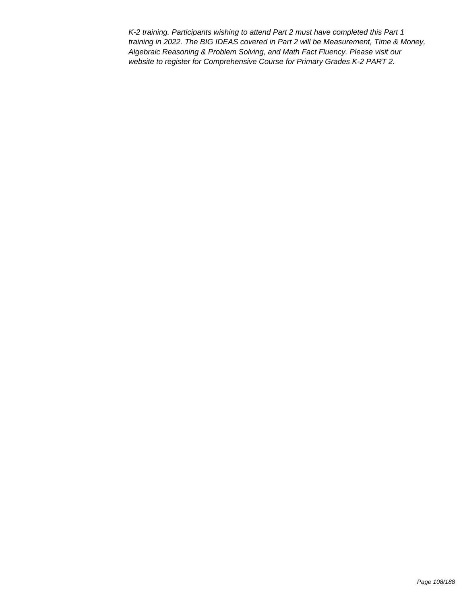K-2 training. Participants wishing to attend Part 2 must have completed this Part 1 training in 2022. The BIG IDEAS covered in Part 2 will be Measurement, Time & Money, Algebraic Reasoning & Problem Solving, and Math Fact Fluency. Please visit our website to register for Comprehensive Course for Primary Grades K-2 PART 2.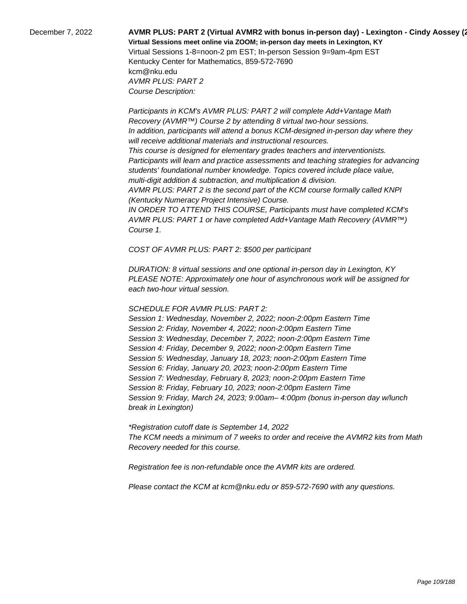# December 7, 2022 **AVMR PLUS: PART 2 (Virtual AVMR2 with bonus in-person day) - Lexington - Cindy Aossey (2022-23) Virtual Sessions meet online via ZOOM; in-person day meets in Lexington, KY**  Virtual Sessions 1-8=noon-2 pm EST; In-person Session 9=9am-4pm EST Kentucky Center for Mathematics, 859-572-7690

kcm@nku.edu AVMR PLUS: PART 2 Course Description:

 Participants in KCM's AVMR PLUS: PART 2 will complete Add+Vantage Math Recovery (AVMR™) Course 2 by attending 8 virtual two-hour sessions. In addition, participants will attend a bonus KCM-designed in-person day where they will receive additional materials and instructional resources. This course is designed for elementary grades teachers and interventionists. Participants will learn and practice assessments and teaching strategies for advancing students' foundational number knowledge. Topics covered include place value, multi-digit addition & subtraction, and multiplication & division. AVMR PLUS: PART 2 is the second part of the KCM course formally called KNPI (Kentucky Numeracy Project Intensive) Course. IN ORDER TO ATTEND THIS COURSE, Participants must have completed KCM's

AVMR PLUS: PART 1 or have completed Add+Vantage Math Recovery (AVMR™) Course 1.

COST OF AVMR PLUS: PART 2: \$500 per participant

DURATION: 8 virtual sessions and one optional in-person day in Lexington, KY PLEASE NOTE: Approximately one hour of asynchronous work will be assigned for each two-hour virtual session.

## SCHEDULE FOR AVMR PLUS: PART 2:

Session 1: Wednesday, November 2, 2022; noon-2:00pm Eastern Time Session 2: Friday, November 4, 2022; noon-2:00pm Eastern Time Session 3: Wednesday, December 7, 2022; noon-2:00pm Eastern Time Session 4: Friday, December 9, 2022; noon-2:00pm Eastern Time Session 5: Wednesday, January 18, 2023; noon-2:00pm Eastern Time Session 6: Friday, January 20, 2023; noon-2:00pm Eastern Time Session 7: Wednesday, February 8, 2023; noon-2:00pm Eastern Time Session 8: Friday, February 10, 2023; noon-2:00pm Eastern Time Session 9: Friday, March 24, 2023; 9:00am– 4:00pm (bonus in-person day w/lunch break in Lexington)

\*Registration cutoff date is September 14, 2022 The KCM needs a minimum of 7 weeks to order and receive the AVMR2 kits from Math Recovery needed for this course.

Registration fee is non-refundable once the AVMR kits are ordered.

Please contact the KCM at kcm@nku.edu or 859-572-7690 with any questions.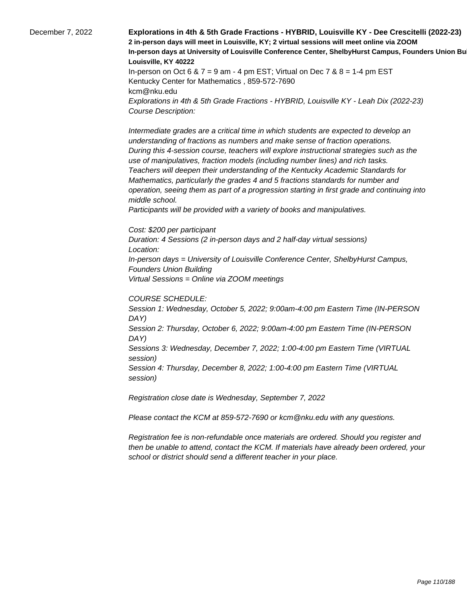December 7, 2022 **Explorations in 4th & 5th Grade Fractions - HYBRID, Louisville KY - Dee Crescitelli (2022-23) 2 in-person days will meet in Louisville, KY; 2 virtual sessions will meet online via ZOOM In-person days at University of Louisville Conference Center, ShelbyHurst Campus, Founders Union Bu Louisville, KY 40222** In-person on Oct 6 &  $7 = 9$  am - 4 pm EST; Virtual on Dec  $7$  &  $8 = 1-4$  pm EST Kentucky Center for Mathematics , 859-572-7690 kcm@nku.edu Explorations in 4th & 5th Grade Fractions - HYBRID, Louisville KY - Leah Dix (2022-23) Course Description: Intermediate grades are a critical time in which students are expected to develop an understanding of fractions as numbers and make sense of fraction operations. During this 4-session course, teachers will explore instructional strategies such as the use of manipulatives, fraction models (including number lines) and rich tasks. Teachers will deepen their understanding of the Kentucky Academic Standards for Mathematics, particularly the grades 4 and 5 fractions standards for number and operation, seeing them as part of a progression starting in first grade and continuing into middle school. Participants will be provided with a variety of books and manipulatives. Cost: \$200 per participant Duration: 4 Sessions (2 in-person days and 2 half-day virtual sessions)

Location: In-person days = University of Louisville Conference Center, ShelbyHurst Campus, Founders Union Building Virtual Sessions = Online via ZOOM meetings

#### COURSE SCHEDULE:

Session 1: Wednesday, October 5, 2022; 9:00am-4:00 pm Eastern Time (IN-PERSON DAY) Session 2: Thursday, October 6, 2022; 9:00am-4:00 pm Eastern Time (IN-PERSON DAY) Sessions 3: Wednesday, December 7, 2022; 1:00-4:00 pm Eastern Time (VIRTUAL session) Session 4: Thursday, December 8, 2022; 1:00-4:00 pm Eastern Time (VIRTUAL session)

Registration close date is Wednesday, September 7, 2022

Please contact the KCM at 859-572-7690 or kcm@nku.edu with any questions.

Registration fee is non-refundable once materials are ordered. Should you register and then be unable to attend, contact the KCM. If materials have already been ordered, your school or district should send a different teacher in your place.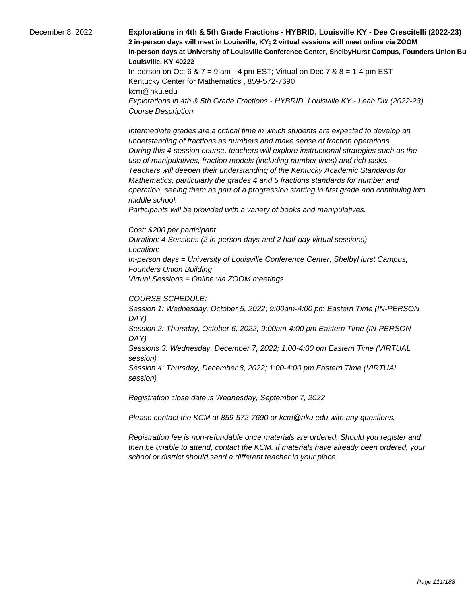December 8, 2022 **Explorations in 4th & 5th Grade Fractions - HYBRID, Louisville KY - Dee Crescitelli (2022-23) 2 in-person days will meet in Louisville, KY; 2 virtual sessions will meet online via ZOOM In-person days at University of Louisville Conference Center, ShelbyHurst Campus, Founders Union Bu Louisville, KY 40222** In-person on Oct 6 &  $7 = 9$  am - 4 pm EST; Virtual on Dec  $7$  &  $8 = 1-4$  pm EST Kentucky Center for Mathematics , 859-572-7690 kcm@nku.edu Explorations in 4th & 5th Grade Fractions - HYBRID, Louisville KY - Leah Dix (2022-23) Course Description: Intermediate grades are a critical time in which students are expected to develop an understanding of fractions as numbers and make sense of fraction operations. During this 4-session course, teachers will explore instructional strategies such as the use of manipulatives, fraction models (including number lines) and rich tasks. Teachers will deepen their understanding of the Kentucky Academic Standards for Mathematics, particularly the grades 4 and 5 fractions standards for number and operation, seeing them as part of a progression starting in first grade and continuing into middle school.

 Participants will be provided with a variety of books and manipulatives.

Cost: \$200 per participant

Duration: 4 Sessions (2 in-person days and 2 half-day virtual sessions) Location: In-person days = University of Louisville Conference Center, ShelbyHurst Campus, Founders Union Building Virtual Sessions = Online via ZOOM meetings

#### COURSE SCHEDULE:

Session 1: Wednesday, October 5, 2022; 9:00am-4:00 pm Eastern Time (IN-PERSON DAY) Session 2: Thursday, October 6, 2022; 9:00am-4:00 pm Eastern Time (IN-PERSON DAY) Sessions 3: Wednesday, December 7, 2022; 1:00-4:00 pm Eastern Time (VIRTUAL session) Session 4: Thursday, December 8, 2022; 1:00-4:00 pm Eastern Time (VIRTUAL session)

Registration close date is Wednesday, September 7, 2022

Please contact the KCM at 859-572-7690 or kcm@nku.edu with any questions.

Registration fee is non-refundable once materials are ordered. Should you register and then be unable to attend, contact the KCM. If materials have already been ordered, your school or district should send a different teacher in your place.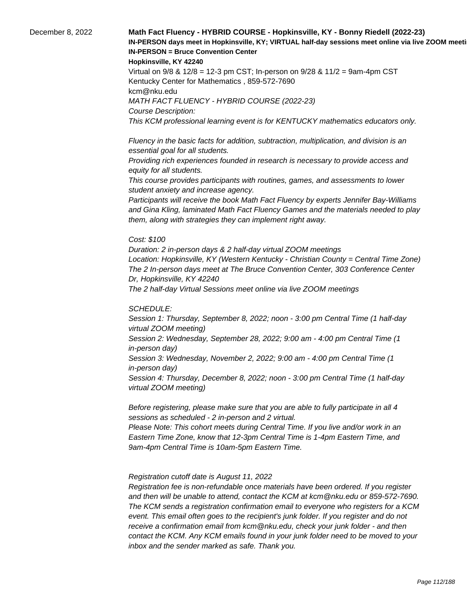## December 8, 2022 **Math Fact Fluency - HYBRID COURSE - Hopkinsville, KY - Bonny Riedell (2022-23)**  IN-PERSON days meet in Hopkinsville, KY; VIRTUAL half-day sessions meet online via live ZOOM meeti **IN-PERSON = Bruce Convention Center**

#### **Hopkinsville, KY 42240**

Virtual on 9/8 & 12/8 = 12-3 pm CST; In-person on 9/28 & 11/2 = 9am-4pm CST Kentucky Center for Mathematics , 859-572-7690 kcm@nku.edu MATH FACT FLUENCY - HYBRID COURSE (2022-23) Course Description: This KCM professional learning event is for KENTUCKY mathematics educators only.

 Fluency in the basic facts for addition, subtraction, multiplication, and division is an essential goal for all students.

 Providing rich experiences founded in research is necessary to provide access and equity for all students.

 This course provides participants with routines, games, and assessments to lower student anxiety and increase agency.

 Participants will receive the book Math Fact Fluency by experts Jennifer Bay-Williams and Gina Kling, laminated Math Fact Fluency Games and the materials needed to play them, along with strategies they can implement right away.

#### Cost: \$100

Duration: 2 in-person days & 2 half-day virtual ZOOM meetings Location: Hopkinsville, KY (Western Kentucky - Christian County = Central Time Zone) The 2 In-person days meet at The Bruce Convention Center, 303 Conference Center Dr, Hopkinsville, KY 42240 The 2 half-day Virtual Sessions meet online via live ZOOM meetings

SCHEDULE:

Session 1: Thursday, September 8, 2022; noon - 3:00 pm Central Time (1 half-day virtual ZOOM meeting) Session 2: Wednesday, September 28, 2022; 9:00 am - 4:00 pm Central Time (1 in-person day) Session 3: Wednesday, November 2, 2022; 9:00 am - 4:00 pm Central Time (1 in-person day) Session 4: Thursday, December 8, 2022; noon - 3:00 pm Central Time (1 half-day virtual ZOOM meeting)

Before registering, please make sure that you are able to fully participate in all 4 sessions as scheduled - 2 in-person and 2 virtual.

Please Note: This cohort meets during Central Time. If you live and/or work in an Eastern Time Zone, know that 12-3pm Central Time is 1-4pm Eastern Time, and 9am-4pm Central Time is 10am-5pm Eastern Time.

#### Registration cutoff date is August 11, 2022

 Registration fee is non-refundable once materials have been ordered. If you register and then will be unable to attend, contact the KCM at kcm@nku.edu or 859-572-7690. The KCM sends a registration confirmation email to everyone who registers for a KCM event. This email often goes to the recipient's junk folder. If you register and do not receive a confirmation email from kcm@nku.edu, check your junk folder - and then contact the KCM. Any KCM emails found in your junk folder need to be moved to your inbox and the sender marked as safe. Thank you.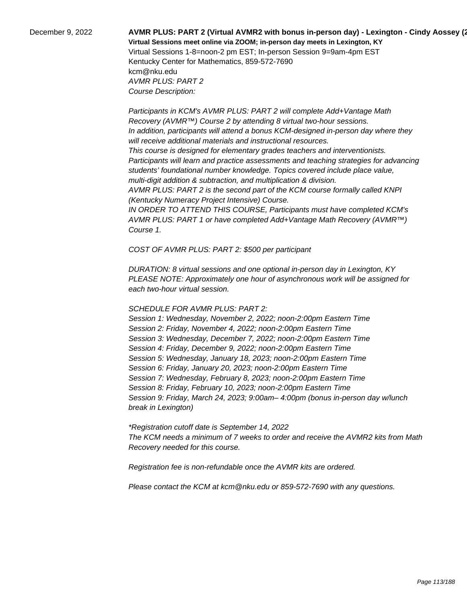## December 9, 2022 **AVMR PLUS: PART 2 (Virtual AVMR2 with bonus in-person day) - Lexington - Cindy Aossey (2022-23) Virtual Sessions meet online via ZOOM; in-person day meets in Lexington, KY**  Virtual Sessions 1-8=noon-2 pm EST; In-person Session 9=9am-4pm EST

Kentucky Center for Mathematics, 859-572-7690 kcm@nku.edu AVMR PLUS: PART 2 Course Description:

 Participants in KCM's AVMR PLUS: PART 2 will complete Add+Vantage Math Recovery (AVMR™) Course 2 by attending 8 virtual two-hour sessions. In addition, participants will attend a bonus KCM-designed in-person day where they will receive additional materials and instructional resources. This course is designed for elementary grades teachers and interventionists. Participants will learn and practice assessments and teaching strategies for advancing students' foundational number knowledge. Topics covered include place value, multi-digit addition & subtraction, and multiplication & division. AVMR PLUS: PART 2 is the second part of the KCM course formally called KNPI (Kentucky Numeracy Project Intensive) Course. IN ORDER TO ATTEND THIS COURSE, Participants must have completed KCM's AVMR PLUS: PART 1 or have completed Add+Vantage Math Recovery (AVMR™)

COST OF AVMR PLUS: PART 2: \$500 per participant

DURATION: 8 virtual sessions and one optional in-person day in Lexington, KY PLEASE NOTE: Approximately one hour of asynchronous work will be assigned for each two-hour virtual session.

## SCHEDULE FOR AVMR PLUS: PART 2:

Course 1.

Session 1: Wednesday, November 2, 2022; noon-2:00pm Eastern Time Session 2: Friday, November 4, 2022; noon-2:00pm Eastern Time Session 3: Wednesday, December 7, 2022; noon-2:00pm Eastern Time Session 4: Friday, December 9, 2022; noon-2:00pm Eastern Time Session 5: Wednesday, January 18, 2023; noon-2:00pm Eastern Time Session 6: Friday, January 20, 2023; noon-2:00pm Eastern Time Session 7: Wednesday, February 8, 2023; noon-2:00pm Eastern Time Session 8: Friday, February 10, 2023; noon-2:00pm Eastern Time Session 9: Friday, March 24, 2023; 9:00am– 4:00pm (bonus in-person day w/lunch break in Lexington)

\*Registration cutoff date is September 14, 2022 The KCM needs a minimum of 7 weeks to order and receive the AVMR2 kits from Math Recovery needed for this course.

Registration fee is non-refundable once the AVMR kits are ordered.

Please contact the KCM at kcm@nku.edu or 859-572-7690 with any questions.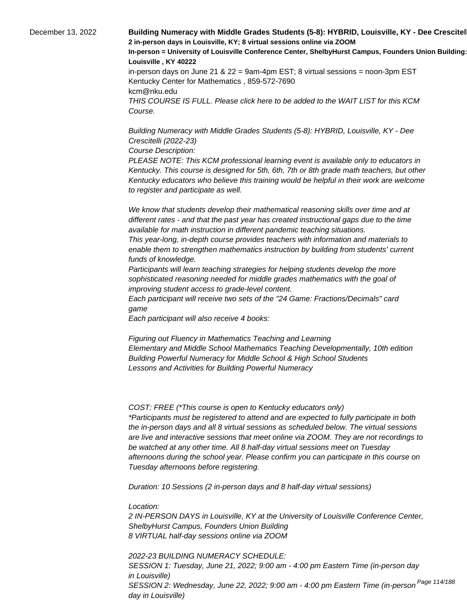December 13, 2022 **Building Numeracy with Middle Grades Students (5-8): HYBRID, Louisville, KY - Dee Crescitel 2 in-person days in Louisville, KY; 8 virtual sessions online via ZOOM In-person = University of Louisville Conference Center, ShelbyHurst Campus, Founders Union Building: Room 15 Louisville , KY 40222** in-person days on June 21 &  $22 = 9$ am-4pm EST; 8 virtual sessions = noon-3pm EST Kentucky Center for Mathematics , 859-572-7690 kcm@nku.edu THIS COURSE IS FULL. Please click here to be added to the WAIT LIST for this KCM Course.

> Building Numeracy with Middle Grades Students (5-8): HYBRID, Louisville, KY - Dee Crescitelli (2022-23)

Course Description:

PLEASE NOTE: This KCM professional learning event is available only to educators in Kentucky. This course is designed for 5th, 6th, 7th or 8th grade math teachers, but other Kentucky educators who believe this training would be helpful in their work are welcome to register and participate as well.

 We know that students develop their mathematical reasoning skills over time and at different rates - and that the past year has created instructional gaps due to the time available for math instruction in different pandemic teaching situations.

 This year-long, in-depth course provides teachers with information and materials to enable them to strengthen mathematics instruction by building from students' current funds of knowledge.

 Participants will learn teaching strategies for helping students develop the more sophisticated reasoning needed for middle grades mathematics with the goal of improving student access to grade-level content.

 Each participant will receive two sets of the "24 Game: Fractions/Decimals" card game

 Each participant will also receive 4 books:

 Figuring out Fluency in Mathematics Teaching and Learning Elementary and Middle School Mathematics Teaching Developmentally, 10th edition Building Powerful Numeracy for Middle School & High School Students Lessons and Activities for Building Powerful Numeracy

COST: FREE (\*This course is open to Kentucky educators only) \*Participants must be registered to attend and are expected to fully participate in both the in-person days and all 8 virtual sessions as scheduled below. The virtual sessions are live and interactive sessions that meet online via ZOOM. They are not recordings to be watched at any other time. All 8 half-day virtual sessions meet on Tuesday afternoons during the school year. Please confirm you can participate in this course on Tuesday afternoons before registering.

Duration: 10 Sessions (2 in-person days and 8 half-day virtual sessions)

Location:

2 IN-PERSON DAYS in Louisville, KY at the University of Louisville Conference Center, ShelbyHurst Campus, Founders Union Building 8 VIRTUAL half-day sessions online via ZOOM

2022-23 BUILDING NUMERACY SCHEDULE: SESSION 1: Tuesday, June 21, 2022; 9:00 am - 4:00 pm Eastern Time (in-person day in Louisville) SESSION 2: Wednesday, June 22, 2022; 9:00 am - 4:00 pm Eastern Time (in-person <sup>Page 114/188</sup> day in Louisville)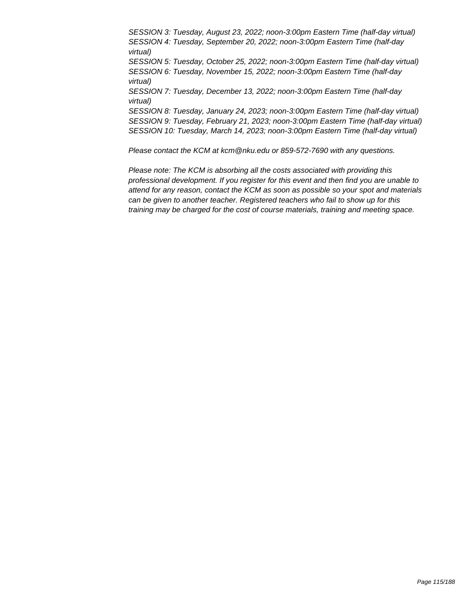SESSION 3: Tuesday, August 23, 2022; noon-3:00pm Eastern Time (half-day virtual) SESSION 4: Tuesday, September 20, 2022; noon-3:00pm Eastern Time (half-day virtual) SESSION 5: Tuesday, October 25, 2022; noon-3:00pm Eastern Time (half-day virtual) SESSION 6: Tuesday, November 15, 2022; noon-3:00pm Eastern Time (half-day virtual) SESSION 7: Tuesday, December 13, 2022; noon-3:00pm Eastern Time (half-day virtual) SESSION 8: Tuesday, January 24, 2023; noon-3:00pm Eastern Time (half-day virtual) SESSION 9: Tuesday, February 21, 2023; noon-3:00pm Eastern Time (half-day virtual) SESSION 10: Tuesday, March 14, 2023; noon-3:00pm Eastern Time (half-day virtual)

Please contact the KCM at kcm@nku.edu or 859-572-7690 with any questions.

Please note: The KCM is absorbing all the costs associated with providing this professional development. If you register for this event and then find you are unable to attend for any reason, contact the KCM as soon as possible so your spot and materials can be given to another teacher. Registered teachers who fail to show up for this training may be charged for the cost of course materials, training and meeting space.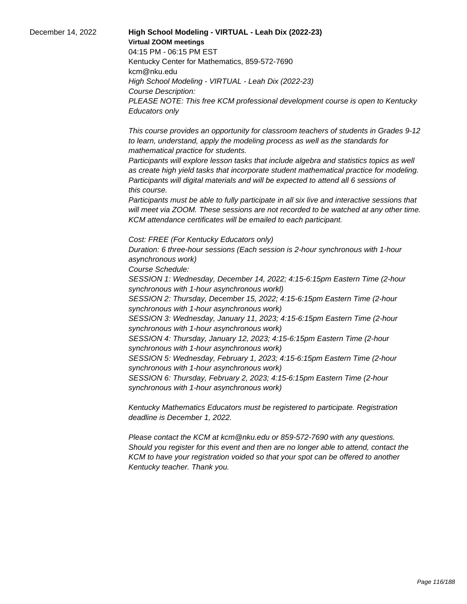December 14, 2022 **High School Modeling - VIRTUAL - Leah Dix (2022-23) Virtual ZOOM meetings** 04:15 PM - 06:15 PM EST Kentucky Center for Mathematics, 859-572-7690 kcm@nku.edu High School Modeling - VIRTUAL - Leah Dix (2022-23) Course Description: PLEASE NOTE: This free KCM professional development course is open to Kentucky Educators only

> This course provides an opportunity for classroom teachers of students in Grades 9-12 to learn, understand, apply the modeling process as well as the standards for mathematical practice for students.

 Participants will explore lesson tasks that include algebra and statistics topics as well as create high yield tasks that incorporate student mathematical practice for modeling. Participants will digital materials and will be expected to attend all 6 sessions of this course.

 Participants must be able to fully participate in all six live and interactive sessions that will meet via ZOOM. These sessions are not recorded to be watched at any other time. KCM attendance certificates will be emailed to each participant.

Cost: FREE (For Kentucky Educators only) Duration: 6 three-hour sessions (Each session is 2-hour synchronous with 1-hour asynchronous work)

Course Schedule:

SESSION 1: Wednesday, December 14, 2022; 4:15-6:15pm Eastern Time (2-hour synchronous with 1-hour asynchronous workl)

SESSION 2: Thursday, December 15, 2022; 4:15-6:15pm Eastern Time (2-hour synchronous with 1-hour asynchronous work)

SESSION 3: Wednesday, January 11, 2023; 4:15-6:15pm Eastern Time (2-hour synchronous with 1-hour asynchronous work)

SESSION 4: Thursday, January 12, 2023; 4:15-6:15pm Eastern Time (2-hour synchronous with 1-hour asynchronous work)

SESSION 5: Wednesday, February 1, 2023; 4:15-6:15pm Eastern Time (2-hour synchronous with 1-hour asynchronous work)

SESSION 6: Thursday, February 2, 2023; 4:15-6:15pm Eastern Time (2-hour synchronous with 1-hour asynchronous work)

Kentucky Mathematics Educators must be registered to participate. Registration deadline is December 1, 2022.

Please contact the KCM at kcm@nku.edu or 859-572-7690 with any questions. Should you register for this event and then are no longer able to attend, contact the KCM to have your registration voided so that your spot can be offered to another Kentucky teacher. Thank you.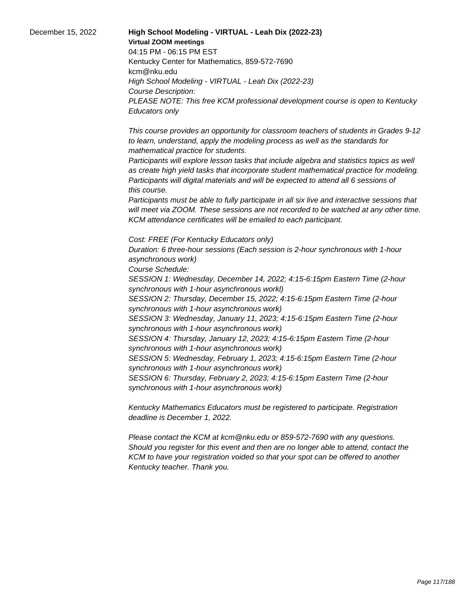December 15, 2022 **High School Modeling - VIRTUAL - Leah Dix (2022-23) Virtual ZOOM meetings** 04:15 PM - 06:15 PM EST Kentucky Center for Mathematics, 859-572-7690 kcm@nku.edu High School Modeling - VIRTUAL - Leah Dix (2022-23) Course Description: PLEASE NOTE: This free KCM professional development course is open to Kentucky Educators only

> This course provides an opportunity for classroom teachers of students in Grades 9-12 to learn, understand, apply the modeling process as well as the standards for mathematical practice for students.

 Participants will explore lesson tasks that include algebra and statistics topics as well as create high yield tasks that incorporate student mathematical practice for modeling. Participants will digital materials and will be expected to attend all 6 sessions of this course.

 Participants must be able to fully participate in all six live and interactive sessions that will meet via ZOOM. These sessions are not recorded to be watched at any other time. KCM attendance certificates will be emailed to each participant.

Cost: FREE (For Kentucky Educators only) Duration: 6 three-hour sessions (Each session is 2-hour synchronous with 1-hour asynchronous work)

Course Schedule:

SESSION 1: Wednesday, December 14, 2022; 4:15-6:15pm Eastern Time (2-hour synchronous with 1-hour asynchronous workl)

SESSION 2: Thursday, December 15, 2022; 4:15-6:15pm Eastern Time (2-hour synchronous with 1-hour asynchronous work)

SESSION 3: Wednesday, January 11, 2023; 4:15-6:15pm Eastern Time (2-hour synchronous with 1-hour asynchronous work)

SESSION 4: Thursday, January 12, 2023; 4:15-6:15pm Eastern Time (2-hour synchronous with 1-hour asynchronous work)

SESSION 5: Wednesday, February 1, 2023; 4:15-6:15pm Eastern Time (2-hour synchronous with 1-hour asynchronous work)

SESSION 6: Thursday, February 2, 2023; 4:15-6:15pm Eastern Time (2-hour synchronous with 1-hour asynchronous work)

Kentucky Mathematics Educators must be registered to participate. Registration deadline is December 1, 2022.

Please contact the KCM at kcm@nku.edu or 859-572-7690 with any questions. Should you register for this event and then are no longer able to attend, contact the KCM to have your registration voided so that your spot can be offered to another Kentucky teacher. Thank you.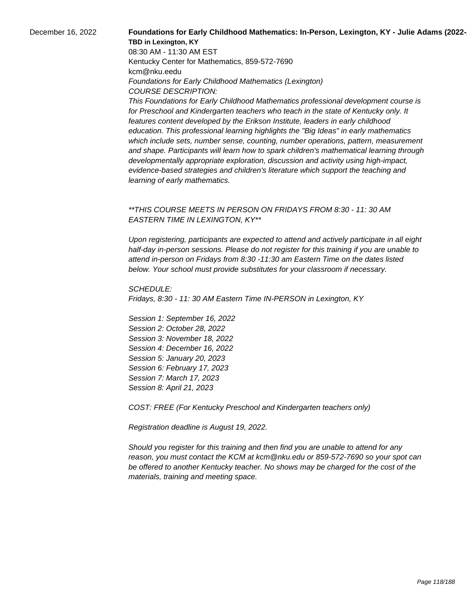## December 16, 2022 **Foundations for Early Childhood Mathematics: In-Person, Lexington, KY - Julie Adams (2022-TBD in Lexington, KY**

08:30 AM - 11:30 AM EST Kentucky Center for Mathematics, 859-572-7690 kcm@nku.eedu Foundations for Early Childhood Mathematics (Lexington) COURSE DESCRIPTION:

This Foundations for Early Childhood Mathematics professional development course is for Preschool and Kindergarten teachers who teach in the state of Kentucky only. It features content developed by the Erikson Institute, leaders in early childhood education. This professional learning highlights the "Big Ideas" in early mathematics which include sets, number sense, counting, number operations, pattern, measurement and shape. Participants will learn how to spark children's mathematical learning through developmentally appropriate exploration, discussion and activity using high-impact, evidence-based strategies and children's literature which support the teaching and learning of early mathematics.

## \*\*THIS COURSE MEETS IN PERSON ON FRIDAYS FROM 8:30 - 11: 30 AM EASTERN TIME IN LEXINGTON, KY\*\*

Upon registering, participants are expected to attend and actively participate in all eight half-day in-person sessions. Please do not register for this training if you are unable to attend in-person on Fridays from 8:30 -11:30 am Eastern Time on the dates listed below. Your school must provide substitutes for your classroom if necessary.

SCHEDULE: Fridays, 8:30 - 11: 30 AM Eastern Time IN-PERSON in Lexington, KY

Session 1: September 16, 2022 Session 2: October 28, 2022 Session 3: November 18, 2022 Session 4: December 16, 2022 Session 5: January 20, 2023 Session 6: February 17, 2023 Session 7: March 17, 2023 Session 8: April 21, 2023

COST: FREE (For Kentucky Preschool and Kindergarten teachers only)

Registration deadline is August 19, 2022.

Should you register for this training and then find you are unable to attend for any reason, you must contact the KCM at kcm@nku.edu or 859-572-7690 so your spot can be offered to another Kentucky teacher. No shows may be charged for the cost of the materials, training and meeting space.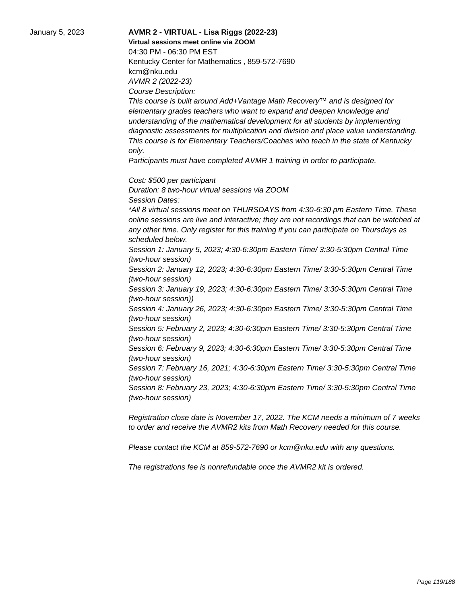## January 5, 2023 **AVMR 2 - VIRTUAL - Lisa Riggs (2022-23) Virtual sessions meet online via ZOOM**  04:30 PM - 06:30 PM EST Kentucky Center for Mathematics , 859-572-7690 kcm@nku.edu AVMR 2 (2022-23) Course Description:

This course is built around Add+Vantage Math Recovery™ and is designed for elementary grades teachers who want to expand and deepen knowledge and understanding of the mathematical development for all students by implementing diagnostic assessments for multiplication and division and place value understanding. This course is for Elementary Teachers/Coaches who teach in the state of Kentucky only.

Participants must have completed AVMR 1 training in order to participate.

Cost: \$500 per participant

Duration: 8 two-hour virtual sessions via ZOOM Session Dates: \*All 8 virtual sessions meet on THURSDAYS from 4:30-6:30 pm Eastern Time. These online sessions are live and interactive; they are not recordings that can be watched at any other time. Only register for this training if you can participate on Thursdays as scheduled below. Session 1: January 5, 2023; 4:30-6:30pm Eastern Time/ 3:30-5:30pm Central Time (two-hour session) Session 2: January 12, 2023; 4:30-6:30pm Eastern Time/ 3:30-5:30pm Central Time (two-hour session) Session 3: January 19, 2023; 4:30-6:30pm Eastern Time/ 3:30-5:30pm Central Time (two-hour session)) Session 4: January 26, 2023; 4:30-6:30pm Eastern Time/ 3:30-5:30pm Central Time (two-hour session)

Session 5: February 2, 2023; 4:30-6:30pm Eastern Time/ 3:30-5:30pm Central Time (two-hour session)

Session 6: February 9, 2023; 4:30-6:30pm Eastern Time/ 3:30-5:30pm Central Time (two-hour session)

Session 7: February 16, 2021; 4:30-6:30pm Eastern Time/ 3:30-5:30pm Central Time (two-hour session)

Session 8: February 23, 2023; 4:30-6:30pm Eastern Time/ 3:30-5:30pm Central Time (two-hour session)

Registration close date is November 17, 2022. The KCM needs a minimum of 7 weeks to order and receive the AVMR2 kits from Math Recovery needed for this course.

Please contact the KCM at 859-572-7690 or kcm@nku.edu with any questions.

The registrations fee is nonrefundable once the AVMR2 kit is ordered.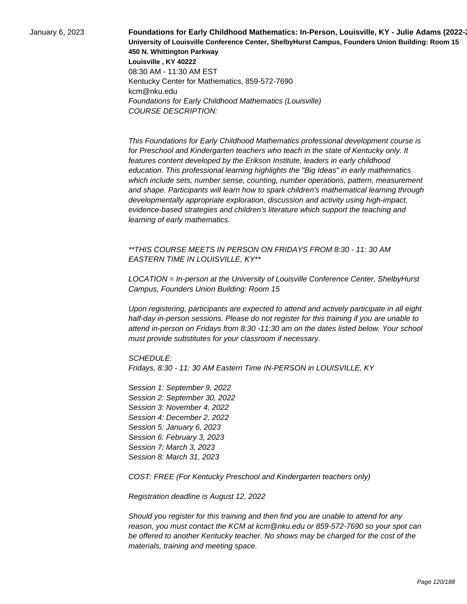January 6, 2023 **Foundations for Early Childhood Mathematics: In-Person, Louisville, KY - Julie Adams (2022-23) University of Louisville Conference Center, ShelbyHurst Campus, Founders Union Building: Room 15 450 N. Whittington Parkway Louisville , KY 40222** 08:30 AM - 11:30 AM EST Kentucky Center for Mathematics, 859-572-7690 kcm@nku.edu Foundations for Early Childhood Mathematics (Louisville) COURSE DESCRIPTION:

> This Foundations for Early Childhood Mathematics professional development course is for Preschool and Kindergarten teachers who teach in the state of Kentucky only. It features content developed by the Erikson Institute, leaders in early childhood education. This professional learning highlights the "Big Ideas" in early mathematics which include sets, number sense, counting, number operations, pattern, measurement and shape. Participants will learn how to spark children's mathematical learning through developmentally appropriate exploration, discussion and activity using high-impact, evidence-based strategies and children's literature which support the teaching and learning of early mathematics.

\*\*THIS COURSE MEETS IN PERSON ON FRIDAYS FROM 8:30 - 11: 30 AM EASTERN TIME IN LOUISVILLE, KY\*\*

LOCATION = In-person at the University of Louisville Conference Center, ShelbyHurst Campus, Founders Union Building: Room 15

Upon registering, participants are expected to attend and actively participate in all eight half-day in-person sessions. Please do not register for this training if you are unable to attend in-person on Fridays from 8:30 -11:30 am on the dates listed below. Your school must provide substitutes for your classroom if necessary.

SCHEDULE:

Fridays, 8:30 - 11: 30 AM Eastern Time IN-PERSON in LOUISVILLE, KY

Session 1: September 9, 2022 Session 2: September 30, 2022 Session 3: November 4, 2022 Session 4: December 2, 2022 Session 5: January 6, 2023 Session 6: February 3, 2023 Session 7: March 3, 2023 Session 8: March 31, 2023

COST: FREE (For Kentucky Preschool and Kindergarten teachers only)

Registration deadline is August 12, 2022

Should you register for this training and then find you are unable to attend for any reason, you must contact the KCM at kcm@nku.edu or 859-572-7690 so your spot can be offered to another Kentucky teacher. No shows may be charged for the cost of the materials, training and meeting space.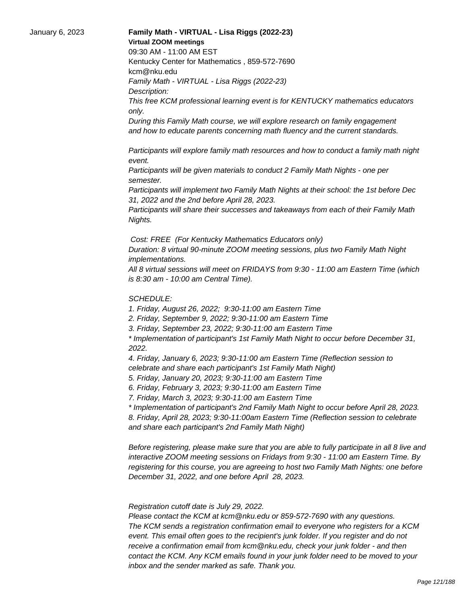## January 6, 2023 **Family Math - VIRTUAL - Lisa Riggs (2022-23) Virtual ZOOM meetings**

09:30 AM - 11:00 AM EST

Kentucky Center for Mathematics , 859-572-7690 kcm@nku.edu

Family Math - VIRTUAL - Lisa Riggs (2022-23)

Description:

This free KCM professional learning event is for KENTUCKY mathematics educators only.

During this Family Math course, we will explore research on family engagement and how to educate parents concerning math fluency and the current standards.

 Participants will explore family math resources and how to conduct a family math night event.

 Participants will be given materials to conduct 2 Family Math Nights - one per semester.

 Participants will implement two Family Math Nights at their school: the 1st before Dec 31, 2022 and the 2nd before April 28, 2023.

 Participants will share their successes and takeaways from each of their Family Math Nights.

Cost: FREE (For Kentucky Mathematics Educators only)

Duration: 8 virtual 90-minute ZOOM meeting sessions, plus two Family Math Night implementations.

All 8 virtual sessions will meet on FRIDAYS from 9:30 - 11:00 am Eastern Time (which is 8:30 am - 10:00 am Central Time).

## SCHEDULE:

1. Friday, August 26, 2022; 9:30-11:00 am Eastern Time

2. Friday, September 9, 2022; 9:30-11:00 am Eastern Time

3. Friday, September 23, 2022; 9:30-11:00 am Eastern Time

\* Implementation of participant's 1st Family Math Night to occur before December 31, 2022.

4. Friday, January 6, 2023; 9:30-11:00 am Eastern Time (Reflection session to celebrate and share each participant's 1st Family Math Night)

5. Friday, January 20, 2023; 9:30-11:00 am Eastern Time

6. Friday, February 3, 2023; 9:30-11:00 am Eastern Time

7. Friday, March 3, 2023; 9:30-11:00 am Eastern Time

\* Implementation of participant's 2nd Family Math Night to occur before April 28, 2023. 8. Friday, April 28, 2023; 9:30-11:00am Eastern Time (Reflection session to celebrate and share each participant's 2nd Family Math Night)

Before registering, please make sure that you are able to fully participate in all 8 live and interactive ZOOM meeting sessions on Fridays from 9:30 - 11:00 am Eastern Time. By registering for this course, you are agreeing to host two Family Math Nights: one before December 31, 2022, and one before April 28, 2023.

 Registration cutoff date is July 29, 2022.

 Please contact the KCM at kcm@nku.edu or 859-572-7690 with any questions. The KCM sends a registration confirmation email to everyone who registers for a KCM event. This email often goes to the recipient's junk folder. If you register and do not receive a confirmation email from kcm@nku.edu, check your junk folder - and then contact the KCM. Any KCM emails found in your junk folder need to be moved to your inbox and the sender marked as safe. Thank you.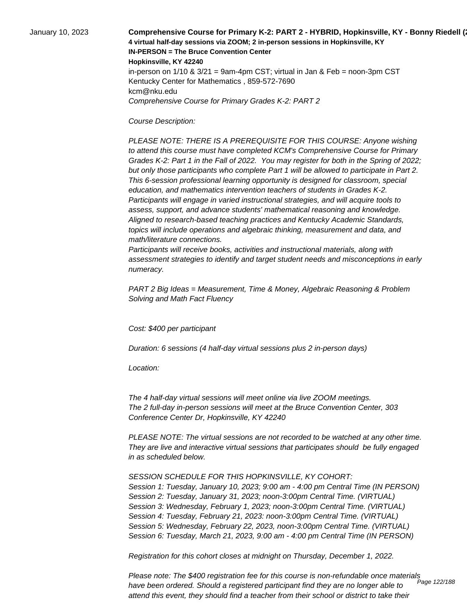January 10, 2023 **Comprehensive Course for Primary K-2: PART 2 - HYBRID, Hopkinsville, KY - Bonny Riedell (2022-23) 4 virtual half-day sessions via ZOOM; 2 in-person sessions in Hopkinsville, KY IN-PERSON = The Bruce Convention Center Hopkinsville, KY 42240** in-person on  $1/10$  &  $3/21$  = 9am-4pm CST; virtual in Jan & Feb = noon-3pm CST Kentucky Center for Mathematics , 859-572-7690 kcm@nku.edu Comprehensive Course for Primary Grades K-2: PART 2

Course Description:

 PLEASE NOTE: THERE IS A PREREQUISITE FOR THIS COURSE: Anyone wishing to attend this course must have completed KCM's Comprehensive Course for Primary Grades K-2: Part 1 in the Fall of 2022. You may register for both in the Spring of 2022; but only those participants who complete Part 1 will be allowed to participate in Part 2. This 6-session professional learning opportunity is designed for classroom, special education, and mathematics intervention teachers of students in Grades K-2. Participants will engage in varied instructional strategies, and will acquire tools to assess, support, and advance students' mathematical reasoning and knowledge. Aligned to research-based teaching practices and Kentucky Academic Standards, topics will include operations and algebraic thinking, measurement and data, and math/literature connections.

 Participants will receive books, activities and instructional materials, along with assessment strategies to identify and target student needs and misconceptions in early numeracy.

PART 2 Big Ideas = Measurement, Time & Money, Algebraic Reasoning & Problem Solving and Math Fact Fluency

Cost: \$400 per participant

Duration: 6 sessions (4 half-day virtual sessions plus 2 in-person days)

Location:

 The 4 half-day virtual sessions will meet online via live ZOOM meetings. The 2 full-day in-person sessions will meet at the Bruce Convention Center, 303 Conference Center Dr, Hopkinsville, KY 42240

PLEASE NOTE: The virtual sessions are not recorded to be watched at any other time. They are live and interactive virtual sessions that participates should be fully engaged in as scheduled below.

SESSION SCHEDULE FOR THIS HOPKINSVILLE, KY COHORT: Session 1: Tuesday, January 10, 2023; 9:00 am - 4:00 pm Central Time (IN PERSON) Session 2: Tuesday, January 31, 2023; noon-3:00pm Central Time. (VIRTUAL) Session 3: Wednesday, February 1, 2023; noon-3:00pm Central Time. (VIRTUAL) Session 4: Tuesday, February 21, 2023: noon-3:00pm Central Time. (VIRTUAL) Session 5: Wednesday, February 22, 2023, noon-3:00pm Central Time. (VIRTUAL) Session 6: Tuesday, March 21, 2023, 9:00 am - 4:00 pm Central Time (IN PERSON)

Registration for this cohort closes at midnight on Thursday, December 1, 2022.

Please note: The \$400 registration fee for this course is non-refundable once materials have been ordered. Should a registered participant find they are no longer able to attend this event, they should find a teacher from their school or district to take their Page 122/188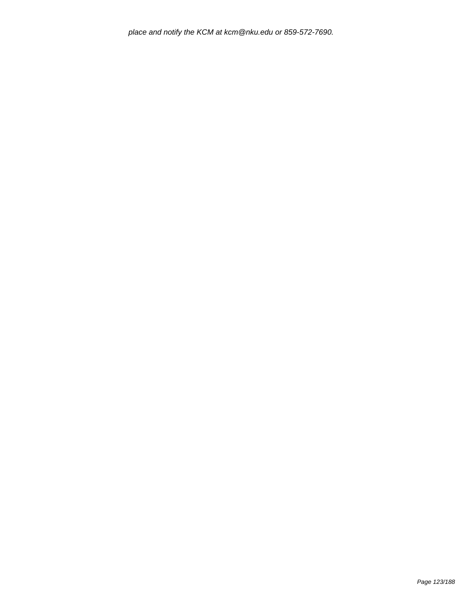place and notify the KCM at kcm@nku.edu or 859-572-7690.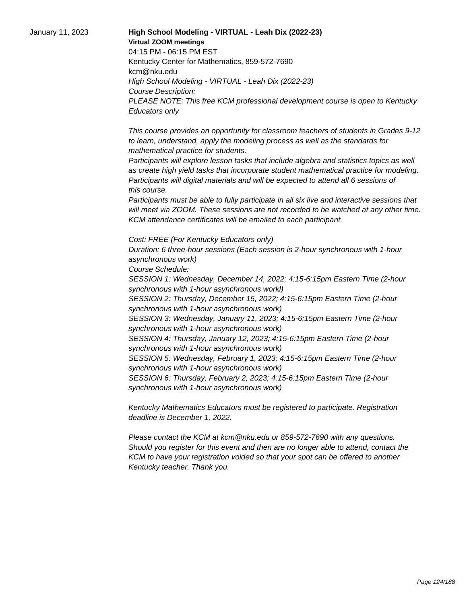January 11, 2023 **High School Modeling - VIRTUAL - Leah Dix (2022-23) Virtual ZOOM meetings** 04:15 PM - 06:15 PM EST Kentucky Center for Mathematics, 859-572-7690 kcm@nku.edu High School Modeling - VIRTUAL - Leah Dix (2022-23) Course Description: PLEASE NOTE: This free KCM professional development course is open to Kentucky Educators only

> This course provides an opportunity for classroom teachers of students in Grades 9-12 to learn, understand, apply the modeling process as well as the standards for mathematical practice for students.

 Participants will explore lesson tasks that include algebra and statistics topics as well as create high yield tasks that incorporate student mathematical practice for modeling. Participants will digital materials and will be expected to attend all 6 sessions of this course.

 Participants must be able to fully participate in all six live and interactive sessions that will meet via ZOOM. These sessions are not recorded to be watched at any other time. KCM attendance certificates will be emailed to each participant.

Cost: FREE (For Kentucky Educators only) Duration: 6 three-hour sessions (Each session is 2-hour synchronous with 1-hour asynchronous work)

Course Schedule:

SESSION 1: Wednesday, December 14, 2022; 4:15-6:15pm Eastern Time (2-hour synchronous with 1-hour asynchronous workl)

SESSION 2: Thursday, December 15, 2022; 4:15-6:15pm Eastern Time (2-hour synchronous with 1-hour asynchronous work)

SESSION 3: Wednesday, January 11, 2023; 4:15-6:15pm Eastern Time (2-hour synchronous with 1-hour asynchronous work)

SESSION 4: Thursday, January 12, 2023; 4:15-6:15pm Eastern Time (2-hour synchronous with 1-hour asynchronous work)

SESSION 5: Wednesday, February 1, 2023; 4:15-6:15pm Eastern Time (2-hour synchronous with 1-hour asynchronous work)

SESSION 6: Thursday, February 2, 2023; 4:15-6:15pm Eastern Time (2-hour synchronous with 1-hour asynchronous work)

Kentucky Mathematics Educators must be registered to participate. Registration deadline is December 1, 2022.

Please contact the KCM at kcm@nku.edu or 859-572-7690 with any questions. Should you register for this event and then are no longer able to attend, contact the KCM to have your registration voided so that your spot can be offered to another Kentucky teacher. Thank you.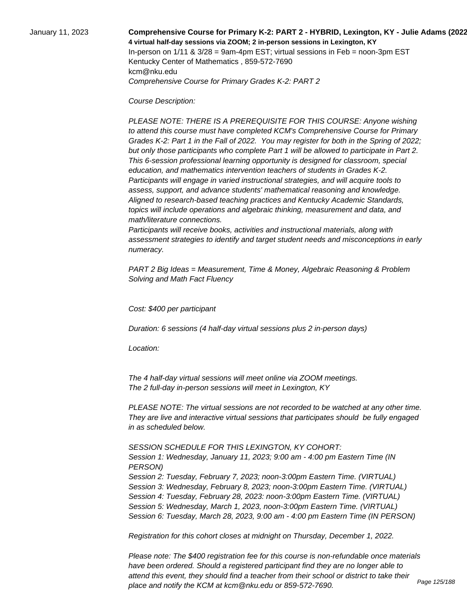January 11, 2023 **Comprehensive Course for Primary K-2: PART 2 - HYBRID, Lexington, KY - Julie Adams (2022-23) 4 virtual half-day sessions via ZOOM; 2 in-person sessions in Lexington, KY**  In-person on  $1/11$  &  $3/28$  = 9am-4pm EST; virtual sessions in Feb = noon-3pm EST Kentucky Center of Mathematics , 859-572-7690 kcm@nku.edu Comprehensive Course for Primary Grades K-2: PART 2

Course Description:

 PLEASE NOTE: THERE IS A PREREQUISITE FOR THIS COURSE: Anyone wishing to attend this course must have completed KCM's Comprehensive Course for Primary Grades K-2: Part 1 in the Fall of 2022. You may register for both in the Spring of 2022; but only those participants who complete Part 1 will be allowed to participate in Part 2. This 6-session professional learning opportunity is designed for classroom, special education, and mathematics intervention teachers of students in Grades K-2. Participants will engage in varied instructional strategies, and will acquire tools to assess, support, and advance students' mathematical reasoning and knowledge. Aligned to research-based teaching practices and Kentucky Academic Standards, topics will include operations and algebraic thinking, measurement and data, and math/literature connections.

 Participants will receive books, activities and instructional materials, along with assessment strategies to identify and target student needs and misconceptions in early numeracy.

PART 2 Big Ideas = Measurement, Time & Money, Algebraic Reasoning & Problem Solving and Math Fact Fluency

Cost: \$400 per participant

Duration: 6 sessions (4 half-day virtual sessions plus 2 in-person days)

Location:

 The 4 half-day virtual sessions will meet online via ZOOM meetings. The 2 full-day in-person sessions will meet in Lexington, KY

PLEASE NOTE: The virtual sessions are not recorded to be watched at any other time. They are live and interactive virtual sessions that participates should be fully engaged in as scheduled below.

SESSION SCHEDULE FOR THIS LEXINGTON, KY COHORT:

Session 1: Wednesday, January 11, 2023; 9:00 am - 4:00 pm Eastern Time (IN PERSON) Session 2: Tuesday, February 7, 2023; noon-3:00pm Eastern Time. (VIRTUAL) Session 3: Wednesday, February 8, 2023; noon-3:00pm Eastern Time. (VIRTUAL) Session 4: Tuesday, February 28, 2023: noon-3:00pm Eastern Time. (VIRTUAL) Session 5: Wednesday, March 1, 2023, noon-3:00pm Eastern Time. (VIRTUAL) Session 6: Tuesday, March 28, 2023, 9:00 am - 4:00 pm Eastern Time (IN PERSON)

Registration for this cohort closes at midnight on Thursday, December 1, 2022.

Please note: The \$400 registration fee for this course is non-refundable once materials have been ordered. Should a registered participant find they are no longer able to attend this event, they should find a teacher from their school or district to take their place and notify the KCM at kcm@nku.edu or 859-572-7690.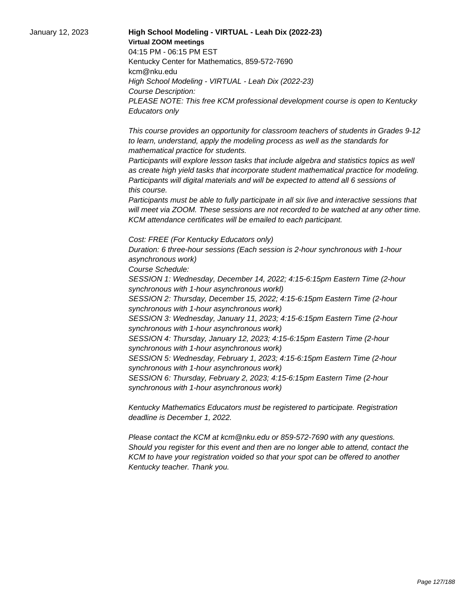January 12, 2023 **High School Modeling - VIRTUAL - Leah Dix (2022-23) Virtual ZOOM meetings** 04:15 PM - 06:15 PM EST Kentucky Center for Mathematics, 859-572-7690 kcm@nku.edu High School Modeling - VIRTUAL - Leah Dix (2022-23) Course Description: PLEASE NOTE: This free KCM professional development course is open to Kentucky Educators only

> This course provides an opportunity for classroom teachers of students in Grades 9-12 to learn, understand, apply the modeling process as well as the standards for mathematical practice for students.

 Participants will explore lesson tasks that include algebra and statistics topics as well as create high yield tasks that incorporate student mathematical practice for modeling. Participants will digital materials and will be expected to attend all 6 sessions of this course.

 Participants must be able to fully participate in all six live and interactive sessions that will meet via ZOOM. These sessions are not recorded to be watched at any other time. KCM attendance certificates will be emailed to each participant.

Cost: FREE (For Kentucky Educators only) Duration: 6 three-hour sessions (Each session is 2-hour synchronous with 1-hour asynchronous work)

Course Schedule:

SESSION 1: Wednesday, December 14, 2022; 4:15-6:15pm Eastern Time (2-hour synchronous with 1-hour asynchronous workl)

SESSION 2: Thursday, December 15, 2022; 4:15-6:15pm Eastern Time (2-hour synchronous with 1-hour asynchronous work)

SESSION 3: Wednesday, January 11, 2023; 4:15-6:15pm Eastern Time (2-hour synchronous with 1-hour asynchronous work)

SESSION 4: Thursday, January 12, 2023; 4:15-6:15pm Eastern Time (2-hour synchronous with 1-hour asynchronous work)

SESSION 5: Wednesday, February 1, 2023; 4:15-6:15pm Eastern Time (2-hour synchronous with 1-hour asynchronous work)

SESSION 6: Thursday, February 2, 2023; 4:15-6:15pm Eastern Time (2-hour synchronous with 1-hour asynchronous work)

Kentucky Mathematics Educators must be registered to participate. Registration deadline is December 1, 2022.

Please contact the KCM at kcm@nku.edu or 859-572-7690 with any questions. Should you register for this event and then are no longer able to attend, contact the KCM to have your registration voided so that your spot can be offered to another Kentucky teacher. Thank you.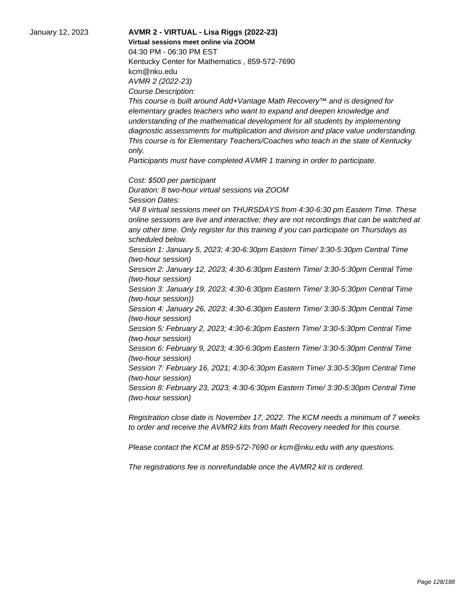January 12, 2023 **AVMR 2 - VIRTUAL - Lisa Riggs (2022-23) Virtual sessions meet online via ZOOM**  04:30 PM - 06:30 PM EST Kentucky Center for Mathematics , 859-572-7690 kcm@nku.edu AVMR 2 (2022-23) Course Description: This course is built around Add+Vantage Math Recovery™ and is designed for elementary grades teachers who want to expand and deepen knowledge and understanding of the mathematical development for all students by implementing diagnostic assessments for multiplication and division and place value understanding. This course is for Elementary Teachers/Coaches who teach in the state of Kentucky only. Participants must have completed AVMR 1 training in order to participate. Cost: \$500 per participant Duration: 8 two-hour virtual sessions via ZOOM Session Dates: \*All 8 virtual sessions meet on THURSDAYS from 4:30-6:30 pm Eastern Time. These online sessions are live and interactive; they are not recordings that can be watched at any other time. Only register for this training if you can participate on Thursdays as scheduled below. Session 1: January 5, 2023; 4:30-6:30pm Eastern Time/ 3:30-5:30pm Central Time (two-hour session) Session 2: January 12, 2023; 4:30-6:30pm Eastern Time/ 3:30-5:30pm Central Time (two-hour session) Session 3: January 19, 2023; 4:30-6:30pm Eastern Time/ 3:30-5:30pm Central Time (two-hour session)) Session 4: January 26, 2023; 4:30-6:30pm Eastern Time/ 3:30-5:30pm Central Time (two-hour session) Session 5: February 2, 2023; 4:30-6:30pm Eastern Time/ 3:30-5:30pm Central Time (two-hour session) Session 6: February 9, 2023; 4:30-6:30pm Eastern Time/ 3:30-5:30pm Central Time (two-hour session) Session 7: February 16, 2021; 4:30-6:30pm Eastern Time/ 3:30-5:30pm Central Time (two-hour session) Session 8: February 23, 2023; 4:30-6:30pm Eastern Time/ 3:30-5:30pm Central Time (two-hour session) Registration close date is November 17, 2022. The KCM needs a minimum of 7 weeks

Please contact the KCM at 859-572-7690 or kcm@nku.edu with any questions.

to order and receive the AVMR2 kits from Math Recovery needed for this course.

The registrations fee is nonrefundable once the AVMR2 kit is ordered.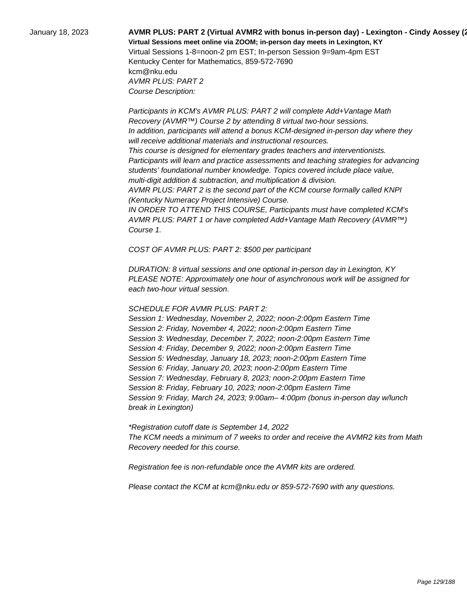# January 18, 2023 **AVMR PLUS: PART 2 (Virtual AVMR2 with bonus in-person day) - Lexington - Cindy Aossey (2022-23) Virtual Sessions meet online via ZOOM; in-person day meets in Lexington, KY**  Virtual Sessions 1-8=noon-2 pm EST; In-person Session 9=9am-4pm EST Kentucky Center for Mathematics, 859-572-7690 kcm@nku.edu

AVMR PLUS: PART 2 Course Description:

 Participants in KCM's AVMR PLUS: PART 2 will complete Add+Vantage Math Recovery (AVMR™) Course 2 by attending 8 virtual two-hour sessions. In addition, participants will attend a bonus KCM-designed in-person day where they will receive additional materials and instructional resources. This course is designed for elementary grades teachers and interventionists. Participants will learn and practice assessments and teaching strategies for advancing students' foundational number knowledge. Topics covered include place value, multi-digit addition & subtraction, and multiplication & division. AVMR PLUS: PART 2 is the second part of the KCM course formally called KNPI (Kentucky Numeracy Project Intensive) Course.

 IN ORDER TO ATTEND THIS COURSE, Participants must have completed KCM's AVMR PLUS: PART 1 or have completed Add+Vantage Math Recovery (AVMR™) Course 1.

COST OF AVMR PLUS: PART 2: \$500 per participant

DURATION: 8 virtual sessions and one optional in-person day in Lexington, KY PLEASE NOTE: Approximately one hour of asynchronous work will be assigned for each two-hour virtual session.

#### SCHEDULE FOR AVMR PLUS: PART 2:

Session 1: Wednesday, November 2, 2022; noon-2:00pm Eastern Time Session 2: Friday, November 4, 2022; noon-2:00pm Eastern Time Session 3: Wednesday, December 7, 2022; noon-2:00pm Eastern Time Session 4: Friday, December 9, 2022; noon-2:00pm Eastern Time Session 5: Wednesday, January 18, 2023; noon-2:00pm Eastern Time Session 6: Friday, January 20, 2023; noon-2:00pm Eastern Time Session 7: Wednesday, February 8, 2023; noon-2:00pm Eastern Time Session 8: Friday, February 10, 2023; noon-2:00pm Eastern Time Session 9: Friday, March 24, 2023; 9:00am– 4:00pm (bonus in-person day w/lunch break in Lexington)

\*Registration cutoff date is September 14, 2022 The KCM needs a minimum of 7 weeks to order and receive the AVMR2 kits from Math Recovery needed for this course.

Registration fee is non-refundable once the AVMR kits are ordered.

Please contact the KCM at kcm@nku.edu or 859-572-7690 with any questions.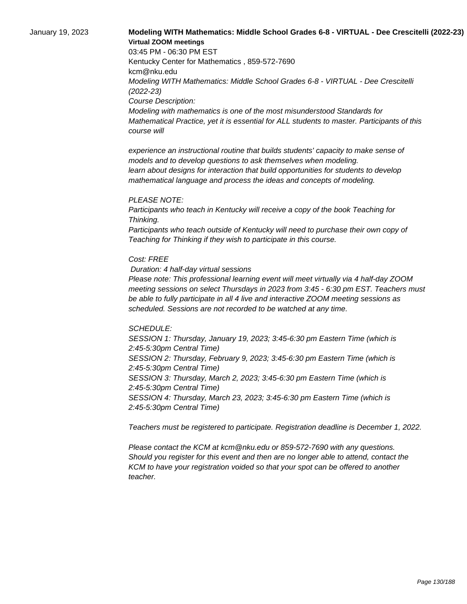## January 19, 2023 **Modeling WITH Mathematics: Middle School Grades 6-8 - VIRTUAL - Dee Crescitelli (2022-23) Virtual ZOOM meetings**

03:45 PM - 06:30 PM EST Kentucky Center for Mathematics , 859-572-7690 kcm@nku.edu Modeling WITH Mathematics: Middle School Grades 6-8 - VIRTUAL - Dee Crescitelli (2022-23) Course Description: Modeling with mathematics is one of the most misunderstood Standards for Mathematical Practice, yet it is essential for ALL students to master. Participants of this course will

 experience an instructional routine that builds students' capacity to make sense of models and to develop questions to ask themselves when modeling. learn about designs for interaction that build opportunities for students to develop mathematical language and process the ideas and concepts of modeling.

#### PLEASE NOTE:

Participants who teach in Kentucky will receive a copy of the book Teaching for Thinking.

Participants who teach outside of Kentucky will need to purchase their own copy of Teaching for Thinking if they wish to participate in this course.

#### Cost: FREE

Duration: 4 half-day virtual sessions

Please note: This professional learning event will meet virtually via 4 half-day ZOOM meeting sessions on select Thursdays in 2023 from 3:45 - 6:30 pm EST. Teachers must be able to fully participate in all 4 live and interactive ZOOM meeting sessions as scheduled. Sessions are not recorded to be watched at any time.

#### SCHEDULE:

SESSION 1: Thursday, January 19, 2023; 3:45-6:30 pm Eastern Time (which is 2:45-5:30pm Central Time) SESSION 2: Thursday, February 9, 2023; 3:45-6:30 pm Eastern Time (which is 2:45-5:30pm Central Time) SESSION 3: Thursday, March 2, 2023; 3:45-6:30 pm Eastern Time (which is 2:45-5:30pm Central Time) SESSION 4: Thursday, March 23, 2023; 3:45-6:30 pm Eastern Time (which is 2:45-5:30pm Central Time)

Teachers must be registered to participate. Registration deadline is December 1, 2022.

Please contact the KCM at kcm@nku.edu or 859-572-7690 with any questions. Should you register for this event and then are no longer able to attend, contact the KCM to have your registration voided so that your spot can be offered to another teacher.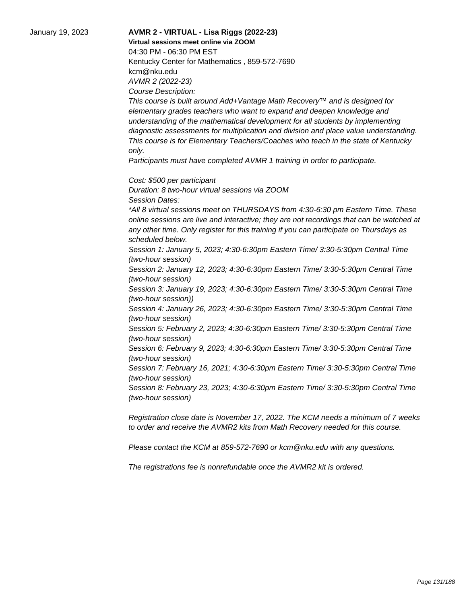January 19, 2023 **AVMR 2 - VIRTUAL - Lisa Riggs (2022-23) Virtual sessions meet online via ZOOM**  04:30 PM - 06:30 PM EST Kentucky Center for Mathematics , 859-572-7690 kcm@nku.edu AVMR 2 (2022-23) Course Description: This course is built around Add+Vantage Math Recovery™ and is designed for elementary grades teachers who want to expand and deepen knowledge and understanding of the mathematical development for all students by implementing diagnostic assessments for multiplication and division and place value understanding. This course is for Elementary Teachers/Coaches who teach in the state of Kentucky only. Participants must have completed AVMR 1 training in order to participate. Cost: \$500 per participant Duration: 8 two-hour virtual sessions via ZOOM Session Dates: \*All 8 virtual sessions meet on THURSDAYS from 4:30-6:30 pm Eastern Time. These online sessions are live and interactive; they are not recordings that can be watched at any other time. Only register for this training if you can participate on Thursdays as scheduled below. Session 1: January 5, 2023; 4:30-6:30pm Eastern Time/ 3:30-5:30pm Central Time (two-hour session) Session 2: January 12, 2023; 4:30-6:30pm Eastern Time/ 3:30-5:30pm Central Time (two-hour session) Session 3: January 19, 2023; 4:30-6:30pm Eastern Time/ 3:30-5:30pm Central Time (two-hour session)) Session 4: January 26, 2023; 4:30-6:30pm Eastern Time/ 3:30-5:30pm Central Time (two-hour session) Session 5: February 2, 2023; 4:30-6:30pm Eastern Time/ 3:30-5:30pm Central Time (two-hour session) Session 6: February 9, 2023; 4:30-6:30pm Eastern Time/ 3:30-5:30pm Central Time (two-hour session) Session 7: February 16, 2021; 4:30-6:30pm Eastern Time/ 3:30-5:30pm Central Time (two-hour session) Session 8: February 23, 2023; 4:30-6:30pm Eastern Time/ 3:30-5:30pm Central Time (two-hour session) Registration close date is November 17, 2022. The KCM needs a minimum of 7 weeks

to order and receive the AVMR2 kits from Math Recovery needed for this course.

Please contact the KCM at 859-572-7690 or kcm@nku.edu with any questions.

The registrations fee is nonrefundable once the AVMR2 kit is ordered.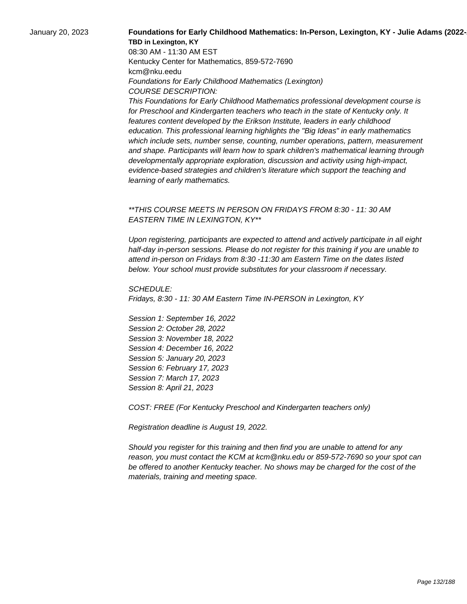## January 20, 2023 **Foundations for Early Childhood Mathematics: In-Person, Lexington, KY - Julie Adams (2022-23) TBD in Lexington, KY**

08:30 AM - 11:30 AM EST Kentucky Center for Mathematics, 859-572-7690 kcm@nku.eedu Foundations for Early Childhood Mathematics (Lexington) COURSE DESCRIPTION:

This Foundations for Early Childhood Mathematics professional development course is for Preschool and Kindergarten teachers who teach in the state of Kentucky only. It features content developed by the Erikson Institute, leaders in early childhood education. This professional learning highlights the "Big Ideas" in early mathematics which include sets, number sense, counting, number operations, pattern, measurement and shape. Participants will learn how to spark children's mathematical learning through developmentally appropriate exploration, discussion and activity using high-impact, evidence-based strategies and children's literature which support the teaching and learning of early mathematics.

## \*\*THIS COURSE MEETS IN PERSON ON FRIDAYS FROM 8:30 - 11: 30 AM EASTERN TIME IN LEXINGTON, KY\*\*

Upon registering, participants are expected to attend and actively participate in all eight half-day in-person sessions. Please do not register for this training if you are unable to attend in-person on Fridays from 8:30 -11:30 am Eastern Time on the dates listed below. Your school must provide substitutes for your classroom if necessary.

SCHEDULE: Fridays, 8:30 - 11: 30 AM Eastern Time IN-PERSON in Lexington, KY

Session 1: September 16, 2022 Session 2: October 28, 2022 Session 3: November 18, 2022 Session 4: December 16, 2022 Session 5: January 20, 2023 Session 6: February 17, 2023 Session 7: March 17, 2023 Session 8: April 21, 2023

COST: FREE (For Kentucky Preschool and Kindergarten teachers only)

Registration deadline is August 19, 2022.

Should you register for this training and then find you are unable to attend for any reason, you must contact the KCM at kcm@nku.edu or 859-572-7690 so your spot can be offered to another Kentucky teacher. No shows may be charged for the cost of the materials, training and meeting space.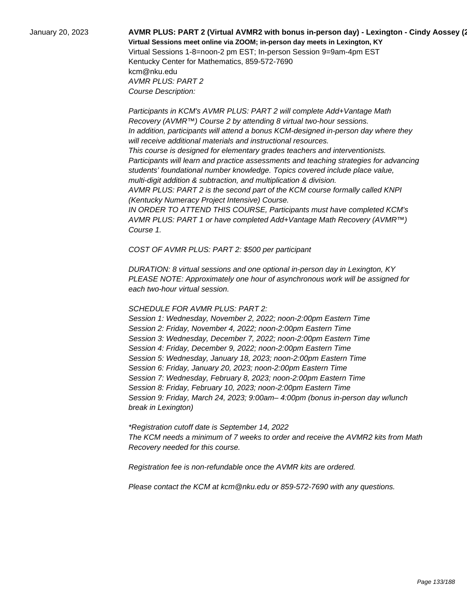## January 20, 2023 **AVMR PLUS: PART 2 (Virtual AVMR2 with bonus in-person day) - Lexington - Cindy Aossey (2022-23) Virtual Sessions meet online via ZOOM; in-person day meets in Lexington, KY**  Virtual Sessions 1-8=noon-2 pm EST; In-person Session 9=9am-4pm EST Kentucky Center for Mathematics, 859-572-7690 kcm@nku.edu

AVMR PLUS: PART 2 Course Description:

 Participants in KCM's AVMR PLUS: PART 2 will complete Add+Vantage Math Recovery (AVMR™) Course 2 by attending 8 virtual two-hour sessions. In addition, participants will attend a bonus KCM-designed in-person day where they will receive additional materials and instructional resources. This course is designed for elementary grades teachers and interventionists. Participants will learn and practice assessments and teaching strategies for advancing students' foundational number knowledge. Topics covered include place value, multi-digit addition & subtraction, and multiplication & division. AVMR PLUS: PART 2 is the second part of the KCM course formally called KNPI (Kentucky Numeracy Project Intensive) Course. IN ORDER TO ATTEND THIS COURSE, Participants must have completed KCM's

AVMR PLUS: PART 1 or have completed Add+Vantage Math Recovery (AVMR™) Course 1.

COST OF AVMR PLUS: PART 2: \$500 per participant

DURATION: 8 virtual sessions and one optional in-person day in Lexington, KY PLEASE NOTE: Approximately one hour of asynchronous work will be assigned for each two-hour virtual session.

## SCHEDULE FOR AVMR PLUS: PART 2:

Session 1: Wednesday, November 2, 2022; noon-2:00pm Eastern Time Session 2: Friday, November 4, 2022; noon-2:00pm Eastern Time Session 3: Wednesday, December 7, 2022; noon-2:00pm Eastern Time Session 4: Friday, December 9, 2022; noon-2:00pm Eastern Time Session 5: Wednesday, January 18, 2023; noon-2:00pm Eastern Time Session 6: Friday, January 20, 2023; noon-2:00pm Eastern Time Session 7: Wednesday, February 8, 2023; noon-2:00pm Eastern Time Session 8: Friday, February 10, 2023; noon-2:00pm Eastern Time Session 9: Friday, March 24, 2023; 9:00am– 4:00pm (bonus in-person day w/lunch break in Lexington)

\*Registration cutoff date is September 14, 2022 The KCM needs a minimum of 7 weeks to order and receive the AVMR2 kits from Math Recovery needed for this course.

Registration fee is non-refundable once the AVMR kits are ordered.

Please contact the KCM at kcm@nku.edu or 859-572-7690 with any questions.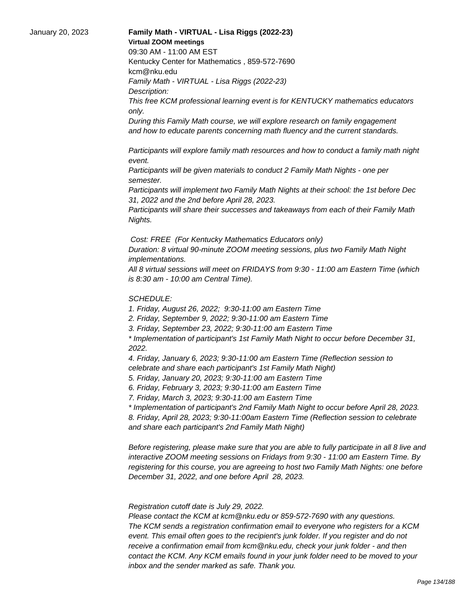#### January 20, 2023 **Family Math - VIRTUAL - Lisa Riggs (2022-23) Virtual ZOOM meetings**

09:30 AM - 11:00 AM EST

Kentucky Center for Mathematics , 859-572-7690 kcm@nku.edu Family Math - VIRTUAL - Lisa Riggs (2022-23)

Description:

This free KCM professional learning event is for KENTUCKY mathematics educators only.

During this Family Math course, we will explore research on family engagement and how to educate parents concerning math fluency and the current standards.

 Participants will explore family math resources and how to conduct a family math night event.

 Participants will be given materials to conduct 2 Family Math Nights - one per semester.

 Participants will implement two Family Math Nights at their school: the 1st before Dec 31, 2022 and the 2nd before April 28, 2023.

 Participants will share their successes and takeaways from each of their Family Math Nights.

Cost: FREE (For Kentucky Mathematics Educators only)

Duration: 8 virtual 90-minute ZOOM meeting sessions, plus two Family Math Night implementations.

All 8 virtual sessions will meet on FRIDAYS from 9:30 - 11:00 am Eastern Time (which is 8:30 am - 10:00 am Central Time).

## SCHEDULE:

1. Friday, August 26, 2022; 9:30-11:00 am Eastern Time

2. Friday, September 9, 2022; 9:30-11:00 am Eastern Time

3. Friday, September 23, 2022; 9:30-11:00 am Eastern Time

\* Implementation of participant's 1st Family Math Night to occur before December 31, 2022.

4. Friday, January 6, 2023; 9:30-11:00 am Eastern Time (Reflection session to celebrate and share each participant's 1st Family Math Night)

5. Friday, January 20, 2023; 9:30-11:00 am Eastern Time

6. Friday, February 3, 2023; 9:30-11:00 am Eastern Time

7. Friday, March 3, 2023; 9:30-11:00 am Eastern Time

\* Implementation of participant's 2nd Family Math Night to occur before April 28, 2023. 8. Friday, April 28, 2023; 9:30-11:00am Eastern Time (Reflection session to celebrate and share each participant's 2nd Family Math Night)

Before registering, please make sure that you are able to fully participate in all 8 live and interactive ZOOM meeting sessions on Fridays from 9:30 - 11:00 am Eastern Time. By registering for this course, you are agreeing to host two Family Math Nights: one before December 31, 2022, and one before April 28, 2023.

 Registration cutoff date is July 29, 2022.

 Please contact the KCM at kcm@nku.edu or 859-572-7690 with any questions. The KCM sends a registration confirmation email to everyone who registers for a KCM event. This email often goes to the recipient's junk folder. If you register and do not receive a confirmation email from kcm@nku.edu, check your junk folder - and then contact the KCM. Any KCM emails found in your junk folder need to be moved to your inbox and the sender marked as safe. Thank you.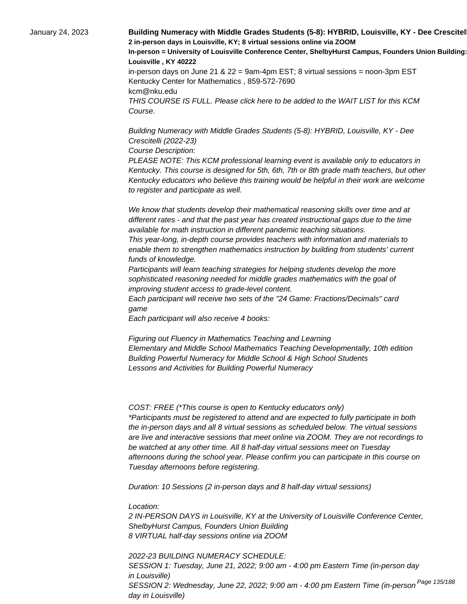January 24, 2023 **Building Numeracy with Middle Grades Students (5-8): HYBRID, Louisville, KY - Dee Crescitel 2 in-person days in Louisville, KY; 8 virtual sessions online via ZOOM In-person = University of Louisville Conference Center, ShelbyHurst Campus, Founders Union Building: Room 15 Louisville , KY 40222** in-person days on June 21 & 22 = 9am-4pm EST; 8 virtual sessions = noon-3pm EST Kentucky Center for Mathematics , 859-572-7690 kcm@nku.edu THIS COURSE IS FULL. Please click here to be added to the WAIT LIST for this KCM Course.

> Building Numeracy with Middle Grades Students (5-8): HYBRID, Louisville, KY - Dee Crescitelli (2022-23)

Course Description:

PLEASE NOTE: This KCM professional learning event is available only to educators in Kentucky. This course is designed for 5th, 6th, 7th or 8th grade math teachers, but other Kentucky educators who believe this training would be helpful in their work are welcome to register and participate as well.

 We know that students develop their mathematical reasoning skills over time and at different rates - and that the past year has created instructional gaps due to the time available for math instruction in different pandemic teaching situations.

 This year-long, in-depth course provides teachers with information and materials to enable them to strengthen mathematics instruction by building from students' current funds of knowledge.

 Participants will learn teaching strategies for helping students develop the more sophisticated reasoning needed for middle grades mathematics with the goal of improving student access to grade-level content.

 Each participant will receive two sets of the "24 Game: Fractions/Decimals" card game

 Each participant will also receive 4 books:

 Figuring out Fluency in Mathematics Teaching and Learning Elementary and Middle School Mathematics Teaching Developmentally, 10th edition Building Powerful Numeracy for Middle School & High School Students Lessons and Activities for Building Powerful Numeracy

COST: FREE (\*This course is open to Kentucky educators only) \*Participants must be registered to attend and are expected to fully participate in both the in-person days and all 8 virtual sessions as scheduled below. The virtual sessions are live and interactive sessions that meet online via ZOOM. They are not recordings to be watched at any other time. All 8 half-day virtual sessions meet on Tuesday afternoons during the school year. Please confirm you can participate in this course on Tuesday afternoons before registering.

Duration: 10 Sessions (2 in-person days and 8 half-day virtual sessions)

Location:

2 IN-PERSON DAYS in Louisville, KY at the University of Louisville Conference Center, ShelbyHurst Campus, Founders Union Building 8 VIRTUAL half-day sessions online via ZOOM

2022-23 BUILDING NUMERACY SCHEDULE: SESSION 1: Tuesday, June 21, 2022; 9:00 am - 4:00 pm Eastern Time (in-person day in Louisville) SESSION 2: Wednesday, June 22, 2022; 9:00 am - 4:00 pm Eastern Time (in-person <sup>Page 135/188</sup> day in Louisville)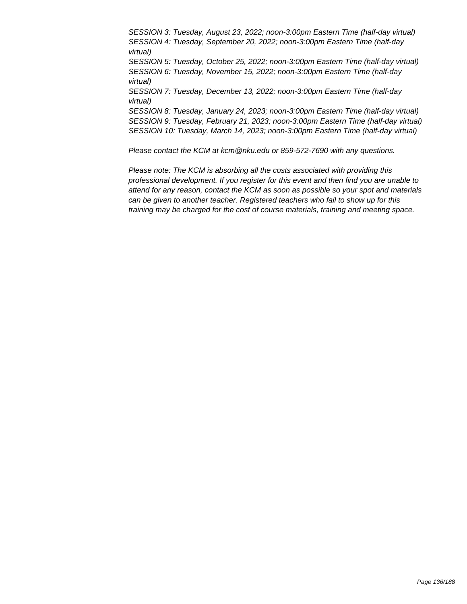SESSION 3: Tuesday, August 23, 2022; noon-3:00pm Eastern Time (half-day virtual) SESSION 4: Tuesday, September 20, 2022; noon-3:00pm Eastern Time (half-day virtual) SESSION 5: Tuesday, October 25, 2022; noon-3:00pm Eastern Time (half-day virtual) SESSION 6: Tuesday, November 15, 2022; noon-3:00pm Eastern Time (half-day virtual) SESSION 7: Tuesday, December 13, 2022; noon-3:00pm Eastern Time (half-day virtual) SESSION 8: Tuesday, January 24, 2023; noon-3:00pm Eastern Time (half-day virtual) SESSION 9: Tuesday, February 21, 2023; noon-3:00pm Eastern Time (half-day virtual) SESSION 10: Tuesday, March 14, 2023; noon-3:00pm Eastern Time (half-day virtual)

Please contact the KCM at kcm@nku.edu or 859-572-7690 with any questions.

Please note: The KCM is absorbing all the costs associated with providing this professional development. If you register for this event and then find you are unable to attend for any reason, contact the KCM as soon as possible so your spot and materials can be given to another teacher. Registered teachers who fail to show up for this training may be charged for the cost of course materials, training and meeting space.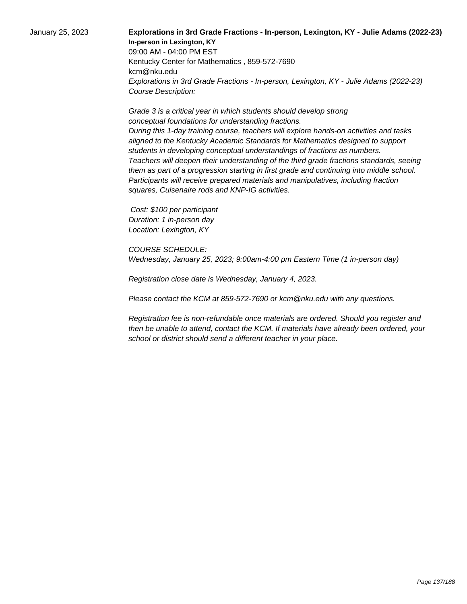# January 25, 2023 **Explorations in 3rd Grade Fractions - In-person, Lexington, KY - Julie Adams (2022-23) In-person in Lexington, KY**

09:00 AM - 04:00 PM EST Kentucky Center for Mathematics , 859-572-7690 kcm@nku.edu Explorations in 3rd Grade Fractions - In-person, Lexington, KY - Julie Adams (2022-23) Course Description:

 Grade 3 is a critical year in which students should develop strong conceptual foundations for understanding fractions. During this 1-day training course, teachers will explore hands-on activities and tasks aligned to the Kentucky Academic Standards for Mathematics designed to support students in developing conceptual understandings of fractions as numbers. Teachers will deepen their understanding of the third grade fractions standards, seeing them as part of a progression starting in first grade and continuing into middle school. Participants will receive prepared materials and manipulatives, including fraction squares, Cuisenaire rods and KNP-IG activities.

 Cost: \$100 per participant Duration: 1 in-person day Location: Lexington, KY

COURSE SCHEDULE: Wednesday, January 25, 2023; 9:00am-4:00 pm Eastern Time (1 in-person day)

Registration close date is Wednesday, January 4, 2023.

Please contact the KCM at 859-572-7690 or kcm@nku.edu with any questions.

Registration fee is non-refundable once materials are ordered. Should you register and then be unable to attend, contact the KCM. If materials have already been ordered, your school or district should send a different teacher in your place.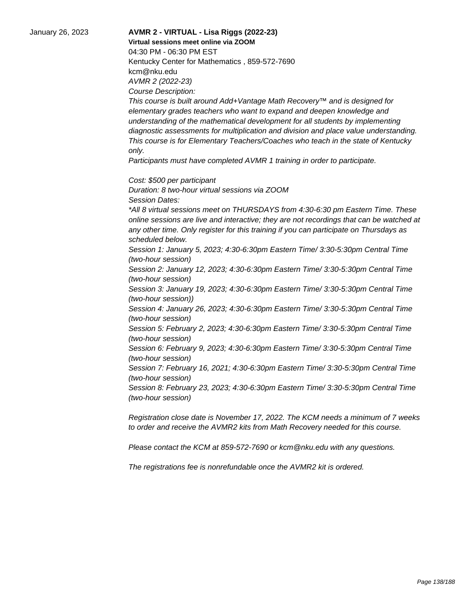January 26, 2023 **AVMR 2 - VIRTUAL - Lisa Riggs (2022-23) Virtual sessions meet online via ZOOM**  04:30 PM - 06:30 PM EST Kentucky Center for Mathematics , 859-572-7690 kcm@nku.edu AVMR 2 (2022-23) Course Description: This course is built around Add+Vantage Math Recovery™ and is designed for elementary grades teachers who want to expand and deepen knowledge and understanding of the mathematical development for all students by implementing diagnostic assessments for multiplication and division and place value understanding. This course is for Elementary Teachers/Coaches who teach in the state of Kentucky only. Participants must have completed AVMR 1 training in order to participate. Cost: \$500 per participant Duration: 8 two-hour virtual sessions via ZOOM Session Dates: \*All 8 virtual sessions meet on THURSDAYS from 4:30-6:30 pm Eastern Time. These online sessions are live and interactive; they are not recordings that can be watched at any other time. Only register for this training if you can participate on Thursdays as scheduled below. Session 1: January 5, 2023; 4:30-6:30pm Eastern Time/ 3:30-5:30pm Central Time (two-hour session) Session 2: January 12, 2023; 4:30-6:30pm Eastern Time/ 3:30-5:30pm Central Time (two-hour session) Session 3: January 19, 2023; 4:30-6:30pm Eastern Time/ 3:30-5:30pm Central Time (two-hour session)) Session 4: January 26, 2023; 4:30-6:30pm Eastern Time/ 3:30-5:30pm Central Time (two-hour session) Session 5: February 2, 2023; 4:30-6:30pm Eastern Time/ 3:30-5:30pm Central Time (two-hour session) Session 6: February 9, 2023; 4:30-6:30pm Eastern Time/ 3:30-5:30pm Central Time (two-hour session) Session 7: February 16, 2021; 4:30-6:30pm Eastern Time/ 3:30-5:30pm Central Time (two-hour session) Session 8: February 23, 2023; 4:30-6:30pm Eastern Time/ 3:30-5:30pm Central Time (two-hour session)

> Registration close date is November 17, 2022. The KCM needs a minimum of 7 weeks to order and receive the AVMR2 kits from Math Recovery needed for this course.

Please contact the KCM at 859-572-7690 or kcm@nku.edu with any questions.

The registrations fee is nonrefundable once the AVMR2 kit is ordered.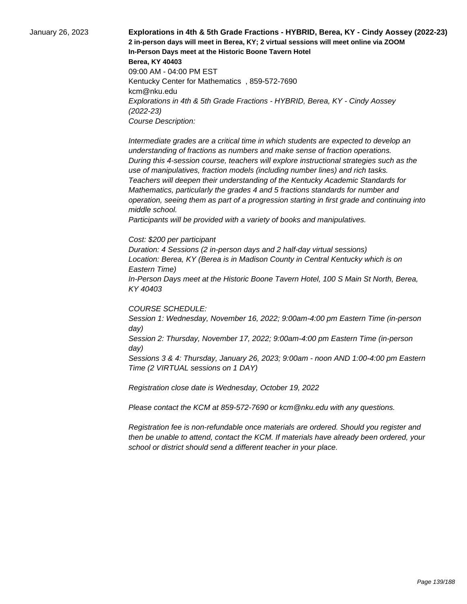January 26, 2023 **Explorations in 4th & 5th Grade Fractions - HYBRID, Berea, KY - Cindy Aossey (2022-23) 2 in-person days will meet in Berea, KY; 2 virtual sessions will meet online via ZOOM In-Person Days meet at the Historic Boone Tavern Hotel Berea, KY 40403** 09:00 AM - 04:00 PM EST Kentucky Center for Mathematics , 859-572-7690 kcm@nku.edu Explorations in 4th & 5th Grade Fractions - HYBRID, Berea, KY - Cindy Aossey (2022-23) Course Description:

> Intermediate grades are a critical time in which students are expected to develop an understanding of fractions as numbers and make sense of fraction operations. During this 4-session course, teachers will explore instructional strategies such as the use of manipulatives, fraction models (including number lines) and rich tasks. Teachers will deepen their understanding of the Kentucky Academic Standards for Mathematics, particularly the grades 4 and 5 fractions standards for number and operation, seeing them as part of a progression starting in first grade and continuing into middle school.

 Participants will be provided with a variety of books and manipulatives.

#### Cost: \$200 per participant

Duration: 4 Sessions (2 in-person days and 2 half-day virtual sessions) Location: Berea, KY (Berea is in Madison County in Central Kentucky which is on Eastern Time)

In-Person Days meet at the Historic Boone Tavern Hotel, 100 S Main St North, Berea, KY 40403

#### COURSE SCHEDULE:

Session 1: Wednesday, November 16, 2022; 9:00am-4:00 pm Eastern Time (in-person day)

Session 2: Thursday, November 17, 2022; 9:00am-4:00 pm Eastern Time (in-person day)

Sessions 3 & 4: Thursday, January 26, 2023; 9:00am - noon AND 1:00-4:00 pm Eastern Time (2 VIRTUAL sessions on 1 DAY)

Registration close date is Wednesday, October 19, 2022

Please contact the KCM at 859-572-7690 or kcm@nku.edu with any questions.

Registration fee is non-refundable once materials are ordered. Should you register and then be unable to attend, contact the KCM. If materials have already been ordered, your school or district should send a different teacher in your place.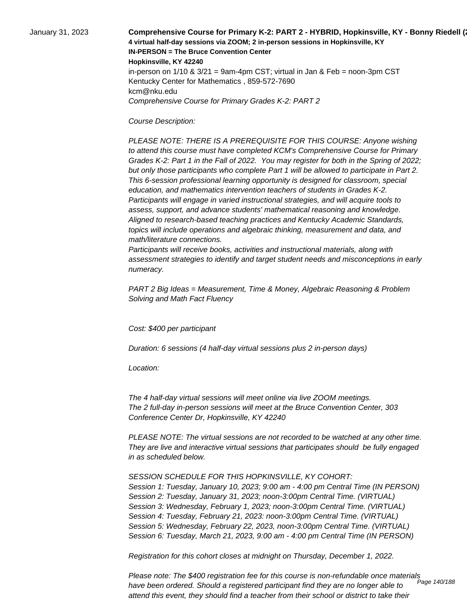January 31, 2023 **Comprehensive Course for Primary K-2: PART 2 - HYBRID, Hopkinsville, KY - Bonny Riedell (2022-23) 4 virtual half-day sessions via ZOOM; 2 in-person sessions in Hopkinsville, KY IN-PERSON = The Bruce Convention Center Hopkinsville, KY 42240** in-person on  $1/10$  &  $3/21$  = 9am-4pm CST; virtual in Jan & Feb = noon-3pm CST Kentucky Center for Mathematics , 859-572-7690 kcm@nku.edu Comprehensive Course for Primary Grades K-2: PART 2

Course Description:

 PLEASE NOTE: THERE IS A PREREQUISITE FOR THIS COURSE: Anyone wishing to attend this course must have completed KCM's Comprehensive Course for Primary Grades K-2: Part 1 in the Fall of 2022. You may register for both in the Spring of 2022; but only those participants who complete Part 1 will be allowed to participate in Part 2. This 6-session professional learning opportunity is designed for classroom, special education, and mathematics intervention teachers of students in Grades K-2. Participants will engage in varied instructional strategies, and will acquire tools to assess, support, and advance students' mathematical reasoning and knowledge. Aligned to research-based teaching practices and Kentucky Academic Standards, topics will include operations and algebraic thinking, measurement and data, and math/literature connections.

 Participants will receive books, activities and instructional materials, along with assessment strategies to identify and target student needs and misconceptions in early numeracy.

PART 2 Big Ideas = Measurement, Time & Money, Algebraic Reasoning & Problem Solving and Math Fact Fluency

Cost: \$400 per participant

Duration: 6 sessions (4 half-day virtual sessions plus 2 in-person days)

Location:

 The 4 half-day virtual sessions will meet online via live ZOOM meetings. The 2 full-day in-person sessions will meet at the Bruce Convention Center, 303 Conference Center Dr, Hopkinsville, KY 42240

PLEASE NOTE: The virtual sessions are not recorded to be watched at any other time. They are live and interactive virtual sessions that participates should be fully engaged in as scheduled below.

SESSION SCHEDULE FOR THIS HOPKINSVILLE, KY COHORT: Session 1: Tuesday, January 10, 2023; 9:00 am - 4:00 pm Central Time (IN PERSON) Session 2: Tuesday, January 31, 2023; noon-3:00pm Central Time. (VIRTUAL) Session 3: Wednesday, February 1, 2023; noon-3:00pm Central Time. (VIRTUAL) Session 4: Tuesday, February 21, 2023: noon-3:00pm Central Time. (VIRTUAL) Session 5: Wednesday, February 22, 2023, noon-3:00pm Central Time. (VIRTUAL) Session 6: Tuesday, March 21, 2023, 9:00 am - 4:00 pm Central Time (IN PERSON)

Registration for this cohort closes at midnight on Thursday, December 1, 2022.

Please note: The \$400 registration fee for this course is non-refundable once materials have been ordered. Should a registered participant find they are no longer able to attend this event, they should find a teacher from their school or district to take their Page 140/188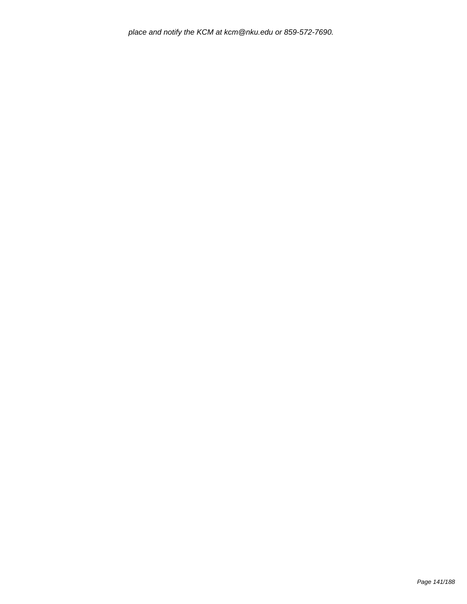place and notify the KCM at kcm@nku.edu or 859-572-7690.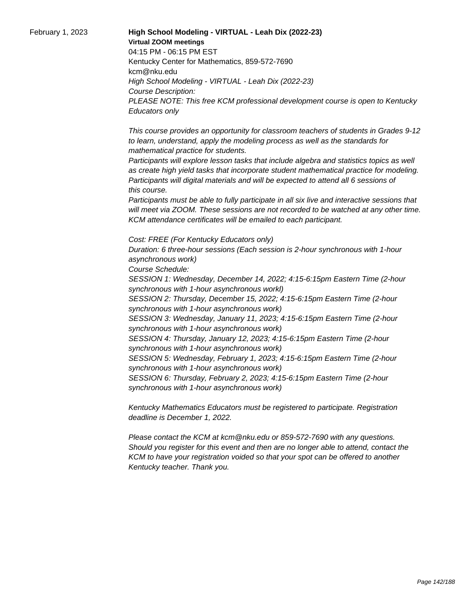February 1, 2023 **High School Modeling - VIRTUAL - Leah Dix (2022-23) Virtual ZOOM meetings** 04:15 PM - 06:15 PM EST Kentucky Center for Mathematics, 859-572-7690 kcm@nku.edu High School Modeling - VIRTUAL - Leah Dix (2022-23) Course Description: PLEASE NOTE: This free KCM professional development course is open to Kentucky Educators only

> This course provides an opportunity for classroom teachers of students in Grades 9-12 to learn, understand, apply the modeling process as well as the standards for mathematical practice for students.

 Participants will explore lesson tasks that include algebra and statistics topics as well as create high yield tasks that incorporate student mathematical practice for modeling. Participants will digital materials and will be expected to attend all 6 sessions of this course.

 Participants must be able to fully participate in all six live and interactive sessions that will meet via ZOOM. These sessions are not recorded to be watched at any other time. KCM attendance certificates will be emailed to each participant.

Cost: FREE (For Kentucky Educators only) Duration: 6 three-hour sessions (Each session is 2-hour synchronous with 1-hour asynchronous work)

Course Schedule:

SESSION 1: Wednesday, December 14, 2022; 4:15-6:15pm Eastern Time (2-hour synchronous with 1-hour asynchronous workl)

SESSION 2: Thursday, December 15, 2022; 4:15-6:15pm Eastern Time (2-hour synchronous with 1-hour asynchronous work)

SESSION 3: Wednesday, January 11, 2023; 4:15-6:15pm Eastern Time (2-hour synchronous with 1-hour asynchronous work)

SESSION 4: Thursday, January 12, 2023; 4:15-6:15pm Eastern Time (2-hour synchronous with 1-hour asynchronous work)

SESSION 5: Wednesday, February 1, 2023; 4:15-6:15pm Eastern Time (2-hour synchronous with 1-hour asynchronous work)

SESSION 6: Thursday, February 2, 2023; 4:15-6:15pm Eastern Time (2-hour synchronous with 1-hour asynchronous work)

Kentucky Mathematics Educators must be registered to participate. Registration deadline is December 1, 2022.

Please contact the KCM at kcm@nku.edu or 859-572-7690 with any questions. Should you register for this event and then are no longer able to attend, contact the KCM to have your registration voided so that your spot can be offered to another Kentucky teacher. Thank you.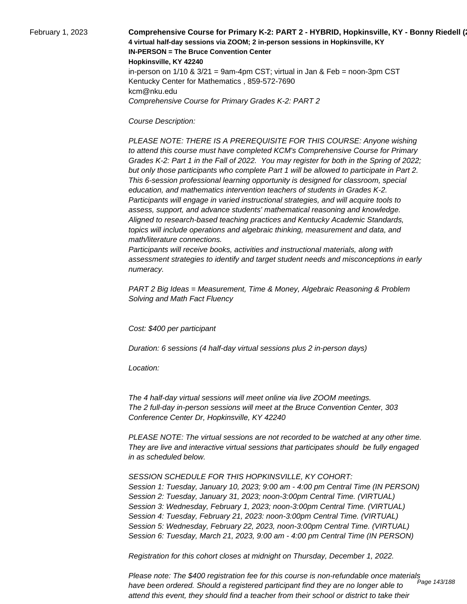February 1, 2023 **Comprehensive Course for Primary K-2: PART 2 - HYBRID, Hopkinsville, KY - Bonny Riedell (2023 4 virtual half-day sessions via ZOOM; 2 in-person sessions in Hopkinsville, KY IN-PERSON = The Bruce Convention Center Hopkinsville, KY 42240** in-person on  $1/10$  &  $3/21$  = 9am-4pm CST; virtual in Jan & Feb = noon-3pm CST Kentucky Center for Mathematics , 859-572-7690 kcm@nku.edu Comprehensive Course for Primary Grades K-2: PART 2

Course Description:

 PLEASE NOTE: THERE IS A PREREQUISITE FOR THIS COURSE: Anyone wishing to attend this course must have completed KCM's Comprehensive Course for Primary Grades K-2: Part 1 in the Fall of 2022. You may register for both in the Spring of 2022; but only those participants who complete Part 1 will be allowed to participate in Part 2. This 6-session professional learning opportunity is designed for classroom, special education, and mathematics intervention teachers of students in Grades K-2. Participants will engage in varied instructional strategies, and will acquire tools to assess, support, and advance students' mathematical reasoning and knowledge. Aligned to research-based teaching practices and Kentucky Academic Standards, topics will include operations and algebraic thinking, measurement and data, and math/literature connections.

 Participants will receive books, activities and instructional materials, along with assessment strategies to identify and target student needs and misconceptions in early numeracy.

PART 2 Big Ideas = Measurement, Time & Money, Algebraic Reasoning & Problem Solving and Math Fact Fluency

Cost: \$400 per participant

Duration: 6 sessions (4 half-day virtual sessions plus 2 in-person days)

Location:

 The 4 half-day virtual sessions will meet online via live ZOOM meetings. The 2 full-day in-person sessions will meet at the Bruce Convention Center, 303 Conference Center Dr, Hopkinsville, KY 42240

PLEASE NOTE: The virtual sessions are not recorded to be watched at any other time. They are live and interactive virtual sessions that participates should be fully engaged in as scheduled below.

SESSION SCHEDULE FOR THIS HOPKINSVILLE, KY COHORT: Session 1: Tuesday, January 10, 2023; 9:00 am - 4:00 pm Central Time (IN PERSON) Session 2: Tuesday, January 31, 2023; noon-3:00pm Central Time. (VIRTUAL) Session 3: Wednesday, February 1, 2023; noon-3:00pm Central Time. (VIRTUAL) Session 4: Tuesday, February 21, 2023: noon-3:00pm Central Time. (VIRTUAL) Session 5: Wednesday, February 22, 2023, noon-3:00pm Central Time. (VIRTUAL) Session 6: Tuesday, March 21, 2023, 9:00 am - 4:00 pm Central Time (IN PERSON)

Registration for this cohort closes at midnight on Thursday, December 1, 2022.

Please note: The \$400 registration fee for this course is non-refundable once materials have been ordered. Should a registered participant find they are no longer able to attend this event, they should find a teacher from their school or district to take their Page 143/188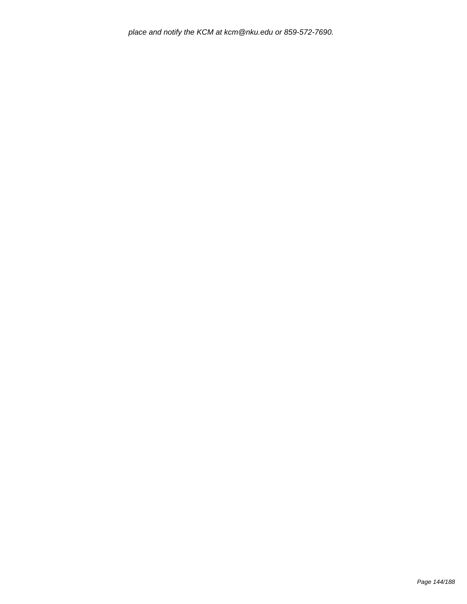place and notify the KCM at kcm@nku.edu or 859-572-7690.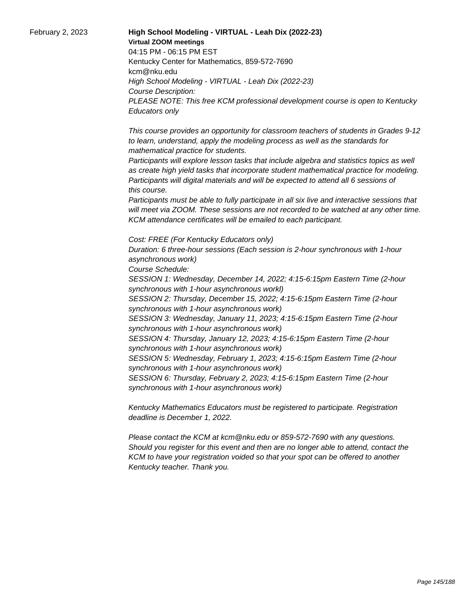February 2, 2023 **High School Modeling - VIRTUAL - Leah Dix (2022-23) Virtual ZOOM meetings** 04:15 PM - 06:15 PM EST Kentucky Center for Mathematics, 859-572-7690 kcm@nku.edu High School Modeling - VIRTUAL - Leah Dix (2022-23) Course Description: PLEASE NOTE: This free KCM professional development course is open to Kentucky Educators only

> This course provides an opportunity for classroom teachers of students in Grades 9-12 to learn, understand, apply the modeling process as well as the standards for mathematical practice for students.

 Participants will explore lesson tasks that include algebra and statistics topics as well as create high yield tasks that incorporate student mathematical practice for modeling. Participants will digital materials and will be expected to attend all 6 sessions of this course.

 Participants must be able to fully participate in all six live and interactive sessions that will meet via ZOOM. These sessions are not recorded to be watched at any other time. KCM attendance certificates will be emailed to each participant.

Cost: FREE (For Kentucky Educators only) Duration: 6 three-hour sessions (Each session is 2-hour synchronous with 1-hour asynchronous work)

Course Schedule:

SESSION 1: Wednesday, December 14, 2022; 4:15-6:15pm Eastern Time (2-hour synchronous with 1-hour asynchronous workl)

SESSION 2: Thursday, December 15, 2022; 4:15-6:15pm Eastern Time (2-hour synchronous with 1-hour asynchronous work)

SESSION 3: Wednesday, January 11, 2023; 4:15-6:15pm Eastern Time (2-hour synchronous with 1-hour asynchronous work)

SESSION 4: Thursday, January 12, 2023; 4:15-6:15pm Eastern Time (2-hour synchronous with 1-hour asynchronous work)

SESSION 5: Wednesday, February 1, 2023; 4:15-6:15pm Eastern Time (2-hour synchronous with 1-hour asynchronous work)

SESSION 6: Thursday, February 2, 2023; 4:15-6:15pm Eastern Time (2-hour synchronous with 1-hour asynchronous work)

Kentucky Mathematics Educators must be registered to participate. Registration deadline is December 1, 2022.

Please contact the KCM at kcm@nku.edu or 859-572-7690 with any questions. Should you register for this event and then are no longer able to attend, contact the KCM to have your registration voided so that your spot can be offered to another Kentucky teacher. Thank you.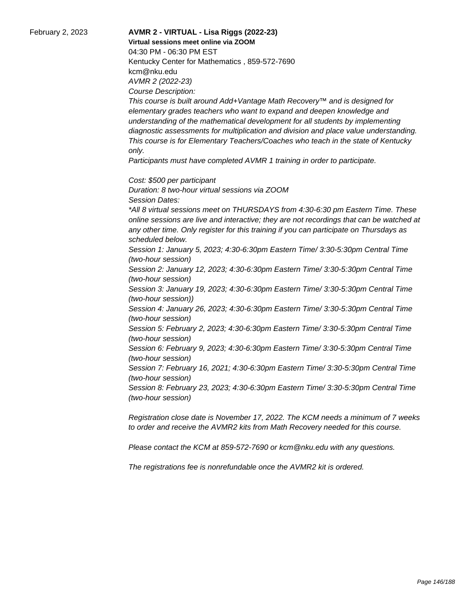February 2, 2023 **AVMR 2 - VIRTUAL - Lisa Riggs (2022-23) Virtual sessions meet online via ZOOM**  04:30 PM - 06:30 PM EST Kentucky Center for Mathematics , 859-572-7690 kcm@nku.edu AVMR 2 (2022-23) Course Description:

> This course is built around Add+Vantage Math Recovery™ and is designed for elementary grades teachers who want to expand and deepen knowledge and understanding of the mathematical development for all students by implementing diagnostic assessments for multiplication and division and place value understanding. This course is for Elementary Teachers/Coaches who teach in the state of Kentucky only.

Participants must have completed AVMR 1 training in order to participate.

Cost: \$500 per participant

Duration: 8 two-hour virtual sessions via ZOOM Session Dates: \*All 8 virtual sessions meet on THURSDAYS from 4:30-6:30 pm Eastern Time. These online sessions are live and interactive; they are not recordings that can be watched at any other time. Only register for this training if you can participate on Thursdays as scheduled below. Session 1: January 5, 2023; 4:30-6:30pm Eastern Time/ 3:30-5:30pm Central Time (two-hour session) Session 2: January 12, 2023; 4:30-6:30pm Eastern Time/ 3:30-5:30pm Central Time (two-hour session) Session 3: January 19, 2023; 4:30-6:30pm Eastern Time/ 3:30-5:30pm Central Time (two-hour session)) Session 4: January 26, 2023; 4:30-6:30pm Eastern Time/ 3:30-5:30pm Central Time (two-hour session) Session 5: February 2, 2023; 4:30-6:30pm Eastern Time/ 3:30-5:30pm Central Time (two-hour session) Session 6: February 9, 2023; 4:30-6:30pm Eastern Time/ 3:30-5:30pm Central Time (two-hour session)

Session 7: February 16, 2021; 4:30-6:30pm Eastern Time/ 3:30-5:30pm Central Time (two-hour session)

Session 8: February 23, 2023; 4:30-6:30pm Eastern Time/ 3:30-5:30pm Central Time (two-hour session)

Registration close date is November 17, 2022. The KCM needs a minimum of 7 weeks to order and receive the AVMR2 kits from Math Recovery needed for this course.

Please contact the KCM at 859-572-7690 or kcm@nku.edu with any questions.

The registrations fee is nonrefundable once the AVMR2 kit is ordered.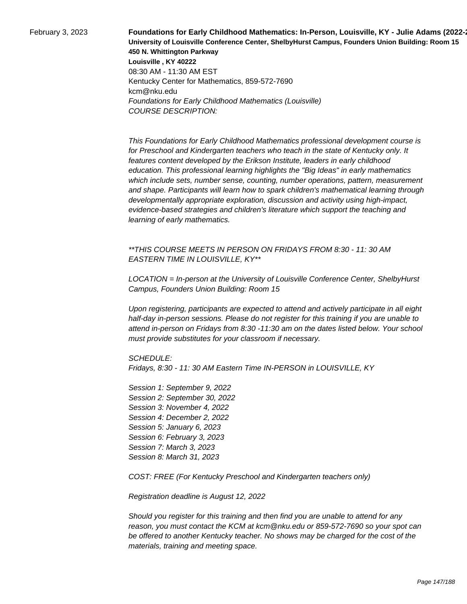**February 3, 2023 Foundations for Early Childhood Mathematics: In-Person, Louisville, KY - Julie Adams (2022-University of Louisville Conference Center, ShelbyHurst Campus, Founders Union Building: Room 15 450 N. Whittington Parkway Louisville , KY 40222** 08:30 AM - 11:30 AM EST Kentucky Center for Mathematics, 859-572-7690 kcm@nku.edu Foundations for Early Childhood Mathematics (Louisville) COURSE DESCRIPTION:

> This Foundations for Early Childhood Mathematics professional development course is for Preschool and Kindergarten teachers who teach in the state of Kentucky only. It features content developed by the Erikson Institute, leaders in early childhood education. This professional learning highlights the "Big Ideas" in early mathematics which include sets, number sense, counting, number operations, pattern, measurement and shape. Participants will learn how to spark children's mathematical learning through developmentally appropriate exploration, discussion and activity using high-impact, evidence-based strategies and children's literature which support the teaching and learning of early mathematics.

\*\*THIS COURSE MEETS IN PERSON ON FRIDAYS FROM 8:30 - 11: 30 AM EASTERN TIME IN LOUISVILLE, KY\*\*

LOCATION = In-person at the University of Louisville Conference Center, ShelbyHurst Campus, Founders Union Building: Room 15

Upon registering, participants are expected to attend and actively participate in all eight half-day in-person sessions. Please do not register for this training if you are unable to attend in-person on Fridays from 8:30 -11:30 am on the dates listed below. Your school must provide substitutes for your classroom if necessary.

SCHEDULE:

Fridays, 8:30 - 11: 30 AM Eastern Time IN-PERSON in LOUISVILLE, KY

Session 1: September 9, 2022 Session 2: September 30, 2022 Session 3: November 4, 2022 Session 4: December 2, 2022 Session 5: January 6, 2023 Session 6: February 3, 2023 Session 7: March 3, 2023 Session 8: March 31, 2023

COST: FREE (For Kentucky Preschool and Kindergarten teachers only)

Registration deadline is August 12, 2022

Should you register for this training and then find you are unable to attend for any reason, you must contact the KCM at kcm@nku.edu or 859-572-7690 so your spot can be offered to another Kentucky teacher. No shows may be charged for the cost of the materials, training and meeting space.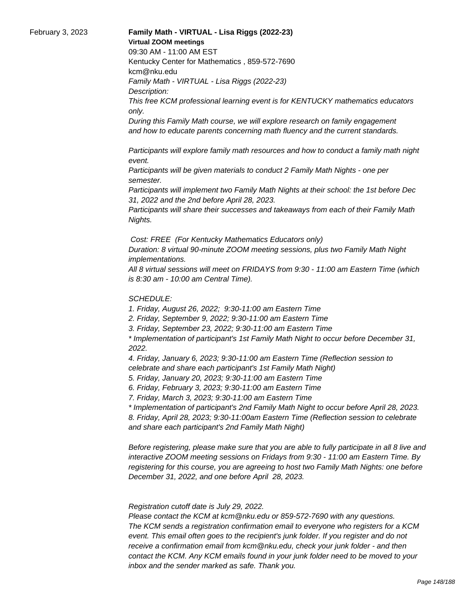#### February 3, 2023 **Family Math - VIRTUAL - Lisa Riggs (2022-23) Virtual ZOOM meetings**

09:30 AM - 11:00 AM EST

Kentucky Center for Mathematics , 859-572-7690 kcm@nku.edu

Family Math - VIRTUAL - Lisa Riggs (2022-23) Description:

This free KCM professional learning event is for KENTUCKY mathematics educators only.

During this Family Math course, we will explore research on family engagement and how to educate parents concerning math fluency and the current standards.

 Participants will explore family math resources and how to conduct a family math night event.

 Participants will be given materials to conduct 2 Family Math Nights - one per semester.

 Participants will implement two Family Math Nights at their school: the 1st before Dec 31, 2022 and the 2nd before April 28, 2023.

 Participants will share their successes and takeaways from each of their Family Math Nights.

Cost: FREE (For Kentucky Mathematics Educators only)

Duration: 8 virtual 90-minute ZOOM meeting sessions, plus two Family Math Night implementations.

All 8 virtual sessions will meet on FRIDAYS from 9:30 - 11:00 am Eastern Time (which is 8:30 am - 10:00 am Central Time).

## SCHEDULE:

1. Friday, August 26, 2022; 9:30-11:00 am Eastern Time

2. Friday, September 9, 2022; 9:30-11:00 am Eastern Time

3. Friday, September 23, 2022; 9:30-11:00 am Eastern Time

\* Implementation of participant's 1st Family Math Night to occur before December 31, 2022.

4. Friday, January 6, 2023; 9:30-11:00 am Eastern Time (Reflection session to celebrate and share each participant's 1st Family Math Night)

5. Friday, January 20, 2023; 9:30-11:00 am Eastern Time

6. Friday, February 3, 2023; 9:30-11:00 am Eastern Time

7. Friday, March 3, 2023; 9:30-11:00 am Eastern Time

\* Implementation of participant's 2nd Family Math Night to occur before April 28, 2023. 8. Friday, April 28, 2023; 9:30-11:00am Eastern Time (Reflection session to celebrate and share each participant's 2nd Family Math Night)

Before registering, please make sure that you are able to fully participate in all 8 live and interactive ZOOM meeting sessions on Fridays from 9:30 - 11:00 am Eastern Time. By registering for this course, you are agreeing to host two Family Math Nights: one before December 31, 2022, and one before April 28, 2023.

 Registration cutoff date is July 29, 2022.

 Please contact the KCM at kcm@nku.edu or 859-572-7690 with any questions. The KCM sends a registration confirmation email to everyone who registers for a KCM event. This email often goes to the recipient's junk folder. If you register and do not receive a confirmation email from kcm@nku.edu, check your junk folder - and then contact the KCM. Any KCM emails found in your junk folder need to be moved to your inbox and the sender marked as safe. Thank you.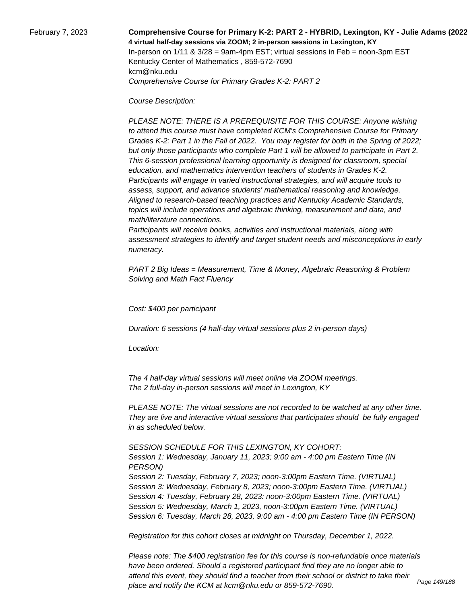February 7, 2023 **Comprehensive Course for Primary K-2: PART 2 - HYBRID, Lexington, KY - Julie Adams (2022-23) 4 virtual half-day sessions via ZOOM; 2 in-person sessions in Lexington, KY**  In-person on  $1/11$  &  $3/28$  = 9am-4pm EST; virtual sessions in Feb = noon-3pm EST Kentucky Center of Mathematics , 859-572-7690 kcm@nku.edu Comprehensive Course for Primary Grades K-2: PART 2

Course Description:

 PLEASE NOTE: THERE IS A PREREQUISITE FOR THIS COURSE: Anyone wishing to attend this course must have completed KCM's Comprehensive Course for Primary Grades K-2: Part 1 in the Fall of 2022. You may register for both in the Spring of 2022; but only those participants who complete Part 1 will be allowed to participate in Part 2. This 6-session professional learning opportunity is designed for classroom, special education, and mathematics intervention teachers of students in Grades K-2. Participants will engage in varied instructional strategies, and will acquire tools to assess, support, and advance students' mathematical reasoning and knowledge. Aligned to research-based teaching practices and Kentucky Academic Standards, topics will include operations and algebraic thinking, measurement and data, and math/literature connections.

 Participants will receive books, activities and instructional materials, along with assessment strategies to identify and target student needs and misconceptions in early numeracy.

PART 2 Big Ideas = Measurement, Time & Money, Algebraic Reasoning & Problem Solving and Math Fact Fluency

Cost: \$400 per participant

Duration: 6 sessions (4 half-day virtual sessions plus 2 in-person days)

Location:

 The 4 half-day virtual sessions will meet online via ZOOM meetings. The 2 full-day in-person sessions will meet in Lexington, KY

PLEASE NOTE: The virtual sessions are not recorded to be watched at any other time. They are live and interactive virtual sessions that participates should be fully engaged in as scheduled below.

SESSION SCHEDULE FOR THIS LEXINGTON, KY COHORT:

Session 1: Wednesday, January 11, 2023; 9:00 am - 4:00 pm Eastern Time (IN PERSON) Session 2: Tuesday, February 7, 2023; noon-3:00pm Eastern Time. (VIRTUAL) Session 3: Wednesday, February 8, 2023; noon-3:00pm Eastern Time. (VIRTUAL) Session 4: Tuesday, February 28, 2023: noon-3:00pm Eastern Time. (VIRTUAL) Session 5: Wednesday, March 1, 2023, noon-3:00pm Eastern Time. (VIRTUAL) Session 6: Tuesday, March 28, 2023, 9:00 am - 4:00 pm Eastern Time (IN PERSON)

Registration for this cohort closes at midnight on Thursday, December 1, 2022.

Please note: The \$400 registration fee for this course is non-refundable once materials have been ordered. Should a registered participant find they are no longer able to attend this event, they should find a teacher from their school or district to take their place and notify the KCM at kcm@nku.edu or 859-572-7690. Page 149/188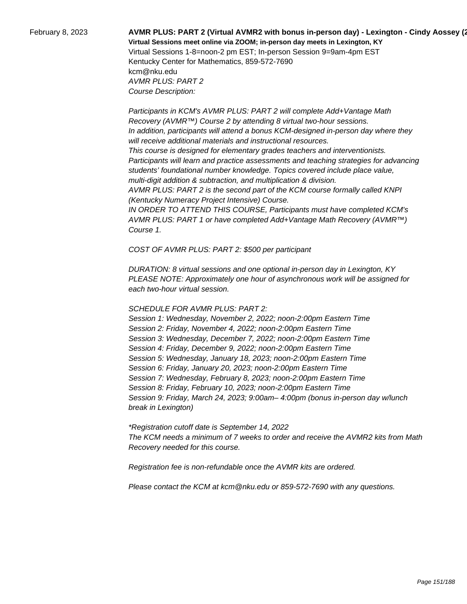# February 8, 2023 **AVMR PLUS: PART 2 (Virtual AVMR2 with bonus in-person day) - Lexington - Cindy Aossey (2022-23) Virtual Sessions meet online via ZOOM; in-person day meets in Lexington, KY**  Virtual Sessions 1-8=noon-2 pm EST; In-person Session 9=9am-4pm EST

Kentucky Center for Mathematics, 859-572-7690 kcm@nku.edu AVMR PLUS: PART 2 Course Description:

 Participants in KCM's AVMR PLUS: PART 2 will complete Add+Vantage Math Recovery (AVMR™) Course 2 by attending 8 virtual two-hour sessions. In addition, participants will attend a bonus KCM-designed in-person day where they will receive additional materials and instructional resources. This course is designed for elementary grades teachers and interventionists. Participants will learn and practice assessments and teaching strategies for advancing students' foundational number knowledge. Topics covered include place value, multi-digit addition & subtraction, and multiplication & division. AVMR PLUS: PART 2 is the second part of the KCM course formally called KNPI (Kentucky Numeracy Project Intensive) Course. IN ORDER TO ATTEND THIS COURSE, Participants must have completed KCM's AVMR PLUS: PART 1 or have completed Add+Vantage Math Recovery (AVMR™)

Course 1.

COST OF AVMR PLUS: PART 2: \$500 per participant

DURATION: 8 virtual sessions and one optional in-person day in Lexington, KY PLEASE NOTE: Approximately one hour of asynchronous work will be assigned for each two-hour virtual session.

### SCHEDULE FOR AVMR PLUS: PART 2:

Session 1: Wednesday, November 2, 2022; noon-2:00pm Eastern Time Session 2: Friday, November 4, 2022; noon-2:00pm Eastern Time Session 3: Wednesday, December 7, 2022; noon-2:00pm Eastern Time Session 4: Friday, December 9, 2022; noon-2:00pm Eastern Time Session 5: Wednesday, January 18, 2023; noon-2:00pm Eastern Time Session 6: Friday, January 20, 2023; noon-2:00pm Eastern Time Session 7: Wednesday, February 8, 2023; noon-2:00pm Eastern Time Session 8: Friday, February 10, 2023; noon-2:00pm Eastern Time Session 9: Friday, March 24, 2023; 9:00am– 4:00pm (bonus in-person day w/lunch break in Lexington)

\*Registration cutoff date is September 14, 2022 The KCM needs a minimum of 7 weeks to order and receive the AVMR2 kits from Math Recovery needed for this course.

Registration fee is non-refundable once the AVMR kits are ordered.

Please contact the KCM at kcm@nku.edu or 859-572-7690 with any questions.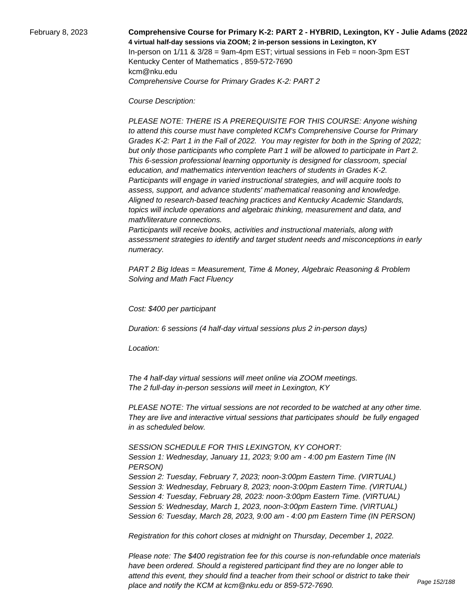### February 8, 2023 **Comprehensive Course for Primary K-2: PART 2 - HYBRID, Lexington, KY - Julie Adams (2022-23) 4 virtual half-day sessions via ZOOM; 2 in-person sessions in Lexington, KY**  In-person on  $1/11$  &  $3/28$  = 9am-4pm EST; virtual sessions in Feb = noon-3pm EST Kentucky Center of Mathematics , 859-572-7690 kcm@nku.edu Comprehensive Course for Primary Grades K-2: PART 2

Course Description:

 PLEASE NOTE: THERE IS A PREREQUISITE FOR THIS COURSE: Anyone wishing to attend this course must have completed KCM's Comprehensive Course for Primary Grades K-2: Part 1 in the Fall of 2022. You may register for both in the Spring of 2022; but only those participants who complete Part 1 will be allowed to participate in Part 2. This 6-session professional learning opportunity is designed for classroom, special education, and mathematics intervention teachers of students in Grades K-2. Participants will engage in varied instructional strategies, and will acquire tools to assess, support, and advance students' mathematical reasoning and knowledge. Aligned to research-based teaching practices and Kentucky Academic Standards, topics will include operations and algebraic thinking, measurement and data, and math/literature connections.

 Participants will receive books, activities and instructional materials, along with assessment strategies to identify and target student needs and misconceptions in early numeracy.

PART 2 Big Ideas = Measurement, Time & Money, Algebraic Reasoning & Problem Solving and Math Fact Fluency

Cost: \$400 per participant

Duration: 6 sessions (4 half-day virtual sessions plus 2 in-person days)

Location:

 The 4 half-day virtual sessions will meet online via ZOOM meetings. The 2 full-day in-person sessions will meet in Lexington, KY

PLEASE NOTE: The virtual sessions are not recorded to be watched at any other time. They are live and interactive virtual sessions that participates should be fully engaged in as scheduled below.

SESSION SCHEDULE FOR THIS LEXINGTON, KY COHORT:

Session 1: Wednesday, January 11, 2023; 9:00 am - 4:00 pm Eastern Time (IN PERSON) Session 2: Tuesday, February 7, 2023; noon-3:00pm Eastern Time. (VIRTUAL) Session 3: Wednesday, February 8, 2023; noon-3:00pm Eastern Time. (VIRTUAL) Session 4: Tuesday, February 28, 2023: noon-3:00pm Eastern Time. (VIRTUAL) Session 5: Wednesday, March 1, 2023, noon-3:00pm Eastern Time. (VIRTUAL) Session 6: Tuesday, March 28, 2023, 9:00 am - 4:00 pm Eastern Time (IN PERSON)

Registration for this cohort closes at midnight on Thursday, December 1, 2022.

Please note: The \$400 registration fee for this course is non-refundable once materials have been ordered. Should a registered participant find they are no longer able to attend this event, they should find a teacher from their school or district to take their place and notify the KCM at kcm@nku.edu or 859-572-7690. Page 152/188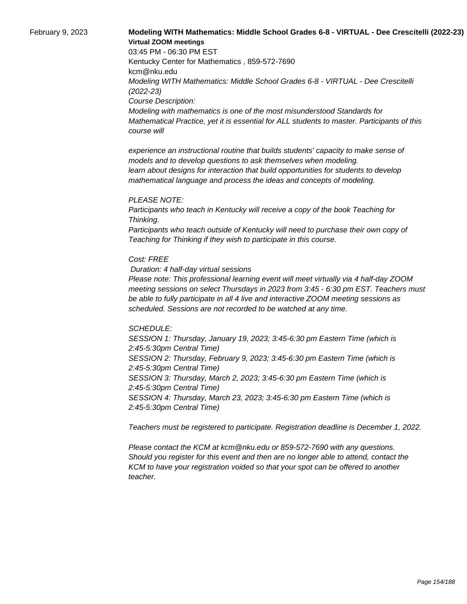## February 9, 2023 **Modeling WITH Mathematics: Middle School Grades 6-8 - VIRTUAL - Dee Crescitelli (2022-23) Virtual ZOOM meetings**

03:45 PM - 06:30 PM EST Kentucky Center for Mathematics , 859-572-7690 kcm@nku.edu Modeling WITH Mathematics: Middle School Grades 6-8 - VIRTUAL - Dee Crescitelli (2022-23) Course Description: Modeling with mathematics is one of the most misunderstood Standards for Mathematical Practice, yet it is essential for ALL students to master. Participants of this course will

 experience an instructional routine that builds students' capacity to make sense of models and to develop questions to ask themselves when modeling. learn about designs for interaction that build opportunities for students to develop mathematical language and process the ideas and concepts of modeling.

#### PLEASE NOTE:

Participants who teach in Kentucky will receive a copy of the book Teaching for Thinking.

Participants who teach outside of Kentucky will need to purchase their own copy of Teaching for Thinking if they wish to participate in this course.

#### Cost: FREE

Duration: 4 half-day virtual sessions

Please note: This professional learning event will meet virtually via 4 half-day ZOOM meeting sessions on select Thursdays in 2023 from 3:45 - 6:30 pm EST. Teachers must be able to fully participate in all 4 live and interactive ZOOM meeting sessions as scheduled. Sessions are not recorded to be watched at any time.

#### SCHEDULE:

SESSION 1: Thursday, January 19, 2023; 3:45-6:30 pm Eastern Time (which is 2:45-5:30pm Central Time) SESSION 2: Thursday, February 9, 2023; 3:45-6:30 pm Eastern Time (which is 2:45-5:30pm Central Time) SESSION 3: Thursday, March 2, 2023; 3:45-6:30 pm Eastern Time (which is 2:45-5:30pm Central Time) SESSION 4: Thursday, March 23, 2023; 3:45-6:30 pm Eastern Time (which is 2:45-5:30pm Central Time)

Teachers must be registered to participate. Registration deadline is December 1, 2022.

Please contact the KCM at kcm@nku.edu or 859-572-7690 with any questions. Should you register for this event and then are no longer able to attend, contact the KCM to have your registration voided so that your spot can be offered to another teacher.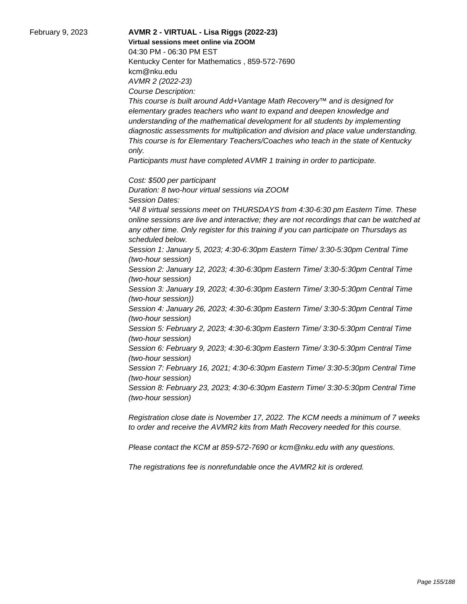### February 9, 2023 **AVMR 2 - VIRTUAL - Lisa Riggs (2022-23) Virtual sessions meet online via ZOOM**  04:30 PM - 06:30 PM EST Kentucky Center for Mathematics , 859-572-7690 kcm@nku.edu AVMR 2 (2022-23) Course Description:

This course is built around Add+Vantage Math Recovery™ and is designed for elementary grades teachers who want to expand and deepen knowledge and understanding of the mathematical development for all students by implementing diagnostic assessments for multiplication and division and place value understanding. This course is for Elementary Teachers/Coaches who teach in the state of Kentucky only.

Participants must have completed AVMR 1 training in order to participate.

Cost: \$500 per participant

Duration: 8 two-hour virtual sessions via ZOOM Session Dates: \*All 8 virtual sessions meet on THURSDAYS from 4:30-6:30 pm Eastern Time. These online sessions are live and interactive; they are not recordings that can be watched at any other time. Only register for this training if you can participate on Thursdays as scheduled below. Session 1: January 5, 2023; 4:30-6:30pm Eastern Time/ 3:30-5:30pm Central Time (two-hour session) Session 2: January 12, 2023; 4:30-6:30pm Eastern Time/ 3:30-5:30pm Central Time (two-hour session) Session 3: January 19, 2023; 4:30-6:30pm Eastern Time/ 3:30-5:30pm Central Time (two-hour session)) Session 4: January 26, 2023; 4:30-6:30pm Eastern Time/ 3:30-5:30pm Central Time (two-hour session) Session 5: February 2, 2023; 4:30-6:30pm Eastern Time/ 3:30-5:30pm Central Time (two-hour session) Session 6: February 9, 2023; 4:30-6:30pm Eastern Time/ 3:30-5:30pm Central Time

(two-hour session)

Session 7: February 16, 2021; 4:30-6:30pm Eastern Time/ 3:30-5:30pm Central Time (two-hour session)

Session 8: February 23, 2023; 4:30-6:30pm Eastern Time/ 3:30-5:30pm Central Time (two-hour session)

Registration close date is November 17, 2022. The KCM needs a minimum of 7 weeks to order and receive the AVMR2 kits from Math Recovery needed for this course.

Please contact the KCM at 859-572-7690 or kcm@nku.edu with any questions.

The registrations fee is nonrefundable once the AVMR2 kit is ordered.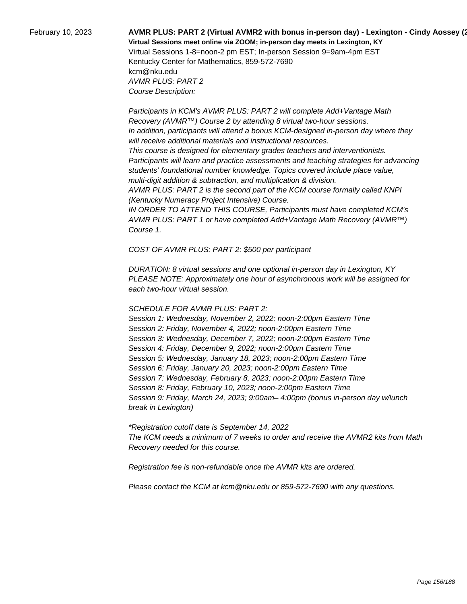# February 10, 2023 **AVMR PLUS: PART 2 (Virtual AVMR2 with bonus in-person day) - Lexington - Cindy Aossey (2022-23) Virtual Sessions meet online via ZOOM; in-person day meets in Lexington, KY**  Virtual Sessions 1-8=noon-2 pm EST; In-person Session 9=9am-4pm EST Kentucky Center for Mathematics, 859-572-7690

kcm@nku.edu AVMR PLUS: PART 2 Course Description:

 Participants in KCM's AVMR PLUS: PART 2 will complete Add+Vantage Math Recovery (AVMR™) Course 2 by attending 8 virtual two-hour sessions. In addition, participants will attend a bonus KCM-designed in-person day where they will receive additional materials and instructional resources. This course is designed for elementary grades teachers and interventionists. Participants will learn and practice assessments and teaching strategies for advancing students' foundational number knowledge. Topics covered include place value, multi-digit addition & subtraction, and multiplication & division. AVMR PLUS: PART 2 is the second part of the KCM course formally called KNPI (Kentucky Numeracy Project Intensive) Course. IN ORDER TO ATTEND THIS COURSE, Participants must have completed KCM's AVMR PLUS: PART 1 or have completed Add+Vantage Math Recovery (AVMR™)

Course 1.

COST OF AVMR PLUS: PART 2: \$500 per participant

DURATION: 8 virtual sessions and one optional in-person day in Lexington, KY PLEASE NOTE: Approximately one hour of asynchronous work will be assigned for each two-hour virtual session.

### SCHEDULE FOR AVMR PLUS: PART 2:

Session 1: Wednesday, November 2, 2022; noon-2:00pm Eastern Time Session 2: Friday, November 4, 2022; noon-2:00pm Eastern Time Session 3: Wednesday, December 7, 2022; noon-2:00pm Eastern Time Session 4: Friday, December 9, 2022; noon-2:00pm Eastern Time Session 5: Wednesday, January 18, 2023; noon-2:00pm Eastern Time Session 6: Friday, January 20, 2023; noon-2:00pm Eastern Time Session 7: Wednesday, February 8, 2023; noon-2:00pm Eastern Time Session 8: Friday, February 10, 2023; noon-2:00pm Eastern Time Session 9: Friday, March 24, 2023; 9:00am– 4:00pm (bonus in-person day w/lunch break in Lexington)

\*Registration cutoff date is September 14, 2022 The KCM needs a minimum of 7 weeks to order and receive the AVMR2 kits from Math Recovery needed for this course.

Registration fee is non-refundable once the AVMR kits are ordered.

Please contact the KCM at kcm@nku.edu or 859-572-7690 with any questions.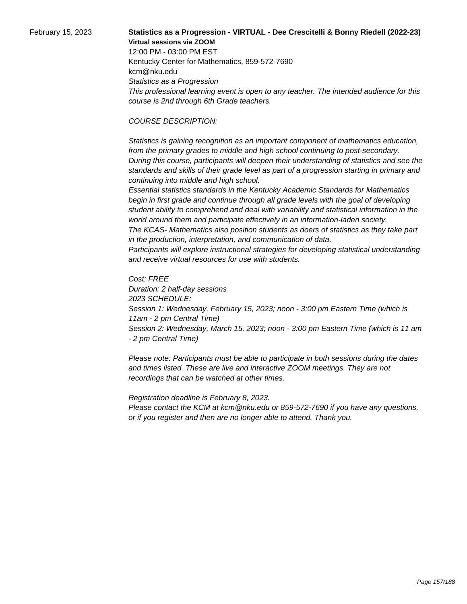## February 15, 2023 **Statistics as a Progression - VIRTUAL - Dee Crescitelli & Bonny Riedell (2022-23) Virtual sessions via ZOOM**

12:00 PM - 03:00 PM EST Kentucky Center for Mathematics, 859-572-7690 kcm@nku.edu Statistics as a Progression This professional learning event is open to any teacher. The intended audience for this course is 2nd through 6th Grade teachers.

#### COURSE DESCRIPTION:

 Statistics is gaining recognition as an important component of mathematics education, from the primary grades to middle and high school continuing to post-secondary. During this course, participants will deepen their understanding of statistics and see the standards and skills of their grade level as part of a progression starting in primary and continuing into middle and high school.

 Essential statistics standards in the Kentucky Academic Standards for Mathematics begin in first grade and continue through all grade levels with the goal of developing student ability to comprehend and deal with variability and statistical information in the world around them and participate effectively in an information-laden society.

 The KCAS- Mathematics also position students as doers of statistics as they take part in the production, interpretation, and communication of data.

 Participants will explore instructional strategies for developing statistical understanding and receive virtual resources for use with students.

Cost: FREE Duration: 2 half-day sessions 2023 SCHEDULE: Session 1: Wednesday, February 15, 2023; noon - 3:00 pm Eastern Time (which is 11am - 2 pm Central Time) Session 2: Wednesday, March 15, 2023; noon - 3:00 pm Eastern Time (which is 11 am - 2 pm Central Time)

Please note: Participants must be able to participate in both sessions during the dates and times listed. These are live and interactive ZOOM meetings. They are not recordings that can be watched at other times.

Registration deadline is February 8, 2023. Please contact the KCM at kcm@nku.edu or 859-572-7690 if you have any questions, or if you register and then are no longer able to attend. Thank you.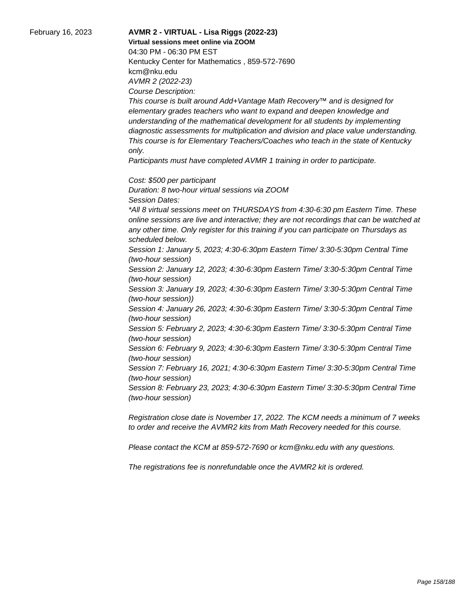February 16, 2023 **AVMR 2 - VIRTUAL - Lisa Riggs (2022-23) Virtual sessions meet online via ZOOM**  04:30 PM - 06:30 PM EST Kentucky Center for Mathematics , 859-572-7690 kcm@nku.edu AVMR 2 (2022-23) Course Description:

> This course is built around Add+Vantage Math Recovery™ and is designed for elementary grades teachers who want to expand and deepen knowledge and understanding of the mathematical development for all students by implementing diagnostic assessments for multiplication and division and place value understanding. This course is for Elementary Teachers/Coaches who teach in the state of Kentucky only.

Participants must have completed AVMR 1 training in order to participate.

Cost: \$500 per participant

Duration: 8 two-hour virtual sessions via ZOOM Session Dates: \*All 8 virtual sessions meet on THURSDAYS from 4:30-6:30 pm Eastern Time. These online sessions are live and interactive; they are not recordings that can be watched at any other time. Only register for this training if you can participate on Thursdays as scheduled below. Session 1: January 5, 2023; 4:30-6:30pm Eastern Time/ 3:30-5:30pm Central Time (two-hour session) Session 2: January 12, 2023; 4:30-6:30pm Eastern Time/ 3:30-5:30pm Central Time (two-hour session) Session 3: January 19, 2023; 4:30-6:30pm Eastern Time/ 3:30-5:30pm Central Time (two-hour session)) Session 4: January 26, 2023; 4:30-6:30pm Eastern Time/ 3:30-5:30pm Central Time (two-hour session) Session 5: February 2, 2023; 4:30-6:30pm Eastern Time/ 3:30-5:30pm Central Time (two-hour session) Session 6: February 9, 2023; 4:30-6:30pm Eastern Time/ 3:30-5:30pm Central Time (two-hour session) Session 7: February 16, 2021; 4:30-6:30pm Eastern Time/ 3:30-5:30pm Central Time

(two-hour session) Session 8: February 23, 2023; 4:30-6:30pm Eastern Time/ 3:30-5:30pm Central Time (two-hour session)

Registration close date is November 17, 2022. The KCM needs a minimum of 7 weeks to order and receive the AVMR2 kits from Math Recovery needed for this course.

Please contact the KCM at 859-572-7690 or kcm@nku.edu with any questions.

The registrations fee is nonrefundable once the AVMR2 kit is ordered.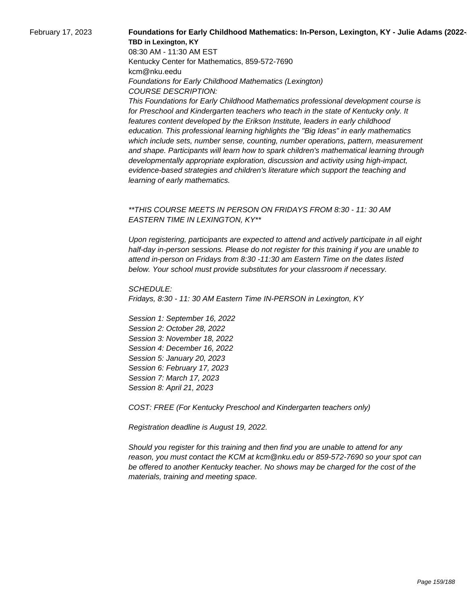### February 17, 2023 **Foundations for Early Childhood Mathematics: In-Person, Lexington, KY - Julie Adams (2022-TBD in Lexington, KY**

08:30 AM - 11:30 AM EST Kentucky Center for Mathematics, 859-572-7690 kcm@nku.eedu Foundations for Early Childhood Mathematics (Lexington) COURSE DESCRIPTION:

This Foundations for Early Childhood Mathematics professional development course is for Preschool and Kindergarten teachers who teach in the state of Kentucky only. It features content developed by the Erikson Institute, leaders in early childhood education. This professional learning highlights the "Big Ideas" in early mathematics which include sets, number sense, counting, number operations, pattern, measurement and shape. Participants will learn how to spark children's mathematical learning through developmentally appropriate exploration, discussion and activity using high-impact, evidence-based strategies and children's literature which support the teaching and learning of early mathematics.

### \*\*THIS COURSE MEETS IN PERSON ON FRIDAYS FROM 8:30 - 11: 30 AM EASTERN TIME IN LEXINGTON, KY\*\*

Upon registering, participants are expected to attend and actively participate in all eight half-day in-person sessions. Please do not register for this training if you are unable to attend in-person on Fridays from 8:30 -11:30 am Eastern Time on the dates listed below. Your school must provide substitutes for your classroom if necessary.

SCHEDULE: Fridays, 8:30 - 11: 30 AM Eastern Time IN-PERSON in Lexington, KY

Session 1: September 16, 2022 Session 2: October 28, 2022 Session 3: November 18, 2022 Session 4: December 16, 2022 Session 5: January 20, 2023 Session 6: February 17, 2023 Session 7: March 17, 2023 Session 8: April 21, 2023

COST: FREE (For Kentucky Preschool and Kindergarten teachers only)

Registration deadline is August 19, 2022.

Should you register for this training and then find you are unable to attend for any reason, you must contact the KCM at kcm@nku.edu or 859-572-7690 so your spot can be offered to another Kentucky teacher. No shows may be charged for the cost of the materials, training and meeting space.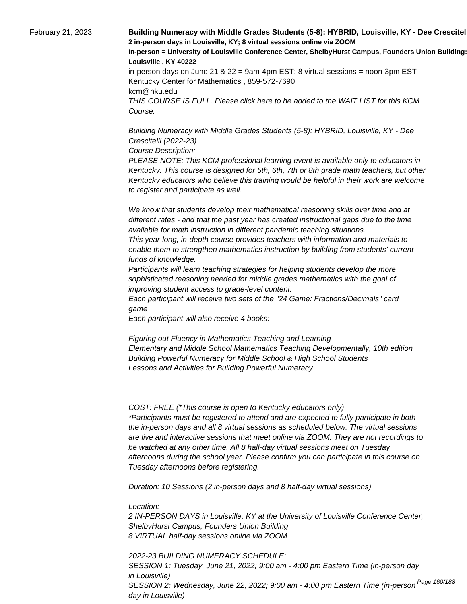February 21, 2023 **Building Numeracy with Middle Grades Students (5-8): HYBRID, Louisville, KY - Dee Crescitel 2 in-person days in Louisville, KY; 8 virtual sessions online via ZOOM In-person = University of Louisville Conference Center, ShelbyHurst Campus, Founders Union Building: Room 15 Louisville , KY 40222** in-person days on June 21 &  $22 = 9$ am-4pm EST; 8 virtual sessions = noon-3pm EST Kentucky Center for Mathematics , 859-572-7690 kcm@nku.edu THIS COURSE IS FULL. Please click here to be added to the WAIT LIST for this KCM Course.

> Building Numeracy with Middle Grades Students (5-8): HYBRID, Louisville, KY - Dee Crescitelli (2022-23)

Course Description:

PLEASE NOTE: This KCM professional learning event is available only to educators in Kentucky. This course is designed for 5th, 6th, 7th or 8th grade math teachers, but other Kentucky educators who believe this training would be helpful in their work are welcome to register and participate as well.

 We know that students develop their mathematical reasoning skills over time and at different rates - and that the past year has created instructional gaps due to the time available for math instruction in different pandemic teaching situations.

 This year-long, in-depth course provides teachers with information and materials to enable them to strengthen mathematics instruction by building from students' current funds of knowledge.

 Participants will learn teaching strategies for helping students develop the more sophisticated reasoning needed for middle grades mathematics with the goal of improving student access to grade-level content.

 Each participant will receive two sets of the "24 Game: Fractions/Decimals" card game

 Each participant will also receive 4 books:

 Figuring out Fluency in Mathematics Teaching and Learning Elementary and Middle School Mathematics Teaching Developmentally, 10th edition Building Powerful Numeracy for Middle School & High School Students Lessons and Activities for Building Powerful Numeracy

COST: FREE (\*This course is open to Kentucky educators only) \*Participants must be registered to attend and are expected to fully participate in both the in-person days and all 8 virtual sessions as scheduled below. The virtual sessions are live and interactive sessions that meet online via ZOOM. They are not recordings to be watched at any other time. All 8 half-day virtual sessions meet on Tuesday afternoons during the school year. Please confirm you can participate in this course on Tuesday afternoons before registering.

Duration: 10 Sessions (2 in-person days and 8 half-day virtual sessions)

Location:

2 IN-PERSON DAYS in Louisville, KY at the University of Louisville Conference Center, ShelbyHurst Campus, Founders Union Building 8 VIRTUAL half-day sessions online via ZOOM

2022-23 BUILDING NUMERACY SCHEDULE: SESSION 1: Tuesday, June 21, 2022; 9:00 am - 4:00 pm Eastern Time (in-person day in Louisville) SESSION 2: Wednesday, June 22, 2022; 9:00 am - 4:00 pm Eastern Time (in-person <sup>Page 160/188</sup> day in Louisville)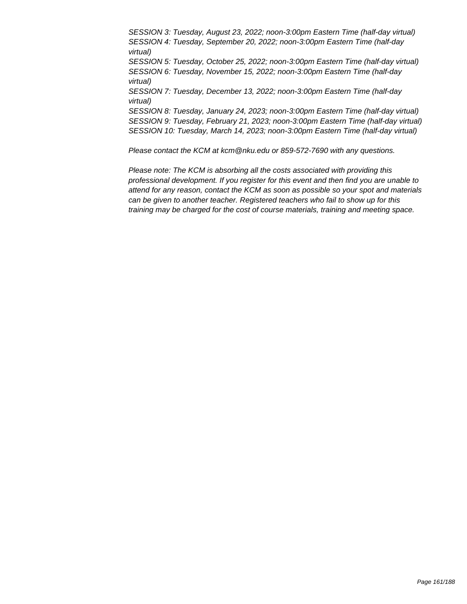SESSION 3: Tuesday, August 23, 2022; noon-3:00pm Eastern Time (half-day virtual) SESSION 4: Tuesday, September 20, 2022; noon-3:00pm Eastern Time (half-day virtual) SESSION 5: Tuesday, October 25, 2022; noon-3:00pm Eastern Time (half-day virtual) SESSION 6: Tuesday, November 15, 2022; noon-3:00pm Eastern Time (half-day virtual) SESSION 7: Tuesday, December 13, 2022; noon-3:00pm Eastern Time (half-day virtual) SESSION 8: Tuesday, January 24, 2023; noon-3:00pm Eastern Time (half-day virtual) SESSION 9: Tuesday, February 21, 2023; noon-3:00pm Eastern Time (half-day virtual) SESSION 10: Tuesday, March 14, 2023; noon-3:00pm Eastern Time (half-day virtual)

Please contact the KCM at kcm@nku.edu or 859-572-7690 with any questions.

Please note: The KCM is absorbing all the costs associated with providing this professional development. If you register for this event and then find you are unable to attend for any reason, contact the KCM as soon as possible so your spot and materials can be given to another teacher. Registered teachers who fail to show up for this training may be charged for the cost of course materials, training and meeting space.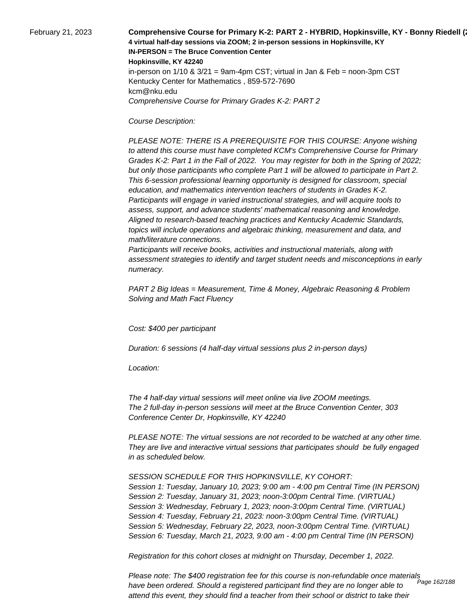February 21, 2023 **Comprehensive Course for Primary K-2: PART 2 - HYBRID, Hopkinsville, KY - Bonny Riedell (**2023 **4 virtual half-day sessions via ZOOM; 2 in-person sessions in Hopkinsville, KY IN-PERSON = The Bruce Convention Center Hopkinsville, KY 42240** in-person on  $1/10$  &  $3/21$  = 9am-4pm CST; virtual in Jan & Feb = noon-3pm CST Kentucky Center for Mathematics , 859-572-7690 kcm@nku.edu Comprehensive Course for Primary Grades K-2: PART 2

Course Description:

 PLEASE NOTE: THERE IS A PREREQUISITE FOR THIS COURSE: Anyone wishing to attend this course must have completed KCM's Comprehensive Course for Primary Grades K-2: Part 1 in the Fall of 2022. You may register for both in the Spring of 2022; but only those participants who complete Part 1 will be allowed to participate in Part 2. This 6-session professional learning opportunity is designed for classroom, special education, and mathematics intervention teachers of students in Grades K-2. Participants will engage in varied instructional strategies, and will acquire tools to assess, support, and advance students' mathematical reasoning and knowledge. Aligned to research-based teaching practices and Kentucky Academic Standards, topics will include operations and algebraic thinking, measurement and data, and math/literature connections.

 Participants will receive books, activities and instructional materials, along with assessment strategies to identify and target student needs and misconceptions in early numeracy.

PART 2 Big Ideas = Measurement, Time & Money, Algebraic Reasoning & Problem Solving and Math Fact Fluency

Cost: \$400 per participant

Duration: 6 sessions (4 half-day virtual sessions plus 2 in-person days)

Location:

 The 4 half-day virtual sessions will meet online via live ZOOM meetings. The 2 full-day in-person sessions will meet at the Bruce Convention Center, 303 Conference Center Dr, Hopkinsville, KY 42240

PLEASE NOTE: The virtual sessions are not recorded to be watched at any other time. They are live and interactive virtual sessions that participates should be fully engaged in as scheduled below.

SESSION SCHEDULE FOR THIS HOPKINSVILLE, KY COHORT: Session 1: Tuesday, January 10, 2023; 9:00 am - 4:00 pm Central Time (IN PERSON) Session 2: Tuesday, January 31, 2023; noon-3:00pm Central Time. (VIRTUAL) Session 3: Wednesday, February 1, 2023; noon-3:00pm Central Time. (VIRTUAL) Session 4: Tuesday, February 21, 2023: noon-3:00pm Central Time. (VIRTUAL) Session 5: Wednesday, February 22, 2023, noon-3:00pm Central Time. (VIRTUAL) Session 6: Tuesday, March 21, 2023, 9:00 am - 4:00 pm Central Time (IN PERSON)

Registration for this cohort closes at midnight on Thursday, December 1, 2022.

Please note: The \$400 registration fee for this course is non-refundable once materials have been ordered. Should a registered participant find they are no longer able to attend this event, they should find a teacher from their school or district to take their Page 162/188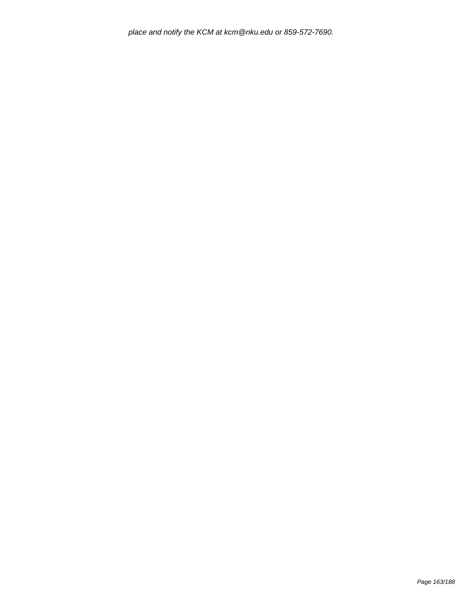place and notify the KCM at kcm@nku.edu or 859-572-7690.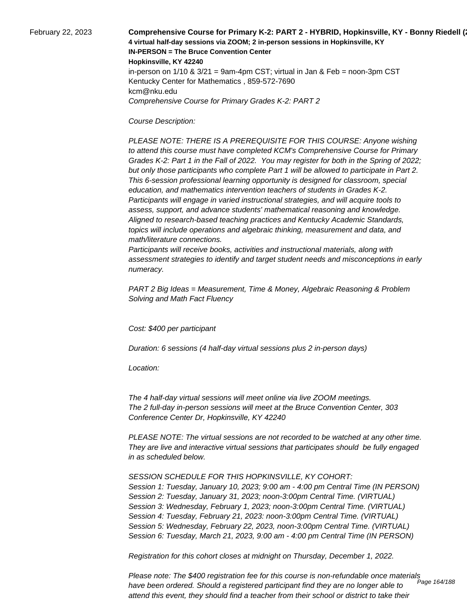February 22, 2023 **Comprehensive Course for Primary K-2: PART 2 - HYBRID, Hopkinsville, KY - Bonny Riedell (**2023 **4 virtual half-day sessions via ZOOM; 2 in-person sessions in Hopkinsville, KY IN-PERSON = The Bruce Convention Center Hopkinsville, KY 42240** in-person on  $1/10$  &  $3/21$  = 9am-4pm CST; virtual in Jan & Feb = noon-3pm CST Kentucky Center for Mathematics , 859-572-7690 kcm@nku.edu Comprehensive Course for Primary Grades K-2: PART 2

Course Description:

 PLEASE NOTE: THERE IS A PREREQUISITE FOR THIS COURSE: Anyone wishing to attend this course must have completed KCM's Comprehensive Course for Primary Grades K-2: Part 1 in the Fall of 2022. You may register for both in the Spring of 2022; but only those participants who complete Part 1 will be allowed to participate in Part 2. This 6-session professional learning opportunity is designed for classroom, special education, and mathematics intervention teachers of students in Grades K-2. Participants will engage in varied instructional strategies, and will acquire tools to assess, support, and advance students' mathematical reasoning and knowledge. Aligned to research-based teaching practices and Kentucky Academic Standards, topics will include operations and algebraic thinking, measurement and data, and math/literature connections.

 Participants will receive books, activities and instructional materials, along with assessment strategies to identify and target student needs and misconceptions in early numeracy.

PART 2 Big Ideas = Measurement, Time & Money, Algebraic Reasoning & Problem Solving and Math Fact Fluency

Cost: \$400 per participant

Duration: 6 sessions (4 half-day virtual sessions plus 2 in-person days)

Location:

 The 4 half-day virtual sessions will meet online via live ZOOM meetings. The 2 full-day in-person sessions will meet at the Bruce Convention Center, 303 Conference Center Dr, Hopkinsville, KY 42240

PLEASE NOTE: The virtual sessions are not recorded to be watched at any other time. They are live and interactive virtual sessions that participates should be fully engaged in as scheduled below.

SESSION SCHEDULE FOR THIS HOPKINSVILLE, KY COHORT: Session 1: Tuesday, January 10, 2023; 9:00 am - 4:00 pm Central Time (IN PERSON) Session 2: Tuesday, January 31, 2023; noon-3:00pm Central Time. (VIRTUAL) Session 3: Wednesday, February 1, 2023; noon-3:00pm Central Time. (VIRTUAL) Session 4: Tuesday, February 21, 2023: noon-3:00pm Central Time. (VIRTUAL) Session 5: Wednesday, February 22, 2023, noon-3:00pm Central Time. (VIRTUAL) Session 6: Tuesday, March 21, 2023, 9:00 am - 4:00 pm Central Time (IN PERSON)

Registration for this cohort closes at midnight on Thursday, December 1, 2022.

Please note: The \$400 registration fee for this course is non-refundable once materials have been ordered. Should a registered participant find they are no longer able to attend this event, they should find a teacher from their school or district to take their Page 164/188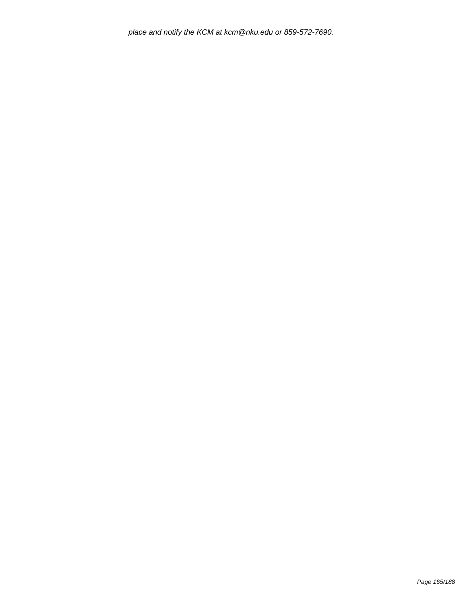place and notify the KCM at kcm@nku.edu or 859-572-7690.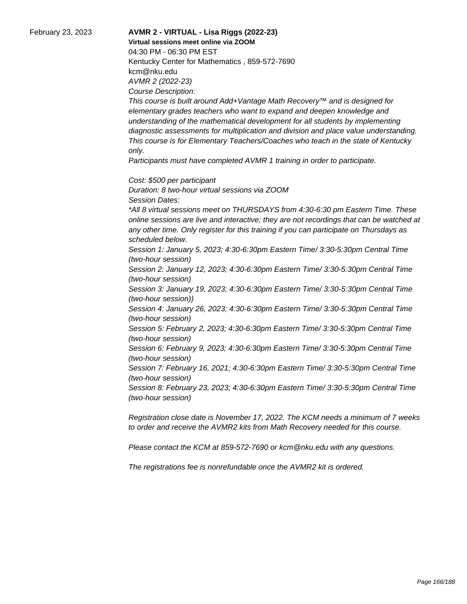### February 23, 2023 **AVMR 2 - VIRTUAL - Lisa Riggs (2022-23) Virtual sessions meet online via ZOOM**  04:30 PM - 06:30 PM EST Kentucky Center for Mathematics , 859-572-7690 kcm@nku.edu AVMR 2 (2022-23) Course Description:

This course is built around Add+Vantage Math Recovery™ and is designed for elementary grades teachers who want to expand and deepen knowledge and understanding of the mathematical development for all students by implementing diagnostic assessments for multiplication and division and place value understanding. This course is for Elementary Teachers/Coaches who teach in the state of Kentucky only.

Participants must have completed AVMR 1 training in order to participate.

Cost: \$500 per participant

Duration: 8 two-hour virtual sessions via ZOOM Session Dates: \*All 8 virtual sessions meet on THURSDAYS from 4:30-6:30 pm Eastern Time. These online sessions are live and interactive; they are not recordings that can be watched at any other time. Only register for this training if you can participate on Thursdays as scheduled below. Session 1: January 5, 2023; 4:30-6:30pm Eastern Time/ 3:30-5:30pm Central Time (two-hour session) Session 2: January 12, 2023; 4:30-6:30pm Eastern Time/ 3:30-5:30pm Central Time (two-hour session) Session 3: January 19, 2023; 4:30-6:30pm Eastern Time/ 3:30-5:30pm Central Time (two-hour session)) Session 4: January 26, 2023; 4:30-6:30pm Eastern Time/ 3:30-5:30pm Central Time (two-hour session)

Session 5: February 2, 2023; 4:30-6:30pm Eastern Time/ 3:30-5:30pm Central Time (two-hour session)

Session 6: February 9, 2023; 4:30-6:30pm Eastern Time/ 3:30-5:30pm Central Time (two-hour session)

Session 7: February 16, 2021; 4:30-6:30pm Eastern Time/ 3:30-5:30pm Central Time (two-hour session)

Session 8: February 23, 2023; 4:30-6:30pm Eastern Time/ 3:30-5:30pm Central Time (two-hour session)

Registration close date is November 17, 2022. The KCM needs a minimum of 7 weeks to order and receive the AVMR2 kits from Math Recovery needed for this course.

Please contact the KCM at 859-572-7690 or kcm@nku.edu with any questions.

The registrations fee is nonrefundable once the AVMR2 kit is ordered.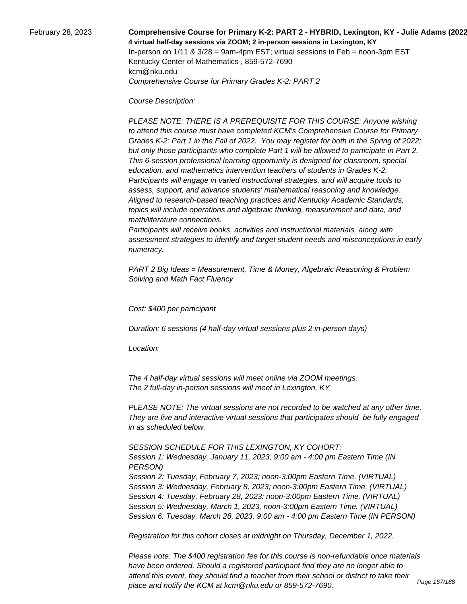### February 28, 2023 **Comprehensive Course for Primary K-2: PART 2 - HYBRID, Lexington, KY - Julie Adams (2022-23) 4 virtual half-day sessions via ZOOM; 2 in-person sessions in Lexington, KY**  In-person on  $1/11$  &  $3/28$  = 9am-4pm EST; virtual sessions in Feb = noon-3pm EST Kentucky Center of Mathematics , 859-572-7690 kcm@nku.edu Comprehensive Course for Primary Grades K-2: PART 2

Course Description:

 PLEASE NOTE: THERE IS A PREREQUISITE FOR THIS COURSE: Anyone wishing to attend this course must have completed KCM's Comprehensive Course for Primary Grades K-2: Part 1 in the Fall of 2022. You may register for both in the Spring of 2022; but only those participants who complete Part 1 will be allowed to participate in Part 2. This 6-session professional learning opportunity is designed for classroom, special education, and mathematics intervention teachers of students in Grades K-2. Participants will engage in varied instructional strategies, and will acquire tools to assess, support, and advance students' mathematical reasoning and knowledge. Aligned to research-based teaching practices and Kentucky Academic Standards, topics will include operations and algebraic thinking, measurement and data, and math/literature connections.

 Participants will receive books, activities and instructional materials, along with assessment strategies to identify and target student needs and misconceptions in early numeracy.

PART 2 Big Ideas = Measurement, Time & Money, Algebraic Reasoning & Problem Solving and Math Fact Fluency

Cost: \$400 per participant

Duration: 6 sessions (4 half-day virtual sessions plus 2 in-person days)

Location:

 The 4 half-day virtual sessions will meet online via ZOOM meetings. The 2 full-day in-person sessions will meet in Lexington, KY

PLEASE NOTE: The virtual sessions are not recorded to be watched at any other time. They are live and interactive virtual sessions that participates should be fully engaged in as scheduled below.

SESSION SCHEDULE FOR THIS LEXINGTON, KY COHORT:

Session 1: Wednesday, January 11, 2023; 9:00 am - 4:00 pm Eastern Time (IN PERSON) Session 2: Tuesday, February 7, 2023; noon-3:00pm Eastern Time. (VIRTUAL) Session 3: Wednesday, February 8, 2023; noon-3:00pm Eastern Time. (VIRTUAL) Session 4: Tuesday, February 28, 2023: noon-3:00pm Eastern Time. (VIRTUAL) Session 5: Wednesday, March 1, 2023, noon-3:00pm Eastern Time. (VIRTUAL) Session 6: Tuesday, March 28, 2023, 9:00 am - 4:00 pm Eastern Time (IN PERSON)

Registration for this cohort closes at midnight on Thursday, December 1, 2022.

Please note: The \$400 registration fee for this course is non-refundable once materials have been ordered. Should a registered participant find they are no longer able to attend this event, they should find a teacher from their school or district to take their place and notify the KCM at kcm@nku.edu or 859-572-7690.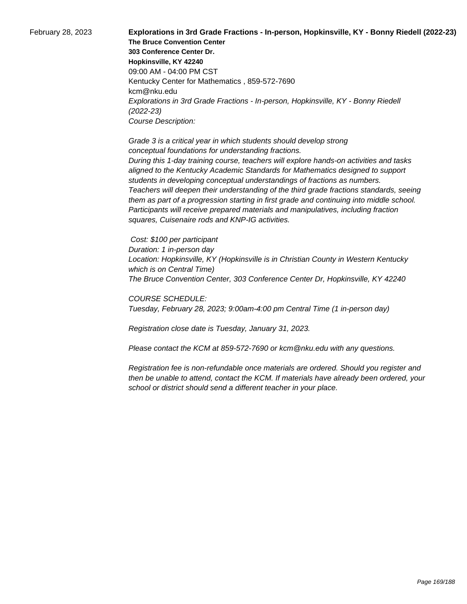February 28, 2023 **Explorations in 3rd Grade Fractions - In-person, Hopkinsville, KY - Bonny Riedell (2022-23) The Bruce Convention Center 303 Conference Center Dr. Hopkinsville, KY 42240** 09:00 AM - 04:00 PM CST Kentucky Center for Mathematics , 859-572-7690 kcm@nku.edu Explorations in 3rd Grade Fractions - In-person, Hopkinsville, KY - Bonny Riedell (2022-23) Course Description:

> Grade 3 is a critical year in which students should develop strong conceptual foundations for understanding fractions. During this 1-day training course, teachers will explore hands-on activities and tasks aligned to the Kentucky Academic Standards for Mathematics designed to support students in developing conceptual understandings of fractions as numbers. Teachers will deepen their understanding of the third grade fractions standards, seeing them as part of a progression starting in first grade and continuing into middle school. Participants will receive prepared materials and manipulatives, including fraction squares, Cuisenaire rods and KNP-IG activities.

 Cost: \$100 per participant Duration: 1 in-person day Location: Hopkinsville, KY (Hopkinsville is in Christian County in Western Kentucky which is on Central Time) The Bruce Convention Center, 303 Conference Center Dr, Hopkinsville, KY 42240

COURSE SCHEDULE: Tuesday, February 28, 2023; 9:00am-4:00 pm Central Time (1 in-person day)

Registration close date is Tuesday, January 31, 2023.

Please contact the KCM at 859-572-7690 or kcm@nku.edu with any questions.

Registration fee is non-refundable once materials are ordered. Should you register and then be unable to attend, contact the KCM. If materials have already been ordered, your school or district should send a different teacher in your place.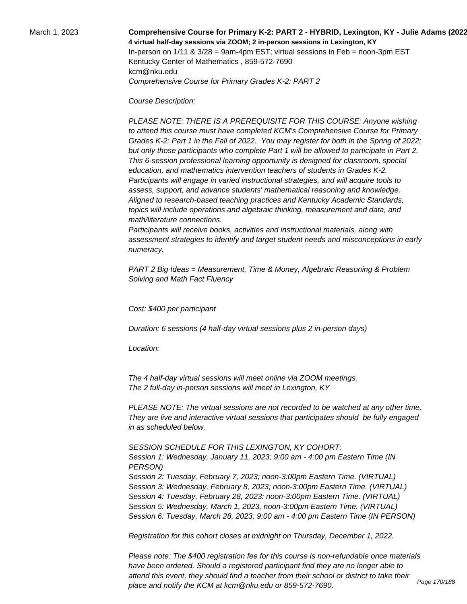### March 1, 2023 **Comprehensive Course for Primary K-2: PART 2 - HYBRID, Lexington, KY - Julie Adams (2022-23) 4 virtual half-day sessions via ZOOM; 2 in-person sessions in Lexington, KY**  In-person on  $1/11$  &  $3/28$  = 9am-4pm EST; virtual sessions in Feb = noon-3pm EST Kentucky Center of Mathematics , 859-572-7690 kcm@nku.edu Comprehensive Course for Primary Grades K-2: PART 2

Course Description:

 PLEASE NOTE: THERE IS A PREREQUISITE FOR THIS COURSE: Anyone wishing to attend this course must have completed KCM's Comprehensive Course for Primary Grades K-2: Part 1 in the Fall of 2022. You may register for both in the Spring of 2022; but only those participants who complete Part 1 will be allowed to participate in Part 2. This 6-session professional learning opportunity is designed for classroom, special education, and mathematics intervention teachers of students in Grades K-2. Participants will engage in varied instructional strategies, and will acquire tools to assess, support, and advance students' mathematical reasoning and knowledge. Aligned to research-based teaching practices and Kentucky Academic Standards, topics will include operations and algebraic thinking, measurement and data, and math/literature connections.

 Participants will receive books, activities and instructional materials, along with assessment strategies to identify and target student needs and misconceptions in early numeracy.

PART 2 Big Ideas = Measurement, Time & Money, Algebraic Reasoning & Problem Solving and Math Fact Fluency

Cost: \$400 per participant

Duration: 6 sessions (4 half-day virtual sessions plus 2 in-person days)

Location:

 The 4 half-day virtual sessions will meet online via ZOOM meetings. The 2 full-day in-person sessions will meet in Lexington, KY

PLEASE NOTE: The virtual sessions are not recorded to be watched at any other time. They are live and interactive virtual sessions that participates should be fully engaged in as scheduled below.

SESSION SCHEDULE FOR THIS LEXINGTON, KY COHORT:

Session 1: Wednesday, January 11, 2023; 9:00 am - 4:00 pm Eastern Time (IN PERSON) Session 2: Tuesday, February 7, 2023; noon-3:00pm Eastern Time. (VIRTUAL) Session 3: Wednesday, February 8, 2023; noon-3:00pm Eastern Time. (VIRTUAL) Session 4: Tuesday, February 28, 2023: noon-3:00pm Eastern Time. (VIRTUAL) Session 5: Wednesday, March 1, 2023, noon-3:00pm Eastern Time. (VIRTUAL) Session 6: Tuesday, March 28, 2023, 9:00 am - 4:00 pm Eastern Time (IN PERSON)

Registration for this cohort closes at midnight on Thursday, December 1, 2022.

Please note: The \$400 registration fee for this course is non-refundable once materials have been ordered. Should a registered participant find they are no longer able to attend this event, they should find a teacher from their school or district to take their place and notify the KCM at kcm@nku.edu or 859-572-7690.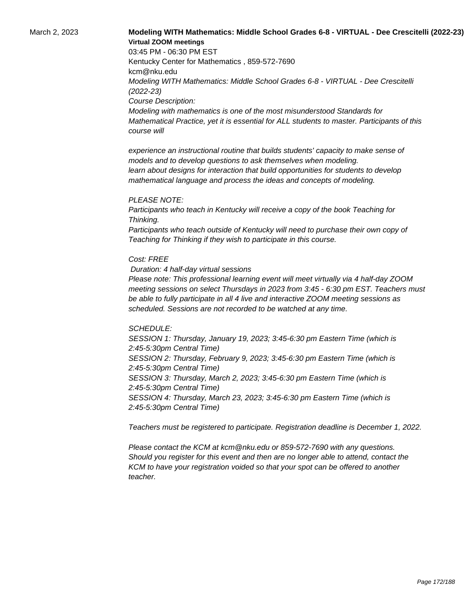## March 2, 2023 **Modeling WITH Mathematics: Middle School Grades 6-8 - VIRTUAL - Dee Crescitelli (2022-23) Virtual ZOOM meetings**

03:45 PM - 06:30 PM EST Kentucky Center for Mathematics , 859-572-7690 kcm@nku.edu Modeling WITH Mathematics: Middle School Grades 6-8 - VIRTUAL - Dee Crescitelli (2022-23) Course Description: Modeling with mathematics is one of the most misunderstood Standards for Mathematical Practice, yet it is essential for ALL students to master. Participants of this course will

 experience an instructional routine that builds students' capacity to make sense of models and to develop questions to ask themselves when modeling. learn about designs for interaction that build opportunities for students to develop mathematical language and process the ideas and concepts of modeling.

#### PLEASE NOTE:

Participants who teach in Kentucky will receive a copy of the book Teaching for Thinking.

Participants who teach outside of Kentucky will need to purchase their own copy of Teaching for Thinking if they wish to participate in this course.

#### Cost: FREE

Duration: 4 half-day virtual sessions

Please note: This professional learning event will meet virtually via 4 half-day ZOOM meeting sessions on select Thursdays in 2023 from 3:45 - 6:30 pm EST. Teachers must be able to fully participate in all 4 live and interactive ZOOM meeting sessions as scheduled. Sessions are not recorded to be watched at any time.

#### SCHEDULE:

SESSION 1: Thursday, January 19, 2023; 3:45-6:30 pm Eastern Time (which is 2:45-5:30pm Central Time) SESSION 2: Thursday, February 9, 2023; 3:45-6:30 pm Eastern Time (which is 2:45-5:30pm Central Time) SESSION 3: Thursday, March 2, 2023; 3:45-6:30 pm Eastern Time (which is 2:45-5:30pm Central Time) SESSION 4: Thursday, March 23, 2023; 3:45-6:30 pm Eastern Time (which is 2:45-5:30pm Central Time)

Teachers must be registered to participate. Registration deadline is December 1, 2022.

Please contact the KCM at kcm@nku.edu or 859-572-7690 with any questions. Should you register for this event and then are no longer able to attend, contact the KCM to have your registration voided so that your spot can be offered to another teacher.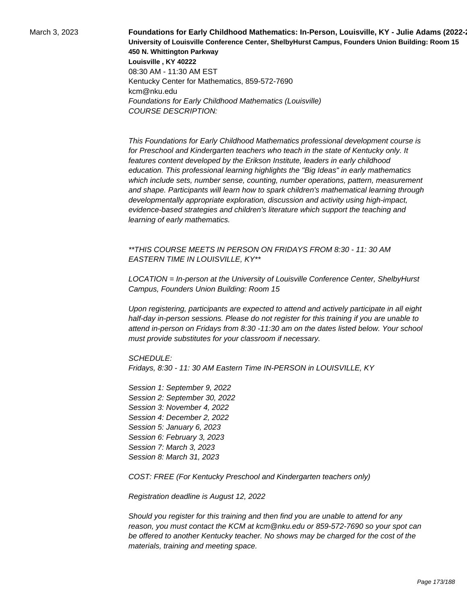March 3, 2023 **Foundations for Early Childhood Mathematics: In-Person, Louisville, KY - Julie Adams (2022∹ University of Louisville Conference Center, ShelbyHurst Campus, Founders Union Building: Room 15 450 N. Whittington Parkway Louisville , KY 40222** 08:30 AM - 11:30 AM EST Kentucky Center for Mathematics, 859-572-7690 kcm@nku.edu Foundations for Early Childhood Mathematics (Louisville) COURSE DESCRIPTION:

> This Foundations for Early Childhood Mathematics professional development course is for Preschool and Kindergarten teachers who teach in the state of Kentucky only. It features content developed by the Erikson Institute, leaders in early childhood education. This professional learning highlights the "Big Ideas" in early mathematics which include sets, number sense, counting, number operations, pattern, measurement and shape. Participants will learn how to spark children's mathematical learning through developmentally appropriate exploration, discussion and activity using high-impact, evidence-based strategies and children's literature which support the teaching and learning of early mathematics.

\*\*THIS COURSE MEETS IN PERSON ON FRIDAYS FROM 8:30 - 11: 30 AM EASTERN TIME IN LOUISVILLE, KY\*\*

LOCATION = In-person at the University of Louisville Conference Center, ShelbyHurst Campus, Founders Union Building: Room 15

Upon registering, participants are expected to attend and actively participate in all eight half-day in-person sessions. Please do not register for this training if you are unable to attend in-person on Fridays from 8:30 -11:30 am on the dates listed below. Your school must provide substitutes for your classroom if necessary.

SCHEDULE:

Fridays, 8:30 - 11: 30 AM Eastern Time IN-PERSON in LOUISVILLE, KY

Session 1: September 9, 2022 Session 2: September 30, 2022 Session 3: November 4, 2022 Session 4: December 2, 2022 Session 5: January 6, 2023 Session 6: February 3, 2023 Session 7: March 3, 2023 Session 8: March 31, 2023

COST: FREE (For Kentucky Preschool and Kindergarten teachers only)

Registration deadline is August 12, 2022

Should you register for this training and then find you are unable to attend for any reason, you must contact the KCM at kcm@nku.edu or 859-572-7690 so your spot can be offered to another Kentucky teacher. No shows may be charged for the cost of the materials, training and meeting space.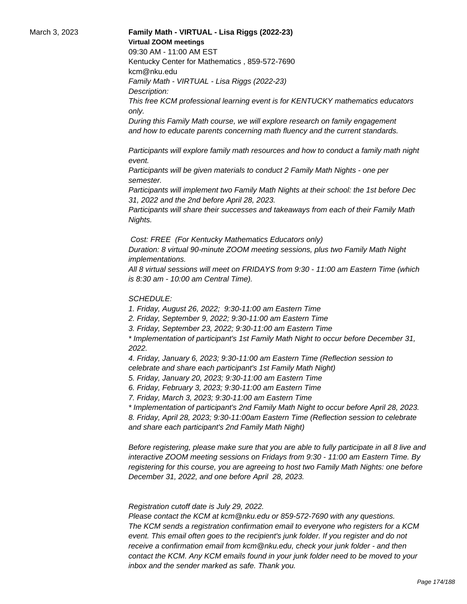#### March 3, 2023 **Family Math - VIRTUAL - Lisa Riggs (2022-23) Virtual ZOOM meetings**

09:30 AM - 11:00 AM EST

Kentucky Center for Mathematics , 859-572-7690 kcm@nku.edu

Family Math - VIRTUAL - Lisa Riggs (2022-23) Description:

This free KCM professional learning event is for KENTUCKY mathematics educators only.

During this Family Math course, we will explore research on family engagement and how to educate parents concerning math fluency and the current standards.

 Participants will explore family math resources and how to conduct a family math night event.

 Participants will be given materials to conduct 2 Family Math Nights - one per semester.

 Participants will implement two Family Math Nights at their school: the 1st before Dec 31, 2022 and the 2nd before April 28, 2023.

 Participants will share their successes and takeaways from each of their Family Math Nights.

Cost: FREE (For Kentucky Mathematics Educators only)

Duration: 8 virtual 90-minute ZOOM meeting sessions, plus two Family Math Night implementations.

All 8 virtual sessions will meet on FRIDAYS from 9:30 - 11:00 am Eastern Time (which is 8:30 am - 10:00 am Central Time).

### SCHEDULE:

1. Friday, August 26, 2022; 9:30-11:00 am Eastern Time

2. Friday, September 9, 2022; 9:30-11:00 am Eastern Time

3. Friday, September 23, 2022; 9:30-11:00 am Eastern Time

\* Implementation of participant's 1st Family Math Night to occur before December 31, 2022.

4. Friday, January 6, 2023; 9:30-11:00 am Eastern Time (Reflection session to celebrate and share each participant's 1st Family Math Night)

5. Friday, January 20, 2023; 9:30-11:00 am Eastern Time

6. Friday, February 3, 2023; 9:30-11:00 am Eastern Time

7. Friday, March 3, 2023; 9:30-11:00 am Eastern Time

\* Implementation of participant's 2nd Family Math Night to occur before April 28, 2023. 8. Friday, April 28, 2023; 9:30-11:00am Eastern Time (Reflection session to celebrate and share each participant's 2nd Family Math Night)

Before registering, please make sure that you are able to fully participate in all 8 live and interactive ZOOM meeting sessions on Fridays from 9:30 - 11:00 am Eastern Time. By registering for this course, you are agreeing to host two Family Math Nights: one before December 31, 2022, and one before April 28, 2023.

 Registration cutoff date is July 29, 2022.

 Please contact the KCM at kcm@nku.edu or 859-572-7690 with any questions. The KCM sends a registration confirmation email to everyone who registers for a KCM event. This email often goes to the recipient's junk folder. If you register and do not receive a confirmation email from kcm@nku.edu, check your junk folder - and then contact the KCM. Any KCM emails found in your junk folder need to be moved to your inbox and the sender marked as safe. Thank you.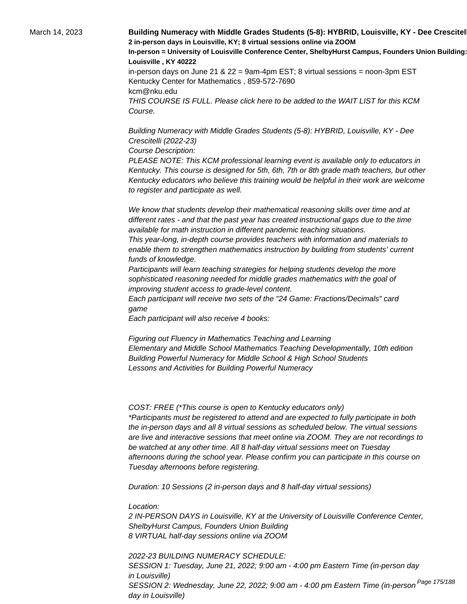March 14, 2023 **Building Numeracy with Middle Grades Students (5-8): HYBRID, Louisville, KY - Dee Crescitel 2 in-person days in Louisville, KY; 8 virtual sessions online via ZOOM In-person = University of Louisville Conference Center, ShelbyHurst Campus, Founders Union Building: Room 15 Louisville , KY 40222** in-person days on June 21 & 22 = 9am-4pm EST; 8 virtual sessions = noon-3pm EST Kentucky Center for Mathematics , 859-572-7690 kcm@nku.edu THIS COURSE IS FULL. Please click here to be added to the WAIT LIST for this KCM Course.

> Building Numeracy with Middle Grades Students (5-8): HYBRID, Louisville, KY - Dee Crescitelli (2022-23)

Course Description:

PLEASE NOTE: This KCM professional learning event is available only to educators in Kentucky. This course is designed for 5th, 6th, 7th or 8th grade math teachers, but other Kentucky educators who believe this training would be helpful in their work are welcome to register and participate as well.

 We know that students develop their mathematical reasoning skills over time and at different rates - and that the past year has created instructional gaps due to the time available for math instruction in different pandemic teaching situations.

 This year-long, in-depth course provides teachers with information and materials to enable them to strengthen mathematics instruction by building from students' current funds of knowledge.

 Participants will learn teaching strategies for helping students develop the more sophisticated reasoning needed for middle grades mathematics with the goal of improving student access to grade-level content.

 Each participant will receive two sets of the "24 Game: Fractions/Decimals" card game

 Each participant will also receive 4 books:

 Figuring out Fluency in Mathematics Teaching and Learning Elementary and Middle School Mathematics Teaching Developmentally, 10th edition Building Powerful Numeracy for Middle School & High School Students Lessons and Activities for Building Powerful Numeracy

COST: FREE (\*This course is open to Kentucky educators only) \*Participants must be registered to attend and are expected to fully participate in both the in-person days and all 8 virtual sessions as scheduled below. The virtual sessions are live and interactive sessions that meet online via ZOOM. They are not recordings to be watched at any other time. All 8 half-day virtual sessions meet on Tuesday afternoons during the school year. Please confirm you can participate in this course on Tuesday afternoons before registering.

Duration: 10 Sessions (2 in-person days and 8 half-day virtual sessions)

Location:

2 IN-PERSON DAYS in Louisville, KY at the University of Louisville Conference Center, ShelbyHurst Campus, Founders Union Building 8 VIRTUAL half-day sessions online via ZOOM

2022-23 BUILDING NUMERACY SCHEDULE: SESSION 1: Tuesday, June 21, 2022; 9:00 am - 4:00 pm Eastern Time (in-person day in Louisville) SESSION 2: Wednesday, June 22, 2022; 9:00 am - 4:00 pm Eastern Time (in-person <sup>Page 175/188</sup> day in Louisville)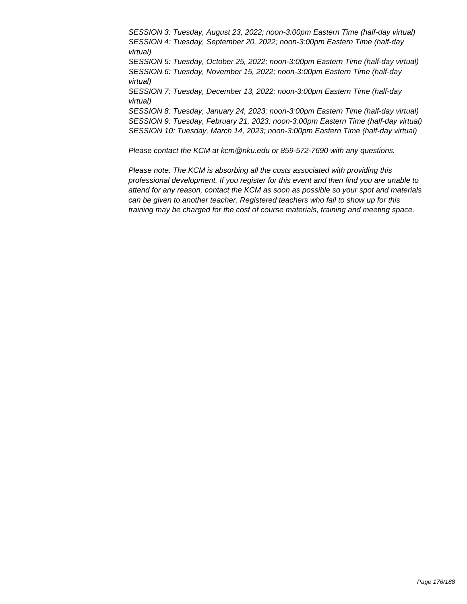SESSION 3: Tuesday, August 23, 2022; noon-3:00pm Eastern Time (half-day virtual) SESSION 4: Tuesday, September 20, 2022; noon-3:00pm Eastern Time (half-day virtual) SESSION 5: Tuesday, October 25, 2022; noon-3:00pm Eastern Time (half-day virtual) SESSION 6: Tuesday, November 15, 2022; noon-3:00pm Eastern Time (half-day virtual) SESSION 7: Tuesday, December 13, 2022; noon-3:00pm Eastern Time (half-day virtual) SESSION 8: Tuesday, January 24, 2023; noon-3:00pm Eastern Time (half-day virtual) SESSION 9: Tuesday, February 21, 2023; noon-3:00pm Eastern Time (half-day virtual) SESSION 10: Tuesday, March 14, 2023; noon-3:00pm Eastern Time (half-day virtual)

Please contact the KCM at kcm@nku.edu or 859-572-7690 with any questions.

Please note: The KCM is absorbing all the costs associated with providing this professional development. If you register for this event and then find you are unable to attend for any reason, contact the KCM as soon as possible so your spot and materials can be given to another teacher. Registered teachers who fail to show up for this training may be charged for the cost of course materials, training and meeting space.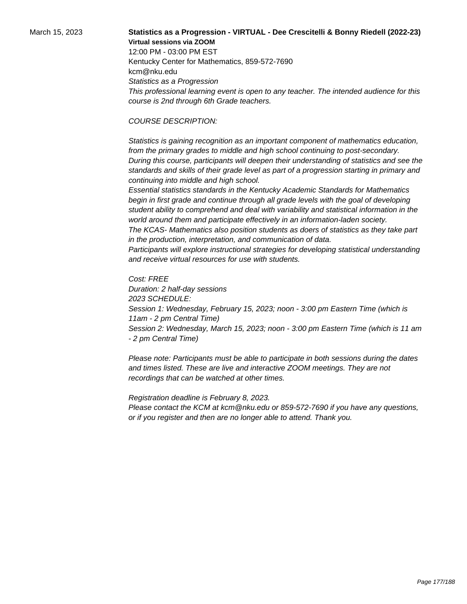# March 15, 2023 **Statistics as a Progression - VIRTUAL - Dee Crescitelli & Bonny Riedell (2022-23) Virtual sessions via ZOOM**

12:00 PM - 03:00 PM EST Kentucky Center for Mathematics, 859-572-7690 kcm@nku.edu Statistics as a Progression This professional learning event is open to any teacher. The intended audience for this course is 2nd through 6th Grade teachers.

#### COURSE DESCRIPTION:

 Statistics is gaining recognition as an important component of mathematics education, from the primary grades to middle and high school continuing to post-secondary. During this course, participants will deepen their understanding of statistics and see the standards and skills of their grade level as part of a progression starting in primary and continuing into middle and high school.

 Essential statistics standards in the Kentucky Academic Standards for Mathematics begin in first grade and continue through all grade levels with the goal of developing student ability to comprehend and deal with variability and statistical information in the world around them and participate effectively in an information-laden society.

 The KCAS- Mathematics also position students as doers of statistics as they take part in the production, interpretation, and communication of data.

 Participants will explore instructional strategies for developing statistical understanding and receive virtual resources for use with students.

Cost: FREE Duration: 2 half-day sessions 2023 SCHEDULE: Session 1: Wednesday, February 15, 2023; noon - 3:00 pm Eastern Time (which is 11am - 2 pm Central Time) Session 2: Wednesday, March 15, 2023; noon - 3:00 pm Eastern Time (which is 11 am - 2 pm Central Time)

Please note: Participants must be able to participate in both sessions during the dates and times listed. These are live and interactive ZOOM meetings. They are not recordings that can be watched at other times.

Registration deadline is February 8, 2023. Please contact the KCM at kcm@nku.edu or 859-572-7690 if you have any questions, or if you register and then are no longer able to attend. Thank you.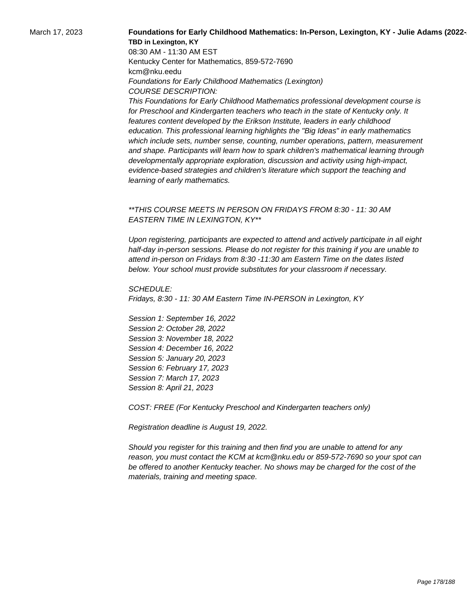### March 17, 2023 **Foundations for Early Childhood Mathematics: In-Person, Lexington, KY - Julie Adams (2022-23) TBD in Lexington, KY**

08:30 AM - 11:30 AM EST Kentucky Center for Mathematics, 859-572-7690 kcm@nku.eedu Foundations for Early Childhood Mathematics (Lexington) COURSE DESCRIPTION:

This Foundations for Early Childhood Mathematics professional development course is for Preschool and Kindergarten teachers who teach in the state of Kentucky only. It features content developed by the Erikson Institute, leaders in early childhood education. This professional learning highlights the "Big Ideas" in early mathematics which include sets, number sense, counting, number operations, pattern, measurement and shape. Participants will learn how to spark children's mathematical learning through developmentally appropriate exploration, discussion and activity using high-impact, evidence-based strategies and children's literature which support the teaching and learning of early mathematics.

### \*\*THIS COURSE MEETS IN PERSON ON FRIDAYS FROM 8:30 - 11: 30 AM EASTERN TIME IN LEXINGTON, KY\*\*

Upon registering, participants are expected to attend and actively participate in all eight half-day in-person sessions. Please do not register for this training if you are unable to attend in-person on Fridays from 8:30 -11:30 am Eastern Time on the dates listed below. Your school must provide substitutes for your classroom if necessary.

SCHEDULE: Fridays, 8:30 - 11: 30 AM Eastern Time IN-PERSON in Lexington, KY

Session 1: September 16, 2022 Session 2: October 28, 2022 Session 3: November 18, 2022 Session 4: December 16, 2022 Session 5: January 20, 2023 Session 6: February 17, 2023 Session 7: March 17, 2023 Session 8: April 21, 2023

COST: FREE (For Kentucky Preschool and Kindergarten teachers only)

Registration deadline is August 19, 2022.

Should you register for this training and then find you are unable to attend for any reason, you must contact the KCM at kcm@nku.edu or 859-572-7690 so your spot can be offered to another Kentucky teacher. No shows may be charged for the cost of the materials, training and meeting space.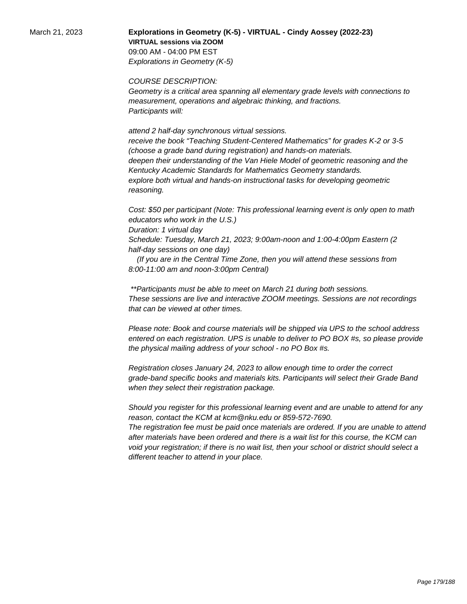March 21, 2023 **Explorations in Geometry (K-5) - VIRTUAL - Cindy Aossey (2022-23) VIRTUAL sessions via ZOOM**  09:00 AM - 04:00 PM EST Explorations in Geometry (K-5)

COURSE DESCRIPTION:

Geometry is a critical area spanning all elementary grade levels with connections to measurement, operations and algebraic thinking, and fractions. Participants will:

 attend 2 half-day synchronous virtual sessions. receive the book "Teaching Student-Centered Mathematics" for grades K-2 or 3-5 (choose a grade band during registration) and hands-on materials. deepen their understanding of the Van Hiele Model of geometric reasoning and the Kentucky Academic Standards for Mathematics Geometry standards. explore both virtual and hands-on instructional tasks for developing geometric reasoning.

Cost: \$50 per participant (Note: This professional learning event is only open to math educators who work in the U.S.)

Duration: 1 virtual day

Schedule: Tuesday, March 21, 2023; 9:00am-noon and 1:00-4:00pm Eastern (2 half-day sessions on one day)

 (If you are in the Central Time Zone, then you will attend these sessions from 8:00-11:00 am and noon-3:00pm Central)

 \*\*Participants must be able to meet on March 21 during both sessions. These sessions are live and interactive ZOOM meetings. Sessions are not recordings that can be viewed at other times.

Please note: Book and course materials will be shipped via UPS to the school address entered on each registration. UPS is unable to deliver to PO BOX #s, so please provide the physical mailing address of your school - no PO Box #s.

Registration closes January 24, 2023 to allow enough time to order the correct grade-band specific books and materials kits. Participants will select their Grade Band when they select their registration package.

Should you register for this professional learning event and are unable to attend for any reason, contact the KCM at kcm@nku.edu or 859-572-7690. The registration fee must be paid once materials are ordered. If you are unable to attend after materials have been ordered and there is a wait list for this course, the KCM can

void your registration; if there is no wait list, then your school or district should select a different teacher to attend in your place.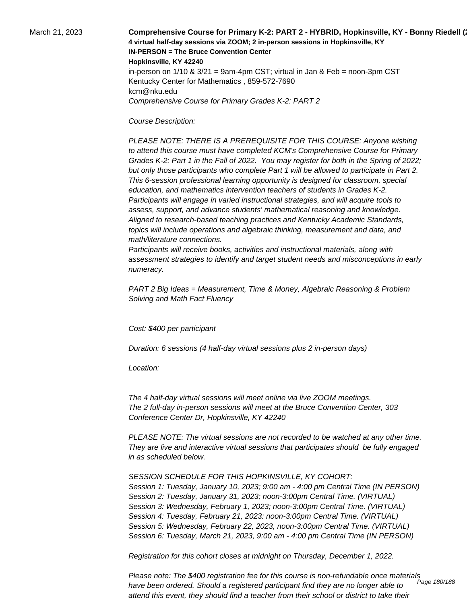March 21, 2023 **Comprehensive Course for Primary K-2: PART 2 - HYBRID, Hopkinsville, KY - Bonny Riedell (2022-23) 4 virtual half-day sessions via ZOOM; 2 in-person sessions in Hopkinsville, KY IN-PERSON = The Bruce Convention Center Hopkinsville, KY 42240** in-person on  $1/10$  &  $3/21$  = 9am-4pm CST; virtual in Jan & Feb = noon-3pm CST Kentucky Center for Mathematics , 859-572-7690 kcm@nku.edu Comprehensive Course for Primary Grades K-2: PART 2

Course Description:

 PLEASE NOTE: THERE IS A PREREQUISITE FOR THIS COURSE: Anyone wishing to attend this course must have completed KCM's Comprehensive Course for Primary Grades K-2: Part 1 in the Fall of 2022. You may register for both in the Spring of 2022; but only those participants who complete Part 1 will be allowed to participate in Part 2. This 6-session professional learning opportunity is designed for classroom, special education, and mathematics intervention teachers of students in Grades K-2. Participants will engage in varied instructional strategies, and will acquire tools to assess, support, and advance students' mathematical reasoning and knowledge. Aligned to research-based teaching practices and Kentucky Academic Standards, topics will include operations and algebraic thinking, measurement and data, and math/literature connections.

 Participants will receive books, activities and instructional materials, along with assessment strategies to identify and target student needs and misconceptions in early numeracy.

PART 2 Big Ideas = Measurement, Time & Money, Algebraic Reasoning & Problem Solving and Math Fact Fluency

Cost: \$400 per participant

Duration: 6 sessions (4 half-day virtual sessions plus 2 in-person days)

Location:

 The 4 half-day virtual sessions will meet online via live ZOOM meetings. The 2 full-day in-person sessions will meet at the Bruce Convention Center, 303 Conference Center Dr, Hopkinsville, KY 42240

PLEASE NOTE: The virtual sessions are not recorded to be watched at any other time. They are live and interactive virtual sessions that participates should be fully engaged in as scheduled below.

SESSION SCHEDULE FOR THIS HOPKINSVILLE, KY COHORT: Session 1: Tuesday, January 10, 2023; 9:00 am - 4:00 pm Central Time (IN PERSON) Session 2: Tuesday, January 31, 2023; noon-3:00pm Central Time. (VIRTUAL) Session 3: Wednesday, February 1, 2023; noon-3:00pm Central Time. (VIRTUAL) Session 4: Tuesday, February 21, 2023: noon-3:00pm Central Time. (VIRTUAL) Session 5: Wednesday, February 22, 2023, noon-3:00pm Central Time. (VIRTUAL) Session 6: Tuesday, March 21, 2023, 9:00 am - 4:00 pm Central Time (IN PERSON)

Registration for this cohort closes at midnight on Thursday, December 1, 2022.

Please note: The \$400 registration fee for this course is non-refundable once materials have been ordered. Should a registered participant find they are no longer able to attend this event, they should find a teacher from their school or district to take their Page 180/188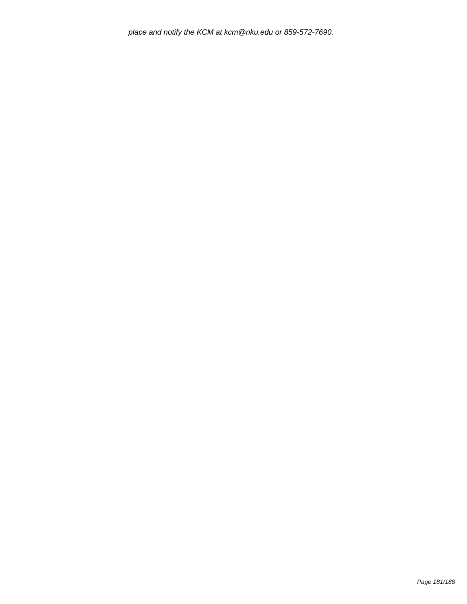place and notify the KCM at kcm@nku.edu or 859-572-7690.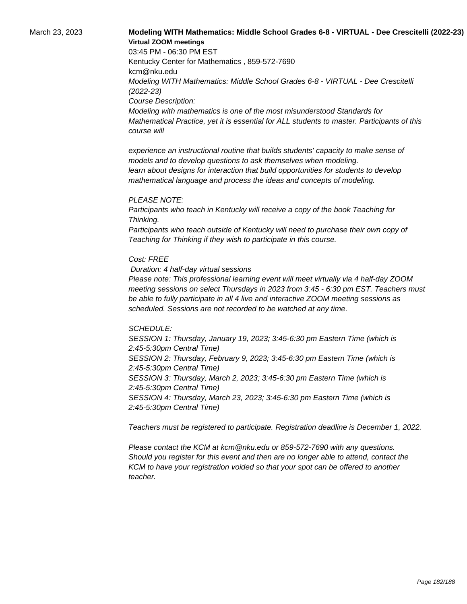# March 23, 2023 **Modeling WITH Mathematics: Middle School Grades 6-8 - VIRTUAL - Dee Crescitelli (2022-23) Virtual ZOOM meetings**

03:45 PM - 06:30 PM EST Kentucky Center for Mathematics , 859-572-7690 kcm@nku.edu Modeling WITH Mathematics: Middle School Grades 6-8 - VIRTUAL - Dee Crescitelli (2022-23) Course Description: Modeling with mathematics is one of the most misunderstood Standards for Mathematical Practice, yet it is essential for ALL students to master. Participants of this course will

 experience an instructional routine that builds students' capacity to make sense of models and to develop questions to ask themselves when modeling. learn about designs for interaction that build opportunities for students to develop mathematical language and process the ideas and concepts of modeling.

#### PLEASE NOTE:

Participants who teach in Kentucky will receive a copy of the book Teaching for Thinking.

Participants who teach outside of Kentucky will need to purchase their own copy of Teaching for Thinking if they wish to participate in this course.

#### Cost: FREE

Duration: 4 half-day virtual sessions

Please note: This professional learning event will meet virtually via 4 half-day ZOOM meeting sessions on select Thursdays in 2023 from 3:45 - 6:30 pm EST. Teachers must be able to fully participate in all 4 live and interactive ZOOM meeting sessions as scheduled. Sessions are not recorded to be watched at any time.

#### SCHEDULE:

SESSION 1: Thursday, January 19, 2023; 3:45-6:30 pm Eastern Time (which is 2:45-5:30pm Central Time) SESSION 2: Thursday, February 9, 2023; 3:45-6:30 pm Eastern Time (which is 2:45-5:30pm Central Time) SESSION 3: Thursday, March 2, 2023; 3:45-6:30 pm Eastern Time (which is 2:45-5:30pm Central Time) SESSION 4: Thursday, March 23, 2023; 3:45-6:30 pm Eastern Time (which is 2:45-5:30pm Central Time)

Teachers must be registered to participate. Registration deadline is December 1, 2022.

Please contact the KCM at kcm@nku.edu or 859-572-7690 with any questions. Should you register for this event and then are no longer able to attend, contact the KCM to have your registration voided so that your spot can be offered to another teacher.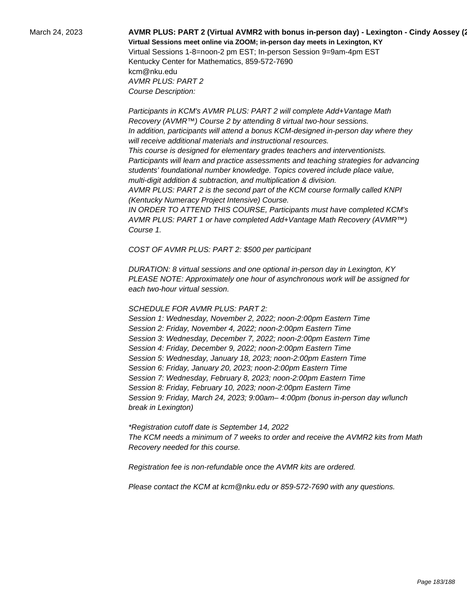# March 24, 2023 **AVMR PLUS: PART 2 (Virtual AVMR2 with bonus in-person day) - Lexington - Cindy Aossey (2022-23) Virtual Sessions meet online via ZOOM; in-person day meets in Lexington, KY**  Virtual Sessions 1-8=noon-2 pm EST; In-person Session 9=9am-4pm EST Kentucky Center for Mathematics, 859-572-7690

kcm@nku.edu AVMR PLUS: PART 2 Course Description:

 Participants in KCM's AVMR PLUS: PART 2 will complete Add+Vantage Math Recovery (AVMR™) Course 2 by attending 8 virtual two-hour sessions. In addition, participants will attend a bonus KCM-designed in-person day where they will receive additional materials and instructional resources. This course is designed for elementary grades teachers and interventionists. Participants will learn and practice assessments and teaching strategies for advancing students' foundational number knowledge. Topics covered include place value, multi-digit addition & subtraction, and multiplication & division. AVMR PLUS: PART 2 is the second part of the KCM course formally called KNPI (Kentucky Numeracy Project Intensive) Course. IN ORDER TO ATTEND THIS COURSE, Participants must have completed KCM's

AVMR PLUS: PART 1 or have completed Add+Vantage Math Recovery (AVMR™) Course 1.

COST OF AVMR PLUS: PART 2: \$500 per participant

DURATION: 8 virtual sessions and one optional in-person day in Lexington, KY PLEASE NOTE: Approximately one hour of asynchronous work will be assigned for each two-hour virtual session.

### SCHEDULE FOR AVMR PLUS: PART 2:

Session 1: Wednesday, November 2, 2022; noon-2:00pm Eastern Time Session 2: Friday, November 4, 2022; noon-2:00pm Eastern Time Session 3: Wednesday, December 7, 2022; noon-2:00pm Eastern Time Session 4: Friday, December 9, 2022; noon-2:00pm Eastern Time Session 5: Wednesday, January 18, 2023; noon-2:00pm Eastern Time Session 6: Friday, January 20, 2023; noon-2:00pm Eastern Time Session 7: Wednesday, February 8, 2023; noon-2:00pm Eastern Time Session 8: Friday, February 10, 2023; noon-2:00pm Eastern Time Session 9: Friday, March 24, 2023; 9:00am– 4:00pm (bonus in-person day w/lunch break in Lexington)

\*Registration cutoff date is September 14, 2022 The KCM needs a minimum of 7 weeks to order and receive the AVMR2 kits from Math Recovery needed for this course.

Registration fee is non-refundable once the AVMR kits are ordered.

Please contact the KCM at kcm@nku.edu or 859-572-7690 with any questions.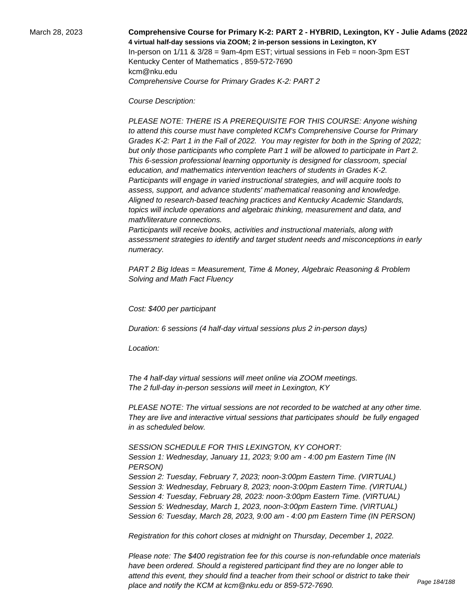# March 28, 2023 **Comprehensive Course for Primary K-2: PART 2 - HYBRID, Lexington, KY - Julie Adams (2022-23) 4 virtual half-day sessions via ZOOM; 2 in-person sessions in Lexington, KY**  In-person on  $1/11$  &  $3/28$  = 9am-4pm EST; virtual sessions in Feb = noon-3pm EST Kentucky Center of Mathematics , 859-572-7690 kcm@nku.edu Comprehensive Course for Primary Grades K-2: PART 2

Course Description:

 PLEASE NOTE: THERE IS A PREREQUISITE FOR THIS COURSE: Anyone wishing to attend this course must have completed KCM's Comprehensive Course for Primary Grades K-2: Part 1 in the Fall of 2022. You may register for both in the Spring of 2022; but only those participants who complete Part 1 will be allowed to participate in Part 2. This 6-session professional learning opportunity is designed for classroom, special education, and mathematics intervention teachers of students in Grades K-2. Participants will engage in varied instructional strategies, and will acquire tools to assess, support, and advance students' mathematical reasoning and knowledge. Aligned to research-based teaching practices and Kentucky Academic Standards, topics will include operations and algebraic thinking, measurement and data, and math/literature connections.

 Participants will receive books, activities and instructional materials, along with assessment strategies to identify and target student needs and misconceptions in early numeracy.

PART 2 Big Ideas = Measurement, Time & Money, Algebraic Reasoning & Problem Solving and Math Fact Fluency

Cost: \$400 per participant

Duration: 6 sessions (4 half-day virtual sessions plus 2 in-person days)

Location:

 The 4 half-day virtual sessions will meet online via ZOOM meetings. The 2 full-day in-person sessions will meet in Lexington, KY

PLEASE NOTE: The virtual sessions are not recorded to be watched at any other time. They are live and interactive virtual sessions that participates should be fully engaged in as scheduled below.

SESSION SCHEDULE FOR THIS LEXINGTON, KY COHORT:

Session 1: Wednesday, January 11, 2023; 9:00 am - 4:00 pm Eastern Time (IN PERSON) Session 2: Tuesday, February 7, 2023; noon-3:00pm Eastern Time. (VIRTUAL) Session 3: Wednesday, February 8, 2023; noon-3:00pm Eastern Time. (VIRTUAL) Session 4: Tuesday, February 28, 2023: noon-3:00pm Eastern Time. (VIRTUAL) Session 5: Wednesday, March 1, 2023, noon-3:00pm Eastern Time. (VIRTUAL) Session 6: Tuesday, March 28, 2023, 9:00 am - 4:00 pm Eastern Time (IN PERSON)

Registration for this cohort closes at midnight on Thursday, December 1, 2022.

Please note: The \$400 registration fee for this course is non-refundable once materials have been ordered. Should a registered participant find they are no longer able to attend this event, they should find a teacher from their school or district to take their place and notify the KCM at kcm@nku.edu or 859-572-7690. Page 184/188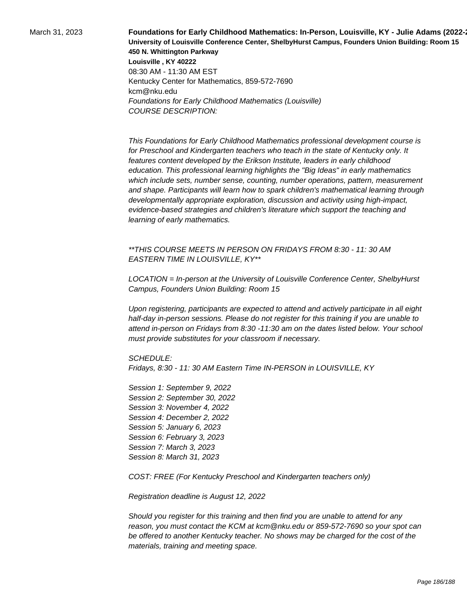March 31, 2023 **Foundations for Early Childhood Mathematics: In-Person, Louisville, KY - Julie Adams (2022∹ University of Louisville Conference Center, ShelbyHurst Campus, Founders Union Building: Room 15 450 N. Whittington Parkway Louisville , KY 40222** 08:30 AM - 11:30 AM EST Kentucky Center for Mathematics, 859-572-7690 kcm@nku.edu Foundations for Early Childhood Mathematics (Louisville) COURSE DESCRIPTION:

> This Foundations for Early Childhood Mathematics professional development course is for Preschool and Kindergarten teachers who teach in the state of Kentucky only. It features content developed by the Erikson Institute, leaders in early childhood education. This professional learning highlights the "Big Ideas" in early mathematics which include sets, number sense, counting, number operations, pattern, measurement and shape. Participants will learn how to spark children's mathematical learning through developmentally appropriate exploration, discussion and activity using high-impact, evidence-based strategies and children's literature which support the teaching and learning of early mathematics.

\*\*THIS COURSE MEETS IN PERSON ON FRIDAYS FROM 8:30 - 11: 30 AM EASTERN TIME IN LOUISVILLE, KY\*\*

LOCATION = In-person at the University of Louisville Conference Center, ShelbyHurst Campus, Founders Union Building: Room 15

Upon registering, participants are expected to attend and actively participate in all eight half-day in-person sessions. Please do not register for this training if you are unable to attend in-person on Fridays from 8:30 -11:30 am on the dates listed below. Your school must provide substitutes for your classroom if necessary.

SCHEDULE:

Fridays, 8:30 - 11: 30 AM Eastern Time IN-PERSON in LOUISVILLE, KY

Session 1: September 9, 2022 Session 2: September 30, 2022 Session 3: November 4, 2022 Session 4: December 2, 2022 Session 5: January 6, 2023 Session 6: February 3, 2023 Session 7: March 3, 2023 Session 8: March 31, 2023

COST: FREE (For Kentucky Preschool and Kindergarten teachers only)

Registration deadline is August 12, 2022

Should you register for this training and then find you are unable to attend for any reason, you must contact the KCM at kcm@nku.edu or 859-572-7690 so your spot can be offered to another Kentucky teacher. No shows may be charged for the cost of the materials, training and meeting space.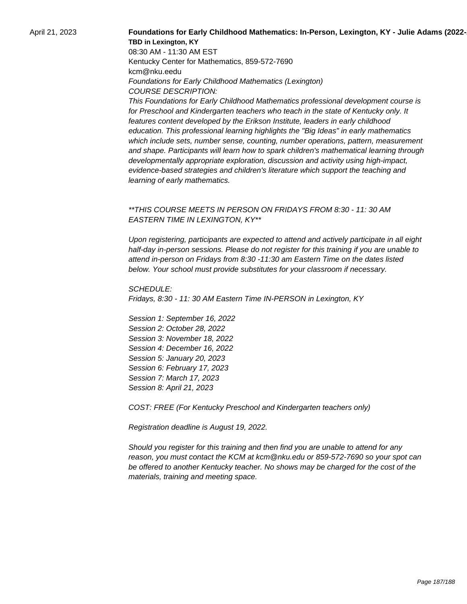#### April 21, 2023 **Foundations for Early Childhood Mathematics: In-Person, Lexington, KY - Julie Adams (2022-23) TBD in Lexington, KY**

08:30 AM - 11:30 AM EST Kentucky Center for Mathematics, 859-572-7690 kcm@nku.eedu Foundations for Early Childhood Mathematics (Lexington) COURSE DESCRIPTION:

This Foundations for Early Childhood Mathematics professional development course is for Preschool and Kindergarten teachers who teach in the state of Kentucky only. It features content developed by the Erikson Institute, leaders in early childhood education. This professional learning highlights the "Big Ideas" in early mathematics which include sets, number sense, counting, number operations, pattern, measurement and shape. Participants will learn how to spark children's mathematical learning through developmentally appropriate exploration, discussion and activity using high-impact, evidence-based strategies and children's literature which support the teaching and learning of early mathematics.

# \*\*THIS COURSE MEETS IN PERSON ON FRIDAYS FROM 8:30 - 11: 30 AM EASTERN TIME IN LEXINGTON, KY\*\*

Upon registering, participants are expected to attend and actively participate in all eight half-day in-person sessions. Please do not register for this training if you are unable to attend in-person on Fridays from 8:30 -11:30 am Eastern Time on the dates listed below. Your school must provide substitutes for your classroom if necessary.

SCHEDULE: Fridays, 8:30 - 11: 30 AM Eastern Time IN-PERSON in Lexington, KY

Session 1: September 16, 2022 Session 2: October 28, 2022 Session 3: November 18, 2022 Session 4: December 16, 2022 Session 5: January 20, 2023 Session 6: February 17, 2023 Session 7: March 17, 2023 Session 8: April 21, 2023

COST: FREE (For Kentucky Preschool and Kindergarten teachers only)

Registration deadline is August 19, 2022.

Should you register for this training and then find you are unable to attend for any reason, you must contact the KCM at kcm@nku.edu or 859-572-7690 so your spot can be offered to another Kentucky teacher. No shows may be charged for the cost of the materials, training and meeting space.